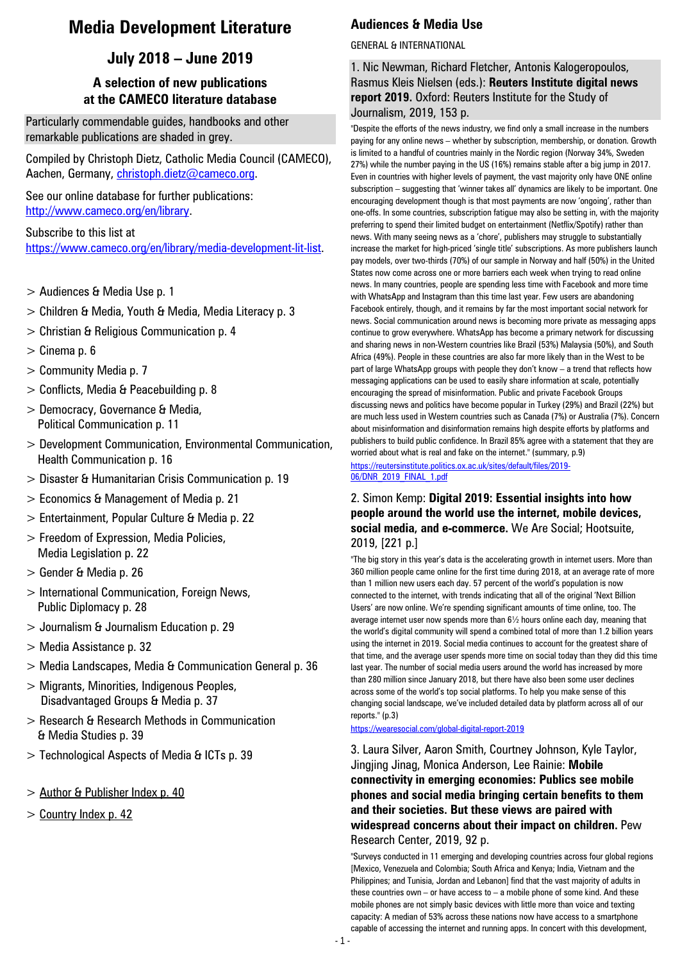## **Media Development Literature**

## **July 2018 – June 2019**

## **A selection of new publications at the CAMECO literature database**

Particularly commendable guides, handbooks and other remarkable publications are shaded in grey.

Compiled by Christoph Dietz, Catholic Media Council (CAMECO), Aachen, Germany, [christoph.dietz@cameco.org.](file://10.2.1.4/AltesSYS/FAUSTDOK/christoph.dietz@cameco.org)

See our online database for further publications: [http://www.cameco.org/en/library.](http://www.cameco.org/en/library)

Subscribe to this list at [https://www.cameco.org/en/library/media-development-lit-list.](https://www.cameco.org/en/library/media-development-lit-list)

- > Audiences & Media Use p. 1
- > Children & Media, Youth & Media, Media Literacy p. 3
- > Christian & Religious Communication p. 4
- $>$  Cinema p. 6
- > Community Media p. 7
- > Conflicts, Media & Peacebuilding p. 8
- > Democracy, Governance & Media, Political Communication p. 11
- > Development Communication, Environmental Communication, Health Communication p. 16
- > Disaster & Humanitarian Crisis Communication p. 19
- > Economics & Management of Media p. 21
- > Entertainment, Popular Culture & Media p. 22
- > Freedom of Expression, Media Policies, Media Legislation p. 22
- > Gender & Media p. 26
- > International Communication, Foreign News, Public Diplomacy p. 28
- > Journalism & Journalism Education p. 29
- > Media Assistance p. 32
- > Media Landscapes, Media & Communication General p. 36
- > Migrants, Minorities, Indigenous Peoples, Disadvantaged Groups & Media p. 37
- > Research & Research Methods in Communication & Media Studies p. 39
- > Technological Aspects of Media & ICTs p. 39
- > Author & Publisher Index p. 40
- > Country Index p. 42

## **Audiences & Media Use**

GENERAL & INTERNATIONAL

1. Nic Newman, Richard Fletcher, Antonis Kalogeropoulos, Rasmus Kleis Nielsen (eds.): **Reuters Institute digital news report 2019.** Oxford: Reuters Institute for the Study of Journalism, 2019, 153 p.

"Despite the efforts of the news industry, we find only a small increase in the numbers paying for any online news – whether by subscription, membership, or donation. Growth is limited to a handful of countries mainly in the Nordic region (Norway 34%, Sweden 27%) while the number paying in the US (16%) remains stable after a big jump in 2017. Even in countries with higher levels of payment, the vast majority only have ONE online subscription – suggesting that 'winner takes all' dynamics are likely to be important. One encouraging development though is that most payments are now 'ongoing', rather than one-offs. In some countries, subscription fatigue may also be setting in, with the majority preferring to spend their limited budget on entertainment (Netflix/Spotify) rather than news. With many seeing news as a 'chore', publishers may struggle to substantially increase the market for high-priced 'single title' subscriptions. As more publishers launch pay models, over two-thirds (70%) of our sample in Norway and half (50%) in the United States now come across one or more barriers each week when trying to read online news. In many countries, people are spending less time with Facebook and more time with WhatsApp and Instagram than this time last year. Few users are abandoning Facebook entirely, though, and it remains by far the most important social network for news. Social communication around news is becoming more private as messaging apps continue to grow everywhere. WhatsApp has become a primary network for discussing and sharing news in non-Western countries like Brazil (53%) Malaysia (50%), and South Africa (49%). People in these countries are also far more likely than in the West to be part of large WhatsApp groups with people they don't know – a trend that reflects how messaging applications can be used to easily share information at scale, potentially encouraging the spread of misinformation. Public and private Facebook Groups discussing news and politics have become popular in Turkey (29%) and Brazil (22%) but are much less used in Western countries such as Canada (7%) or Australia (7%). Concern about misinformation and disinformation remains high despite efforts by platforms and publishers to build public confidence. In Brazil 85% agree with a statement that they are worried about what is real and fake on the internet." (summary, p.9) [https://reutersinstitute.politics.ox.ac.uk/sites/default/files/2019-](https://reutersinstitute.politics.ox.ac.uk/sites/default/files/2019-06/DNR_2019_FINAL_1.pdf)

[06/DNR\\_2019\\_FINAL\\_1.pdf](https://reutersinstitute.politics.ox.ac.uk/sites/default/files/2019-06/DNR_2019_FINAL_1.pdf)

## 2. Simon Kemp: **Digital 2019: Essential insights into how people around the world use the internet, mobile devices, social media, and e-commerce.** We Are Social; Hootsuite, 2019, [221 p.]

"The big story in this year's data is the accelerating growth in internet users. More than 360 million people came online for the first time during 2018, at an average rate of more than 1 million new users each day. 57 percent of the world's population is now connected to the internet, with trends indicating that all of the original 'Next Billion Users' are now online. We're spending significant amounts of time online, too. The average internet user now spends more than 6½ hours online each day, meaning that the world's digital community will spend a combined total of more than 1.2 billion years using the internet in 2019. Social media continues to account for the greatest share of that time, and the average user spends more time on social today than they did this time last year. The number of social media users around the world has increased by more than 280 million since January 2018, but there have also been some user declines across some of the world's top social platforms. To help you make sense of this changing social landscape, we've included detailed data by platform across all of our reports." (p.3)

#### <https://wearesocial.com/global-digital-report-2019>

3. Laura Silver, Aaron Smith, Courtney Johnson, Kyle Taylor, Jingjing Jinag, Monica Anderson, Lee Rainie: **Mobile connectivity in emerging economies: Publics see mobile phones and social media bringing certain benefits to them and their societies. But these views are paired with widespread concerns about their impact on children.** Pew Research Center, 2019, 92 p.

"Surveys conducted in 11 emerging and developing countries across four global regions [Mexico, Venezuela and Colombia; South Africa and Kenya; India, Vietnam and the Philippines; and Tunisia, Jordan and Lebanon] find that the vast majority of adults in these countries own – or have access to – a mobile phone of some kind. And these mobile phones are not simply basic devices with little more than voice and texting capacity: A median of 53% across these nations now have access to a smartphone capable of accessing the internet and running apps. In concert with this development,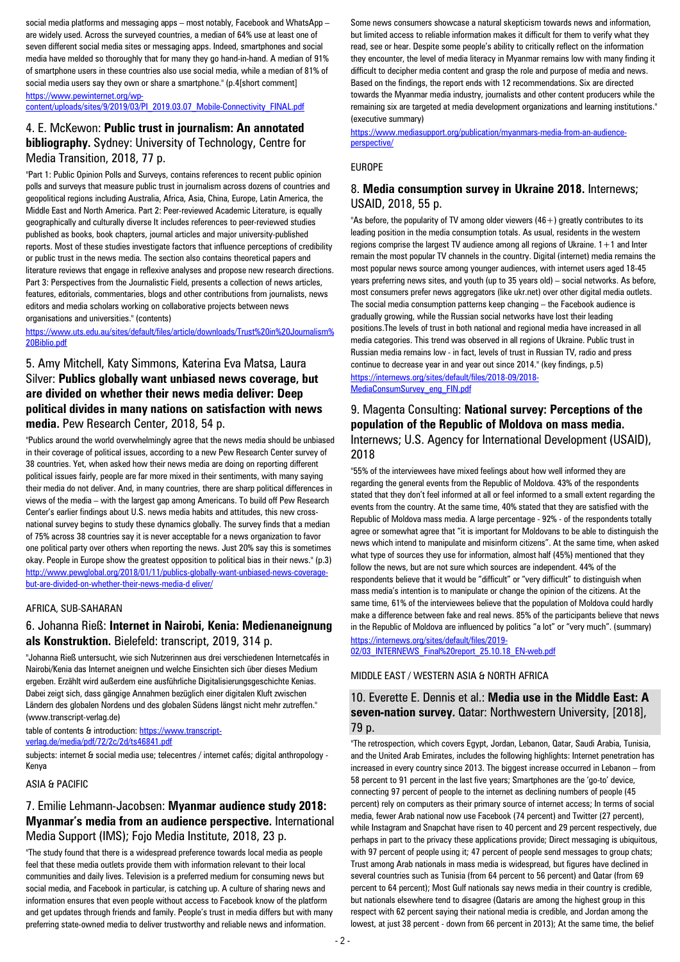social media platforms and messaging apps – most notably, Facebook and WhatsApp – are widely used. Across the surveyed countries, a median of 64% use at least one of seven different social media sites or messaging apps. Indeed, smartphones and social media have melded so thoroughly that for many they go hand-in-hand. A median of 91% of smartphone users in these countries also use social media, while a median of 81% of social media users say they own or share a smartphone." (p.4[short comment] [https://www.pewinternet.org/wp-](https://www.pewinternet.org/wp-content/uploads/sites/9/2019/03/PI_2019.03.07_Mobile-Connectivity_FINAL.pdf)

[content/uploads/sites/9/2019/03/PI\\_2019.03.07\\_Mobile-Connectivity\\_FINAL.pdf](https://www.pewinternet.org/wp-content/uploads/sites/9/2019/03/PI_2019.03.07_Mobile-Connectivity_FINAL.pdf)

#### 4. E. McKewon: **Public trust in journalism: An annotated bibliography.** Sydney: University of Technology, Centre for Media Transition, 2018, 77 p.

"Part 1: Public Opinion Polls and Surveys, contains references to recent public opinion polls and surveys that measure public trust in journalism across dozens of countries and geopolitical regions including Australia, Africa, Asia, China, Europe, Latin America, the Middle East and North America. Part 2: Peer-reviewed Academic Literature, is equally geographically and culturally diverse It includes references to peer-reviewed studies published as books, book chapters, journal articles and major university-published reports. Most of these studies investigate factors that influence perceptions of credibility or public trust in the news media. The section also contains theoretical papers and literature reviews that engage in reflexive analyses and propose new research directions. Part 3: Perspectives from the Journalistic Field, presents a collection of news articles, features, editorials, commentaries, blogs and other contributions from journalists, news editors and media scholars working on collaborative projects between news organisations and universities." (contents)

[https://www.uts.edu.au/sites/default/files/article/downloads/Trust%20in%20Journalism%](https://www.uts.edu.au/sites/default/files/article/downloads/Trust%20in%20Journalism%20Biblio.pdf) [20Biblio.pdf](https://www.uts.edu.au/sites/default/files/article/downloads/Trust%20in%20Journalism%20Biblio.pdf)

## 5. Amy Mitchell, Katy Simmons, Katerina Eva Matsa, Laura Silver: **Publics globally want unbiased news coverage, but are divided on whether their news media deliver: Deep political divides in many nations on satisfaction with news media.** Pew Research Center, 2018, 54 p.

"Publics around the world overwhelmingly agree that the news media should be unbiased in their coverage of political issues, according to a new Pew Research Center survey of 38 countries. Yet, when asked how their news media are doing on reporting different political issues fairly, people are far more mixed in their sentiments, with many saying their media do not deliver. And, in many countries, there are sharp political differences in views of the media – with the largest gap among Americans. To build off Pew Research Center's earlier findings about U.S. news media habits and attitudes, this new crossnational survey begins to study these dynamics globally. The survey finds that a median of 75% across 38 countries say it is never acceptable for a news organization to favor one political party over others when reporting the news. Just 20% say this is sometimes okay. People in Europe show the greatest opposition to political bias in their news." (p.3) [http://www.pewglobal.org/2018/01/11/publics-globally-want-unbiased-news-coverage](http://www.pewglobal.org/2018/01/11/publics-globally-want-unbiased-news-coverage-but-are-divided-on-whether-their-news-media-d%20eliver/)[but-are-divided-on-whether-their-news-media-d eliver/](http://www.pewglobal.org/2018/01/11/publics-globally-want-unbiased-news-coverage-but-are-divided-on-whether-their-news-media-d%20eliver/)

#### AFRICA, SUB-SAHARAN

#### 6. Johanna Rieß: **Internet in Nairobi, Kenia: Medienaneignung als Konstruktion.** Bielefeld: transcript, 2019, 314 p.

"Johanna Rieß untersucht, wie sich Nutzerinnen aus drei verschiedenen Internetcafés in Nairobi/Kenia das Internet aneignen und welche Einsichten sich über dieses Medium ergeben. Erzählt wird außerdem eine ausführliche Digitalisierungsgeschichte Kenias. Dabei zeigt sich, dass gängige Annahmen bezüglich einer digitalen Kluft zwischen Ländern des globalen Nordens und des globalen Südens längst nicht mehr zutreffen." (www.transcript-verlag.de)

table of contents & introduction[: https://www.transcript](https://www.transcript-verlag.de/media/pdf/72/2c/2d/ts46841.pdf)[verlag.de/media/pdf/72/2c/2d/ts46841.pdf](https://www.transcript-verlag.de/media/pdf/72/2c/2d/ts46841.pdf)

subjects: internet & social media use; telecentres / internet cafés; digital anthropology - Kenya

#### ASIA & PACIFIC

#### 7. Emilie Lehmann-Jacobsen: **Myanmar audience study 2018: Myanmar's media from an audience perspective.** International Media Support (IMS); Fojo Media Institute, 2018, 23 p.

"The study found that there is a widespread preference towards local media as people feel that these media outlets provide them with information relevant to their local communities and daily lives. Television is a preferred medium for consuming news but social media, and Facebook in particular, is catching up. A culture of sharing news and information ensures that even people without access to Facebook know of the platform and get updates through friends and family. People's trust in media differs but with many preferring state-owned media to deliver trustworthy and reliable news and information.

Some news consumers showcase a natural skepticism towards news and information, but limited access to reliable information makes it difficult for them to verify what they read, see or hear. Despite some people's ability to critically reflect on the information they encounter, the level of media literacy in Myanmar remains low with many finding it difficult to decipher media content and grasp the role and purpose of media and news. Based on the findings, the report ends with 12 recommendations. Six are directed towards the Myanmar media industry, journalists and other content producers while the remaining six are targeted at media development organizations and learning institutions." (executive summary)

[https://www.mediasupport.org/publication/myanmars-media-from-an-audience](https://www.mediasupport.org/publication/myanmars-media-from-an-audience-perspective/)[perspective/](https://www.mediasupport.org/publication/myanmars-media-from-an-audience-perspective/)

#### EUROPE

#### 8. **Media consumption survey in Ukraine 2018.** Internews; USAID, 2018, 55 p.

"As before, the popularity of TV among older viewers  $(46+)$  greatly contributes to its leading position in the media consumption totals. As usual, residents in the western regions comprise the largest TV audience among all regions of Ukraine.  $1+1$  and Inter remain the most popular TV channels in the country. Digital (internet) media remains the most popular news source among younger audiences, with internet users aged 18-45 years preferring news sites, and youth (up to 35 years old) – social networks. As before, most consumers prefer news aggregators (like ukr.net) over other digital media outlets. The social media consumption patterns keep changing – the Facebook audience is gradually growing, while the Russian social networks have lost their leading positions.The levels of trust in both national and regional media have increased in all media categories. This trend was observed in all regions of Ukraine. Public trust in Russian media remains low - in fact, levels of trust in Russian TV, radio and press continue to decrease year in and year out since 2014." (key findings, p.5) [https://internews.org/sites/default/files/2018-09/2018-](https://internews.org/sites/default/files/2018-09/2018-MediaConsumSurvey_eng_FIN.pdf)

[MediaConsumSurvey\\_eng\\_FIN.pdf](https://internews.org/sites/default/files/2018-09/2018-MediaConsumSurvey_eng_FIN.pdf)

## 9. Magenta Consulting: **National survey: Perceptions of the population of the Republic of Moldova on mass media.**  Internews; U.S. Agency for International Development (USAID), 2018

"55% of the interviewees have mixed feelings about how well informed they are regarding the general events from the Republic of Moldova. 43% of the respondents stated that they don't feel informed at all or feel informed to a small extent regarding the events from the country. At the same time, 40% stated that they are satisfied with the Republic of Moldova mass media. A large percentage - 92% - of the respondents totally agree or somewhat agree that "it is important for Moldovans to be able to distinguish the news which intend to manipulate and misinform citizens". At the same time, when asked what type of sources they use for information, almost half (45%) mentioned that they follow the news, but are not sure which sources are independent. 44% of the respondents believe that it would be "difficult" or "very difficult" to distinguish when mass media's intention is to manipulate or change the opinion of the citizens. At the same time, 61% of the interviewees believe that the population of Moldova could hardly make a difference between fake and real news. 85% of the participants believe that news in the Republic of Moldova are influenced by politics "a lot" or "very much". (summary) [https://internews.org/sites/default/files/2019-](https://internews.org/sites/default/files/2019-02/03_INTERNEWS_Final%20report_25.10.18_EN-web.pdf)

[02/03\\_INTERNEWS\\_Final%20report\\_25.10.18\\_EN-web.pdf](https://internews.org/sites/default/files/2019-02/03_INTERNEWS_Final%20report_25.10.18_EN-web.pdf)

#### MIDDLE EAST / WESTERN ASIA & NORTH AFRICA

#### 10. Everette E. Dennis et al.: **Media use in the Middle East: A seven-nation survey.** Qatar: Northwestern University, [2018], 79 p.

"The retrospection, which covers Egypt, Jordan, Lebanon, Qatar, Saudi Arabia, Tunisia, and the United Arab Emirates, includes the following highlights: Internet penetration has increased in every country since 2013. The biggest increase occurred in Lebanon – from 58 percent to 91 percent in the last five years; Smartphones are the 'go-to' device, connecting 97 percent of people to the internet as declining numbers of people (45 percent) rely on computers as their primary source of internet access; In terms of social media, fewer Arab national now use Facebook (74 percent) and Twitter (27 percent), while Instagram and Snapchat have risen to 40 percent and 29 percent respectively, due perhaps in part to the privacy these applications provide; Direct messaging is ubiquitous, with 97 percent of people using it; 47 percent of people send messages to group chats; Trust among Arab nationals in mass media is widespread, but figures have declined in several countries such as Tunisia (from 64 percent to 56 percent) and Qatar (from 69 percent to 64 percent); Most Gulf nationals say news media in their country is credible, but nationals elsewhere tend to disagree (Qataris are among the highest group in this respect with 62 percent saying their national media is credible, and Jordan among the lowest, at just 38 percent - down from 66 percent in 2013); At the same time, the belief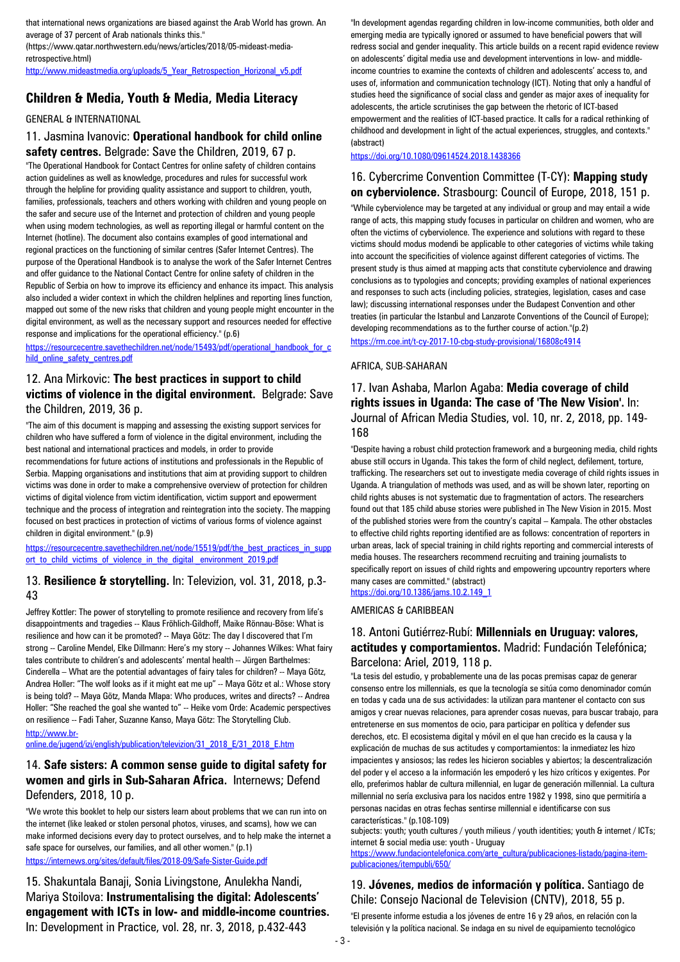that international news organizations are biased against the Arab World has grown. An average of 37 percent of Arab nationals thinks this."

(https://www.qatar.northwestern.edu/news/articles/2018/05-mideast-mediaretrospective.html)

[http://www.mideastmedia.org/uploads/5\\_Year\\_Retrospection\\_Horizonal\\_v5.pdf](http://www.mideastmedia.org/uploads/5_Year_Retrospection_Horizonal_v5.pdf)

## **Children & Media, Youth & Media, Media Literacy**

GENERAL & INTERNATIONAL

#### 11. Jasmina Ivanovic: **Operational handbook for child online safety centres.** Belgrade: Save the Children, 2019, 67 p.

"The Operational Handbook for Contact Centres for online safety of children contains action guidelines as well as knowledge, procedures and rules for successful work through the helpline for providing quality assistance and support to children, youth, families, professionals, teachers and others working with children and young people on the safer and secure use of the Internet and protection of children and young people when using modern technologies, as well as reporting illegal or harmful content on the Internet (hotline). The document also contains examples of good international and regional practices on the functioning of similar centres (Safer Internet Centres). The purpose of the Operational Handbook is to analyse the work of the Safer Internet Centres and offer guidance to the National Contact Centre for online safety of children in the Republic of Serbia on how to improve its efficiency and enhance its impact. This analysis also included a wider context in which the children helplines and reporting lines function, mapped out some of the new risks that children and young people might encounter in the digital environment, as well as the necessary support and resources needed for effective response and implications for the operational efficiency." (p.6)

[https://resourcecentre.savethechildren.net/node/15493/pdf/operational\\_handbook\\_for\\_c](https://resourcecentre.savethechildren.net/node/15493/pdf/operational_handbook_for_child_online_safety_centres.pdf) [hild\\_online\\_safety\\_centres.pdf](https://resourcecentre.savethechildren.net/node/15493/pdf/operational_handbook_for_child_online_safety_centres.pdf)

#### 12. Ana Mirkovic: **The best practices in support to child victims of violence in the digital environment.** Belgrade: Save the Children, 2019, 36 p.

"The aim of this document is mapping and assessing the existing support services for children who have suffered a form of violence in the digital environment, including the best national and international practices and models, in order to provide

recommendations for future actions of institutions and professionals in the Republic of Serbia. Mapping organisations and institutions that aim at providing support to children victims was done in order to make a comprehensive overview of protection for children victims of digital violence from victim identification, victim support and epowerment technique and the process of integration and reintegration into the society. The mapping focused on best practices in protection of victims of various forms of violence against children in digital environment." (p.9)

[https://resourcecentre.savethechildren.net/node/15519/pdf/the\\_best\\_practices\\_in\\_supp](https://resourcecentre.savethechildren.net/node/15519/pdf/the_best_practices_in_support_to_child_victims_of_violence_in_the_digital%20_environment_2019.pdf) ort\_to\_child\_victims\_of\_violence\_in\_the\_digital\_environment\_2019.pdf

#### 13. **Resilience & storytelling.** In: Televizion, vol. 31, 2018, p.3- 43

Jeffrey Kottler: The power of storytelling to promote resilience and recovery from life's disappointments and tragedies -- Klaus Fröhlich-Gildhoff, Maike Rönnau-Böse: What is resilience and how can it be promoted? -- Maya Götz: The day I discovered that I'm strong -- Caroline Mendel, Elke Dillmann: Here's my story -- Johannes Wilkes: What fairy tales contribute to children's and adolescents' mental health -- Jürgen Barthelmes: Cinderella – What are the potential advantages of fairy tales for children? -- Maya Götz, Andrea Holler: "The wolf looks as if it might eat me up" -- Maya Götz et al.: Whose story is being told? -- Maya Götz, Manda Mlapa: Who produces, writes and directs? -- Andrea Holler: "She reached the goal she wanted to" -- Heike vom Orde: Academic perspectives on resilience -- Fadi Taher, Suzanne Kanso, Maya Götz: The Storytelling Club.

#### [http://www.br-](http://www.br-online.de/jugend/izi/english/publication/televizion/31_2018_E/31_2018_E.htm)

[online.de/jugend/izi/english/publication/televizion/31\\_2018\\_E/31\\_2018\\_E.htm](http://www.br-online.de/jugend/izi/english/publication/televizion/31_2018_E/31_2018_E.htm)

#### 14. **Safe sisters: A common sense guide to digital safety for women and girls in Sub-Saharan Africa.** Internews; Defend Defenders, 2018, 10 p.

"We wrote this booklet to help our sisters learn about problems that we can run into on the internet (like leaked or stolen personal photos, viruses, and scams), how we can make informed decisions every day to protect ourselves, and to help make the internet a safe space for ourselves, our families, and all other women." (p.1) <https://internews.org/sites/default/files/2018-09/Safe-Sister-Guide.pdf>

15. Shakuntala Banaji, Sonia Livingstone, Anulekha Nandi, Mariya Stoilova: **Instrumentalising the digital: Adolescents' engagement with ICTs in low- and middle-income countries.**  In: Development in Practice, vol. 28, nr. 3, 2018, p.432-443

"In development agendas regarding children in low-income communities, both older and emerging media are typically ignored or assumed to have beneficial powers that will redress social and gender inequality. This article builds on a recent rapid evidence review on adolescents' digital media use and development interventions in low- and middleincome countries to examine the contexts of children and adolescents' access to, and uses of, information and communication technology (ICT). Noting that only a handful of studies heed the significance of social class and gender as major axes of inequality for adolescents, the article scrutinises the gap between the rhetoric of ICT-based empowerment and the realities of ICT-based practice. It calls for a radical rethinking of childhood and development in light of the actual experiences, struggles, and contexts." (abstract)

#### <https://doi.org/10.1080/09614524.2018.1438366>

#### 16. Cybercrime Convention Committee (T-CY): **Mapping study on cyberviolence.** Strasbourg: Council of Europe, 2018, 151 p.

"While cyberviolence may be targeted at any individual or group and may entail a wide range of acts, this mapping study focuses in particular on children and women, who are often the victims of cyberviolence. The experience and solutions with regard to these victims should modus modendi be applicable to other categories of victims while taking into account the specificities of violence against different categories of victims. The present study is thus aimed at mapping acts that constitute cyberviolence and drawing conclusions as to typologies and concepts; providing examples of national experiences and responses to such acts (including policies, strategies, legislation, cases and case law); discussing international responses under the Budapest Convention and other treaties (in particular the Istanbul and Lanzarote Conventions of the Council of Europe); developing recommendations as to the further course of action."(p.2) <https://rm.coe.int/t-cy-2017-10-cbg-study-provisional/16808c4914>

#### AFRICA, SUB-SAHARAN

#### 17. Ivan Ashaba, Marlon Agaba: **Media coverage of child rights issues in Uganda: The case of 'The New Vision'.** In: Journal of African Media Studies, vol. 10, nr. 2, 2018, pp. 149- 168

"Despite having a robust child protection framework and a burgeoning media, child rights abuse still occurs in Uganda. This takes the form of child neglect, defilement, torture, trafficking. The researchers set out to investigate media coverage of child rights issues in Uganda. A triangulation of methods was used, and as will be shown later, reporting on child rights abuses is not systematic due to fragmentation of actors. The researchers found out that 185 child abuse stories were published in The New Vision in 2015. Most of the published stories were from the country's capital – Kampala. The other obstacles to effective child rights reporting identified are as follows: concentration of reporters in urban areas, lack of special training in child rights reporting and commercial interests of media houses. The researchers recommend recruiting and training journalists to specifically report on issues of child rights and empowering upcountry reporters where many cases are committed." (abstract) [https://doi.org/10.1386/jams.10.2.149\\_1](https://doi.org/10.1386/jams.10.2.149_1)

AMERICAS & CARIBBEAN

#### 18. Antoni Gutiérrez-Rubí: **Millennials en Uruguay: valores, actitudes y comportamientos.** Madrid: Fundación Telefónica; Barcelona: Ariel, 2019, 118 p.

"La tesis del estudio, y probablemente una de las pocas premisas capaz de generar consenso entre los millennials, es que la tecnología se sitúa como denominador común en todas y cada una de sus actividades: la utilizan para mantener el contacto con sus amigos y crear nuevas relaciones, para aprender cosas nuevas, para buscar trabajo, para entretenerse en sus momentos de ocio, para participar en política y defender sus derechos, etc. El ecosistema digital y móvil en el que han crecido es la causa y la explicación de muchas de sus actitudes y comportamientos: la inmediatez les hizo impacientes y ansiosos; las redes les hicieron sociables y abiertos; la descentralización del poder y el acceso a la información les empoderó y les hizo críticos y exigentes. Por ello, preferimos hablar de cultura millennial, en lugar de generación millennial. La cultura millennial no sería exclusiva para los nacidos entre 1982 y 1998, sino que permitiría a personas nacidas en otras fechas sentirse millennial e identificarse con sus características." (p.108-109)

subjects: youth; youth cultures / youth milieus / youth identities; youth & internet / ICTs; internet & social media use: youth - Uruguay

[https://www.fundaciontelefonica.com/arte\\_cultura/publicaciones-listado/pagina-item](https://www.fundaciontelefonica.com/arte_cultura/publicaciones-listado/pagina-item-publicaciones/itempubli/650/)[publicaciones/itempubli/650/](https://www.fundaciontelefonica.com/arte_cultura/publicaciones-listado/pagina-item-publicaciones/itempubli/650/)

#### 19. **Jóvenes, medios de información y política.** Santiago de Chile: Consejo Nacional de Television (CNTV), 2018, 55 p.

"El presente informe estudia a los jóvenes de entre 16 y 29 años, en relación con la televisión y la política nacional. Se indaga en su nivel de equipamiento tecnológico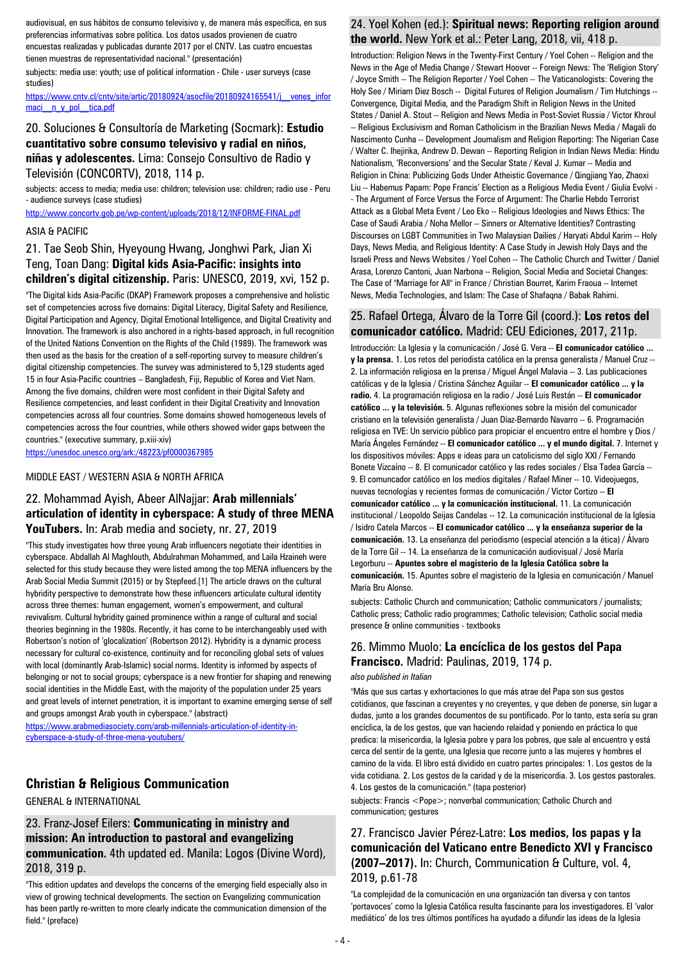audiovisual, en sus hábitos de consumo televisivo y, de manera más específica, en sus preferencias informativas sobre política. Los datos usados provienen de cuatro encuestas realizadas y publicadas durante 2017 por el CNTV. Las cuatro encuestas tienen muestras de representatividad nacional." (presentación)

subjects: media use: youth; use of political information - Chile - user surveys (case studies)

[https://www.cntv.cl/cntv/site/artic/20180924/asocfile/20180924165541/j\\_\\_venes\\_infor](https://www.cntv.cl/cntv/site/artic/20180924/asocfile/20180924165541/j__venes_informaci__n_y_pol__tica.pdf) maci\_n\_y\_pol\_tica.pdf

20. Soluciones & Consultoría de Marketing (Socmark): **Estudio cuantitativo sobre consumo televisivo y radial en niños, niñas y adolescentes.** Lima: Consejo Consultivo de Radio y Televisión (CONCORTV), 2018, 114 p.

subjects: access to media; media use: children; television use: children; radio use - Peru - audience surveys (case studies)

<http://www.concortv.gob.pe/wp-content/uploads/2018/12/INFORME-FINAL.pdf>

#### ASIA & PACIFIC

## 21. Tae Seob Shin, Hyeyoung Hwang, Jonghwi Park, Jian Xi Teng, Toan Dang: **Digital kids Asia-Pacific: insights into children's digital citizenship.** Paris: UNESCO, 2019, xvi, 152 p.

"The Digital kids Asia-Pacific (DKAP) Framework proposes a comprehensive and holistic set of competencies across five domains: Digital Literacy, Digital Safety and Resilience, Digital Participation and Agency, Digital Emotional Intelligence, and Digital Creativity and Innovation. The framework is also anchored in a rights-based approach, in full recognition of the United Nations Convention on the Rights of the Child (1989). The framework was then used as the basis for the creation of a self-reporting survey to measure children's digital citizenship competencies. The survey was administered to 5,129 students aged 15 in four Asia-Pacific countries – Bangladesh, Fiji, Republic of Korea and Viet Nam. Among the five domains, children were most confident in their Digital Safety and Resilience competencies, and least confident in their Digital Creativity and Innovation competencies across all four countries. Some domains showed homogeneous levels of competencies across the four countries, while others showed wider gaps between the countries." (executive summary, p.xiii-xiv)

<https://unesdoc.unesco.org/ark:/48223/pf0000367985>

#### MIDDLE EAST / WESTERN ASIA & NORTH AFRICA

#### 22. Mohammad Ayish, Abeer AlNajjar: **Arab millennials' articulation of identity in cyberspace: A study of three MENA YouTubers.** In: Arab media and society, nr. 27, 2019

"This study investigates how three young Arab influencers negotiate their identities in cyberspace. Abdallah Al Maghlouth, Abdulrahman Mohammed, and Laila Hzaineh were selected for this study because they were listed among the top MENA influencers by the Arab Social Media Summit (2015) or by Stepfeed.[1] The article draws on the cultural hybridity perspective to demonstrate how these influencers articulate cultural identity across three themes: human engagement, women's empowerment, and cultural revivalism. Cultural hybridity gained prominence within a range of cultural and social theories beginning in the 1980s. Recently, it has come to be interchangeably used with Robertson's notion of 'glocalization' (Robertson 2012). Hybridity is a dynamic process necessary for cultural co-existence, continuity and for reconciling global sets of values with local (dominantly Arab-Islamic) social norms. Identity is informed by aspects of belonging or not to social groups; cyberspace is a new frontier for shaping and renewing social identities in the Middle East, with the majority of the population under 25 years and great levels of internet penetration, it is important to examine emerging sense of self and groups amongst Arab youth in cyberspace." (abstract)

[https://www.arabmediasociety.com/arab-millennials-articulation-of-identity-in](https://www.arabmediasociety.com/arab-millennials-articulation-of-identity-in-cyberspace-a-study-of-three-mena-youtubers/)[cyberspace-a-study-of-three-mena-youtubers/](https://www.arabmediasociety.com/arab-millennials-articulation-of-identity-in-cyberspace-a-study-of-three-mena-youtubers/)

#### **Christian & Religious Communication**

GENERAL & INTERNATIONAL

#### 23. Franz-Josef Eilers: **Communicating in ministry and mission: An introduction to pastoral and evangelizing communication.** 4th updated ed. Manila: Logos (Divine Word), 2018, 319 p.

"This edition updates and develops the concerns of the emerging field especially also in view of growing technical developments. The section on Evangelizing communication has been partly re-written to more clearly indicate the communication dimension of the field." (preface)

#### 24. Yoel Kohen (ed.): **Spiritual news: Reporting religion around the world.** New York et al.: Peter Lang, 2018, vii, 418 p.

Introduction: Religion News in the Twenty-First Century / Yoel Cohen -- Religion and the News in the Age of Media Change / Stewart Hoover -- Foreign News: The 'Religion Story' / Joyce Smith -- The Religion Reporter / Yoel Cohen -- The Vaticanologists: Covering the Holy See / Miriam Diez Bosch -- Digital Futures of Religion Journalism / Tim Hutchings -- Convergence, Digital Media, and the Paradigm Shift in Religion News in the United States / Daniel A. Stout -- Religion and News Media in Post-Soviet Russia / Victor Khroul -- Religious Exclusivism and Roman Catholicism in the Brazilian News Media / Magali do Nascimento Cunha -- Development Journalism and Religion Reporting: The Nigerian Case / Walter C. Ihejirika, Andrew D. Dewan -- Reporting Religion in Indian News Media: Hindu Nationalism, 'Reconversions' and the Secular State / Keval J. Kumar -- Media and Religion in China: Publicizing Gods Under Atheistic Governance / Qingjiang Yao, Zhaoxi Liu -- Habemus Papam: Pope Francis' Election as a Religious Media Event / Giulia Evolvi - - The Argument of Force Versus the Force of Argument: The Charlie Hebdo Terrorist Attack as a Global Meta Event / Leo Eko -- Religious Ideologies and News Ethics: The Case of Saudi Arabia / Noha Mellor -- Sinners or Alternative Identities? Contrasting Discourses on LGBT Communities in Two Malaysian Dailies / Haryati Abdul Karim -- Holy Days, News Media, and Religious Identity: A Case Study in Jewish Holy Days and the Israeli Press and News Websites / Yoel Cohen -- The Catholic Church and Twitter / Daniel Arasa, Lorenzo Cantoni, Juan Narbona -- Religion, Social Media and Societal Changes: The Case of "Marriage for All" in France / Christian Bourret, Karim Fraoua -- Internet News, Media Technologies, and Islam: The Case of Shafaqna / Babak Rahimi.

#### 25. Rafael Ortega, Álvaro de la Torre Gil (coord.): **Los retos del comunicador católico.** Madrid: CEU Ediciones, 2017, 211p.

Introducción: La Iglesia y la comunicación / José G. Vera -- **El comunicador católico ... y la prensa.** 1. Los retos del periodista católica en la prensa generalista / Manuel Cruz -- 2. La información religiosa en la prensa / Miguel Ángel Malavia -- 3. Las publicaciones católicas y de la Iglesia / Cristina Sánchez Aguilar -- **El comunicador católico ... y la radio.** 4. La programación religiosa en la radio / José Luis Restán -- **El comunicador católico ... y la televisión.** 5. Algunas reflexiones sobre la misión del comunicador cristiano en la televisión generalista / Juan Díaz-Bernardo Navarro -- 6. Programación religiosa en TVE: Un servicio público para propiciar el encuentro entre el hombre y Dios / María Ángeles Fernández -- **El comunicador católico ... y el mundo digital.** 7. Internet y los dispositivos móviles: Apps e ideas para un catolicismo del siglo XXI / Fernando Bonete Vizcaíno -- 8. El comunicador católico y las redes sociales / Elsa Tadea García -- 9. El comuncador católico en los medios digitales / Rafael Miner -- 10. Videojuegos, nuevas tecnologías y recientes formas de comunicación / Víctor Cortizo -- **El comunicador católico ... y la comunicación institucional.** 11. La comunicación institucional / Leopoldo Seijas Candelas -- 12. La comunicación institucional de la Iglesia / Isidro Catela Marcos -- **El comunicador católico ... y la enseñanza superior de la comunicación.** 13. La enseñanza del periodismo (especial atención a la ética) / Álvaro de la Torre Gil -- 14. La enseñanza de la comunicación audiovisual / José María Legorburu -- **Apuntes sobre el magisterio de la Iglesia Católica sobre la comunicación.** 15. Apuntes sobre el magisterio de la Iglesia en comunicación / Manuel María Bru Alonso.

subjects: Catholic Church and communication; Catholic communicators / journalists; Catholic press; Catholic radio programmes; Catholic television; Catholic social media presence & online communities - textbooks

## 26. Mimmo Muolo: **La encíclica de los gestos del Papa Francisco.** Madrid: Paulinas, 2019, 174 p.

#### *also published in Italian*

"Más que sus cartas y exhortaciones lo que más atrae del Papa son sus gestos cotidianos, que fascinan a creyentes y no creyentes, y que deben de ponerse, sin lugar a dudas, junto a los grandes documentos de su pontificado. Por lo tanto, esta sería su gran encíclica, la de los gestos, que van haciendo relaidad y poniendo en práctica lo que predica: la misericordia, la Iglesia pobre y para los pobres, que sale al encuentro y está cerca del sentir de la gente, una Iglesia que recorre junto a las mujeres y hombres el camino de la vida. El libro está dividido en cuatro partes principales: 1. Los gestos de la vida cotidiana. 2. Los gestos de la caridad y de la misericordia. 3. Los gestos pastorales. 4. Los gestos de la comunicación." (tapa posterior)

subjects: Francis <Pope>; nonverbal communication; Catholic Church and communication; gestures

#### 27. Francisco Javier Pérez-Latre: **Los medios, los papas y la comunicación del Vaticano entre Benedicto XVI y Francisco (2007–2017).** In: Church, Communication & Culture, vol. 4, 2019, p.61-78

"La complejidad de la comunicación en una organización tan diversa y con tantos 'portavoces' como la Iglesia Católica resulta fascinante para los investigadores. El 'valor mediático' de los tres últimos pontífices ha ayudado a difundir las ideas de la Iglesia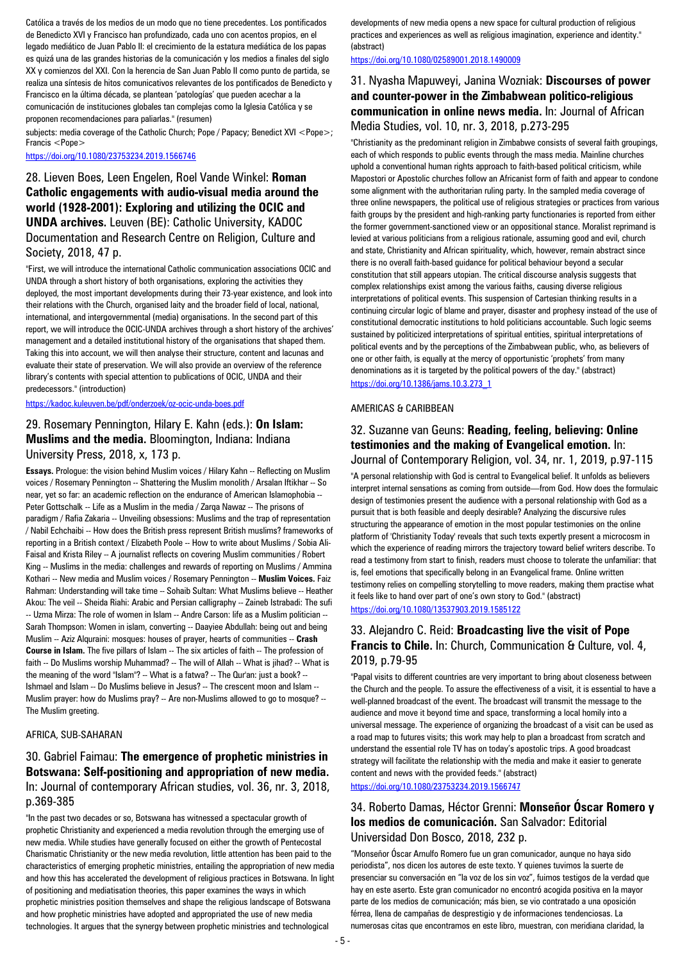Católica a través de los medios de un modo que no tiene precedentes. Los pontificados de Benedicto XVI y Francisco han profundizado, cada uno con acentos propios, en el legado mediático de Juan Pablo II: el crecimiento de la estatura mediática de los papas es quizá una de las grandes historias de la comunicación y los medios a finales del siglo XX y comienzos del XXI. Con la herencia de San Juan Pablo II como punto de partida, se realiza una síntesis de hitos comunicativos relevantes de los pontificados de Benedicto y Francisco en la última década, se plantean 'patologías' que pueden acechar a la comunicación de instituciones globales tan complejas como la Iglesia Católica y se proponen recomendaciones para paliarlas." (resumen)

subjects: media coverage of the Catholic Church; Pope / Papacy; Benedict XVI < Pope>; Francis <Pope>

<https://doi.org/10.1080/23753234.2019.1566746>

## 28. Lieven Boes, Leen Engelen, Roel Vande Winkel: **Roman Catholic engagements with audio-visual media around the world (1928-2001): Exploring and utilizing the OCIC and UNDA archives.** Leuven (BE): Catholic University, KADOC Documentation and Research Centre on Religion, Culture and Society, 2018, 47 p.

"First, we will introduce the international Catholic communication associations OCIC and UNDA through a short history of both organisations, exploring the activities they deployed, the most important developments during their 73-year existence, and look into their relations with the Church, organised laity and the broader field of local, national, international, and intergovernmental (media) organisations. In the second part of this report, we will introduce the OCIC-UNDA archives through a short history of the archives' management and a detailed institutional history of the organisations that shaped them. Taking this into account, we will then analyse their structure, content and lacunas and evaluate their state of preservation. We will also provide an overview of the reference library's contents with special attention to publications of OCIC, UNDA and their predecessors." (introduction)

<https://kadoc.kuleuven.be/pdf/onderzoek/oz-ocic-unda-boes.pdf>

#### 29. Rosemary Pennington, Hilary E. Kahn (eds.): **On Islam: Muslims and the media.** Bloomington, Indiana: Indiana University Press, 2018, x, 173 p.

**Essays.** Prologue: the vision behind Muslim voices / Hilary Kahn -- Reflecting on Muslim voices / Rosemary Pennington -- Shattering the Muslim monolith / Arsalan Iftikhar -- So near, yet so far: an academic reflection on the endurance of American Islamophobia -- Peter Gottschalk -- Life as a Muslim in the media / Zarqa Nawaz -- The prisons of paradigm / Rafia Zakaria -- Unveiling obsessions: Muslims and the trap of representation / Nabil Echchaibi -- How does the British press represent British muslims? frameworks of reporting in a British context / Elizabeth Poole -- How to write about Muslims / Sobia Ali-Faisal and Krista Riley -- A journalist reflects on covering Muslim communities / Robert King -- Muslims in the media: challenges and rewards of reporting on Muslims / Ammina Kothari -- New media and Muslim voices / Rosemary Pennington -- **Muslim Voices.** Faiz Rahman: Understanding will take time -- Sohaib Sultan: What Muslims believe -- Heather Akou: The veil -- Sheida Riahi: Arabic and Persian calligraphy -- Zaineb Istrabadi: The sufi -- Uzma Mirza: The role of women in Islam -- Andre Carson: life as a Muslim politician -- Sarah Thompson: Women in islam, converting -- Daayiee Abdullah: being out and being Muslim -- Aziz Alquraini: mosques: houses of prayer, hearts of communities -- **Crash Course in Islam.** The five pillars of Islam -- The six articles of faith -- The profession of faith -- Do Muslims worship Muhammad? -- The will of Allah -- What is jihad? -- What is the meaning of the word "Islam"? -- What is a fatwa? -- The Qur'an: just a book? -- Ishmael and Islam -- Do Muslims believe in Jesus? -- The crescent moon and Islam -- Muslim prayer: how do Muslims pray? -- Are non-Muslims allowed to go to mosque? -- The Muslim greeting.

#### AFRICA, SUB-SAHARAN

## 30. Gabriel Faimau: **The emergence of prophetic ministries in Botswana: Self-positioning and appropriation of new media.**  In: Journal of contemporary African studies, vol. 36, nr. 3, 2018, p.369-385

"In the past two decades or so, Botswana has witnessed a spectacular growth of prophetic Christianity and experienced a media revolution through the emerging use of new media. While studies have generally focused on either the growth of Pentecostal Charismatic Christianity or the new media revolution, little attention has been paid to the characteristics of emerging prophetic ministries, entailing the appropriation of new media and how this has accelerated the development of religious practices in Botswana. In light of positioning and mediatisation theories, this paper examines the ways in which prophetic ministries position themselves and shape the religious landscape of Botswana and how prophetic ministries have adopted and appropriated the use of new media technologies. It argues that the synergy between prophetic ministries and technological

developments of new media opens a new space for cultural production of religious practices and experiences as well as religious imagination, experience and identity." (abstract)

#### <https://doi.org/10.1080/02589001.2018.1490009>

#### 31. Nyasha Mapuweyi, Janina Wozniak: **Discourses of power and counter-power in the Zimbabwean politico-religious communication in online news media.** In: Journal of African Media Studies, vol. 10, nr. 3, 2018, p.273-295

"Christianity as the predominant religion in Zimbabwe consists of several faith groupings, each of which responds to public events through the mass media. Mainline churches uphold a conventional human rights approach to faith-based political criticism, while Mapostori or Apostolic churches follow an Africanist form of faith and appear to condone some alignment with the authoritarian ruling party. In the sampled media coverage of three online newspapers, the political use of religious strategies or practices from various faith groups by the president and high-ranking party functionaries is reported from either the former government-sanctioned view or an oppositional stance. Moralist reprimand is levied at various politicians from a religious rationale, assuming good and evil, church and state, Christianity and African spirituality, which, however, remain abstract since there is no overall faith-based guidance for political behaviour beyond a secular constitution that still appears utopian. The critical discourse analysis suggests that complex relationships exist among the various faiths, causing diverse religious interpretations of political events. This suspension of Cartesian thinking results in a continuing circular logic of blame and prayer, disaster and prophesy instead of the use of constitutional democratic institutions to hold politicians accountable. Such logic seems sustained by politicized interpretations of spiritual entities, spiritual interpretations of political events and by the perceptions of the Zimbabwean public, who, as believers of one or other faith, is equally at the mercy of opportunistic 'prophets' from many denominations as it is targeted by the political powers of the day." (abstract) [https://doi.org/10.1386/jams.10.3.273\\_1](https://doi.org/10.1386/jams.10.3.273_1)

#### AMERICAS & CARIBBEAN

#### 32. Suzanne van Geuns: **Reading, feeling, believing: Online testimonies and the making of Evangelical emotion.** In: Journal of Contemporary Religion, vol. 34, nr. 1, 2019, p.97-115

"A personal relationship with God is central to Evangelical belief. It unfolds as believers interpret internal sensations as coming from outside—from God. How does the formulaic design of testimonies present the audience with a personal relationship with God as a pursuit that is both feasible and deeply desirable? Analyzing the discursive rules structuring the appearance of emotion in the most popular testimonies on the online platform of 'Christianity Today' reveals that such texts expertly present a microcosm in which the experience of reading mirrors the trajectory toward belief writers describe. To read a testimony from start to finish, readers must choose to tolerate the unfamiliar: that is, feel emotions that specifically belong in an Evangelical frame. Online written testimony relies on compelling storytelling to move readers, making them practise what it feels like to hand over part of one's own story to God." (abstract) <https://doi.org/10.1080/13537903.2019.1585122>

## 33. Alejandro C. Reid: **Broadcasting live the visit of Pope Francis to Chile.** In: Church, Communication & Culture, vol. 4, 2019, p.79-95

"Papal visits to different countries are very important to bring about closeness between the Church and the people. To assure the effectiveness of a visit, it is essential to have a well-planned broadcast of the event. The broadcast will transmit the message to the audience and move it beyond time and space, transforming a local homily into a universal message. The experience of organizing the broadcast of a visit can be used as a road map to futures visits; this work may help to plan a broadcast from scratch and understand the essential role TV has on today's apostolic trips. A good broadcast strategy will facilitate the relationship with the media and make it easier to generate content and news with the provided feeds." (abstract) <https://doi.org/10.1080/23753234.2019.1566747>

#### 34. Roberto Damas, Héctor Grenni: **Monseñor Óscar Romero y los medios de comunicación.** San Salvador: Editorial Universidad Don Bosco, 2018, 232 p.

"Monseñor Óscar Arnulfo Romero fue un gran comunicador, aunque no haya sido periodista", nos dicen los autores de este texto. Y quienes tuvimos la suerte de presenciar su conversación en "la voz de los sin voz", fuimos testigos de la verdad que hay en este aserto. Este gran comunicador no encontró acogida positiva en la mayor parte de los medios de comunicación; más bien, se vio contratado a una oposición férrea, llena de campañas de desprestigio y de informaciones tendenciosas. La numerosas citas que encontramos en este libro, muestran, con meridiana claridad, la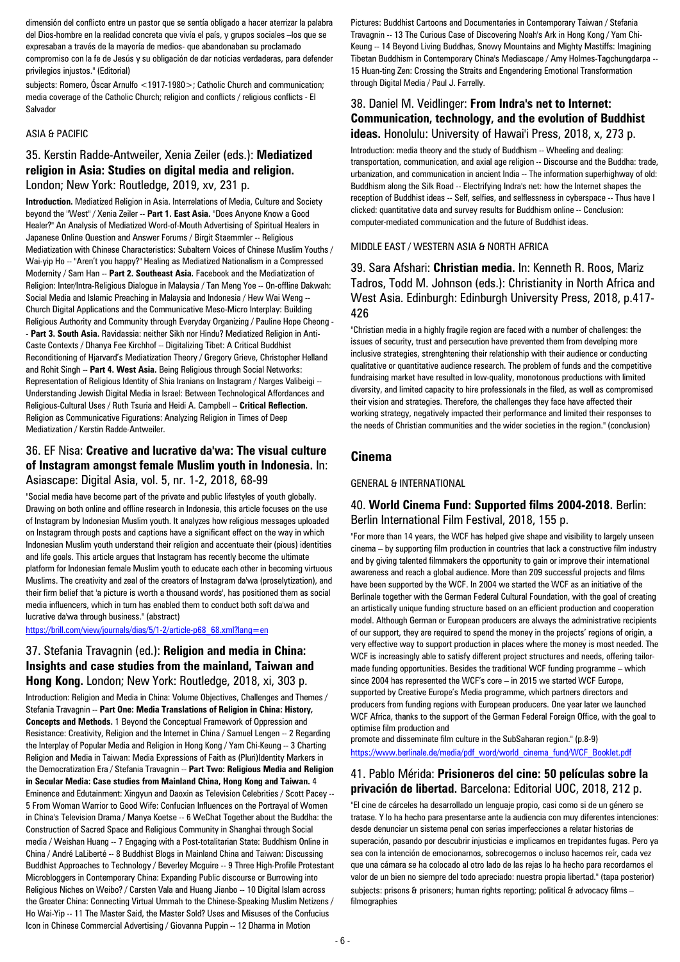dimensión del conflicto entre un pastor que se sentía obligado a hacer aterrizar la palabra del Dios-hombre en la realidad concreta que vivía el país, y grupos sociales –los que se expresaban a través de la mayoría de medios- que abandonaban su proclamado compromiso con la fe de Jesús y su obligación de dar noticias verdaderas, para defender privilegios injustos." (Editorial)

subjects: Romero, Óscar Arnulfo <1917-1980>; Catholic Church and communication; media coverage of the Catholic Church; religion and conflicts / religious conflicts - El Salvador

#### ASIA & PACIFIC

#### 35. Kerstin Radde-Antweiler, Xenia Zeiler (eds.): **Mediatized religion in Asia: Studies on digital media and religion.**  London; New York: Routledge, 2019, xv, 231 p.

**Introduction.** Mediatized Religion in Asia. Interrelations of Media, Culture and Society beyond the "West" / Xenia Zeiler -- **Part 1. East Asia.** "Does Anyone Know a Good Healer?" An Analysis of Mediatized Word-of-Mouth Advertising of Spiritual Healers in Japanese Online Question and Answer Forums / Birgit Staemmler -- Religious Mediatization with Chinese Characteristics: Subaltern Voices of Chinese Muslim Youths / Wai-yip Ho -- "Aren't you happy?" Healing as Mediatized Nationalism in a Compressed Modernity / Sam Han -- **Part 2. Southeast Asia.** Facebook and the Mediatization of Religion: Inter/Intra-Religious Dialogue in Malaysia / Tan Meng Yoe -- On-offline Dakwah: Social Media and Islamic Preaching in Malaysia and Indonesia / Hew Wai Weng -- Church Digital Applications and the Communicative Meso-Micro Interplay: Building Religious Authority and Community through Everyday Organizing / Pauline Hope Cheong - - **Part 3. South Asia.** Ravidassia: neither Sikh nor Hindu? Mediatized Religion in Anti-Caste Contexts / Dhanya Fee Kirchhof -- Digitalizing Tibet: A Critical Buddhist Reconditioning of Hjarvard's Mediatization Theory / Gregory Grieve, Christopher Helland and Rohit Singh -- **Part 4. West Asia.** Being Religious through Social Networks: Representation of Religious Identity of Shia Iranians on Instagram / Narges Valibeigi --Understanding Jewish Digital Media in Israel: Between Technological Affordances and Religious-Cultural Uses / Ruth Tsuria and Heidi A. Campbell -- **Critical Reflection.** Religion as Communicative Figurations: Analyzing Religion in Times of Deep Mediatization / Kerstin Radde-Antweiler.

#### 36. EF Nisa: **Creative and lucrative da'wa: The visual culture of Instagram amongst female Muslim youth in Indonesia.** In: Asiascape: Digital Asia, vol. 5, nr. 1-2, 2018, 68-99

"Social media have become part of the private and public lifestyles of youth globally. Drawing on both online and offline research in Indonesia, this article focuses on the use of Instagram by Indonesian Muslim youth. It analyzes how religious messages uploaded on Instagram through posts and captions have a significant effect on the way in which Indonesian Muslim youth understand their religion and accentuate their (pious) identities and life goals. This article argues that Instagram has recently become the ultimate platform for Indonesian female Muslim youth to educate each other in becoming virtuous Muslims. The creativity and zeal of the creators of Instagram da'wa (proselytization), and their firm belief that 'a picture is worth a thousand words', has positioned them as social media influencers, which in turn has enabled them to conduct both soft da'wa and lucrative da'wa through business." (abstract)

[https://brill.com/view/journals/dias/5/1-2/article-p68\\_68.xml?lang=en](https://brill.com/view/journals/dias/5/1-2/article-p68_68.xml?lang=en)

#### 37. Stefania Travagnin (ed.): **Religion and media in China: Insights and case studies from the mainland, Taiwan and Hong Kong.** London; New York: Routledge, 2018, xi, 303 p.

Introduction: Religion and Media in China: Volume Objectives, Challenges and Themes / Stefania Travagnin -- **Part One: Media Translations of Religion in China: History, Concepts and Methods.** 1 Beyond the Conceptual Framework of Oppression and Resistance: Creativity, Religion and the Internet in China / Samuel Lengen -- 2 Regarding the Interplay of Popular Media and Religion in Hong Kong / Yam Chi-Keung -- 3 Charting Religion and Media in Taiwan: Media Expressions of Faith as (Pluri)Identity Markers in the Democratization Era / Stefania Travagnin -- **Part Two: Religious Media and Religion in Secular Media: Case studies from Mainland China, Hong Kong and Taiwan.** 4 Eminence and Edutainment: Xingyun and Daoxin as Television Celebrities / Scott Pacey -- 5 From Woman Warrior to Good Wife: Confucian Influences on the Portrayal of Women in China's Television Drama / Manya Koetse -- 6 WeChat Together about the Buddha: the Construction of Sacred Space and Religious Community in Shanghai through Social media / Weishan Huang -- 7 Engaging with a Post-totalitarian State: Buddhism Online in China / André LaLiberté -- 8 Buddhist Blogs in Mainland China and Taiwan: Discussing Buddhist Approaches to Technology / Beverley Mcguire -- 9 Three High-Profile Protestant Microbloggers in Contemporary China: Expanding Public discourse or Burrowing into Religious Niches on Weibo? / Carsten Vala and Huang Jianbo -- 10 Digital Islam across the Greater China: Connecting Virtual Ummah to the Chinese-Speaking Muslim Netizens / Ho Wai-Yip -- 11 The Master Said, the Master Sold? Uses and Misuses of the Confucius Icon in Chinese Commercial Advertising / Giovanna Puppin -- 12 Dharma in Motion

Pictures: Buddhist Cartoons and Documentaries in Contemporary Taiwan / Stefania Travagnin -- 13 The Curious Case of Discovering Noah's Ark in Hong Kong / Yam Chi-Keung -- 14 Beyond Living Buddhas, Snowy Mountains and Mighty Mastiffs: Imagining Tibetan Buddhism in Contemporary China's Mediascape / Amy Holmes-Tagchungdarpa -- 15 Huan-ting Zen: Crossing the Straits and Engendering Emotional Transformation through Digital Media / Paul J. Farrelly.

#### 38. Daniel M. Veidlinger: **From Indra's net to Internet: Communication, technology, and the evolution of Buddhist ideas.** Honolulu: University of Hawai'i Press, 2018, x, 273 p.

Introduction: media theory and the study of Buddhism -- Wheeling and dealing: transportation, communication, and axial age religion -- Discourse and the Buddha: trade, urbanization, and communication in ancient India -- The information superhighway of old: Buddhism along the Silk Road -- Electrifying Indra's net: how the Internet shapes the reception of Buddhist ideas -- Self, selfies, and selflessness in cyberspace -- Thus have I clicked: quantitative data and survey results for Buddhism online -- Conclusion: computer-mediated communication and the future of Buddhist ideas.

#### MIDDLE EAST / WESTERN ASIA & NORTH AFRICA

39. Sara Afshari: **Christian media.** In: Kenneth R. Roos, Mariz Tadros, Todd M. Johnson (eds.): Christianity in North Africa and West Asia. Edinburgh: Edinburgh University Press, 2018, p.417- 426

"Christian media in a highly fragile region are faced with a number of challenges: the issues of security, trust and persecution have prevented them from develping more inclusive strategies, strenghtening their relationship with their audience or conducting qualitative or quantitative audience research. The problem of funds and the competitive fundraising market have resulted in low-quality, monotonous productions with limited diversity, and limited capacity to hire professionals in the filed, as well as compromised their vision and strategies. Therefore, the challenges they face have affected their working strategy, negatively impacted their performance and limited their responses to the needs of Christian communities and the wider societies in the region." (conclusion)

#### **Cinema**

GENERAL & INTERNATIONAL

#### 40. **World Cinema Fund: Supported films 2004-2018.** Berlin: Berlin International Film Festival, 2018, 155 p.

"For more than 14 years, the WCF has helped give shape and visibility to largely unseen cinema – by supporting film production in countries that lack a constructive film industry and by giving talented filmmakers the opportunity to gain or improve their international awareness and reach a global audience. More than 209 successful projects and films have been supported by the WCF. In 2004 we started the WCF as an initiative of the Berlinale together with the German Federal Cultural Foundation, with the goal of creating an artistically unique funding structure based on an efficient production and cooperation model. Although German or European producers are always the administrative recipients of our support, they are required to spend the money in the projects' regions of origin, a very effective way to support production in places where the money is most needed. The WCF is increasingly able to satisfy different project structures and needs, offering tailormade funding opportunities. Besides the traditional WCF funding programme – which since 2004 has represented the WCF's core – in 2015 we started WCF Europe, supported by Creative Europe's Media programme, which partners directors and producers from funding regions with European producers. One year later we launched WCF Africa, thanks to the support of the German Federal Foreign Office, with the goal to optimise film production and

promote and disseminate film culture in the SubSaharan region." (p.8-9) [https://www.berlinale.de/media/pdf\\_word/world\\_cinema\\_fund/WCF\\_Booklet.pdf](https://www.berlinale.de/media/pdf_word/world_cinema_fund/WCF_Booklet.pdf)

#### 41. Pablo Mérida: **Prisioneros del cine: 50 películas sobre la privación de libertad.** Barcelona: Editorial UOC, 2018, 212 p.

"El cine de cárceles ha desarrollado un lenguaje propio, casi como si de un género se tratase. Y lo ha hecho para presentarse ante la audiencia con muy diferentes intenciones: desde denunciar un sistema penal con serias imperfecciones a relatar historias de superación, pasando por descubrir injusticias e implicarnos en trepidantes fugas. Pero ya sea con la intención de emocionarnos, sobrecogernos o incluso hacernos reír, cada vez que una cámara se ha colocado al otro lado de las rejas lo ha hecho para recordarnos el valor de un bien no siempre del todo apreciado: nuestra propia libertad." (tapa posterior) subjects: prisons & prisoners; human rights reporting; political & advocacy films filmographies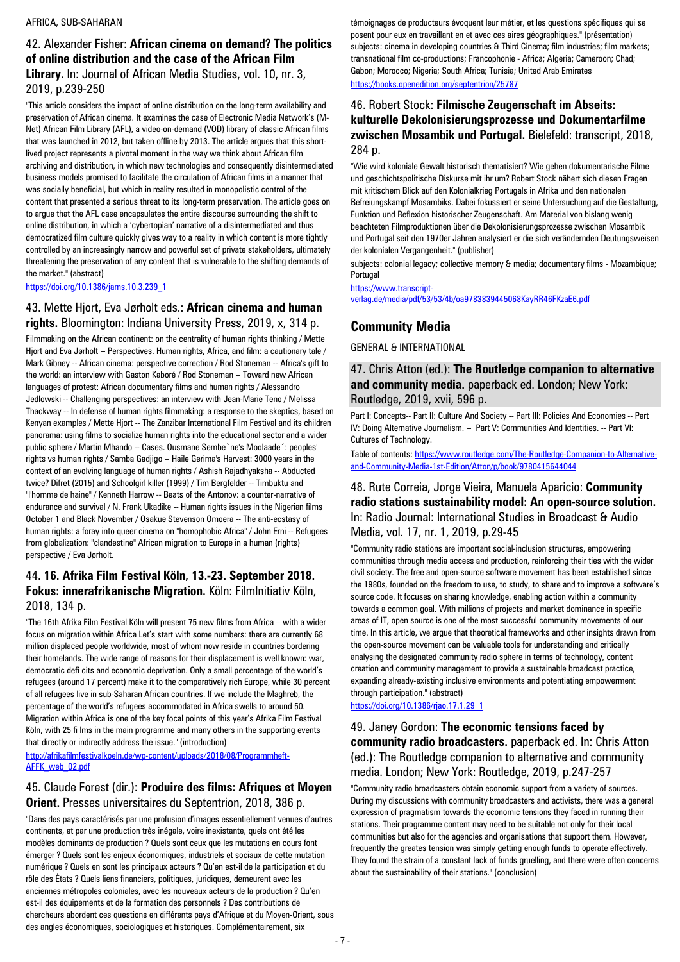#### AFRICA, SUB-SAHARAN

## 42. Alexander Fisher: **African cinema on demand? The politics of online distribution and the case of the African Film Library.** In: Journal of African Media Studies, vol. 10, nr. 3,

2019, p.239-250

"This article considers the impact of online distribution on the long-term availability and preservation of African cinema. It examines the case of Electronic Media Network's (M-Net) African Film Library (AFL), a video-on-demand (VOD) library of classic African films that was launched in 2012, but taken offline by 2013. The article argues that this shortlived project represents a pivotal moment in the way we think about African film archiving and distribution, in which new technologies and consequently disintermediated business models promised to facilitate the circulation of African films in a manner that was socially beneficial, but which in reality resulted in monopolistic control of the content that presented a serious threat to its long-term preservation. The article goes on to argue that the AFL case encapsulates the entire discourse surrounding the shift to online distribution, in which a 'cybertopian' narrative of a disintermediated and thus democratized film culture quickly gives way to a reality in which content is more tightly controlled by an increasingly narrow and powerful set of private stakeholders, ultimately threatening the preservation of any content that is vulnerable to the shifting demands of the market." (abstract)

[https://doi.org/10.1386/jams.10.3.239\\_1](https://doi.org/10.1386/jams.10.3.239_1)

#### 43. Mette Hjort, Eva Jørholt eds.: **African cinema and human rights.** Bloomington: Indiana University Press, 2019, x, 314 p.

Filmmaking on the African continent: on the centrality of human rights thinking / Mette Hjort and Eva Jørholt -- Perspectives. Human rights, Africa, and film: a cautionary tale / Mark Gibney -- African cinema: perspective correction / Rod Stoneman -- Africa's gift to the world: an interview with Gaston Kaboré / Rod Stoneman -- Toward new African languages of protest: African documentary films and human rights / Alessandro Jedlowski -- Challenging perspectives: an interview with Jean-Marie Teno / Melissa Thackway -- In defense of human rights filmmaking: a response to the skeptics, based on Kenyan examples / Mette Hjort -- The Zanzibar International Film Festival and its children panorama: using films to socialize human rights into the educational sector and a wider public sphere / Martin Mhando -- Cases. Ousmane Sembe`ne's Moolaade´: peoples' rights vs human rights / Samba Gadjigo -- Haile Gerima's Harvest: 3000 years in the context of an evolving language of human rights / Ashish Rajadhyaksha -- Abducted twice? Difret (2015) and Schoolgirl killer (1999) / Tim Bergfelder -- Timbuktu and "l'homme de haine" / Kenneth Harrow -- Beats of the Antonov: a counter-narrative of endurance and survival / N. Frank Ukadike -- Human rights issues in the Nigerian films October 1 and Black November / Osakue Stevenson Omoera -- The anti-ecstasy of human rights: a foray into queer cinema on "homophobic Africa" / John Erni -- Refugees from globalization: "clandestine" African migration to Europe in a human (rights) perspective / Eva Jørholt.

## 44. **16. Afrika Film Festival Köln, 13.-23. September 2018. Fokus: innerafrikanische Migration.** Köln: FilmInitiativ Köln, 2018, 134 p.

"The 16th Afrika Film Festival Köln will present 75 new films from Africa – with a wider focus on migration within Africa Let's start with some numbers: there are currently 68 million displaced people worldwide, most of whom now reside in countries bordering their homelands. The wide range of reasons for their displacement is well known: war, democratic defi cits and economic deprivation. Only a small percentage of the world's refugees (around 17 percent) make it to the comparatively rich Europe, while 30 percent of all refugees live in sub-Saharan African countries. If we include the Maghreb, the percentage of the world's refugees accommodated in Africa swells to around 50. Migration within Africa is one of the key focal points of this year's Afrika Film Festival Köln, with 25 fi lms in the main programme and many others in the supporting events that directly or indirectly address the issue." (introduction)

[http://afrikafilmfestivalkoeln.de/wp-content/uploads/2018/08/Programmheft-](http://afrikafilmfestivalkoeln.de/wp-content/uploads/2018/08/Programmheft-AFFK_web_02.pdf)[AFFK\\_web\\_02.pdf](http://afrikafilmfestivalkoeln.de/wp-content/uploads/2018/08/Programmheft-AFFK_web_02.pdf)

#### 45. Claude Forest (dir.): **Produire des films: Afriques et Moyen Orient.** Presses universitaires du Septentrion, 2018, 386 p.

"Dans des pays caractérisés par une profusion d'images essentiellement venues d'autres continents, et par une production très inégale, voire inexistante, quels ont été les modèles dominants de production ? Quels sont ceux que les mutations en cours font émerger ? Quels sont les enjeux économiques, industriels et sociaux de cette mutation numérique ? Quels en sont les principaux acteurs ? Qu'en est-il de la participation et du rôle des États ? Quels liens financiers, politiques, juridiques, demeurent avec les anciennes métropoles coloniales, avec les nouveaux acteurs de la production ? Qu'en est-il des équipements et de la formation des personnels ? Des contributions de chercheurs abordent ces questions en différents pays d'Afrique et du Moyen-Orient, sous des angles économiques, sociologiques et historiques. Complémentairement, six

témoignages de producteurs évoquent leur métier, et les questions spécifiques qui se posent pour eux en travaillant en et avec ces aires géographiques." (présentation) subjects: cinema in developing countries & Third Cinema; film industries; film markets; transnational film co-productions; Francophonie - Africa; Algeria; Cameroon; Chad; Gabon; Morocco; Nigeria; South Africa; Tunisia; United Arab Emirates <https://books.openedition.org/septentrion/25787>

#### 46. Robert Stock: **Filmische Zeugenschaft im Abseits: kulturelle Dekolonisierungsprozesse und Dokumentarfilme zwischen Mosambik und Portugal.** Bielefeld: transcript, 2018, 284 p.

"Wie wird koloniale Gewalt historisch thematisiert? Wie gehen dokumentarische Filme und geschichtspolitische Diskurse mit ihr um? Robert Stock nähert sich diesen Fragen mit kritischem Blick auf den Kolonialkrieg Portugals in Afrika und den nationalen Befreiungskampf Mosambiks. Dabei fokussiert er seine Untersuchung auf die Gestaltung, Funktion und Reflexion historischer Zeugenschaft. Am Material von bislang wenig beachteten Filmproduktionen über die Dekolonisierungsprozesse zwischen Mosambik und Portugal seit den 1970er Jahren analysiert er die sich verändernden Deutungsweisen der kolonialen Vergangenheit." (publisher)

subjects: colonial legacy; collective memory & media; documentary films - Mozambique; Portugal

[https://www.transcript-](https://www.transcript-verlag.de/media/pdf/53/53/4b/oa9783839445068KayRR46FKzaE6.pdf)

[verlag.de/media/pdf/53/53/4b/oa9783839445068KayRR46FKzaE6.pdf](https://www.transcript-verlag.de/media/pdf/53/53/4b/oa9783839445068KayRR46FKzaE6.pdf)

## **Community Media**

GENERAL & INTERNATIONAL

#### 47. Chris Atton (ed.): **The Routledge companion to alternative and community media.** paperback ed. London; New York: Routledge, 2019, xvii, 596 p.

Part I: Concepts-- Part II: Culture And Society -- Part III: Policies And Economies -- Part IV: Doing Alternative Journalism. -- Part V: Communities And Identities. -- Part VI: Cultures of Technology.

Table of contents[: https://www.routledge.com/The-Routledge-Companion-to-Alternative](https://www.routledge.com/The-Routledge-Companion-to-Alternative-and-Community-Media-1st-Edition/Atton/p/book/9780415644044)[and-Community-Media-1st-Edition/Atton/p/book/9780415644044](https://www.routledge.com/The-Routledge-Companion-to-Alternative-and-Community-Media-1st-Edition/Atton/p/book/9780415644044)

#### 48. Rute Correia, Jorge Vieira, Manuela Aparicio: **Community radio stations sustainability model: An open-source solution.**  In: Radio Journal: International Studies in Broadcast & Audio Media, vol. 17, nr. 1, 2019, p.29-45

"Community radio stations are important social-inclusion structures, empowering communities through media access and production, reinforcing their ties with the wider civil society. The free and open-source software movement has been established since the 1980s, founded on the freedom to use, to study, to share and to improve a software's source code. It focuses on sharing knowledge, enabling action within a community towards a common goal. With millions of projects and market dominance in specific areas of IT, open source is one of the most successful community movements of our time. In this article, we argue that theoretical frameworks and other insights drawn from the open-source movement can be valuable tools for understanding and critically analysing the designated community radio sphere in terms of technology, content creation and community management to provide a sustainable broadcast practice, expanding already-existing inclusive environments and potentiating empowerment through participation." (abstract)

[https://doi.org/10.1386/rjao.17.1.29\\_1](https://doi.org/10.1386/rjao.17.1.29_1)

#### 49. Janey Gordon: **The economic tensions faced by community radio broadcasters.** paperback ed. In: Chris Atton (ed.): The Routledge companion to alternative and community media. London; New York: Routledge, 2019, p.247-257

"Community radio broadcasters obtain economic support from a variety of sources. During my discussions with community broadcasters and activists, there was a general expression of pragmatism towards the economic tensions they faced in running their stations. Their programme content may need to be suitable not only for their local communities but also for the agencies and organisations that support them. However, frequently the greates tension was simply getting enough funds to operate effectively. They found the strain of a constant lack of funds gruelling, and there were often concerns about the sustainability of their stations." (conclusion)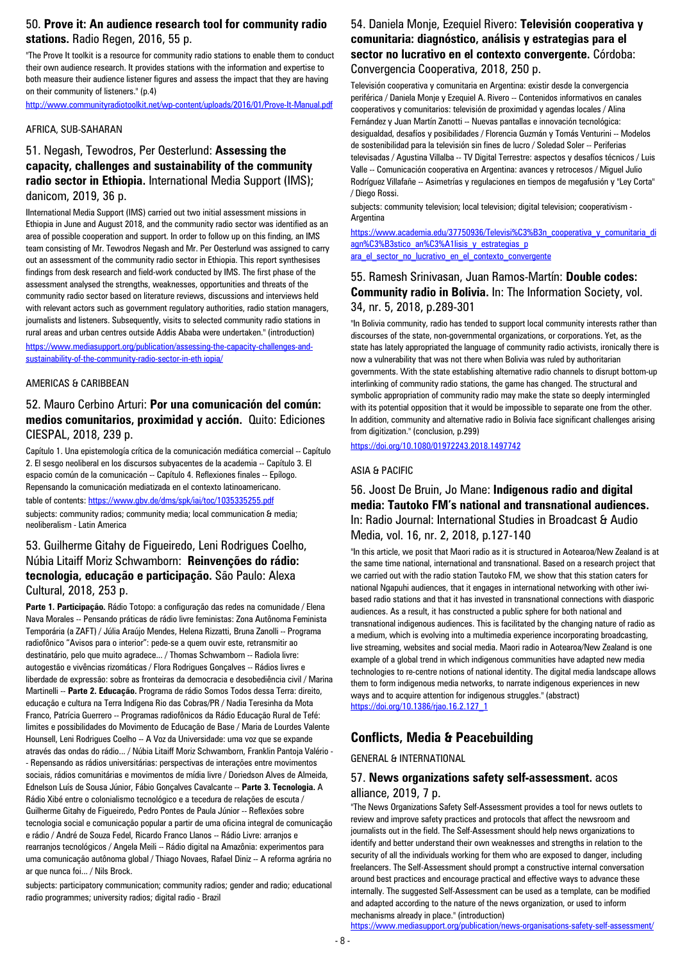#### 50. **Prove it: An audience research tool for community radio stations.** Radio Regen, 2016, 55 p.

"The Prove It toolkit is a resource for community radio stations to enable them to conduct their own audience research. It provides stations with the information and expertise to both measure their audience listener figures and assess the impact that they are having on their community of listeners." (p.4)

<http://www.communityradiotoolkit.net/wp-content/uploads/2016/01/Prove-It-Manual.pdf>

#### AFRICA, SUB-SAHARAN

## 51. Negash, Tewodros, Per Oesterlund: **Assessing the capacity, challenges and sustainability of the community radio sector in Ethiopia.** International Media Support (IMS); danicom, 2019, 36 p.

IInternational Media Support (IMS) carried out two initial assessment missions in Ethiopia in June and August 2018, and the community radio sector was identified as an area of possible cooperation and support. In order to follow up on this finding, an IMS team consisting of Mr. Tewodros Negash and Mr. Per Oesterlund was assigned to carry out an assessment of the community radio sector in Ethiopia. This report synthesises findings from desk research and field-work conducted by IMS. The first phase of the assessment analysed the strengths, weaknesses, opportunities and threats of the community radio sector based on literature reviews, discussions and interviews held with relevant actors such as government regulatory authorities, radio station managers, journalists and listeners. Subsequently, visits to selected community radio stations in rural areas and urban centres outside Addis Ababa were undertaken." (introduction) [https://www.mediasupport.org/publication/assessing-the-capacity-challenges-and](https://www.mediasupport.org/publication/assessing-the-capacity-challenges-and-sustainability-of-the-community-radio-sector-in-eth%20iopia/)[sustainability-of-the-community-radio-sector-in-eth iopia/](https://www.mediasupport.org/publication/assessing-the-capacity-challenges-and-sustainability-of-the-community-radio-sector-in-eth%20iopia/)

#### AMERICAS & CARIBBEAN

#### 52. Mauro Cerbino Arturi: **Por una comunicación del común: medios comunitarios, proximidad y acción.** Quito: Ediciones CIESPAL, 2018, 239 p.

Capítulo 1. Una epistemología crítica de la comunicación mediática comercial -- Capítulo 2. El sesgo neoliberal en los discursos subyacentes de la academia -- Capítulo 3. El espacio común de la comunicación -- Capítulo 4. Reflexiones finales -- Epílogo. Repensando la comunicación mediatizada en el contexto latinoamericano. table of contents: <https://www.gbv.de/dms/spk/iai/toc/1035335255.pdf>

subjects: community radios; community media; local communication & media; neoliberalism - Latin America

#### 53. Guilherme Gitahy de Figueiredo, Leni Rodrigues Coelho, Núbia Litaiff Moriz Schwamborn: **Reinvenções do rádio: tecnologia, educação e participação.** São Paulo: Alexa Cultural, 2018, 253 p.

**Parte 1. Participação.** Rádio Totopo: a configuração das redes na comunidade / Elena Nava Morales -- Pensando práticas de rádio livre feministas: Zona Autônoma Feminista Temporária (a ZAFT) / Júlia Araújo Mendes, Helena Rizzatti, Bruna Zanolli -- Programa radiofônico "Avisos para o interior": pede-se a quem ouvir este, retransmitir ao destinatário, pelo que muito agradece... / Thomas Schwamborn -- Radiola livre: autogestão e vivências rizomáticas / Flora Rodrigues Gonçalves -- Rádios livres e liberdade de expressão: sobre as fronteiras da democracia e desobediência civil / Marina Martinelli -- **Parte 2. Educação.** Programa de rádio Somos Todos dessa Terra: direito, educação e cultura na Terra Indígena Rio das Cobras/PR / Nadia Teresinha da Mota Franco, Patrícia Guerrero -- Programas radiofônicos da Rádio Educação Rural de Tefé: limites e possibilidades do Movimento de Educação de Base / Maria de Lourdes Valente Hounsell, Leni Rodrigues Coelho -- A Voz da Universidade: uma voz que se expande através das ondas do rádio... / Núbia Litaiff Moriz Schwamborn, Franklin Pantoja Valério - - Repensando as rádios universitárias: perspectivas de interações entre movimentos sociais, rádios comunitárias e movimentos de mídia livre / Doriedson Alves de Almeida, Ednelson Luís de Sousa Júnior, Fábio Gonçalves Cavalcante -- **Parte 3. Tecnologia.** A Rádio Xibé entre o colonialismo tecnológico e a tecedura de relações de escuta / Guilherme Gitahy de Figueiredo, Pedro Pontes de Paula Júnior -- Reflexões sobre tecnologia social e comunicação popular a partir de uma oficina integral de comunicação e rádio / André de Souza Fedel, Ricardo Franco Llanos -- Rádio Livre: arranjos e rearranjos tecnológicos / Angela Meili -- Rádio digital na Amazônia: experimentos para uma comunicação autônoma global / Thiago Novaes, Rafael Diniz -- A reforma agrária no ar que nunca foi... / Nils Brock.

subjects: participatory communication; community radios; gender and radio; educational radio programmes; university radios; digital radio - Brazil

#### 54. Daniela Monje, Ezequiel Rivero: **Televisión cooperativa y comunitaria: diagnóstico, análisis y estrategias para el sector no lucrativo en el contexto convergente.** Córdoba: Convergencia Cooperativa, 2018, 250 p.

Televisión cooperativa y comunitaria en Argentina: existir desde la convergencia periférica / Daniela Monje y Ezequiel A. Rivero -- Contenidos informativos en canales cooperativos y comunitarios: televisión de proximidad y agendas locales / Alina Fernández y Juan Martín Zanotti -- Nuevas pantallas e innovación tecnológica: desigualdad, desafíos y posibilidades / Florencia Guzmán y Tomás Venturini -- Modelos de sostenibilidad para la televisión sin fines de lucro / Soledad Soler -- Periferias televisadas / Agustina Villalba -- TV Digital Terrestre: aspectos y desafíos técnicos / Luis Valle -- Comunicación cooperativa en Argentina: avances y retrocesos / Miguel Julio Rodríguez Villafañe -- Asimetrías y regulaciones en tiempos de megafusión y "Ley Corta" / Diego Rossi.

subjects: community television; local television; digital television; cooperativism - **Argentina** 

[https://www.academia.edu/37750936/Televisi%C3%B3n\\_cooperativa\\_y\\_comunitaria\\_di](https://www.academia.edu/37750936/Televisi%C3%B3n_cooperativa_y_comunitaria_diagn%C3%B3stico_an%C3%A1lisis_y_estrategias_p%20ara_el_sector_no_lucrativo_en_el_contexto_convergente) agn%C3%B3stico\_an%C3%A1lisis\_y\_estrategias\_p ara el sector no lucrativo en el contexto convergente

## 55. Ramesh Srinivasan, Juan Ramos-Martín: **Double codes: Community radio in Bolivia.** In: The Information Society, vol. 34, nr. 5, 2018, p.289-301

"In Bolivia community, radio has tended to support local community interests rather than discourses of the state, non-governmental organizations, or corporations. Yet, as the state has lately appropriated the language of community radio activists, ironically there is now a vulnerability that was not there when Bolivia was ruled by authoritarian governments. With the state establishing alternative radio channels to disrupt bottom-up interlinking of community radio stations, the game has changed. The structural and symbolic appropriation of community radio may make the state so deeply intermingled with its potential opposition that it would be impossible to separate one from the other. In addition, community and alternative radio in Bolivia face significant challenges arising from digitization." (conclusion, p.299)

<https://doi.org/10.1080/01972243.2018.1497742>

#### ASIA & PACIFIC

## 56. Joost De Bruin, Jo Mane: **Indigenous radio and digital media: Tautoko FM's national and transnational audiences.**  In: Radio Journal: International Studies in Broadcast & Audio Media, vol. 16, nr. 2, 2018, p.127-140

"In this article, we posit that Maori radio as it is structured in Aotearoa/New Zealand is at the same time national, international and transnational. Based on a research project that we carried out with the radio station Tautoko FM, we show that this station caters for national Ngapuhi audiences, that it engages in international networking with other iwibased radio stations and that it has invested in transnational connections with diasporic audiences. As a result, it has constructed a public sphere for both national and transnational indigenous audiences. This is facilitated by the changing nature of radio as a medium, which is evolving into a multimedia experience incorporating broadcasting, live streaming, websites and social media. Maori radio in Aotearoa/New Zealand is one example of a global trend in which indigenous communities have adapted new media technologies to re-centre notions of national identity. The digital media landscape allows them to form indigenous media networks, to narrate indigenous experiences in new ways and to acquire attention for indigenous struggles." (abstract) [https://doi.org/10.1386/rjao.16.2.127\\_1](https://doi.org/10.1386/rjao.16.2.127_1)

## **Conflicts, Media & Peacebuilding**

#### GENERAL & INTERNATIONAL

#### 57. **News organizations safety self-assessment.** acos alliance, 2019, 7 p.

"The News Organizations Safety Self-Assessment provides a tool for news outlets to review and improve safety practices and protocols that affect the newsroom and journalists out in the field. The Self-Assessment should help news organizations to identify and better understand their own weaknesses and strengths in relation to the security of all the individuals working for them who are exposed to danger, including freelancers. The Self-Assessment should prompt a constructive internal conversation around best practices and encourage practical and effective ways to advance these internally. The suggested Self-Assessment can be used as a template, can be modified and adapted according to the nature of the news organization, or used to inform mechanisms already in place." (introduction)

<https://www.mediasupport.org/publication/news-organisations-safety-self-assessment/>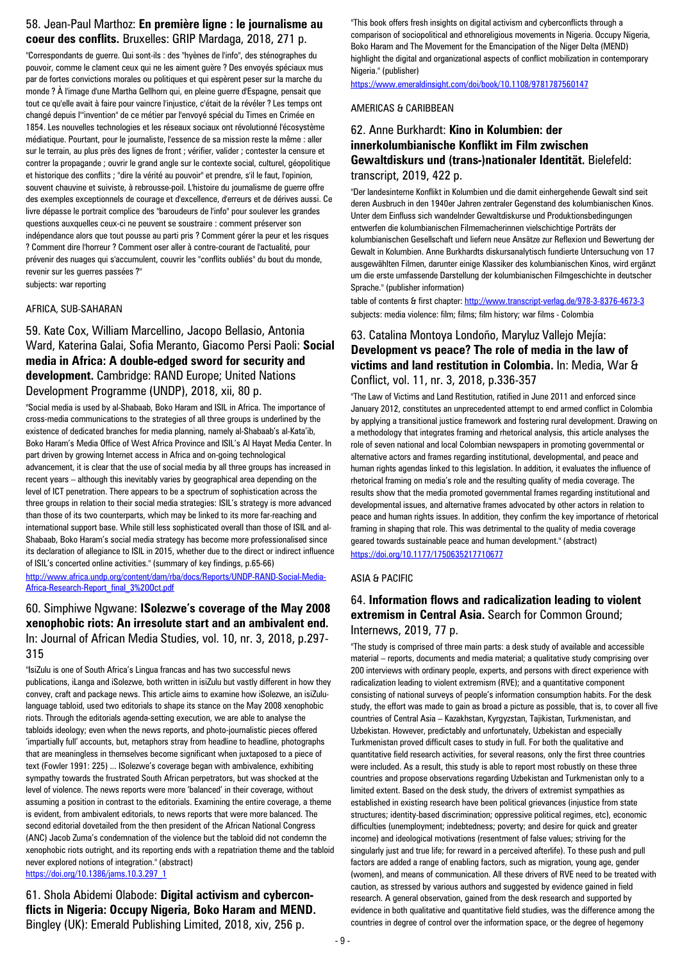## 58. Jean-Paul Marthoz: **En première ligne : le journalisme au coeur des conflits.** Bruxelles: GRIP Mardaga, 2018, 271 p.

"Correspondants de guerre. Qui sont-ils : des "hyènes de l'info", des sténographes du pouvoir, comme le clament ceux qui ne les aiment guère ? Des envoyés spéciaux mus par de fortes convictions morales ou politiques et qui espèrent peser sur la marche du monde ? À l'image d'une Martha Gellhorn qui, en pleine guerre d'Espagne, pensait que tout ce qu'elle avait à faire pour vaincre l'injustice, c'était de la révéler ? Les temps ont changé depuis l'"invention" de ce métier par l'envoyé spécial du Times en Crimée en 1854. Les nouvelles technologies et les réseaux sociaux ont révolutionné l'écosystème médiatique. Pourtant, pour le journaliste, l'essence de sa mission reste la même : aller sur le terrain, au plus près des lignes de front ; vérifier, valider ; contester la censure et contrer la propagande ; ouvrir le grand angle sur le contexte social, culturel, géopolitique et historique des conflits ; "dire la vérité au pouvoir" et prendre, s'il le faut, l'opinion, souvent chauvine et suiviste, à rebrousse-poil. L'histoire du journalisme de guerre offre des exemples exceptionnels de courage et d'excellence, d'erreurs et de dérives aussi. Ce livre dépasse le portrait complice des "baroudeurs de l'info" pour soulever les grandes questions auxquelles ceux-ci ne peuvent se soustraire : comment préserver son indépendance alors que tout pousse au parti pris ? Comment gérer la peur et les risques ? Comment dire l'horreur ? Comment oser aller à contre-courant de l'actualité, pour prévenir des nuages qui s'accumulent, couvrir les "conflits oubliés" du bout du monde, revenir sur les guerres passées ?" subjects: war reporting

#### AFRICA, SUB-SAHARAN

59. Kate Cox, William Marcellino, Jacopo Bellasio, Antonia Ward, Katerina Galai, Sofia Meranto, Giacomo Persi Paoli: **Social media in Africa: A double-edged sword for security and development.** Cambridge: RAND Europe; United Nations Development Programme (UNDP), 2018, xii, 80 p.

"Social media is used by al-Shabaab, Boko Haram and ISIL in Africa. The importance of cross-media communications to the strategies of all three groups is underlined by the existence of dedicated branches for media planning, namely al-Shabaab's al-Kata'ib, Boko Haram's Media Office of West Africa Province and ISIL's Al Hayat Media Center. In part driven by growing Internet access in Africa and on-going technological advancement, it is clear that the use of social media by all three groups has increased in recent years – although this inevitably varies by geographical area depending on the level of ICT penetration. There appears to be a spectrum of sophistication across the three groups in relation to their social media strategies: ISIL's strategy is more advanced than those of its two counterparts, which may be linked to its more far-reaching and international support base. While still less sophisticated overall than those of ISIL and al-Shabaab, Boko Haram's social media strategy has become more professionalised since its declaration of allegiance to ISIL in 2015, whether due to the direct or indirect influence of ISIL's concerted online activities." (summary of key findings, p.65-66)

[http://www.africa.undp.org/content/dam/rba/docs/Reports/UNDP-RAND-Social-Media-](http://www.africa.undp.org/content/dam/rba/docs/Reports/UNDP-RAND-Social-Media-Africa-Research-Report_final_3%20Oct.pdf)[Africa-Research-Report\\_final\\_3%20Oct.pdf](http://www.africa.undp.org/content/dam/rba/docs/Reports/UNDP-RAND-Social-Media-Africa-Research-Report_final_3%20Oct.pdf)

## 60. Simphiwe Ngwane: **ISolezwe's coverage of the May 2008 xenophobic riots: An irresolute start and an ambivalent end.**  In: Journal of African Media Studies, vol. 10, nr. 3, 2018, p.297- 315

"IsiZulu is one of South Africa's Lingua francas and has two successful news publications, iLanga and iSolezwe, both written in isiZulu but vastly different in how they convey, craft and package news. This article aims to examine how iSolezwe, an isiZululanguage tabloid, used two editorials to shape its stance on the May 2008 xenophobic riots. Through the editorials agenda-setting execution, we are able to analyse the tabloids ideology; even when the news reports, and photo-journalistic pieces offered 'impartially full' accounts, but, metaphors stray from headline to headline, photographs that are meaningless in themselves become significant when juxtaposed to a piece of text (Fowler 1991: 225) ... ISolezwe's coverage began with ambivalence, exhibiting sympathy towards the frustrated South African perpetrators, but was shocked at the level of violence. The news reports were more 'balanced' in their coverage, without assuming a position in contrast to the editorials. Examining the entire coverage, a theme is evident, from ambivalent editorials, to news reports that were more balanced. The second editorial dovetailed from the then president of the African National Congress (ANC) Jacob Zuma's condemnation of the violence but the tabloid did not condemn the xenophobic riots outright, and its reporting ends with a repatriation theme and the tabloid never explored notions of integration." (abstract) [https://doi.org/10.1386/jams.10.3.297\\_1](https://doi.org/10.1386/jams.10.3.297_1)

61. Shola Abidemi Olabode: **Digital activism and cyberconflicts in Nigeria: Occupy Nigeria, Boko Haram and MEND.**  Bingley (UK): Emerald Publishing Limited, 2018, xiv, 256 p.

"This book offers fresh insights on digital activism and cyberconflicts through a comparison of sociopolitical and ethnoreligious movements in Nigeria. Occupy Nigeria, Boko Haram and The Movement for the Emancipation of the Niger Delta (MEND) highlight the digital and organizational aspects of conflict mobilization in contemporary Nigeria." (publisher)

<https://www.emeraldinsight.com/doi/book/10.1108/9781787560147>

#### AMERICAS & CARIBBEAN

#### 62. Anne Burkhardt: **Kino in Kolumbien: der innerkolumbianische Konflikt im Film zwischen Gewaltdiskurs und (trans-)nationaler Identität.** Bielefeld: transcript, 2019, 422 p.

"Der landesinterne Konflikt in Kolumbien und die damit einhergehende Gewalt sind seit deren Ausbruch in den 1940er Jahren zentraler Gegenstand des kolumbianischen Kinos. Unter dem Einfluss sich wandelnder Gewaltdiskurse und Produktionsbedingungen entwerfen die kolumbianischen Filmemacherinnen vielschichtige Porträts der kolumbianischen Gesellschaft und liefern neue Ansätze zur Reflexion und Bewertung der Gewalt in Kolumbien. Anne Burkhardts diskursanalytisch fundierte Untersuchung von 17 ausgewählten Filmen, darunter einige Klassiker des kolumbianischen Kinos, wird ergänzt um die erste umfassende Darstellung der kolumbianischen Filmgeschichte in deutscher Sprache." (publisher information)

table of contents & first chapter[: http://www.transcript-verlag.de/978-3-8376-4673-3](http://www.transcript-verlag.de/978-3-8376-4673-3) subjects: media violence: film; films; film history; war films - Colombia

#### 63. Catalina Montoya Londoño, Maryluz Vallejo Mejía: **Development vs peace? The role of media in the law of victims and land restitution in Colombia.** In: Media, War & Conflict, vol. 11, nr. 3, 2018, p.336-357

"The Law of Victims and Land Restitution, ratified in June 2011 and enforced since January 2012, constitutes an unprecedented attempt to end armed conflict in Colombia by applying a transitional justice framework and fostering rural development. Drawing on a methodology that integrates framing and rhetorical analysis, this article analyses the role of seven national and local Colombian newspapers in promoting governmental or alternative actors and frames regarding institutional, developmental, and peace and human rights agendas linked to this legislation. In addition, it evaluates the influence of rhetorical framing on media's role and the resulting quality of media coverage. The results show that the media promoted governmental frames regarding institutional and developmental issues, and alternative frames advocated by other actors in relation to peace and human rights issues. In addition, they confirm the key importance of rhetorical framing in shaping that role. This was detrimental to the quality of media coverage geared towards sustainable peace and human development." (abstract) <https://doi.org/10.1177/1750635217710677>

#### ASIA & PACIFIC

#### 64. **Information flows and radicalization leading to violent extremism in Central Asia.** Search for Common Ground; Internews, 2019, 77 p.

"The study is comprised of three main parts: a desk study of available and accessible material – reports, documents and media material; a qualitative study comprising over 200 interviews with ordinary people, experts, and persons with direct experience with radicalization leading to violent extremism (RVE); and a quantitative component consisting of national surveys of people's information consumption habits. For the desk study, the effort was made to gain as broad a picture as possible, that is, to cover all five countries of Central Asia – Kazakhstan, Kyrgyzstan, Tajikistan, Turkmenistan, and Uzbekistan. However, predictably and unfortunately, Uzbekistan and especially Turkmenistan proved difficult cases to study in full. For both the qualitative and quantitative field research activities, for several reasons, only the first three countries were included. As a result, this study is able to report most robustly on these three countries and propose observations regarding Uzbekistan and Turkmenistan only to a limited extent. Based on the desk study, the drivers of extremist sympathies as established in existing research have been political grievances (injustice from state structures; identity-based discrimination; oppressive political regimes, etc), economic difficulties (unemployment; indebtedness; poverty; and desire for quick and greater income) and ideological motivations (resentment of false values; striving for the singularly just and true life; for reward in a perceived afterlife). To these push and pull factors are added a range of enabling factors, such as migration, young age, gender (women), and means of communication. All these drivers of RVE need to be treated with caution, as stressed by various authors and suggested by evidence gained in field research. A general observation, gained from the desk research and supported by evidence in both qualitative and quantitative field studies, was the difference among the countries in degree of control over the information space, or the degree of hegemony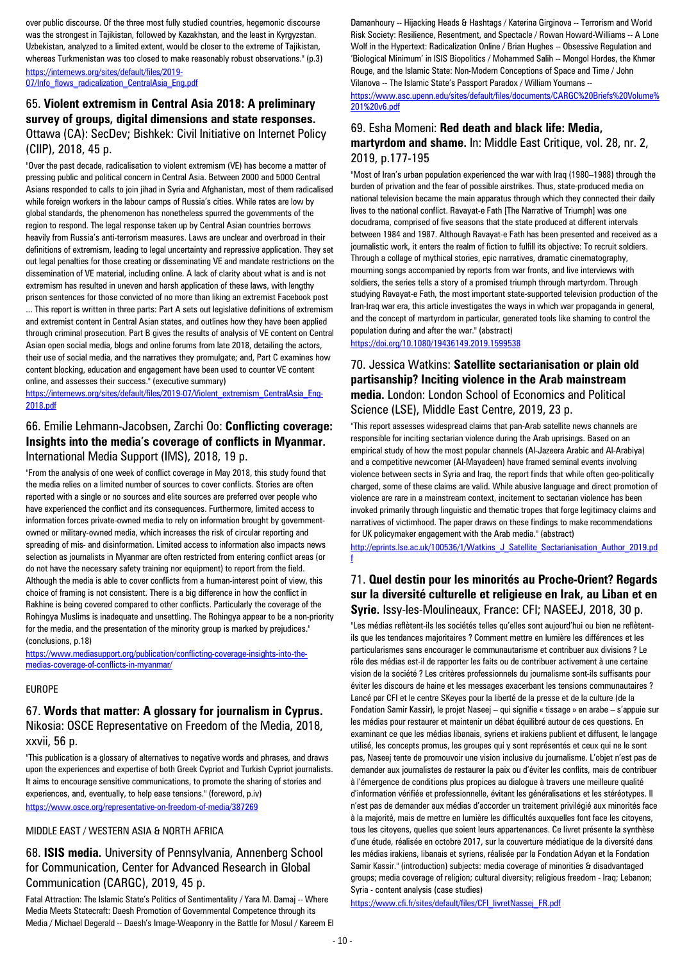over public discourse. Of the three most fully studied countries, hegemonic discourse was the strongest in Tajikistan, followed by Kazakhstan, and the least in Kyrgyzstan. Uzbekistan, analyzed to a limited extent, would be closer to the extreme of Tajikistan, whereas Turkmenistan was too closed to make reasonably robust observations." (p.3) [https://internews.org/sites/default/files/2019-](https://internews.org/sites/default/files/2019-07/Info_flows_radicalization_CentralAsia_Eng.pdf)

[07/Info\\_flows\\_radicalization\\_CentralAsia\\_Eng.pdf](https://internews.org/sites/default/files/2019-07/Info_flows_radicalization_CentralAsia_Eng.pdf)

#### 65. **Violent extremism in Central Asia 2018: A preliminary survey of groups, digital dimensions and state responses.**  Ottawa (CA): SecDev; Bishkek: Civil Initiative on Internet Policy (CIIP), 2018, 45 p.

"Over the past decade, radicalisation to violent extremism (VE) has become a matter of pressing public and political concern in Central Asia. Between 2000 and 5000 Central Asians responded to calls to join jihad in Syria and Afghanistan, most of them radicalised while foreign workers in the labour camps of Russia's cities. While rates are low by global standards, the phenomenon has nonetheless spurred the governments of the region to respond. The legal response taken up by Central Asian countries borrows heavily from Russia's anti-terrorism measures. Laws are unclear and overbroad in their definitions of extremism, leading to legal uncertainty and repressive application. They set out legal penalties for those creating or disseminating VE and mandate restrictions on the dissemination of VE material, including online. A lack of clarity about what is and is not extremism has resulted in uneven and harsh application of these laws, with lengthy prison sentences for those convicted of no more than liking an extremist Facebook post ... This report is written in three parts: Part A sets out legislative definitions of extremism and extremist content in Central Asian states, and outlines how they have been applied through criminal prosecution. Part B gives the results of analysis of VE content on Central Asian open social media, blogs and online forums from late 2018, detailing the actors, their use of social media, and the narratives they promulgate; and, Part C examines how content blocking, education and engagement have been used to counter VE content online, and assesses their success." (executive summary)

[https://internews.org/sites/default/files/2019-07/Violent\\_extremism\\_CentralAsia\\_Eng-](https://internews.org/sites/default/files/2019-07/Violent_extremism_CentralAsia_Eng-2018.pdf)[2018.pdf](https://internews.org/sites/default/files/2019-07/Violent_extremism_CentralAsia_Eng-2018.pdf)

## 66. Emilie Lehmann-Jacobsen, Zarchi Oo: **Conflicting coverage: Insights into the media's coverage of conflicts in Myanmar.**  International Media Support (IMS), 2018, 19 p.

"From the analysis of one week of conflict coverage in May 2018, this study found that the media relies on a limited number of sources to cover conflicts. Stories are often reported with a single or no sources and elite sources are preferred over people who have experienced the conflict and its consequences. Furthermore, limited access to information forces private-owned media to rely on information brought by governmentowned or military-owned media, which increases the risk of circular reporting and spreading of mis- and disinformation. Limited access to information also impacts news selection as journalists in Myanmar are often restricted from entering conflict areas (or do not have the necessary safety training nor equipment) to report from the field. Although the media is able to cover conflicts from a human-interest point of view, this choice of framing is not consistent. There is a big difference in how the conflict in Rakhine is being covered compared to other conflicts. Particularly the coverage of the Rohingya Muslims is inadequate and unsettling. The Rohingya appear to be a non-priority for the media, and the presentation of the minority group is marked by prejudices." (conclusions, p.18)

[https://www.mediasupport.org/publication/conflicting-coverage-insights-into-the](https://www.mediasupport.org/publication/conflicting-coverage-insights-into-the-medias-coverage-of-conflicts-in-myanmar/)[medias-coverage-of-conflicts-in-myanmar/](https://www.mediasupport.org/publication/conflicting-coverage-insights-into-the-medias-coverage-of-conflicts-in-myanmar/)

#### EUROPE

#### 67. **Words that matter: A glossary for journalism in Cyprus.**  Nikosia: OSCE Representative on Freedom of the Media, 2018, xxvii, 56 p.

"This publication is a glossary of alternatives to negative words and phrases, and draws upon the experiences and expertise of both Greek Cypriot and Turkish Cypriot journalists. It aims to encourage sensitive communications, to promote the sharing of stories and experiences, and, eventually, to help ease tensions." (foreword, p.iv)

<https://www.osce.org/representative-on-freedom-of-media/387269>

#### MIDDLE EAST / WESTERN ASIA & NORTH AFRICA

68. **ISIS media.** University of Pennsylvania, Annenberg School for Communication, Center for Advanced Research in Global Communication (CARGC), 2019, 45 p.

Fatal Attraction: The Islamic State's Politics of Sentimentality / Yara M. Damaj -- Where Media Meets Statecraft: Daesh Promotion of Governmental Competence through its Media / Michael Degerald -- Daesh's Image-Weaponry in the Battle for Mosul / Kareem El

Damanhoury -- Hijacking Heads & Hashtags / Katerina Girginova -- Terrorism and World Risk Society: Resilience, Resentment, and Spectacle / Rowan Howard-Williams -- A Lone Wolf in the Hypertext: Radicalization Online / Brian Hughes -- Obsessive Regulation and 'Biological Minimum' in ISIS Biopolitics / Mohammed Salih -- Mongol Hordes, the Khmer Rouge, and the Islamic State: Non-Modern Conceptions of Space and Time / John Vilanova -- The Islamic State's Passport Paradox / William Youmans --

[https://www.asc.upenn.edu/sites/default/files/documents/CARGC%20Briefs%20Volume%](https://www.asc.upenn.edu/sites/default/files/documents/CARGC%20Briefs%20Volume%201%20v6.pdf) [201%20v6.pdf](https://www.asc.upenn.edu/sites/default/files/documents/CARGC%20Briefs%20Volume%201%20v6.pdf)

## 69. Esha Momeni: **Red death and black life: Media, martyrdom and shame.** In: Middle East Critique, vol. 28, nr. 2, 2019, p.177-195

"Most of Iran's urban population experienced the war with Iraq (1980–1988) through the burden of privation and the fear of possible airstrikes. Thus, state-produced media on national television became the main apparatus through which they connected their daily lives to the national conflict. Ravayat-e Fath [The Narrative of Triumph] was one docudrama, comprised of five seasons that the state produced at different intervals between 1984 and 1987. Although Ravayat-e Fath has been presented and received as a journalistic work, it enters the realm of fiction to fulfill its objective: To recruit soldiers. Through a collage of mythical stories, epic narratives, dramatic cinematography, mourning songs accompanied by reports from war fronts, and live interviews with soldiers, the series tells a story of a promised triumph through martyrdom. Through studying Ravayat-e Fath, the most important state-supported television production of the Iran-Iraq war era, this article investigates the ways in which war propaganda in general, and the concept of martyrdom in particular, generated tools like shaming to control the population during and after the war." (abstract)

<https://doi.org/10.1080/19436149.2019.1599538>

#### 70. Jessica Watkins: **Satellite sectarianisation or plain old partisanship? Inciting violence in the Arab mainstream media.** London: London School of Economics and Political Science (LSE), Middle East Centre, 2019, 23 p.

"This report assesses widespread claims that pan-Arab satellite news channels are responsible for inciting sectarian violence during the Arab uprisings. Based on an empirical study of how the most popular channels (Al-Jazeera Arabic and Al-Arabiya) and a competitive newcomer (Al-Mayadeen) have framed seminal events involving violence between sects in Syria and Iraq, the report finds that while often geo-politically charged, some of these claims are valid. While abusive language and direct promotion of violence are rare in a mainstream context, incitement to sectarian violence has been invoked primarily through linguistic and thematic tropes that forge legitimacy claims and narratives of victimhood. The paper draws on these findings to make recommendations for UK policymaker engagement with the Arab media." (abstract)

[http://eprints.lse.ac.uk/100536/1/Watkins\\_J\\_Satellite\\_Sectarianisation\\_Author\\_2019.pd](http://eprints.lse.ac.uk/100536/1/Watkins_J_Satellite_Sectarianisation_Author_2019.pdf) [f](http://eprints.lse.ac.uk/100536/1/Watkins_J_Satellite_Sectarianisation_Author_2019.pdf)

## 71. **Quel destin pour les minorités au Proche-Orient? Regards sur la diversité culturelle et religieuse en Irak, au Liban et en Syrie.** Issy-les-Moulineaux, France: CFI; NASEEJ, 2018, 30 p.

"Les médias reflètent-ils les sociétés telles qu'elles sont aujourd'hui ou bien ne reflètentils que les tendances majoritaires ? Comment mettre en lumière les différences et les particularismes sans encourager le communautarisme et contribuer aux divisions ? Le rôle des médias est-il de rapporter les faits ou de contribuer activement à une certaine vision de la société ? Les critères professionnels du journalisme sont-ils suffisants pour éviter les discours de haine et les messages exacerbant les tensions communautaires ? Lancé par CFI et le centre SKeyes pour la liberté de la presse et de la culture (de la Fondation Samir Kassir), le projet Naseej – qui signifie « tissage » en arabe – s'appuie sur les médias pour restaurer et maintenir un débat équilibré autour de ces questions. En examinant ce que les médias libanais, syriens et irakiens publient et diffusent, le langage utilisé, les concepts promus, les groupes qui y sont représentés et ceux qui ne le sont pas, Naseej tente de promouvoir une vision inclusive du journalisme. L'objet n'est pas de demander aux journalistes de restaurer la paix ou d'éviter les conflits, mais de contribuer à l'émergence de conditions plus propices au dialogue à travers une meilleure qualité d'information vérifiée et professionnelle, évitant les généralisations et les stéréotypes. Il n'est pas de demander aux médias d'accorder un traitement privilégié aux minorités face à la majorité, mais de mettre en lumière les difficultés auxquelles font face les citoyens, tous les citoyens, quelles que soient leurs appartenances. Ce livret présente la synthèse d'une étude, réalisée en octobre 2017, sur la couverture médiatique de la diversité dans les médias irakiens, libanais et syriens, réalisée par la Fondation Adyan et la Fondation Samir Kassir." (introduction) subjects: media coverage of minorities & disadvantaged groups; media coverage of religion; cultural diversity; religious freedom - Iraq; Lebanon; Syria - content analysis (case studies)

[https://www.cfi.fr/sites/default/files/CFI\\_livretNassej\\_FR.pdf](https://www.cfi.fr/sites/default/files/CFI_livretNassej_FR.pdf)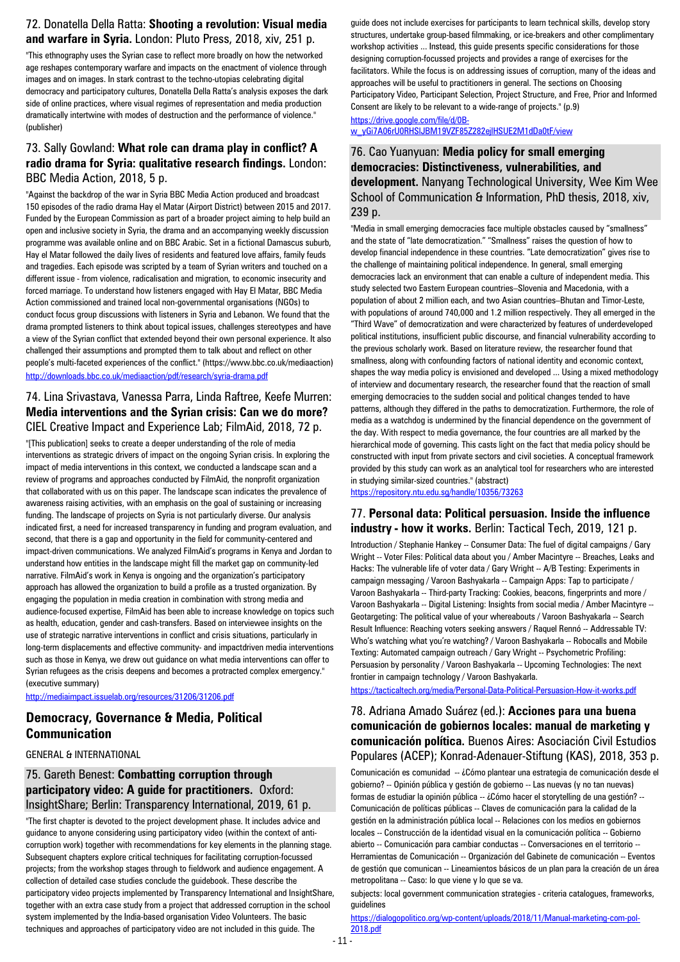## 72. Donatella Della Ratta: **Shooting a revolution: Visual media and warfare in Syria.** London: Pluto Press, 2018, xiv, 251 p.

"This ethnography uses the Syrian case to reflect more broadly on how the networked age reshapes contemporary warfare and impacts on the enactment of violence through images and on images. In stark contrast to the techno-utopias celebrating digital democracy and participatory cultures, Donatella Della Ratta's analysis exposes the dark side of online practices, where visual regimes of representation and media production dramatically intertwine with modes of destruction and the performance of violence." (publisher)

## 73. Sally Gowland: **What role can drama play in conflict? A radio drama for Syria: qualitative research findings.** London: BBC Media Action, 2018, 5 p.

"Against the backdrop of the war in Syria BBC Media Action produced and broadcast 150 episodes of the radio drama Hay el Matar (Airport District) between 2015 and 2017. Funded by the European Commission as part of a broader project aiming to help build an open and inclusive society in Syria, the drama and an accompanying weekly discussion programme was available online and on BBC Arabic. Set in a fictional Damascus suburb, Hay el Matar followed the daily lives of residents and featured love affairs, family feuds and tragedies. Each episode was scripted by a team of Syrian writers and touched on a different issue - from violence, radicalisation and migration, to economic insecurity and forced marriage. To understand how listeners engaged with Hay El Matar, BBC Media Action commissioned and trained local non-governmental organisations (NGOs) to conduct focus group discussions with listeners in Syria and Lebanon. We found that the drama prompted listeners to think about topical issues, challenges stereotypes and have a view of the Syrian conflict that extended beyond their own personal experience. It also challenged their assumptions and prompted them to talk about and reflect on other people's multi-faceted experiences of the conflict." (https://www.bbc.co.uk/mediaaction) <http://downloads.bbc.co.uk/mediaaction/pdf/research/syria-drama.pdf>

## 74. Lina Srivastava, Vanessa Parra, Linda Raftree, Keefe Murren: **Media interventions and the Syrian crisis: Can we do more?** CIEL Creative Impact and Experience Lab; FilmAid, 2018, 72 p.

"[This publication] seeks to create a deeper understanding of the role of media interventions as strategic drivers of impact on the ongoing Syrian crisis. In exploring the impact of media interventions in this context, we conducted a landscape scan and a review of programs and approaches conducted by FilmAid, the nonprofit organization that collaborated with us on this paper. The landscape scan indicates the prevalence of awareness raising activities, with an emphasis on the goal of sustaining or increasing funding. The landscape of projects on Syria is not particularly diverse. Our analysis indicated first, a need for increased transparency in funding and program evaluation, and second, that there is a gap and opportunity in the field for community-centered and impact-driven communications. We analyzed FilmAid's programs in Kenya and Jordan to understand how entities in the landscape might fill the market gap on community-led narrative. FilmAid's work in Kenya is ongoing and the organization's participatory approach has allowed the organization to build a profile as a trusted organization. By engaging the population in media creation in combination with strong media and audience-focused expertise, FilmAid has been able to increase knowledge on topics such as health, education, gender and cash-transfers. Based on interviewee insights on the use of strategic narrative interventions in conflict and crisis situations, particularly in long-term displacements and effective community- and impactdriven media interventions such as those in Kenya, we drew out guidance on what media interventions can offer to Syrian refugees as the crisis deepens and becomes a protracted complex emergency." (executive summary)

<http://mediaimpact.issuelab.org/resources/31206/31206.pdf>

## **Democracy, Governance & Media, Political Communication**

GENERAL & INTERNATIONAL

## 75. Gareth Benest: **Combatting corruption through participatory video: A guide for practitioners.** Oxford: InsightShare; Berlin: Transparency International, 2019, 61 p.

"The first chapter is devoted to the project development phase. It includes advice and guidance to anyone considering using participatory video (within the context of anticorruption work) together with recommendations for key elements in the planning stage. Subsequent chapters explore critical techniques for facilitating corruption-focussed projects; from the workshop stages through to fieldwork and audience engagement. A collection of detailed case studies conclude the guidebook. These describe the participatory video projects implemented by Transparency International and InsightShare, together with an extra case study from a project that addressed corruption in the school system implemented by the India-based organisation Video Volunteers. The basic techniques and approaches of participatory video are not included in this guide. The

guide does not include exercises for participants to learn technical skills, develop story structures, undertake group-based filmmaking, or ice-breakers and other complimentary workshop activities ... Instead, this guide presents specific considerations for those designing corruption-focussed projects and provides a range of exercises for the facilitators. While the focus is on addressing issues of corruption, many of the ideas and approaches will be useful to practitioners in general. The sections on Choosing Participatory Video, Participant Selection, Project Structure, and Free, Prior and Informed Consent are likely to be relevant to a wide-range of projects." (p.9)

[https://drive.google.com/file/d/0B](https://drive.google.com/file/d/0B-w_yGi7A06rU0RHSlJBM19VZF85Z282ejlHSUE2M1dDa0tF/view)[w\\_yGi7A06rU0RHSlJBM19VZF85Z282ejlHSUE2M1dDa0tF/view](https://drive.google.com/file/d/0B-w_yGi7A06rU0RHSlJBM19VZF85Z282ejlHSUE2M1dDa0tF/view)

## 76. Cao Yuanyuan: **Media policy for small emerging democracies: Distinctiveness, vulnerabilities, and development.** Nanyang Technological University, Wee Kim Wee School of Communication & Information, PhD thesis, 2018, xiv, 239 p.

"Media in small emerging democracies face multiple obstacles caused by "smallness" and the state of "late democratization." "Smallness" raises the question of how to develop financial independence in these countries. "Late democratization" gives rise to the challenge of maintaining political independence. In general, small emerging democracies lack an environment that can enable a culture of independent media. This study selected two Eastern European countries–Slovenia and Macedonia, with a population of about 2 million each, and two Asian countries–Bhutan and Timor-Leste, with populations of around 740,000 and 1.2 million respectively. They all emerged in the "Third Wave" of democratization and were characterized by features of underdeveloped political institutions, insufficient public discourse, and financial vulnerability according to the previous scholarly work. Based on literature review, the researcher found that smallness, along with confounding factors of national identity and economic context, shapes the way media policy is envisioned and developed ... Using a mixed methodology of interview and documentary research, the researcher found that the reaction of small emerging democracies to the sudden social and political changes tended to have patterns, although they differed in the paths to democratization. Furthermore, the role of media as a watchdog is undermined by the financial dependence on the government of the day. With respect to media governance, the four countries are all marked by the hierarchical mode of governing. This casts light on the fact that media policy should be constructed with input from private sectors and civil societies. A conceptual framework provided by this study can work as an analytical tool for researchers who are interested in studying similar-sized countries." (abstract)

<https://repository.ntu.edu.sg/handle/10356/73263>

#### 77. **Personal data: Political persuasion. Inside the influence industry - how it works.** Berlin: Tactical Tech, 2019, 121 p.

Introduction / Stephanie Hankey -- Consumer Data: The fuel of digital campaigns / Gary Wright -- Voter Files: Political data about you / Amber Macintyre -- Breaches, Leaks and Hacks: The vulnerable life of voter data / Gary Wright -- A/B Testing: Experiments in campaign messaging / Varoon Bashyakarla -- Campaign Apps: Tap to participate / Varoon Bashyakarla -- Third-party Tracking: Cookies, beacons, fingerprints and more / Varoon Bashyakarla -- Digital Listening: Insights from social media / Amber Macintyre -- Geotargeting: The political value of your whereabouts / Varoon Bashyakarla -- Search Result Influence: Reaching voters seeking answers / Raquel Rennó -- Addressable TV: Who's watching what you're watching? / Varoon Bashyakarla -- Robocalls and Mobile Texting: Automated campaign outreach / Gary Wright -- Psychometric Profiling: Persuasion by personality / Varoon Bashyakarla -- Upcoming Technologies: The next frontier in campaign technology / Varoon Bashyakarla.

<https://tacticaltech.org/media/Personal-Data-Political-Persuasion-How-it-works.pdf>

#### 78. Adriana Amado Suárez (ed.): **Acciones para una buena comunicación de gobiernos locales: manual de marketing y comunicación política.** Buenos Aires: Asociación Civil Estudios Populares (ACEP); Konrad-Adenauer-Stiftung (KAS), 2018, 353 p.

Comunicación es comunidad -- ¿Cómo plantear una estrategia de comunicación desde el gobierno? -- Opinión pública y gestión de gobierno -- Las nuevas (y no tan nuevas) formas de estudiar la opinión pública -- ¿Cómo hacer el storytelling de una gestión? -- Comunicación de políticas públicas -- Claves de comunicación para la calidad de la gestión en la administración pública local -- Relaciones con los medios en gobiernos locales -- Construcción de la identidad visual en la comunicación política -- Gobierno abierto -- Comunicación para cambiar conductas -- Conversaciones en el territorio -- Herramientas de Comunicación -- Organización del Gabinete de comunicación -- Eventos de gestión que comunican -- Lineamientos básicos de un plan para la creación de un área metropolitana -- Caso: lo que viene y lo que se va.

subjects: local government communication strategies - criteria catalogues, frameworks, guidelines

[https://dialogopolitico.org/wp-content/uploads/2018/11/Manual-marketing-com-pol-](https://dialogopolitico.org/wp-content/uploads/2018/11/Manual-marketing-com-pol-2018.pdf)[2018.pdf](https://dialogopolitico.org/wp-content/uploads/2018/11/Manual-marketing-com-pol-2018.pdf)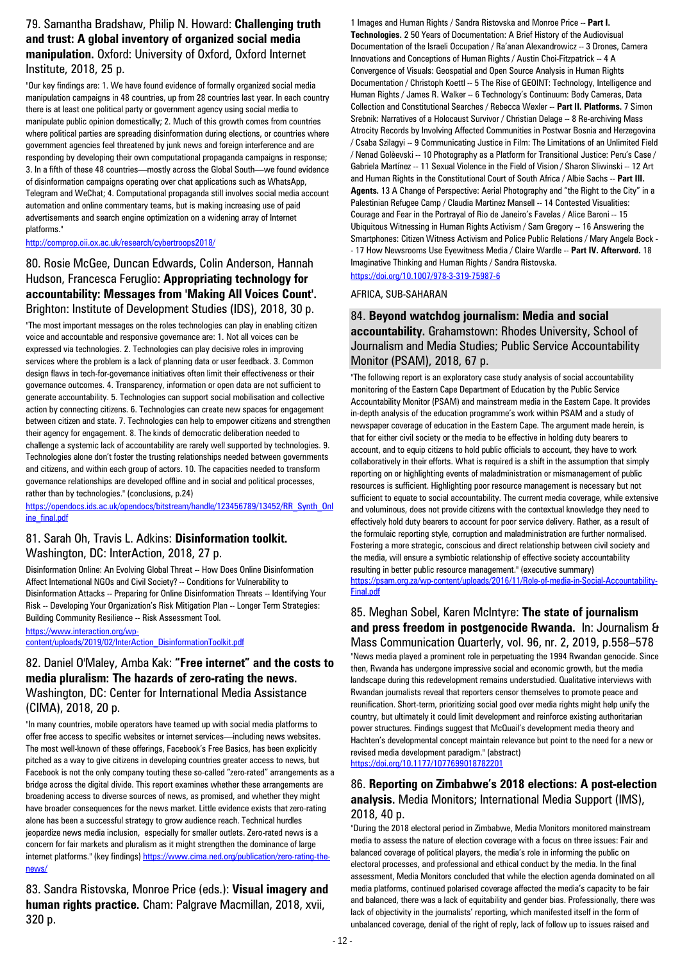## 79. Samantha Bradshaw, Philip N. Howard: **Challenging truth and trust: A global inventory of organized social media manipulation.** Oxford: University of Oxford, Oxford Internet Institute, 2018, 25 p.

"Our key findings are: 1. We have found evidence of formally organized social media manipulation campaigns in 48 countries, up from 28 countries last year. In each country there is at least one political party or government agency using social media to manipulate public opinion domestically; 2. Much of this growth comes from countries where political parties are spreading disinformation during elections, or countries where government agencies feel threatened by junk news and foreign interference and are responding by developing their own computational propaganda campaigns in response; 3. In a fifth of these 48 countries—mostly across the Global South—we found evidence of disinformation campaigns operating over chat applications such as WhatsApp, Telegram and WeChat; 4. Computational propaganda still involves social media account automation and online commentary teams, but is making increasing use of paid advertisements and search engine optimization on a widening array of Internet platforms."

<http://comprop.oii.ox.ac.uk/research/cybertroops2018/>

#### 80. Rosie McGee, Duncan Edwards, Colin Anderson, Hannah Hudson, Francesca Feruglio: **Appropriating technology for accountability: Messages from 'Making All Voices Count'.**  Brighton: Institute of Development Studies (IDS), 2018, 30 p.

"The most important messages on the roles technologies can play in enabling citizen voice and accountable and responsive governance are: 1. Not all voices can be expressed via technologies. 2. Technologies can play decisive roles in improving services where the problem is a lack of planning data or user feedback. 3. Common design flaws in tech-for-governance initiatives often limit their effectiveness or their governance outcomes. 4. Transparency, information or open data are not sufficient to generate accountability. 5. Technologies can support social mobilisation and collective action by connecting citizens. 6. Technologies can create new spaces for engagement between citizen and state. 7. Technologies can help to empower citizens and strengthen their agency for engagement. 8. The kinds of democratic deliberation needed to challenge a systemic lack of accountability are rarely well supported by technologies. 9. Technologies alone don't foster the trusting relationships needed between governments and citizens, and within each group of actors. 10. The capacities needed to transform governance relationships are developed offline and in social and political processes, rather than by technologies." (conclusions, p.24)

[https://opendocs.ids.ac.uk/opendocs/bitstream/handle/123456789/13452/RR\\_Synth\\_Onl](https://opendocs.ids.ac.uk/opendocs/bitstream/handle/123456789/13452/RR_Synth_Online_final.pdf) [ine\\_final.pdf](https://opendocs.ids.ac.uk/opendocs/bitstream/handle/123456789/13452/RR_Synth_Online_final.pdf)

#### 81. Sarah Oh, Travis L. Adkins: **Disinformation toolkit.**  Washington, DC: InterAction, 2018, 27 p.

Disinformation Online: An Evolving Global Threat -- How Does Online Disinformation Affect International NGOs and Civil Society? -- Conditions for Vulnerability to Disinformation Attacks -- Preparing for Online Disinformation Threats -- Identifying Your Risk -- Developing Your Organization's Risk Mitigation Plan -- Longer Term Strategies: Building Community Resilience -- Risk Assessment Tool.

[https://www.interaction.org/wp-](https://www.interaction.org/wp-content/uploads/2019/02/InterAction_DisinformationToolkit.pdf)

[content/uploads/2019/02/InterAction\\_DisinformationToolkit.pdf](https://www.interaction.org/wp-content/uploads/2019/02/InterAction_DisinformationToolkit.pdf)

#### 82. Daniel O'Maley, Amba Kak: **"Free internet" and the costs to media pluralism: The hazards of zero-rating the news.**  Washington, DC: Center for International Media Assistance (CIMA), 2018, 20 p.

"In many countries, mobile operators have teamed up with social media platforms to offer free access to specific websites or internet services—including news websites. The most well-known of these offerings, Facebook's Free Basics, has been explicitly pitched as a way to give citizens in developing countries greater access to news, but Facebook is not the only company touting these so-called "zero-rated" arrangements as a bridge across the digital divide. This report examines whether these arrangements are broadening access to diverse sources of news, as promised, and whether they might have broader consequences for the news market. Little evidence exists that zero-rating alone has been a successful strategy to grow audience reach. Technical hurdles jeopardize news media inclusion, especially for smaller outlets. Zero-rated news is a concern for fair markets and pluralism as it might strengthen the dominance of large internet platforms." (key findings[\) https://www.cima.ned.org/publication/zero-rating-the](https://www.cima.ned.org/publication/zero-rating-the-news/)[news/](https://www.cima.ned.org/publication/zero-rating-the-news/)

83. Sandra Ristovska, Monroe Price (eds.): **Visual imagery and human rights practice.** Cham: Palgrave Macmillan, 2018, xvii, 320 p.

1 Images and Human Rights / Sandra Ristovska and Monroe Price -- **Part I. Technologies.** 2 50 Years of Documentation: A Brief History of the Audiovisual Documentation of the Israeli Occupation / Ra'anan Alexandrowicz -- 3 Drones, Camera Innovations and Conceptions of Human Rights / Austin Choi-Fitzpatrick -- 4 A Convergence of Visuals: Geospatial and Open Source Analysis in Human Rights Documentation / Christoph Koettl -- 5 The Rise of GEOINT: Technology, Intelligence and Human Rights / James R. Walker -- 6 Technology's Continuum: Body Cameras, Data Collection and Constitutional Searches / Rebecca Wexler -- **Part II. Platforms.** 7 Simon Srebnik: Narratives of a Holocaust Survivor / Christian Delage -- 8 Re-archiving Mass Atrocity Records by Involving Affected Communities in Postwar Bosnia and Herzegovina / Csaba Szilagyi -- 9 Communicating Justice in Film: The Limitations of an Unlimited Field / Nenad Golèevski -- 10 Photography as a Platform for Transitional Justice: Peru's Case / Gabriela Martínez -- 11 Sexual Violence in the Field of Vision / Sharon Sliwinski -- 12 Art and Human Rights in the Constitutional Court of South Africa / Albie Sachs -- **Part III. Agents.** 13 A Change of Perspective: Aerial Photography and "the Right to the City" in a Palestinian Refugee Camp / Claudia Martinez Mansell -- 14 Contested Visualities: Courage and Fear in the Portrayal of Rio de Janeiro's Favelas / Alice Baroni -- 15 Ubiquitous Witnessing in Human Rights Activism / Sam Gregory -- 16 Answering the Smartphones: Citizen Witness Activism and Police Public Relations / Mary Angela Bock - - 17 How Newsrooms Use Eyewitness Media / Claire Wardle -- **Part IV. Afterword.** 18 Imaginative Thinking and Human Rights / Sandra Ristovska.

<https://doi.org/10.1007/978-3-319-75987-6>

AFRICA, SUB-SAHARAN

## 84. **Beyond watchdog journalism: Media and social accountability.** Grahamstown: Rhodes University, School of Journalism and Media Studies; Public Service Accountability Monitor (PSAM), 2018, 67 p.

"The following report is an exploratory case study analysis of social accountability monitoring of the Eastern Cape Department of Education by the Public Service Accountability Monitor (PSAM) and mainstream media in the Eastern Cape. It provides in-depth analysis of the education programme's work within PSAM and a study of newspaper coverage of education in the Eastern Cape. The argument made herein, is that for either civil society or the media to be effective in holding duty bearers to account, and to equip citizens to hold public officials to account, they have to work collaboratively in their efforts. What is required is a shift in the assumption that simply reporting on or highlighting events of maladministration or mismanagement of public resources is sufficient. Highlighting poor resource management is necessary but not sufficient to equate to social accountability. The current media coverage, while extensive and voluminous, does not provide citizens with the contextual knowledge they need to effectively hold duty bearers to account for poor service delivery. Rather, as a result of the formulaic reporting style, corruption and maladministration are further normalised. Fostering a more strategic, conscious and direct relationship between civil society and the media, will ensure a symbiotic relationship of effective society accountability resulting in better public resource management." (executive summary) [https://psam.org.za/wp-content/uploads/2016/11/Role-of-media-in-Social-Accountability-](https://psam.org.za/wp-content/uploads/2016/11/Role-of-media-in-Social-Accountability-Final.pdf)[Final.pdf](https://psam.org.za/wp-content/uploads/2016/11/Role-of-media-in-Social-Accountability-Final.pdf)

#### 85. Meghan Sobel, Karen McIntyre: **The state of journalism and press freedom in postgenocide Rwanda.** In: Journalism & Mass Communication Quarterly, vol. 96, nr. 2, 2019, p.558–578 "News media played a prominent role in perpetuating the 1994 Rwandan genocide. Since then, Rwanda has undergone impressive social and economic growth, but the media landscape during this redevelopment remains understudied. Qualitative interviews with Rwandan journalists reveal that reporters censor themselves to promote peace and reunification. Short-term, prioritizing social good over media rights might help unify the country, but ultimately it could limit development and reinforce existing authoritarian power structures. Findings suggest that McQuail's development media theory and Hachten's developmental concept maintain relevance but point to the need for a new or revised media development paradigm." (abstract) <https://doi.org/10.1177/1077699018782201>

# 86. **Reporting on Zimbabwe's 2018 elections: A post-election**

**analysis.** Media Monitors; International Media Support (IMS), 2018, 40 p.

"During the 2018 electoral period in Zimbabwe, Media Monitors monitored mainstream media to assess the nature of election coverage with a focus on three issues: Fair and balanced coverage of political players, the media's role in informing the public on electoral processes, and professional and ethical conduct by the media. In the final assessment, Media Monitors concluded that while the election agenda dominated on all media platforms, continued polarised coverage affected the media's capacity to be fair and balanced, there was a lack of equitability and gender bias. Professionally, there was lack of objectivity in the journalists' reporting, which manifested itself in the form of unbalanced coverage, denial of the right of reply, lack of follow up to issues raised and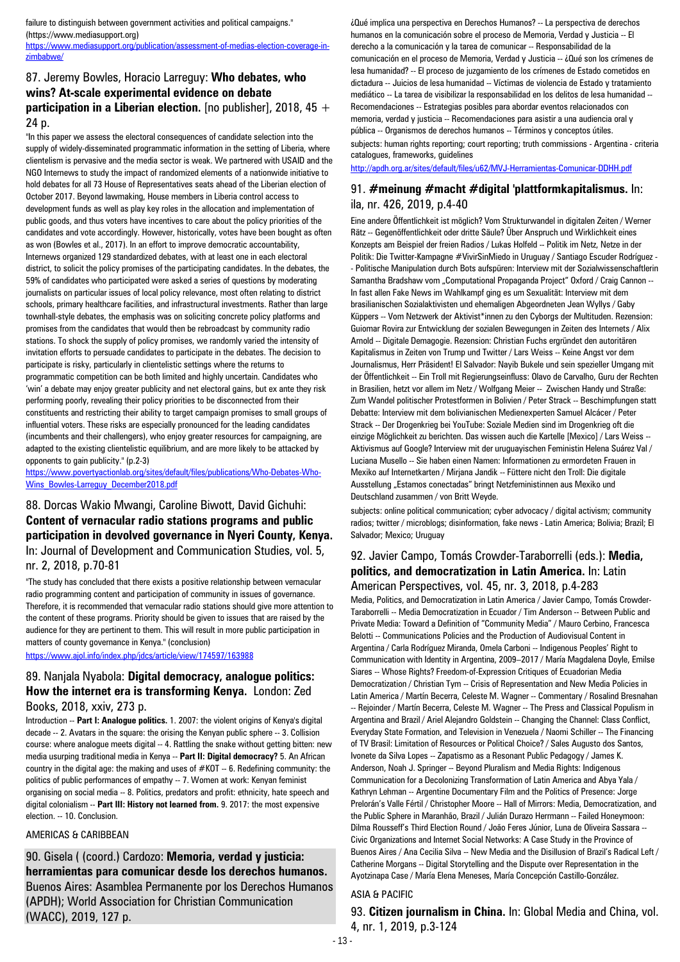failure to distinguish between government activities and political campaigns." (https://www.mediasupport.org)

[https://www.mediasupport.org/publication/assessment-of-medias-election-coverage-in](https://www.mediasupport.org/publication/assessment-of-medias-election-coverage-in-zimbabwe/)[zimbabwe/](https://www.mediasupport.org/publication/assessment-of-medias-election-coverage-in-zimbabwe/)

## 87. Jeremy Bowles, Horacio Larreguy: **Who debates, who wins? At-scale experimental evidence on debate participation in a Liberian election.** [no publisher], 2018, 45 + 24 p.

"In this paper we assess the electoral consequences of candidate selection into the supply of widely-disseminated programmatic information in the setting of Liberia, where clientelism is pervasive and the media sector is weak. We partnered with USAID and the NGO Internews to study the impact of randomized elements of a nationwide initiative to hold debates for all 73 House of Representatives seats ahead of the Liberian election of October 2017. Beyond lawmaking, House members in Liberia control access to development funds as well as play key roles in the allocation and implementation of public goods, and thus voters have incentives to care about the policy priorities of the candidates and vote accordingly. However, historically, votes have been bought as often as won (Bowles et al., 2017). In an effort to improve democratic accountability, Internews organized 129 standardized debates, with at least one in each electoral district, to solicit the policy promises of the participating candidates. In the debates, the 59% of candidates who participated were asked a series of questions by moderating journalists on particular issues of local policy relevance, most often relating to district schools, primary healthcare facilities, and infrastructural investments. Rather than large townhall-style debates, the emphasis was on soliciting concrete policy platforms and promises from the candidates that would then be rebroadcast by community radio stations. To shock the supply of policy promises, we randomly varied the intensity of invitation efforts to persuade candidates to participate in the debates. The decision to participate is risky, particularly in clientelistic settings where the returns to programmatic competition can be both limited and highly uncertain. Candidates who 'win' a debate may enjoy greater publicity and net electoral gains, but ex ante they risk performing poorly, revealing their policy priorities to be disconnected from their constituents and restricting their ability to target campaign promises to small groups of influential voters. These risks are especially pronounced for the leading candidates (incumbents and their challengers), who enjoy greater resources for campaigning, are adapted to the existing clientelistic equilibrium, and are more likely to be attacked by opponents to gain publicity." (p.2-3)

[https://www.povertyactionlab.org/sites/default/files/publications/Who-Debates-Who-](https://www.povertyactionlab.org/sites/default/files/publications/Who-Debates-Who-Wins_Bowles-Larreguy_December2018.pdf)[Wins\\_Bowles-Larreguy\\_December2018.pdf](https://www.povertyactionlab.org/sites/default/files/publications/Who-Debates-Who-Wins_Bowles-Larreguy_December2018.pdf)

## 88. Dorcas Wakio Mwangi, Caroline Biwott, David Gichuhi: **Content of vernacular radio stations programs and public participation in devolved governance in Nyeri County, Kenya.**  In: Journal of Development and Communication Studies, vol. 5, nr. 2, 2018, p.70-81

"The study has concluded that there exists a positive relationship between vernacular radio programming content and participation of community in issues of governance. Therefore, it is recommended that vernacular radio stations should give more attention to the content of these programs. Priority should be given to issues that are raised by the audience for they are pertinent to them. This will result in more public participation in matters of county governance in Kenya." (conclusion)

<https://www.ajol.info/index.php/jdcs/article/view/174597/163988>

#### 89. Nanjala Nyabola: **Digital democracy, analogue politics: How the internet era is transforming Kenya.** London: Zed Books, 2018, xxiv, 273 p.

Introduction -- **Part I: Analogue politics.** 1. 2007: the violent origins of Kenya's digital decade -- 2. Avatars in the square: the orising the Kenyan public sphere -- 3. Collision course: where analogue meets digital -- 4. Rattling the snake without getting bitten: new media usurping traditional media in Kenya -- **Part II: Digital democracy?** 5. An African country in the digital age: the making and uses of #KOT -- 6. Redefining community: the politics of public performances of empathy -- 7. Women at work: Kenyan feminist organising on social media -- 8. Politics, predators and profit: ethnicity, hate speech and digital colonialism -- **Part III: History not learned from.** 9. 2017: the most expensive election. -- 10. Conclusion.

#### AMERICAS & CARIBBEAN

90. Gisela ( (coord.) Cardozo: **Memoria, verdad y justicia: herramientas para comunicar desde los derechos humanos.**  Buenos Aires: Asamblea Permanente por los Derechos Humanos (APDH); World Association for Christian Communication (WACC), 2019, 127 p.

¿Qué implica una perspectiva en Derechos Humanos? -- La perspectiva de derechos humanos en la comunicación sobre el proceso de Memoria, Verdad y Justicia -- El derecho a la comunicación y la tarea de comunicar -- Responsabilidad de la comunicación en el proceso de Memoria, Verdad y Justicia -- ¿Qué son los crímenes de lesa humanidad? -- El proceso de juzgamiento de los crímenes de Estado cometidos en dictadura -- Juicios de lesa humanidad -- Víctimas de violencia de Estado y tratamiento mediático -- La tarea de visibilizar la responsabilidad en los delitos de lesa humanidad -- Recomendaciones -- Estrategias posibles para abordar eventos relacionados con memoria, verdad y justicia -- Recomendaciones para asistir a una audiencia oral y pública -- Organismos de derechos humanos -- Términos y conceptos útiles. subjects: human rights reporting; court reporting; truth commissions - Argentina - criteria

<http://apdh.org.ar/sites/default/files/u62/MVJ-Herramientas-Comunicar-DDHH.pdf>

catalogues, frameworks, guidelines

#### 91. **#meinung #macht #digital 'plattformkapitalismus.** In: ila, nr. 426, 2019, p.4-40

Eine andere Öffentlichkeit ist möglich? Vom Strukturwandel in digitalen Zeiten / Werner Rätz -- Gegenöffentlichkeit oder dritte Säule? Über Anspruch und Wirklichkeit eines Konzepts am Beispiel der freien Radios / Lukas Holfeld -- Politik im Netz, Netze in der Politik: Die Twitter-Kampagne #VivirSinMiedo in Uruguay / Santiago Escuder Rodríguez -- Politische Manipulation durch Bots aufspüren: Interview mit der Sozialwissenschaftlerin Samantha Bradshaw vom "Computational Propaganda Project" Oxford / Craig Cannon --In fast allen Fake News im Wahlkampf ging es um Sexualität: Interview mit dem brasilianischen Sozialaktivisten und ehemaligen Abgeordneten Jean Wyllys / Gaby Küppers -- Vom Netzwerk der Aktivist\*innen zu den Cyborgs der Multituden. Rezension: Guiomar Rovira zur Entwicklung der sozialen Bewegungen in Zeiten des Internets / Alix Arnold -- Digitale Demagogie. Rezension: Christian Fuchs ergründet den autoritären Kapitalismus in Zeiten von Trump und Twitter / Lars Weiss -- Keine Angst vor dem Journalismus, Herr Präsident! El Salvador: Nayib Bukele und sein spezieller Umgang mit der Öffentlichkeit -- Ein Troll mit Regierungseinfluss: Olavo de Carvalho, Guru der Rechten in Brasilien, hetzt vor allem im Netz / Wolfgang Meier -- Zwischen Handy und Straße: Zum Wandel politischer Protestformen in Bolivien / Peter Strack -- Beschimpfungen statt Debatte: Interview mit dem bolivianischen Medienexperten Samuel Alcácer / Peter Strack -- Der Drogenkrieg bei YouTube: Soziale Medien sind im Drogenkrieg oft die einzige Möglichkeit zu berichten. Das wissen auch die Kartelle [Mexico] / Lars Weiss -- Aktivismus auf Google? Interview mit der uruguayischen Feministin Helena Suárez Val / Luciana Musello -- Sie haben einen Namen: Informationen zu ermordeten Frauen in Mexiko auf Internetkarten / Mirjana Jandik -- Füttere nicht den Troll: Die digitale Ausstellung "Estamos conectadas" bringt Netzfeministinnen aus Mexiko und Deutschland zusammen / von Britt Weyde.

subjects: online political communication; cyber advocacy / digital activism; community radios; twitter / microblogs; disinformation, fake news - Latin America; Bolivia; Brazil; El Salvador; Mexico; Uruguay

## 92. Javier Campo, Tomás Crowder-Taraborrelli (eds.): **Media, politics, and democratization in Latin America.** In: Latin American Perspectives, vol. 45, nr. 3, 2018, p.4-283

Media, Politics, and Democratization in Latin America / Javier Campo, Tomás Crowder-Taraborrelli -- Media Democratization in Ecuador / Tim Anderson -- Between Public and Private Media: Toward a Definition of "Community Media" / Mauro Cerbino, Francesca Belotti -- Communications Policies and the Production of Audiovisual Content in Argentina / Carla Rodríguez Miranda, Ornela Carboni -- Indigenous Peoples' Right to Communication with Identity in Argentina, 2009–2017 / María Magdalena Doyle, Emilse Siares -- Whose Rights? Freedom-of-Expression Critiques of Ecuadorian Media Democratization / Christian Tym -- Crisis of Representation and New Media Policies in Latin America / Martín Becerra, Celeste M. Wagner -- Commentary / Rosalind Bresnahan -- Rejoinder / Martín Becerra, Celeste M. Wagner -- The Press and Classical Populism in Argentina and Brazil / Ariel Alejandro Goldstein -- Changing the Channel: Class Conflict, Everyday State Formation, and Television in Venezuela / Naomi Schiller -- The Financing of TV Brasil: Limitation of Resources or Political Choice? / Sales Augusto dos Santos, Ivonete da Silva Lopes -- Zapatismo as a Resonant Public Pedagogy / James K. Anderson, Noah J. Springer -- Beyond Pluralism and Media Rights: Indigenous Communication for a Decolonizing Transformation of Latin America and Abya Yala / Kathryn Lehman -- Argentine Documentary Film and the Politics of Presence: Jorge Prelorán's Valle Fértil / Christopher Moore -- Hall of Mirrors: Media, Democratization, and the Public Sphere in Maranhão, Brazil / Julián Durazo Herrmann -- Failed Honeymoon: Dilma Rousseff's Third Election Round / João Feres Júnior, Luna de Oliveira Sassara -- Civic Organizations and Internet Social Networks: A Case Study in the Province of Buenos Aires / Ana Cecilia Silva -- New Media and the Disillusion of Brazil's Radical Left / Catherine Morgans -- Digital Storytelling and the Dispute over Representation in the Ayotzinapa Case / María Elena Meneses, María Concepción Castillo-González.

#### ASIA & PACIFIC

93. **Citizen journalism in China.** In: Global Media and China, vol. 4, nr. 1, 2019, p.3-124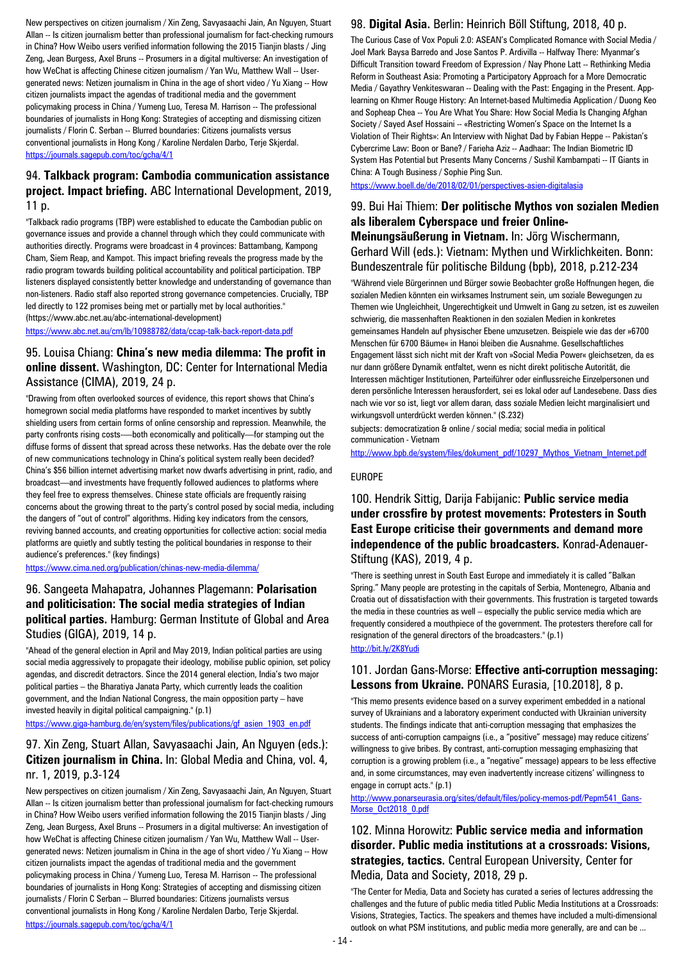New perspectives on citizen journalism / Xin Zeng, Savyasaachi Jain, An Nguyen, Stuart Allan -- Is citizen journalism better than professional journalism for fact-checking rumours in China? How Weibo users verified information following the 2015 Tianjin blasts / Jing Zeng, Jean Burgess, Axel Bruns -- Prosumers in a digital multiverse: An investigation of how WeChat is affecting Chinese citizen journalism / Yan Wu, Matthew Wall -- Usergenerated news: Netizen journalism in China in the age of short video / Yu Xiang -- How citizen journalists impact the agendas of traditional media and the government policymaking process in China / Yumeng Luo, Teresa M. Harrison -- The professional boundaries of journalists in Hong Kong: Strategies of accepting and dismissing citizen journalists / Florin C. Serban -- Blurred boundaries: Citizens journalists versus conventional journalists in Hong Kong / Karoline Nerdalen Darbo, Terje Skjerdal. <https://journals.sagepub.com/toc/gcha/4/1>

### 94. **Talkback program: Cambodia communication assistance project. Impact briefing.** ABC International Development, 2019, 11 p.

"Talkback radio programs (TBP) were established to educate the Cambodian public on governance issues and provide a channel through which they could communicate with authorities directly. Programs were broadcast in 4 provinces: Battambang, Kampong Cham, Siem Reap, and Kampot. This impact briefing reveals the progress made by the radio program towards building political accountability and political participation. TBP listeners displayed consistently better knowledge and understanding of governance than non-listeners. Radio staff also reported strong governance competencies. Crucially, TBP led directly to 122 promises being met or partially met by local authorities." (https://www.abc.net.au/abc-international-development)

<https://www.abc.net.au/cm/lb/10988782/data/ccap-talk-back-report-data.pdf>

## 95. Louisa Chiang: **China's new media dilemma: The profit in online dissent.** Washington, DC: Center for International Media Assistance (CIMA), 2019, 24 p.

"Drawing from often overlooked sources of evidence, this report shows that China's homegrown social media platforms have responded to market incentives by subtly shielding users from certain forms of online censorship and repression. Meanwhile, the party confronts rising costs-—both economically and politically—for stamping out the diffuse forms of dissent that spread across these networks. Has the debate over the role of new communications technology in China's political system really been decided? China's \$56 billion internet advertising market now dwarfs advertising in print, radio, and broadcast—and investments have frequently followed audiences to platforms where they feel free to express themselves. Chinese state officials are frequently raising concerns about the growing threat to the party's control posed by social media, including the dangers of "out of control" algorithms. Hiding key indicators from the censors, reviving banned accounts, and creating opportunities for collective action: social media platforms are quietly and subtly testing the political boundaries in response to their audience's preferences." (key findings)

<https://www.cima.ned.org/publication/chinas-new-media-dilemma/>

## 96. Sangeeta Mahapatra, Johannes Plagemann: **Polarisation and politicisation: The social media strategies of Indian political parties.** Hamburg: German Institute of Global and Area Studies (GIGA), 2019, 14 p.

"Ahead of the general election in April and May 2019, Indian political parties are using social media aggressively to propagate their ideology, mobilise public opinion, set policy agendas, and discredit detractors. Since the 2014 general election, India's two major political parties – the Bharatiya Janata Party, which currently leads the coalition government, and the Indian National Congress, the main opposition party – have invested heavily in digital political campaigning." (p.1)

[https://www.giga-hamburg.de/en/system/files/publications/gf\\_asien\\_1903\\_en.pdf](https://www.giga-hamburg.de/en/system/files/publications/gf_asien_1903_en.pdf)

## 97. Xin Zeng, Stuart Allan, Savyasaachi Jain, An Nguyen (eds.): **Citizen journalism in China.** In: Global Media and China, vol. 4, nr. 1, 2019, p.3-124

New perspectives on citizen journalism / Xin Zeng, Savyasaachi Jain, An Nguyen, Stuart Allan -- Is citizen journalism better than professional journalism for fact-checking rumours in China? How Weibo users verified information following the 2015 Tianjin blasts / Jing Zeng, Jean Burgess, Axel Bruns -- Prosumers in a digital multiverse: An investigation of how WeChat is affecting Chinese citizen journalism / Yan Wu, Matthew Wall -- Usergenerated news: Netizen journalism in China in the age of short video / Yu Xiang -- How citizen journalists impact the agendas of traditional media and the government policymaking process in China / Yumeng Luo, Teresa M. Harrison -- The professional boundaries of journalists in Hong Kong: Strategies of accepting and dismissing citizen journalists / Florin C Serban -- Blurred boundaries: Citizens journalists versus conventional journalists in Hong Kong / Karoline Nerdalen Darbo, Terje Skjerdal. <https://journals.sagepub.com/toc/gcha/4/1>

## 98. **Digital Asia.** Berlin: Heinrich Böll Stiftung, 2018, 40 p.

The Curious Case of Vox Populi 2.0: ASEAN's Complicated Romance with Social Media / Joel Mark Baysa Barredo and Jose Santos P. Ardivilla -- Halfway There: Myanmar's Difficult Transition toward Freedom of Expression / Nay Phone Latt -- Rethinking Media Reform in Southeast Asia: Promoting a Participatory Approach for a More Democratic Media / Gayathry Venkiteswaran -- Dealing with the Past: Engaging in the Present. Applearning on Khmer Rouge History: An Internet-based Multimedia Application / Duong Keo and Sopheap Chea -- You Are What You Share: How Social Media Is Changing Afghan Society / Sayed Asef Hossaini -- «Restricting Women's Space on the Internet Is a Violation of Their Rights»: An Interview with Nighat Dad by Fabian Heppe -- Pakistan's Cybercrime Law: Boon or Bane? / Farieha Aziz -- Aadhaar: The Indian Biometric ID System Has Potential but Presents Many Concerns / Sushil Kambampati -- IT Giants in China: A Tough Business / Sophie Ping Sun.

<https://www.boell.de/de/2018/02/01/perspectives-asien-digitalasia>

## 99. Bui Hai Thiem: **Der politische Mythos von sozialen Medien als liberalem Cyberspace und freier Online-**

**Meinungsäußerung in Vietnam.** In: Jörg Wischermann, Gerhard Will (eds.): Vietnam: Mythen und Wirklichkeiten. Bonn: Bundeszentrale für politische Bildung (bpb), 2018, p.212-234

"Während viele Bürgerinnen und Bürger sowie Beobachter große Hoffnungen hegen, die sozialen Medien könnten ein wirksames Instrument sein, um soziale Bewegungen zu Themen wie Ungleichheit, Ungerechtigkeit und Umwelt in Gang zu setzen, ist es zuweilen schwierig, die massenhaften Reaktionen in den sozialen Medien in konkretes gemeinsames Handeln auf physischer Ebene umzusetzen. Beispiele wie das der »6700 Menschen für 6700 Bäume« in Hanoi bleiben die Ausnahme. Gesellschaftliches Engagement lässt sich nicht mit der Kraft von »Social Media Power« gleichsetzen, da es nur dann größere Dynamik entfaltet, wenn es nicht direkt politische Autorität, die Interessen mächtiger Institutionen, Parteiführer oder einflussreiche Einzelpersonen und deren persönliche Interessen herausfordert, sei es lokal oder auf Landesebene. Dass dies nach wie vor so ist, liegt vor allem daran, dass soziale Medien leicht marginalisiert und wirkungsvoll unterdrückt werden können." (S.232)

subjects: democratization & online / social media; social media in political communication - Vietnam

[http://www.bpb.de/system/files/dokument\\_pdf/10297\\_Mythos\\_Vietnam\\_Internet.pdf](http://www.bpb.de/system/files/dokument_pdf/10297_Mythos_Vietnam_Internet.pdf)

#### EUROPE

#### 100. Hendrik Sittig, Darija Fabijanic: **Public service media under crossfire by protest movements: Protesters in South East Europe criticise their governments and demand more independence of the public broadcasters.** Konrad-Adenauer-Stiftung (KAS), 2019, 4 p.

"There is seething unrest in South East Europe and immediately it is called "Balkan Spring." Many people are protesting in the capitals of Serbia, Montenegro, Albania and Croatia out of dissatisfaction with their governments. This frustration is targeted towards the media in these countries as well – especially the public service media which are frequently considered a mouthpiece of the government. The protesters therefore call for resignation of the general directors of the broadcasters." (p.1) <http://bit.ly/2K8Yudi>

#### 101. Jordan Gans-Morse: **Effective anti-corruption messaging: Lessons from Ukraine.** PONARS Eurasia, [10.2018], 8 p.

"This memo presents evidence based on a survey experiment embedded in a national survey of Ukrainians and a laboratory experiment conducted with Ukrainian university students. The findings indicate that anti-corruption messaging that emphasizes the success of anti-corruption campaigns (i.e., a "positive" message) may reduce citizens' willingness to give bribes. By contrast, anti-corruption messaging emphasizing that corruption is a growing problem (i.e., a "negative" message) appears to be less effective and, in some circumstances, may even inadvertently increase citizens' willingness to engage in corrupt acts." (p.1)

[http://www.ponarseurasia.org/sites/default/files/policy-memos-pdf/Pepm541\\_Gans-](http://www.ponarseurasia.org/sites/default/files/policy-memos-pdf/Pepm541_Gans-Morse_Oct2018_0.pdf)[Morse\\_Oct2018\\_0.pdf](http://www.ponarseurasia.org/sites/default/files/policy-memos-pdf/Pepm541_Gans-Morse_Oct2018_0.pdf)

#### 102. Minna Horowitz: **Public service media and information disorder. Public media institutions at a crossroads: Visions, strategies, tactics.** Central European University, Center for Media, Data and Society, 2018, 29 p.

"The Center for Media, Data and Society has curated a series of lectures addressing the challenges and the future of public media titled Public Media Institutions at a Crossroads: Visions, Strategies, Tactics. The speakers and themes have included a multi-dimensional outlook on what PSM institutions, and public media more generally, are and can be ...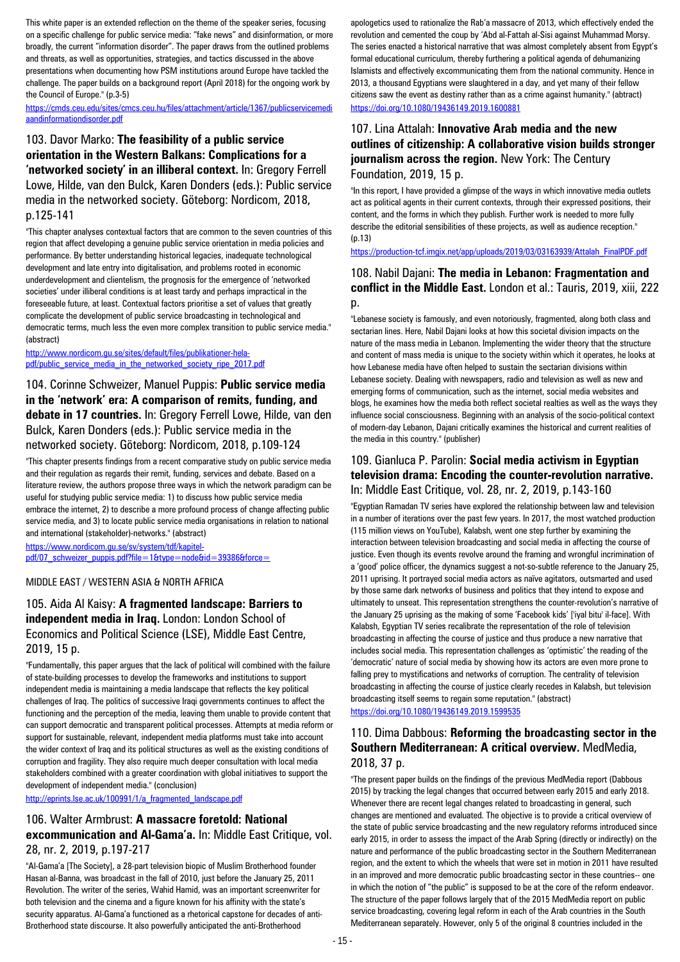This white paper is an extended reflection on the theme of the speaker series, focusing on a specific challenge for public service media: "fake news" and disinformation, or more broadly, the current "information disorder". The paper draws from the outlined problems and threats, as well as opportunities, strategies, and tactics discussed in the above presentations when documenting how PSM institutions around Europe have tackled the challenge. The paper builds on a background report (April 2018) for the ongoing work by the Council of Europe." (p.3-5)

[https://cmds.ceu.edu/sites/cmcs.ceu.hu/files/attachment/article/1367/publicservicemedi](https://cmds.ceu.edu/sites/cmcs.ceu.hu/files/attachment/article/1367/publicservicemediaandinformationdisorder.pdf) [aandinformationdisorder.pdf](https://cmds.ceu.edu/sites/cmcs.ceu.hu/files/attachment/article/1367/publicservicemediaandinformationdisorder.pdf)

## 103. Davor Marko: **The feasibility of a public service orientation in the Western Balkans: Complications for a 'networked society' in an illiberal context.** In: Gregory Ferrell Lowe, Hilde, van den Bulck, Karen Donders (eds.): Public service media in the networked society. Göteborg: Nordicom, 2018, p.125-141

"This chapter analyses contextual factors that are common to the seven countries of this region that affect developing a genuine public service orientation in media policies and performance. By better understanding historical legacies, inadequate technological development and late entry into digitalisation, and problems rooted in economic underdevelopment and clientelism, the prognosis for the emergence of 'networked societies' under illiberal conditions is at least tardy and perhaps impractical in the foreseeable future, at least. Contextual factors prioritise a set of values that greatly complicate the development of public service broadcasting in technological and democratic terms, much less the even more complex transition to public service media." (abstract)

[http://www.nordicom.gu.se/sites/default/files/publikationer-hela](http://www.nordicom.gu.se/sites/default/files/publikationer-hela-pdf/public_service_media_in_the_networked_society_ripe_2017.pdf)[pdf/public\\_service\\_media\\_in\\_the\\_networked\\_society\\_ripe\\_2017.pdf](http://www.nordicom.gu.se/sites/default/files/publikationer-hela-pdf/public_service_media_in_the_networked_society_ripe_2017.pdf)

## 104. Corinne Schweizer, Manuel Puppis: **Public service media in the 'network' era: A comparison of remits, funding, and debate in 17 countries.** In: Gregory Ferrell Lowe, Hilde, van den Bulck, Karen Donders (eds.): Public service media in the networked society. Göteborg: Nordicom, 2018, p.109-124

"This chapter presents findings from a recent comparative study on public service media and their regulation as regards their remit, funding, services and debate. Based on a literature review, the authors propose three ways in which the network paradigm can be useful for studying public service media: 1) to discuss how public service media embrace the internet, 2) to describe a more profound process of change affecting public service media, and 3) to locate public service media organisations in relation to national and international (stakeholder)-networks." (abstract)

[https://www.nordicom.gu.se/sv/system/tdf/kapitel](https://www.nordicom.gu.se/sv/system/tdf/kapitel-pdf/07_schweizer_puppis.pdf?file=1&type=node&id=39386&force=)[pdf/07\\_schweizer\\_puppis.pdf?file=1&type=node&id=39386&force=](https://www.nordicom.gu.se/sv/system/tdf/kapitel-pdf/07_schweizer_puppis.pdf?file=1&type=node&id=39386&force=)

#### MIDDLE EAST / WESTERN ASIA & NORTH AFRICA

## 105. Aida Al Kaisy: **A fragmented landscape: Barriers to independent media in Iraq.** London: London School of Economics and Political Science (LSE), Middle East Centre, 2019, 15 p.

"Fundamentally, this paper argues that the lack of political will combined with the failure of state-building processes to develop the frameworks and institutions to support independent media is maintaining a media landscape that reflects the key political challenges of Iraq. The politics of successive Iraqi governments continues to affect the functioning and the perception of the media, leaving them unable to provide content that can support democratic and transparent political processes. Attempts at media reform or support for sustainable, relevant, independent media platforms must take into account the wider context of Iraq and its political structures as well as the existing conditions of corruption and fragility. They also require much deeper consultation with local media stakeholders combined with a greater coordination with global initiatives to support the development of independent media." (conclusion)

[http://eprints.lse.ac.uk/100991/1/a\\_fragmented\\_landscape.pdf](http://eprints.lse.ac.uk/100991/1/a_fragmented_landscape.pdf)

## 106. Walter Armbrust: **A massacre foretold: National excommunication and Al-Gama'a.** In: Middle East Critique, vol. 28, nr. 2, 2019, p.197-217

"Al-Gama'a [The Society], a 28-part television biopic of Muslim Brotherhood founder Hasan al-Banna, was broadcast in the fall of 2010, just before the January 25, 2011 Revolution. The writer of the series, Wahid Hamid, was an important screenwriter for both television and the cinema and a figure known for his affinity with the state's security apparatus. Al-Gama'a functioned as a rhetorical capstone for decades of anti-Brotherhood state discourse. It also powerfully anticipated the anti-Brotherhood

apologetics used to rationalize the Rab'a massacre of 2013, which effectively ended the revolution and cemented the coup by 'Abd al-Fattah al-Sisi against Muhammad Morsy. The series enacted a historical narrative that was almost completely absent from Egypt's formal educational curriculum, thereby furthering a political agenda of dehumanizing Islamists and effectively excommunicating them from the national community. Hence in 2013, a thousand Egyptians were slaughtered in a day, and yet many of their fellow citizens saw the event as destiny rather than as a crime against humanity." (abtract) <https://doi.org/10.1080/19436149.2019.1600881>

#### 107. Lina Attalah: **Innovative Arab media and the new outlines of citizenship: A collaborative vision builds stronger journalism across the region.** New York: The Century Foundation, 2019, 15 p.

"In this report, I have provided a glimpse of the ways in which innovative media outlets act as political agents in their current contexts, through their expressed positions, their content, and the forms in which they publish. Further work is needed to more fully describe the editorial sensibilities of these projects, as well as audience reception." (p.13)

[https://production-tcf.imgix.net/app/uploads/2019/03/03163939/Attalah\\_FinalPDF.pdf](https://production-tcf.imgix.net/app/uploads/2019/03/03163939/Attalah_FinalPDF.pdf)

## 108. Nabil Dajani: **The media in Lebanon: Fragmentation and conflict in the Middle East.** London et al.: Tauris, 2019, xiii, 222  $p_{\cdot}$

"Lebanese society is famously, and even notoriously, fragmented, along both class and sectarian lines. Here, Nabil Dajani looks at how this societal division impacts on the nature of the mass media in Lebanon. Implementing the wider theory that the structure and content of mass media is unique to the society within which it operates, he looks at how Lebanese media have often helped to sustain the sectarian divisions within Lebanese society. Dealing with newspapers, radio and television as well as new and emerging forms of communication, such as the internet, social media websites and blogs, he examines how the media both reflect societal realties as well as the ways they influence social consciousness. Beginning with an analysis of the socio-political context of modern-day Lebanon, Dajani critically examines the historical and current realities of the media in this country." (publisher)

#### 109. Gianluca P. Parolin: **Social media activism in Egyptian television drama: Encoding the counter-revolution narrative.**  In: Middle East Critique, vol. 28, nr. 2, 2019, p.143-160

"Egyptian Ramadan TV series have explored the relationship between law and television in a number of iterations over the past few years. In 2017, the most watched production (115 million views on YouTube), Kalabsh, went one step further by examining the interaction between television broadcasting and social media in affecting the course of justice. Even though its events revolve around the framing and wrongful incrimination of a 'good' police officer, the dynamics suggest a not-so-subtle reference to the January 25, 2011 uprising. It portrayed social media actors as naïve agitators, outsmarted and used by those same dark networks of business and politics that they intend to expose and ultimately to unseat. This representation strengthens the counter-revolution's narrative of the January 25 uprising as the making of some 'Facebook kids' ['iyal bitu' il-face]. With Kalabsh, Egyptian TV series recalibrate the representation of the role of television broadcasting in affecting the course of justice and thus produce a new narrative that includes social media. This representation challenges as 'optimistic' the reading of the 'democratic' nature of social media by showing how its actors are even more prone to falling prey to mystifications and networks of corruption. The centrality of television broadcasting in affecting the course of justice clearly recedes in Kalabsh, but television broadcasting itself seems to regain some reputation." (abstract) <https://doi.org/10.1080/19436149.2019.1599535>

## 110. Dima Dabbous: **Reforming the broadcasting sector in the Southern Mediterranean: A critical overview.** MedMedia, 2018, 37 p.

"The present paper builds on the findings of the previous MedMedia report (Dabbous 2015) by tracking the legal changes that occurred between early 2015 and early 2018. Whenever there are recent legal changes related to broadcasting in general, such changes are mentioned and evaluated. The objective is to provide a critical overview of the state of public service broadcasting and the new regulatory reforms introduced since early 2015, in order to assess the impact of the Arab Spring (directly or indirectly) on the nature and performance of the public broadcasting sector in the Southern Mediterranean region, and the extent to which the wheels that were set in motion in 2011 have resulted in an improved and more democratic public broadcasting sector in these countries-- one in which the notion of "the public" is supposed to be at the core of the reform endeavor. The structure of the paper follows largely that of the 2015 MedMedia report on public service broadcasting, covering legal reform in each of the Arab countries in the South Mediterranean separately. However, only 5 of the original 8 countries included in the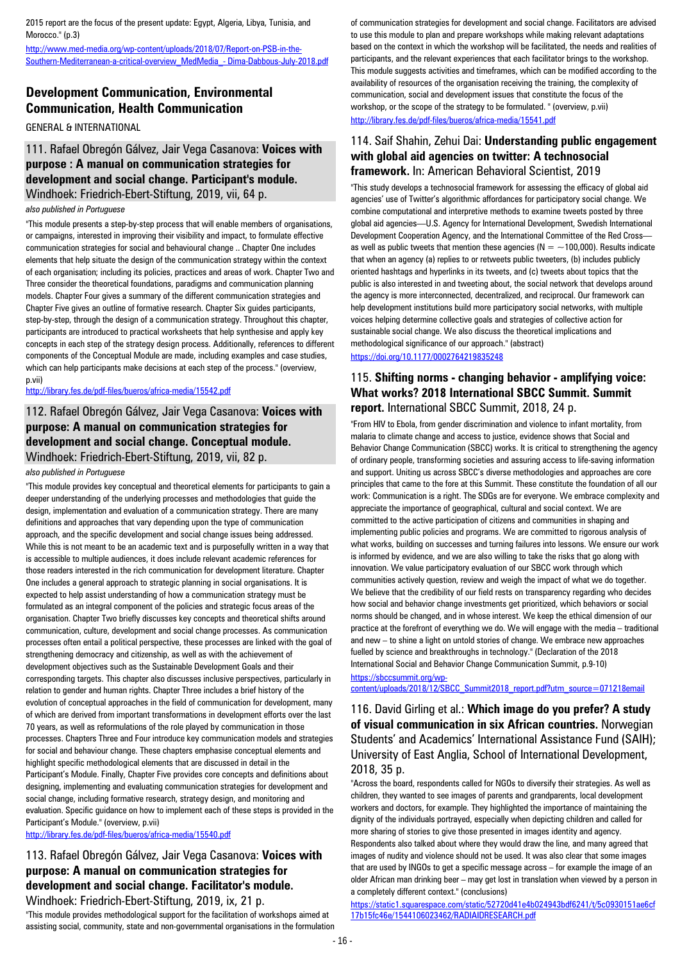2015 report are the focus of the present update: Egypt, Algeria, Libya, Tunisia, and Morocco." (p.3)

[http://www.med-media.org/wp-content/uploads/2018/07/Report-on-PSB-in-the-](http://www.med-media.org/wp-content/uploads/2018/07/Report-on-PSB-in-the-Southern-Mediterranean-a-critical-overview_MedMedia_-%20Dima-Dabbous-July-2018.pdf)[Southern-Mediterranean-a-critical-overview\\_MedMedia\\_-](http://www.med-media.org/wp-content/uploads/2018/07/Report-on-PSB-in-the-Southern-Mediterranean-a-critical-overview_MedMedia_-%20Dima-Dabbous-July-2018.pdf) Dima-Dabbous-July-2018.pdf

## **Development Communication, Environmental Communication, Health Communication**

GENERAL & INTERNATIONAL

111. Rafael Obregón Gálvez, Jair Vega Casanova: **Voices with purpose : A manual on communication strategies for development and social change. Participant's module.**  Windhoek: Friedrich-Ebert-Stiftung, 2019, vii, 64 p.

#### *also published in Portuguese*

"This module presents a step-by-step process that will enable members of organisations, or campaigns, interested in improving their visibility and impact, to formulate effective communication strategies for social and behavioural change .. Chapter One includes elements that help situate the design of the communication strategy within the context of each organisation; including its policies, practices and areas of work. Chapter Two and Three consider the theoretical foundations, paradigms and communication planning models. Chapter Four gives a summary of the different communication strategies and Chapter Five gives an outline of formative research. Chapter Six guides participants, step-by-step, through the design of a communication strategy. Throughout this chapter, participants are introduced to practical worksheets that help synthesise and apply key concepts in each step of the strategy design process. Additionally, references to different components of the Conceptual Module are made, including examples and case studies, which can help participants make decisions at each step of the process." (overview, p.vii)

<http://library.fes.de/pdf-files/bueros/africa-media/15542.pdf>

## 112. Rafael Obregón Gálvez, Jair Vega Casanova: **Voices with purpose: A manual on communication strategies for development and social change. Conceptual module.**  Windhoek: Friedrich-Ebert-Stiftung, 2019, vii, 82 p.

#### *also published in Portuguese*

"This module provides key conceptual and theoretical elements for participants to gain a deeper understanding of the underlying processes and methodologies that guide the design, implementation and evaluation of a communication strategy. There are many definitions and approaches that vary depending upon the type of communication approach, and the specific development and social change issues being addressed. While this is not meant to be an academic text and is purposefully written in a way that is accessible to multiple audiences, it does include relevant academic references for those readers interested in the rich communication for development literature. Chapter One includes a general approach to strategic planning in social organisations. It is expected to help assist understanding of how a communication strategy must be formulated as an integral component of the policies and strategic focus areas of the organisation. Chapter Two briefly discusses key concepts and theoretical shifts around communication, culture, development and social change processes. As communication processes often entail a political perspective, these processes are linked with the goal of strengthening democracy and citizenship, as well as with the achievement of development objectives such as the Sustainable Development Goals and their corresponding targets. This chapter also discusses inclusive perspectives, particularly in relation to gender and human rights. Chapter Three includes a brief history of the evolution of conceptual approaches in the field of communication for development, many of which are derived from important transformations in development efforts over the last 70 years, as well as reformulations of the role played by communication in those processes. Chapters Three and Four introduce key communication models and strategies for social and behaviour change. These chapters emphasise conceptual elements and highlight specific methodological elements that are discussed in detail in the Participant's Module. Finally, Chapter Five provides core concepts and definitions about designing, implementing and evaluating communication strategies for development and social change, including formative research, strategy design, and monitoring and evaluation. Specific guidance on how to implement each of these steps is provided in the Participant's Module." (overview, p.vii)

#### <http://library.fes.de/pdf-files/bueros/africa-media/15540.pdf>

## 113. Rafael Obregón Gálvez, Jair Vega Casanova: **Voices with purpose: A manual on communication strategies for development and social change. Facilitator's module.**

Windhoek: Friedrich-Ebert-Stiftung, 2019, ix, 21 p.

"This module provides methodological support for the facilitation of workshops aimed at assisting social, community, state and non-governmental organisations in the formulation

of communication strategies for development and social change. Facilitators are advised to use this module to plan and prepare workshops while making relevant adaptations based on the context in which the workshop will be facilitated, the needs and realities of participants, and the relevant experiences that each facilitator brings to the workshop. This module suggests activities and timeframes, which can be modified according to the availability of resources of the organisation receiving the training, the complexity of communication, social and development issues that constitute the focus of the workshop, or the scope of the strategy to be formulated. " (overview, p.vii) <http://library.fes.de/pdf-files/bueros/africa-media/15541.pdf>

#### 114. Saif Shahin, Zehui Dai: **Understanding public engagement with global aid agencies on twitter: A technosocial framework.** In: American Behavioral Scientist, 2019

"This study develops a technosocial framework for assessing the efficacy of global aid agencies' use of Twitter's algorithmic affordances for participatory social change. We combine computational and interpretive methods to examine tweets posted by three global aid agencies—U.S. Agency for International Development, Swedish International Development Cooperation Agency, and the International Committee of the Red Cross as well as public tweets that mention these agencies ( $N = \sim 100,000$ ). Results indicate that when an agency (a) replies to or retweets public tweeters, (b) includes publicly oriented hashtags and hyperlinks in its tweets, and (c) tweets about topics that the public is also interested in and tweeting about, the social network that develops around the agency is more interconnected, decentralized, and reciprocal. Our framework can help development institutions build more participatory social networks, with multiple voices helping determine collective goals and strategies of collective action for sustainable social change. We also discuss the theoretical implications and methodological significance of our approach." (abstract) <https://doi.org/10.1177/0002764219835248>

#### 115. **Shifting norms - changing behavior - amplifying voice: What works? 2018 International SBCC Summit. Summit report.** International SBCC Summit, 2018, 24 p.

"From HIV to Ebola, from gender discrimination and violence to infant mortality, from malaria to climate change and access to justice, evidence shows that Social and Behavior Change Communication (SBCC) works. It is critical to strengthening the agency of ordinary people, transforming societies and assuring access to life-saving information and support. Uniting us across SBCC's diverse methodologies and approaches are core principles that came to the fore at this Summit. These constitute the foundation of all our work: Communication is a right. The SDGs are for everyone. We embrace complexity and appreciate the importance of geographical, cultural and social context. We are committed to the active participation of citizens and communities in shaping and implementing public policies and programs. We are committed to rigorous analysis of what works, building on successes and turning failures into lessons. We ensure our work is informed by evidence, and we are also willing to take the risks that go along with innovation. We value participatory evaluation of our SBCC work through which communities actively question, review and weigh the impact of what we do together. We believe that the credibility of our field rests on transparency regarding who decides how social and behavior change investments get prioritized, which behaviors or social norms should be changed, and in whose interest. We keep the ethical dimension of our practice at the forefront of everything we do. We will engage with the media – traditional and new – to shine a light on untold stories of change. We embrace new approaches fuelled by science and breakthroughs in technology." (Declaration of the 2018 International Social and Behavior Change Communication Summit, p.9-10) [https://sbccsummit.org/wp-](https://sbccsummit.org/wp-content/uploads/2018/12/SBCC_Summit2018_report.pdf?utm_source=071218email)

[content/uploads/2018/12/SBCC\\_Summit2018\\_report.pdf?utm\\_source=071218email](https://sbccsummit.org/wp-content/uploads/2018/12/SBCC_Summit2018_report.pdf?utm_source=071218email)

## 116. David Girling et al.: **Which image do you prefer? A study of visual communication in six African countries.** Norwegian Students' and Academics' International Assistance Fund (SAIH); University of East Anglia, School of International Development, 2018, 35 p.

"Across the board, respondents called for NGOs to diversify their strategies. As well as children, they wanted to see images of parents and grandparents, local development workers and doctors, for example. They highlighted the importance of maintaining the dignity of the individuals portrayed, especially when depicting children and called for more sharing of stories to give those presented in images identity and agency. Respondents also talked about where they would draw the line, and many agreed that images of nudity and violence should not be used. It was also clear that some images that are used by INGOs to get a specific message across – for example the image of an older African man drinking beer – may get lost in translation when viewed by a person in a completely different context." (conclusions)

[https://static1.squarespace.com/static/52720d41e4b024943bdf6241/t/5c0930151ae6cf](https://static1.squarespace.com/static/52720d41e4b024943bdf6241/t/5c0930151ae6cf17b15fc46e/1544106023462/RADIAIDRESEARCH.pdf) [17b15fc46e/1544106023462/RADIAIDRESEARCH.pdf](https://static1.squarespace.com/static/52720d41e4b024943bdf6241/t/5c0930151ae6cf17b15fc46e/1544106023462/RADIAIDRESEARCH.pdf)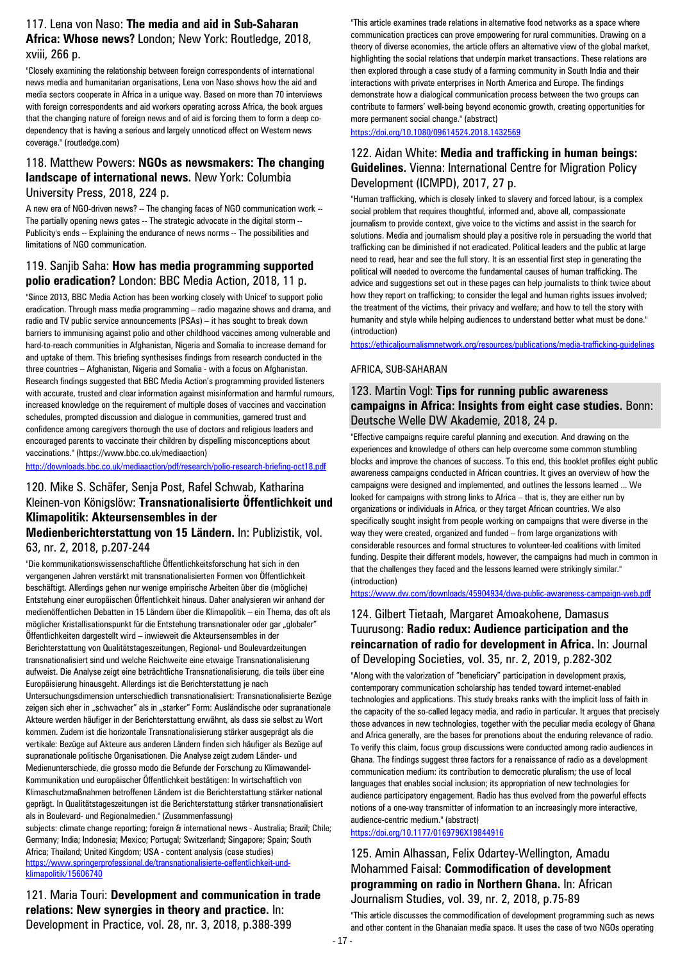#### 117. Lena von Naso: **The media and aid in Sub-Saharan Africa: Whose news?** London; New York: Routledge, 2018, xviii, 266 p.

"Closely examining the relationship between foreign correspondents of international news media and humanitarian organisations, Lena von Naso shows how the aid and media sectors cooperate in Africa in a unique way. Based on more than 70 interviews with foreign correspondents and aid workers operating across Africa, the book argues that the changing nature of foreign news and of aid is forcing them to form a deep codependency that is having a serious and largely unnoticed effect on Western news coverage." (routledge.com)

#### 118. Matthew Powers: **NGOs as newsmakers: The changing landscape of international news.** New York: Columbia University Press, 2018, 224 p.

A new era of NGO-driven news? -- The changing faces of NGO communication work -- The partially opening news gates -- The strategic advocate in the digital storm -- Publicity's ends -- Explaining the endurance of news norms -- The possibilities and limitations of NGO communication.

## 119. Sanjib Saha: **How has media programming supported polio eradication?** London: BBC Media Action, 2018, 11 p.

"Since 2013, BBC Media Action has been working closely with Unicef to support polio eradication. Through mass media programming – radio magazine shows and drama, and radio and TV public service announcements (PSAs) – it has sought to break down barriers to immunising against polio and other childhood vaccines among vulnerable and hard-to-reach communities in Afghanistan, Nigeria and Somalia to increase demand for and uptake of them. This briefing synthesises findings from research conducted in the three countries – Afghanistan, Nigeria and Somalia - with a focus on Afghanistan. Research findings suggested that BBC Media Action's programming provided listeners with accurate, trusted and clear information against misinformation and harmful rumours, increased knowledge on the requirement of multiple doses of vaccines and vaccination schedules, prompted discussion and dialogue in communities, garnered trust and confidence among caregivers thorough the use of doctors and religious leaders and encouraged parents to vaccinate their children by dispelling misconceptions about vaccinations." (https://www.bbc.co.uk/mediaaction)

<http://downloads.bbc.co.uk/mediaaction/pdf/research/polio-research-briefing-oct18.pdf>

## 120. Mike S. Schäfer, Senja Post, Rafel Schwab, Katharina Kleinen-von Königslöw: **Transnationalisierte Öffentlichkeit und Klimapolitik: Akteursensembles in der**

**Medienberichterstattung von 15 Ländern.** In: Publizistik, vol. 63, nr. 2, 2018, p.207-244

"Die kommunikationswissenschaftliche Öffentlichkeitsforschung hat sich in den vergangenen Jahren verstärkt mit transnationalisierten Formen von Öffentlichkeit beschäftigt. Allerdings gehen nur wenige empirische Arbeiten über die (mögliche) Entstehung einer europäischen Öffentlichkeit hinaus. Daher analysieren wir anhand der medienöffentlichen Debatten in 15 Ländern über die Klimapolitik – ein Thema, das oft als möglicher Kristallisationspunkt für die Entstehung transnationaler oder gar "globaler" Öffentlichkeiten dargestellt wird – inwieweit die Akteursensembles in der Berichterstattung von Qualitätstageszeitungen, Regional- und Boulevardzeitungen transnationalisiert sind und welche Reichweite eine etwaige Transnationalisierung aufweist. Die Analyse zeigt eine beträchtliche Transnationalisierung, die teils über eine Europäisierung hinausgeht. Allerdings ist die Berichterstattung je nach Untersuchungsdimension unterschiedlich transnationalisiert: Transnationalisierte Bezüge zeigen sich eher in "schwacher" als in "starker" Form: Ausländische oder supranationale Akteure werden häufiger in der Berichterstattung erwähnt, als dass sie selbst zu Wort kommen. Zudem ist die horizontale Transnationalisierung stärker ausgeprägt als die vertikale: Bezüge auf Akteure aus anderen Ländern finden sich häufiger als Bezüge auf supranationale politische Organisationen. Die Analyse zeigt zudem Länder- und Medienunterschiede, die grosso modo die Befunde der Forschung zu Klimawandel-Kommunikation und europäischer Öffentlichkeit bestätigen: In wirtschaftlich von Klimaschutzmaßnahmen betroffenen Ländern ist die Berichterstattung stärker national geprägt. In Qualitätstageszeitungen ist die Berichterstattung stärker transnationalisiert als in Boulevard- und Regionalmedien." (Zusammenfassung)

subjects: climate change reporting: foreign & international news - Australia: Brazil: Chile: Germany; India; Indonesia; Mexico; Portugal; Switzerland; Singapore; Spain; South Africa; Thailand; United Kingdom; USA - content analysis (case studies) [https://www.springerprofessional.de/transnationalisierte-oeffentlichkeit-und](https://www.springerprofessional.de/transnationalisierte-oeffentlichkeit-und-klimapolitik/15606740)[klimapolitik/15606740](https://www.springerprofessional.de/transnationalisierte-oeffentlichkeit-und-klimapolitik/15606740)

121. Maria Touri: **Development and communication in trade relations: New synergies in theory and practice.** In: Development in Practice, vol. 28, nr. 3, 2018, p.388-399

"This article examines trade relations in alternative food networks as a space where communication practices can prove empowering for rural communities. Drawing on a theory of diverse economies, the article offers an alternative view of the global market, highlighting the social relations that underpin market transactions. These relations are then explored through a case study of a farming community in South India and their interactions with private enterprises in North America and Europe. The findings demonstrate how a dialogical communication process between the two groups can contribute to farmers' well-being beyond economic growth, creating opportunities for more permanent social change." (abstract)

<https://doi.org/10.1080/09614524.2018.1432569>

## 122. Aidan White: **Media and trafficking in human beings: Guidelines.** Vienna: International Centre for Migration Policy Development (ICMPD), 2017, 27 p.

"Human trafficking, which is closely linked to slavery and forced labour, is a complex social problem that requires thoughtful, informed and, above all, compassionate journalism to provide context, give voice to the victims and assist in the search for solutions. Media and journalism should play a positive role in persuading the world that trafficking can be diminished if not eradicated. Political leaders and the public at large need to read, hear and see the full story. It is an essential first step in generating the political will needed to overcome the fundamental causes of human trafficking. The advice and suggestions set out in these pages can help journalists to think twice about how they report on trafficking; to consider the legal and human rights issues involved; the treatment of the victims, their privacy and welfare; and how to tell the story with humanity and style while helping audiences to understand better what must be done." (introduction)

<https://ethicaljournalismnetwork.org/resources/publications/media-trafficking-guidelines>

#### AFRICA, SUB-SAHARAN

## 123. Martin Vogl: **Tips for running public awareness campaigns in Africa: Insights from eight case studies.** Bonn: Deutsche Welle DW Akademie, 2018, 24 p.

"Effective campaigns require careful planning and execution. And drawing on the experiences and knowledge of others can help overcome some common stumbling blocks and improve the chances of success. To this end, this booklet profiles eight public awareness campaigns conducted in African countries. It gives an overview of how the campaigns were designed and implemented, and outlines the lessons learned ... We looked for campaigns with strong links to Africa – that is, they are either run by organizations or individuals in Africa, or they target African countries. We also specifically sought insight from people working on campaigns that were diverse in the way they were created, organized and funded – from large organizations with considerable resources and formal structures to volunteer-led coalitions with limited funding. Despite their different models, however, the campaigns had much in common in that the challenges they faced and the lessons learned were strikingly similar." (introduction)

<https://www.dw.com/downloads/45904934/dwa-public-awareness-campaign-web.pdf>

## 124. Gilbert Tietaah, Margaret Amoakohene, Damasus Tuurusong: **Radio redux: Audience participation and the reincarnation of radio for development in Africa.** In: Journal of Developing Societies, vol. 35, nr. 2, 2019, p.282-302

"Along with the valorization of "beneficiary" participation in development praxis, contemporary communication scholarship has tended toward internet-enabled technologies and applications. This study breaks ranks with the implicit loss of faith in the capacity of the so-called legacy media, and radio in particular. It argues that precisely those advances in new technologies, together with the peculiar media ecology of Ghana and Africa generally, are the bases for prenotions about the enduring relevance of radio. To verify this claim, focus group discussions were conducted among radio audiences in Ghana. The findings suggest three factors for a renaissance of radio as a development communication medium: its contribution to democratic pluralism; the use of local languages that enables social inclusion; its appropriation of new technologies for audience participatory engagement. Radio has thus evolved from the powerful effects notions of a one-way transmitter of information to an increasingly more interactive, audience-centric medium." (abstract)

#### <https://doi.org/10.1177/0169796X19844916>

#### 125. Amin Alhassan, Felix Odartey-Wellington, Amadu Mohammed Faisal: **Commodification of development programming on radio in Northern Ghana.** In: African Journalism Studies, vol. 39, nr. 2, 2018, p.75-89

"This article discusses the commodification of development programming such as news and other content in the Ghanaian media space. It uses the case of two NGOs operating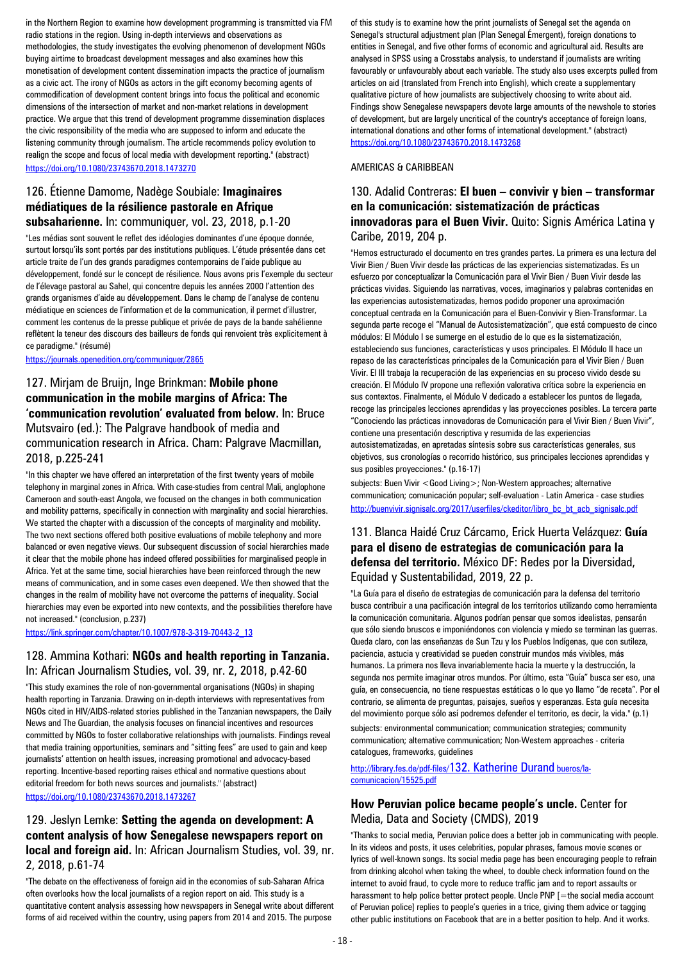in the Northern Region to examine how development programming is transmitted via FM radio stations in the region. Using in-depth interviews and observations as methodologies, the study investigates the evolving phenomenon of development NGOs buying airtime to broadcast development messages and also examines how this monetisation of development content dissemination impacts the practice of journalism as a civic act. The irony of NGOs as actors in the gift economy becoming agents of commodification of development content brings into focus the political and economic dimensions of the intersection of market and non-market relations in development practice. We argue that this trend of development programme dissemination displaces the civic responsibility of the media who are supposed to inform and educate the listening community through journalism. The article recommends policy evolution to realign the scope and focus of local media with development reporting." (abstract) <https://doi.org/10.1080/23743670.2018.1473270>

## 126. Étienne Damome, Nadège Soubiale: **Imaginaires médiatiques de la résilience pastorale en Afrique subsaharienne.** In: communiquer, vol. 23, 2018, p.1-20

"Les médias sont souvent le reflet des idéologies dominantes d'une époque donnée, surtout lorsqu'ils sont portés par des institutions publiques. L'étude présentée dans cet article traite de l'un des grands paradigmes contemporains de l'aide publique au développement, fondé sur le concept de résilience. Nous avons pris l'exemple du secteur de l'élevage pastoral au Sahel, qui concentre depuis les années 2000 l'attention des grands organismes d'aide au développement. Dans le champ de l'analyse de contenu médiatique en sciences de l'information et de la communication, il permet d'illustrer, comment les contenus de la presse publique et privée de pays de la bande sahélienne reflètent la teneur des discours des bailleurs de fonds qui renvoient très explicitement à ce paradigme." (résumé)

<https://journals.openedition.org/communiquer/2865>

## 127. Mirjam de Bruijn, Inge Brinkman: **Mobile phone communication in the mobile margins of Africa: The 'communication revolution' evaluated from below.** In: Bruce Mutsvairo (ed.): The Palgrave handbook of media and communication research in Africa. Cham: Palgrave Macmillan, 2018, p.225-241

"In this chapter we have offered an interpretation of the first twenty years of mobile telephony in marginal zones in Africa. With case-studies from central Mali, anglophone Cameroon and south-east Angola, we focused on the changes in both communication and mobility patterns, specifically in connection with marginality and social hierarchies. We started the chapter with a discussion of the concepts of marginality and mobility. The two next sections offered both positive evaluations of mobile telephony and more balanced or even negative views. Our subsequent discussion of social hierarchies made it clear that the mobile phone has indeed offered possibilities for marginalised people in Africa. Yet at the same time, social hierarchies have been reinforced through the new means of communication, and in some cases even deepened. We then showed that the changes in the realm of mobility have not overcome the patterns of inequality. Social hierarchies may even be exported into new contexts, and the possibilities therefore have not increased." (conclusion, p.237)

#### [https://link.springer.com/chapter/10.1007/978-3-319-70443-2\\_13](https://link.springer.com/chapter/10.1007/978-3-319-70443-2_13)

#### 128. Ammina Kothari: **NGOs and health reporting in Tanzania.**  In: African Journalism Studies, vol. 39, nr. 2, 2018, p.42-60

"This study examines the role of non-governmental organisations (NGOs) in shaping health reporting in Tanzania. Drawing on in-depth interviews with representatives from NGOs cited in HIV/AIDS-related stories published in the Tanzanian newspapers, the Daily News and The Guardian, the analysis focuses on financial incentives and resources committed by NGOs to foster collaborative relationships with journalists. Findings reveal that media training opportunities, seminars and "sitting fees" are used to gain and keep journalists' attention on health issues, increasing promotional and advocacy-based reporting. Incentive-based reporting raises ethical and normative questions about editorial freedom for both news sources and journalists." (abstract) <https://doi.org/10.1080/23743670.2018.1473267>

## 129. Jeslyn Lemke: **Setting the agenda on development: A content analysis of how Senegalese newspapers report on local and foreign aid.** In: African Journalism Studies, vol. 39, nr. 2, 2018, p.61-74

"The debate on the effectiveness of foreign aid in the economies of sub-Saharan Africa often overlooks how the local journalists of a region report on aid. This study is a quantitative content analysis assessing how newspapers in Senegal write about different forms of aid received within the country, using papers from 2014 and 2015. The purpose

of this study is to examine how the print journalists of Senegal set the agenda on Senegal's structural adjustment plan (Plan Senegal Émergent), foreign donations to entities in Senegal, and five other forms of economic and agricultural aid. Results are analysed in SPSS using a Crosstabs analysis, to understand if journalists are writing favourably or unfavourably about each variable. The study also uses excerpts pulled from articles on aid (translated from French into English), which create a supplementary qualitative picture of how journalists are subjectively choosing to write about aid. Findings show Senegalese newspapers devote large amounts of the newshole to stories of development, but are largely uncritical of the country's acceptance of foreign loans, international donations and other forms of international development." (abstract) <https://doi.org/10.1080/23743670.2018.1473268>

#### AMERICAS & CARIBBEAN

#### 130. Adalid Contreras: **El buen – convivir y bien – transformar en la comunicación: sistematización de prácticas innovadoras para el Buen Vivir.** Quito: Signis América Latina y Caribe, 2019, 204 p.

"Hemos estructurado el documento en tres grandes partes. La primera es una lectura del Vivir Bien / Buen Vivir desde las prácticas de las experiencias sistematizadas. Es un esfuerzo por conceptualizar la Comunicación para el Vivir Bien / Buen Vivir desde las prácticas vividas. Siguiendo las narrativas, voces, imaginarios y palabras contenidas en las experiencias autosistematizadas, hemos podido proponer una aproximación conceptual centrada en la Comunicación para el Buen-Convivir y Bien-Transformar. La segunda parte recoge el "Manual de Autosistematización", que está compuesto de cinco módulos: El Módulo I se sumerge en el estudio de lo que es la sistematización, estableciendo sus funciones, características y usos principales. El Módulo II hace un repaso de las características principales de la Comunicación para el Vivir Bien / Buen Vivir. El III trabaja la recuperación de las experiencias en su proceso vivido desde su creación. El Módulo IV propone una reflexión valorativa crítica sobre la experiencia en sus contextos. Finalmente, el Módulo V dedicado a establecer los puntos de llegada, recoge las principales lecciones aprendidas y las proyecciones posibles. La tercera parte "Conociendo las prácticas innovadoras de Comunicación para el Vivir Bien / Buen Vivir", contiene una presentación descriptiva y resumida de las experiencias autosistematizadas, en apretadas síntesis sobre sus características generales, sus objetivos, sus cronologías o recorrido histórico, sus principales lecciones aprendidas y sus posibles proyecciones." (p.16-17)

subjects: Buen Vivir <Good Living>; Non-Western approaches; alternative communication; comunicación popular; self-evaluation - Latin America - case studies [http://buenvivir.signisalc.org/2017/userfiles/ckeditor/libro\\_bc\\_bt\\_acb\\_signisalc.pdf](http://buenvivir.signisalc.org/2017/userfiles/ckeditor/libro_bc_bt_acb_signisalc.pdf)

#### 131. Blanca Haidé Cruz Cárcamo, Erick Huerta Velázquez: **Guía para el diseno de estrategias de comunicación para la defensa del territorio.** México DF: Redes por la Diversidad, Equidad y Sustentabilidad, 2019, 22 p.

"La Guía para el diseño de estrategias de comunicación para la defensa del territorio busca contribuir a una pacificación integral de los territorios utilizando como herramienta la comunicación comunitaria. Algunos podrían pensar que somos idealistas, pensarán que sólo siendo bruscos e imponiéndonos con violencia y miedo se terminan las guerras. Queda claro, con las enseñanzas de Sun Tzu y los Pueblos Indígenas, que con sutileza, paciencia, astucia y creatividad se pueden construir mundos más vivibles, más humanos. La primera nos lleva invariablemente hacia la muerte y la destrucción, la segunda nos permite imaginar otros mundos. Por último, esta "Guía" busca ser eso, una guía, en consecuencia, no tiene respuestas estáticas o lo que yo llamo "de receta". Por el contrario, se alimenta de preguntas, paisajes, sueños y esperanzas. Esta guía necesita del movimiento porque sólo así podremos defender el territorio, es decir, la vida." (p.1)

subjects: environmental communication; communication strategies; community communication; alternative communication; Non-Western approaches - criteria catalogues, frameworks, guidelines

[http://library.fes.de/pdf-files/132. Katherine Durand](http://library.fes.de/pdf-files/132.%20Katherine%20Durand%20bueros/la-comunicacion/15525.pdf) bueros/la[comunicacion/15525.pdf](http://library.fes.de/pdf-files/132.%20Katherine%20Durand%20bueros/la-comunicacion/15525.pdf)

#### **How Peruvian police became people's uncle.** Center for Media, Data and Society (CMDS), 2019

"Thanks to social media, Peruvian police does a better job in communicating with people. In its videos and posts, it uses celebrities, popular phrases, famous movie scenes or lyrics of well-known songs. Its social media page has been encouraging people to refrain from drinking alcohol when taking the wheel, to double check information found on the internet to avoid fraud, to cycle more to reduce traffic jam and to report assaults or harassment to help police better protect people. Uncle PNP [=the social media account of Peruvian police] replies to people's queries in a trice, giving them advice or tagging other public institutions on Facebook that are in a better position to help. And it works.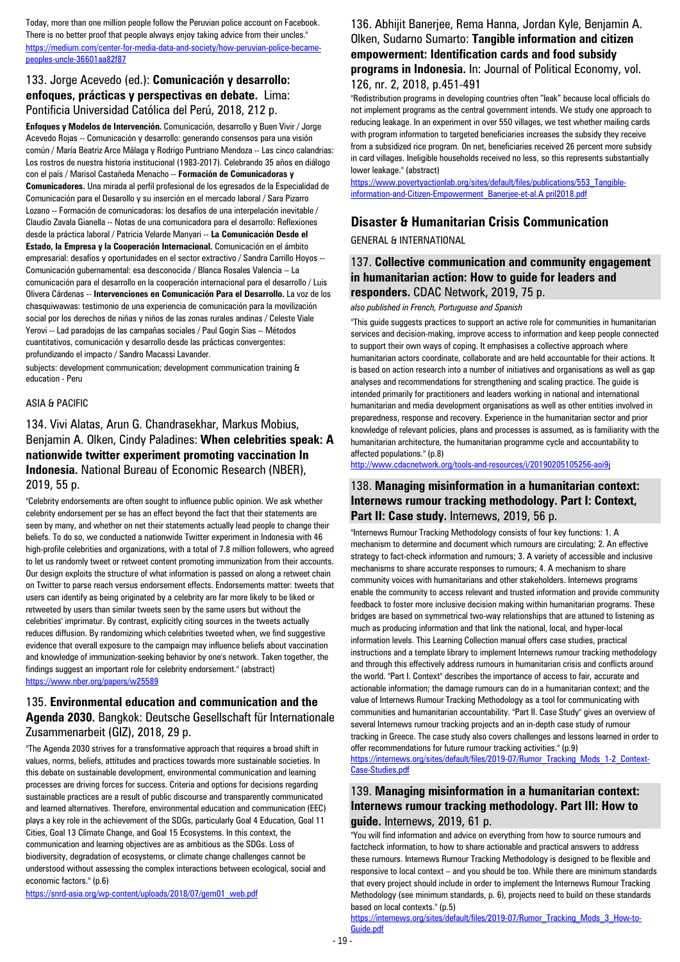Today, more than one million people follow the Peruvian police account on Facebook. There is no better proof that people always enjoy taking advice from their uncles." [https://medium.com/center-for-media-data-and-society/how-peruvian-police-became](https://medium.com/center-for-media-data-and-society/how-peruvian-police-became-peoples-uncle-36601aa82f87)[peoples-uncle-36601aa82f87](https://medium.com/center-for-media-data-and-society/how-peruvian-police-became-peoples-uncle-36601aa82f87)

## 133. Jorge Acevedo (ed.): **Comunicación y desarrollo: enfoques, prácticas y perspectivas en debate.** Lima: Pontificia Universidad Católica del Perú, 2018, 212 p.

**Enfoques y Modelos de Intervención.** Comunicación, desarrollo y Buen Vivir / Jorge Acevedo Rojas -- Comunicación y desarrollo: generando consensos para una visión común / María Beatriz Arce Málaga y Rodrigo Puntriano Mendoza -- Las cinco calandrias: Los rostros de nuestra historia institucional (1983-2017). Celebrando 35 años en diálogo con el país / Marisol Castañeda Menacho -- **Formación de Comunicadoras y Comunicadores.** Una mirada al perfil profesional de los egresados de la Especialidad de Comunicación para el Desarollo y su inserción en el mercado laboral / Sara Pizarro Lozano -- Formación de comunicadoras: los desafíos de una interpelación inevitable / Claudio Zavala Gianella -- Notas de una comunicadora para el desarrollo: Reflexiones desde la práctica laboral / Patricia Velarde Manyari -- **La Comunicación Desde el Estado, la Empresa y la Cooperación Internacional.** Comunicación en el ámbito empresarial: desafíos y oportunidades en el sector extractivo / Sandra Carrillo Hoyos -- Comunicación gubernamental: esa desconocida / Blanca Rosales Valencia -- La comunicación para el desarrollo en la cooperación internacional para el desarrollo / Luis Olivera Cárdenas -- **Intervenciones en Comunicación Para el Desarrollo.** La voz de los chasquiwawas: testimonio de una experiencia de comunicación para la movilización social por los derechos de niñas y niños de las zonas rurales andinas / Celeste Viale Yerovi -- Lad paradojas de las campañas sociales / Paul Gogin Sias -- Métodos cuantitativos, comunicación y desarrollo desde las prácticas convergentes: profundizando el impacto / Sandro Macassi Lavander.

subjects: development communication; development communication training & education - Peru

#### ASIA & PACIFIC

134. Vivi Alatas, Arun G. Chandrasekhar, Markus Mobius, Benjamin A. Olken, Cindy Paladines: **When celebrities speak: A nationwide twitter experiment promoting vaccination In Indonesia.** National Bureau of Economic Research (NBER), 2019, 55 p.

"Celebrity endorsements are often sought to influence public opinion. We ask whether celebrity endorsement per se has an effect beyond the fact that their statements are seen by many, and whether on net their statements actually lead people to change their beliefs. To do so, we conducted a nationwide Twitter experiment in Indonesia with 46 high-profile celebrities and organizations, with a total of 7.8 million followers, who agreed to let us randomly tweet or retweet content promoting immunization from their accounts. Our design exploits the structure of what information is passed on along a retweet chain on Twitter to parse reach versus endorsement effects. Endorsements matter: tweets that users can identify as being originated by a celebrity are far more likely to be liked or retweeted by users than similar tweets seen by the same users but without the celebrities' imprimatur. By contrast, explicitly citing sources in the tweets actually reduces diffusion. By randomizing which celebrities tweeted when, we find suggestive evidence that overall exposure to the campaign may influence beliefs about vaccination and knowledge of immunization-seeking behavior by one's network. Taken together, the findings suggest an important role for celebrity endorsement." (abstract) <https://www.nber.org/papers/w25589>

#### 135. **Environmental education and communication and the Agenda 2030.** Bangkok: Deutsche Gesellschaft für Internationale Zusammenarbeit (GIZ), 2018, 29 p.

"The Agenda 2030 strives for a transformative approach that requires a broad shift in values, norms, beliefs, attitudes and practices towards more sustainable societies. In this debate on sustainable development, environmental communication and learning processes are driving forces for success. Criteria and options for decisions regarding sustainable practices are a result of public discourse and transparently communicated and learned alternatives. Therefore, environmental education and communication (EEC) plays a key role in the achievement of the SDGs, particularly Goal 4 Education, Goal 11 Cities, Goal 13 Climate Change, and Goal 15 Ecosystems. In this context, the communication and learning objectives are as ambitious as the SDGs. Loss of biodiversity, degradation of ecosystems, or climate change challenges cannot be understood without assessing the complex interactions between ecological, social and economic factors." (p.6)

[https://snrd-asia.org/wp-content/uploads/2018/07/gem01\\_web.pdf](https://snrd-asia.org/wp-content/uploads/2018/07/gem01_web.pdf)

#### 136. Abhijit Banerjee, Rema Hanna, Jordan Kyle, Benjamin A. Olken, Sudarno Sumarto: **Tangible information and citizen empowerment: Identification cards and food subsidy programs in Indonesia.** In: Journal of Political Economy, vol. 126, nr. 2, 2018, p.451-491

"Redistribution programs in developing countries often "leak" because local officials do not implement programs as the central government intends. We study one approach to reducing leakage. In an experiment in over 550 villages, we test whether mailing cards with program information to targeted beneficiaries increases the subsidy they receive from a subsidized rice program. On net, beneficiaries received 26 percent more subsidy in card villages. Ineligible households received no less, so this represents substantially lower leakage." (abstract)

[https://www.povertyactionlab.org/sites/default/files/publications/553\\_Tangible](https://www.povertyactionlab.org/sites/default/files/publications/553_Tangible-information-and-Citizen-Empowerment_Banerjee-et-al.A%20pril2018.pdf)[information-and-Citizen-Empowerment\\_Banerjee-et-al.A pril2018.pdf](https://www.povertyactionlab.org/sites/default/files/publications/553_Tangible-information-and-Citizen-Empowerment_Banerjee-et-al.A%20pril2018.pdf)

## **Disaster & Humanitarian Crisis Communication**

GENERAL & INTERNATIONAL

#### 137. **Collective communication and community engagement in humanitarian action: How to guide for leaders and responders.** CDAC Network, 2019, 75 p.

*also published in French, Portuguese and Spanish*

"This guide suggests practices to support an active role for communities in humanitarian services and decision-making, improve access to information and keep people connected to support their own ways of coping. It emphasises a collective approach where humanitarian actors coordinate, collaborate and are held accountable for their actions. It is based on action research into a number of initiatives and organisations as well as gap analyses and recommendations for strengthening and scaling practice. The guide is intended primarily for practitioners and leaders working in national and international humanitarian and media development organisations as well as other entities involved in preparedness, response and recovery. Experience in the humanitarian sector and prior knowledge of relevant policies, plans and processes is assumed, as is familiarity with the humanitarian architecture, the humanitarian programme cycle and accountability to affected populations." (p.8)

<http://www.cdacnetwork.org/tools-and-resources/i/20190205105256-aoi9j>

#### 138. **Managing misinformation in a humanitarian context: Internews rumour tracking methodology. Part I: Context, Part II: Case study.** Internews, 2019, 56 p.

"Internews Rumour Tracking Methodology consists of four key functions: 1. A mechanism to determine and document which rumours are circulating; 2. An effective strategy to fact-check information and rumours; 3. A variety of accessible and inclusive mechanisms to share accurate responses to rumours; 4. A mechanism to share community voices with humanitarians and other stakeholders. Internews programs enable the community to access relevant and trusted information and provide community feedback to foster more inclusive decision making within humanitarian programs. These bridges are based on symmetrical two-way relationships that are attuned to listening as much as producing information and that link the national, local, and hyper-local information levels. This Learning Collection manual offers case studies, practical instructions and a template library to implement Internews rumour tracking methodology and through this effectively address rumours in humanitarian crisis and conflicts around the world. "Part I. Context" describes the importance of access to fair, accurate and actionable information; the damage rumours can do in a humanitarian context; and the value of Internews Rumour Tracking Methodology as a tool for communicating with communities and humanitarian accountability. "Part II. Case Study" gives an overview of several Internews rumour tracking projects and an in-depth case study of rumour tracking in Greece. The case study also covers challenges and lessons learned in order to offer recommendations for future rumour tracking activities." (p.9) [https://internews.org/sites/default/files/2019-07/Rumor\\_Tracking\\_Mods\\_1-2\\_Context-](https://internews.org/sites/default/files/2019-07/Rumor_Tracking_Mods_1-2_Context-Case-Studies.pdf)[Case-Studies.pdf](https://internews.org/sites/default/files/2019-07/Rumor_Tracking_Mods_1-2_Context-Case-Studies.pdf)

#### 139. **Managing misinformation in a humanitarian context: Internews rumour tracking methodology. Part III: How to guide.** Internews, 2019, 61 p.

"You will find information and advice on everything from how to source rumours and factcheck information, to how to share actionable and practical answers to address these rumours. Internews Rumour Tracking Methodology is designed to be flexible and responsive to local context – and you should be too. While there are minimum standards that every project should include in order to implement the Internews Rumour Tracking Methodology (see minimum standards, p. 6), projects need to build on these standards based on local contexts." (p.5)

[https://internews.org/sites/default/files/2019-07/Rumor\\_Tracking\\_Mods\\_3\\_How-to-](https://internews.org/sites/default/files/2019-07/Rumor_Tracking_Mods_3_How-to-Guide.pdf)[Guide.pdf](https://internews.org/sites/default/files/2019-07/Rumor_Tracking_Mods_3_How-to-Guide.pdf)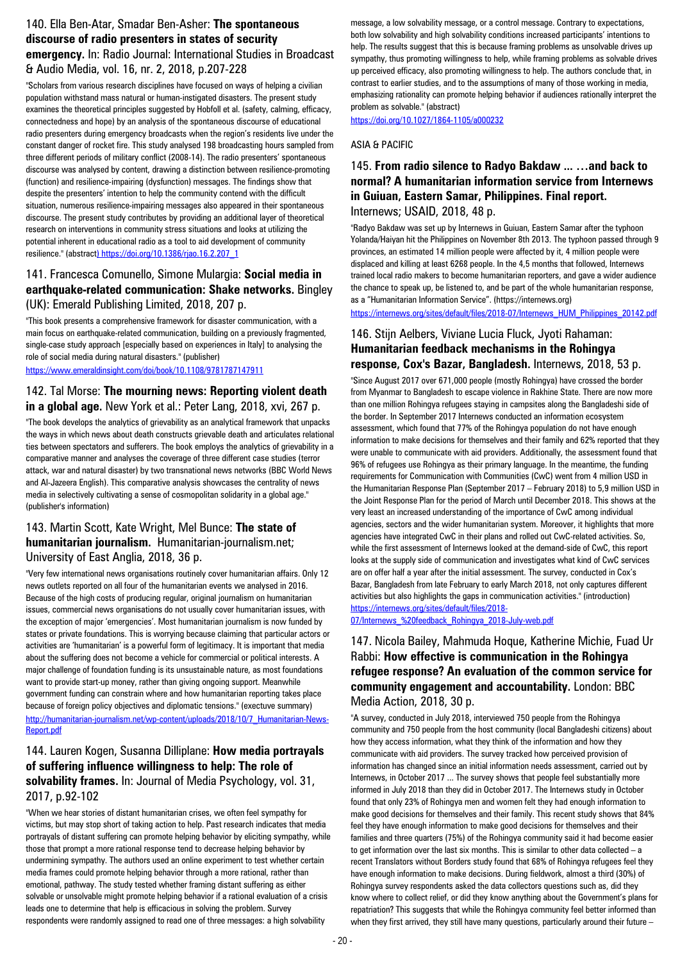## 140. Ella Ben-Atar, Smadar Ben-Asher: **The spontaneous discourse of radio presenters in states of security emergency.** In: Radio Journal: International Studies in Broadcast & Audio Media, vol. 16, nr. 2, 2018, p.207-228

"Scholars from various research disciplines have focused on ways of helping a civilian population withstand mass natural or human-instigated disasters. The present study examines the theoretical principles suggested by Hobfoll et al. (safety, calming, efficacy, connectedness and hope) by an analysis of the spontaneous discourse of educational radio presenters during emergency broadcasts when the region's residents live under the constant danger of rocket fire. This study analysed 198 broadcasting hours sampled from three different periods of military conflict (2008-14). The radio presenters' spontaneous discourse was analysed by content, drawing a distinction between resilience-promoting (function) and resilience-impairing (dysfunction) messages. The findings show that despite the presenters' intention to help the community contend with the difficult situation, numerous resilience-impairing messages also appeared in their spontaneous discourse. The present study contributes by providing an additional layer of theoretical research on interventions in community stress situations and looks at utilizing the potential inherent in educational radio as a tool to aid development of community resilience." (abstract) https://doi.org/10.1386/rjao.16.2.207\_1

## 141. Francesca Comunello, Simone Mulargia: **Social media in earthquake-related communication: Shake networks.** Bingley (UK): Emerald Publishing Limited, 2018, 207 p.

"This book presents a comprehensive framework for disaster communication, with a main focus on earthquake-related communication, building on a previously fragmented, single-case study approach [especially based on experiences in Italy] to analysing the role of social media during natural disasters." (publisher)

<https://www.emeraldinsight.com/doi/book/10.1108/9781787147911>

#### 142. Tal Morse: **The mourning news: Reporting violent death in a global age.** New York et al.: Peter Lang, 2018, xvi, 267 p.

"The book develops the analytics of grievability as an analytical framework that unpacks the ways in which news about death constructs grievable death and articulates relational ties between spectators and sufferers. The book employs the analytics of grievability in a comparative manner and analyses the coverage of three different case studies (terror attack, war and natural disaster) by two transnational news networks (BBC World News and Al-Jazeera English). This comparative analysis showcases the centrality of news media in selectively cultivating a sense of cosmopolitan solidarity in a global age." (publisher's information)

#### 143. Martin Scott, Kate Wright, Mel Bunce: **The state of humanitarian journalism.** Humanitarian-journalism.net; University of East Anglia, 2018, 36 p.

"Very few international news organisations routinely cover humanitarian affairs. Only 12 news outlets reported on all four of the humanitarian events we analysed in 2016. Because of the high costs of producing regular, original journalism on humanitarian issues, commercial news organisations do not usually cover humanitarian issues, with the exception of major 'emergencies'. Most humanitarian journalism is now funded by states or private foundations. This is worrying because claiming that particular actors or activities are 'humanitarian' is a powerful form of legitimacy. It is important that media about the suffering does not become a vehicle for commercial or political interests. A major challenge of foundation funding is its unsustainable nature, as most foundations want to provide start-up money, rather than giving ongoing support. Meanwhile government funding can constrain where and how humanitarian reporting takes place because of foreign policy objectives and diplomatic tensions." (exectuve summary) [http://humanitarian-journalism.net/wp-content/uploads/2018/10/7\\_Humanitarian-News-](http://humanitarian-journalism.net/wp-content/uploads/2018/10/7_Humanitarian-News-Report.pdf)[Report.pdf](http://humanitarian-journalism.net/wp-content/uploads/2018/10/7_Humanitarian-News-Report.pdf)

#### 144. Lauren Kogen, Susanna Dilliplane: **How media portrayals of suffering influence willingness to help: The role of solvability frames.** In: Journal of Media Psychology, vol. 31, 2017, p.92-102

"When we hear stories of distant humanitarian crises, we often feel sympathy for victims, but may stop short of taking action to help. Past research indicates that media portrayals of distant suffering can promote helping behavior by eliciting sympathy, while those that prompt a more rational response tend to decrease helping behavior by undermining sympathy. The authors used an online experiment to test whether certain media frames could promote helping behavior through a more rational, rather than emotional, pathway. The study tested whether framing distant suffering as either solvable or unsolvable might promote helping behavior if a rational evaluation of a crisis leads one to determine that help is efficacious in solving the problem. Survey respondents were randomly assigned to read one of three messages: a high solvability

message, a low solvability message, or a control message. Contrary to expectations, both low solvability and high solvability conditions increased participants' intentions to help. The results suggest that this is because framing problems as unsolvable drives up sympathy, thus promoting willingness to help, while framing problems as solvable drives up perceived efficacy, also promoting willingness to help. The authors conclude that, in contrast to earlier studies, and to the assumptions of many of those working in media, emphasizing rationality can promote helping behavior if audiences rationally interpret the problem as solvable." (abstract)

<https://doi.org/10.1027/1864-1105/a000232>

#### ASIA & PACIFIC

#### 145. **From radio silence to Radyo Bakdaw ... …and back to normal? A humanitarian information service from Internews in Guiuan, Eastern Samar, Philippines. Final report.**  Internews; USAID, 2018, 48 p.

"Radyo Bakdaw was set up by Internews in Guiuan, Eastern Samar after the typhoon Yolanda/Haiyan hit the Philippines on November 8th 2013. The typhoon passed through 9 provinces, an estimated 14 million people were affected by it, 4 million people were displaced and killing at least 6268 people. In the 4,5 months that followed, Internews trained local radio makers to become humanitarian reporters, and gave a wider audience the chance to speak up, be listened to, and be part of the whole humanitarian response, as a "Humanitarian Information Service". (https://internews.org)

[https://internews.org/sites/default/files/2018-07/Internews\\_HUM\\_Philippines\\_20142.pdf](https://internews.org/sites/default/files/2018-07/Internews_HUM_Philippines_20142.pdf)

## 146. Stijn Aelbers, Viviane Lucia Fluck, Jyoti Rahaman: **Humanitarian feedback mechanisms in the Rohingya response, Cox's Bazar, Bangladesh.** Internews, 2018, 53 p.

"Since August 2017 over 671,000 people (mostly Rohingya) have crossed the border from Myanmar to Bangladesh to escape violence in Rakhine State. There are now more than one million Rohingya refugees staying in campsites along the Bangladeshi side of the border. In September 2017 Internews conducted an information ecosystem assessment, which found that 77% of the Rohingya population do not have enough information to make decisions for themselves and their family and 62% reported that they were unable to communicate with aid providers. Additionally, the assessment found that 96% of refugees use Rohingya as their primary language. In the meantime, the funding requirements for Communication with Communities (CwC) went from 4 million USD in the Humanitarian Response Plan (September 2017 – February 2018) to 5,9 million USD in the Joint Response Plan for the period of March until December 2018. This shows at the very least an increased understanding of the importance of CwC among individual agencies, sectors and the wider humanitarian system. Moreover, it highlights that more agencies have integrated CwC in their plans and rolled out CwC-related activities. So, while the first assessment of Internews looked at the demand-side of CwC, this report looks at the supply side of communication and investigates what kind of CwC services are on offer half a year after the initial assessment. The survey, conducted in Cox's Bazar, Bangladesh from late February to early March 2018, not only captures different activities but also highlights the gaps in communication activities." (introduction) [https://internews.org/sites/default/files/2018-](https://internews.org/sites/default/files/2018-07/Internews_%20feedback_Rohingya_2018-July-web.pdf)

[07/Internews\\_%20feedback\\_Rohingya\\_2018-July-web.pdf](https://internews.org/sites/default/files/2018-07/Internews_%20feedback_Rohingya_2018-July-web.pdf)

## 147. Nicola Bailey, Mahmuda Hoque, Katherine Michie, Fuad Ur Rabbi: **How effective is communication in the Rohingya refugee response? An evaluation of the common service for community engagement and accountability.** London: BBC Media Action, 2018, 30 p.

"A survey, conducted in July 2018, interviewed 750 people from the Rohingya community and 750 people from the host community (local Bangladeshi citizens) about how they access information, what they think of the information and how they communicate with aid providers. The survey tracked how perceived provision of information has changed since an initial information needs assessment, carried out by Internews, in October 2017 ... The survey shows that people feel substantially more informed in July 2018 than they did in October 2017. The Internews study in October found that only 23% of Rohingya men and women felt they had enough information to make good decisions for themselves and their family. This recent study shows that 84% feel they have enough information to make good decisions for themselves and their families and three quarters (75%) of the Rohingya community said it had become easier to get information over the last six months. This is similar to other data collected – a recent Translators without Borders study found that 68% of Rohingya refugees feel they have enough information to make decisions. During fieldwork, almost a third (30%) of Rohingya survey respondents asked the data collectors questions such as, did they know where to collect relief, or did they know anything about the Government's plans for repatriation? This suggests that while the Rohingya community feel better informed than when they first arrived, they still have many questions, particularly around their future –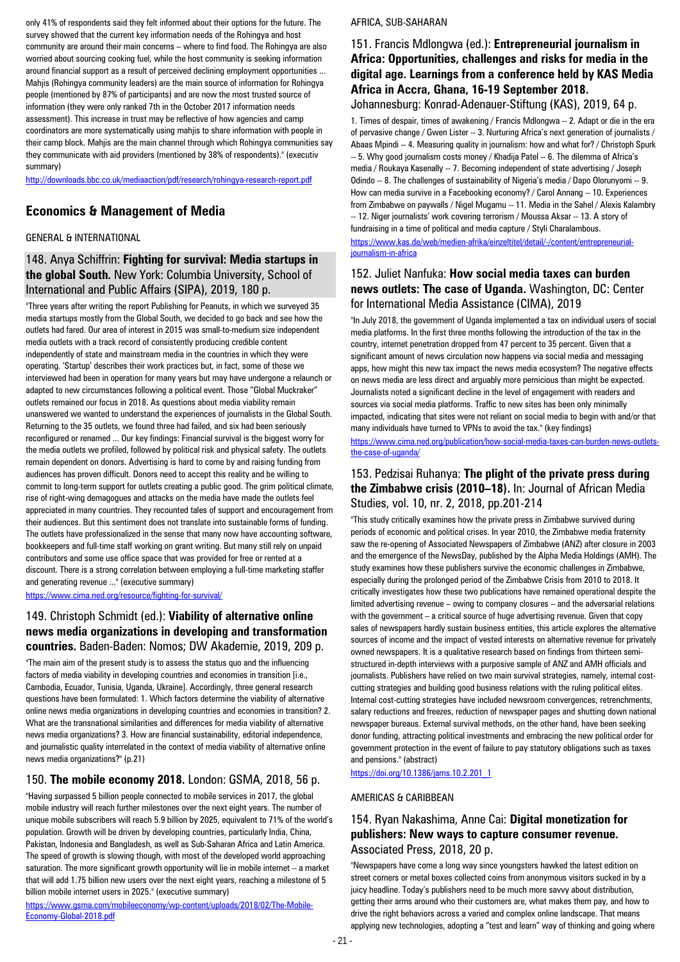only 41% of respondents said they felt informed about their options for the future. The survey showed that the current key information needs of the Rohingya and host community are around their main concerns – where to find food. The Rohingya are also worried about sourcing cooking fuel, while the host community is seeking information around financial support as a result of perceived declining employment opportunities ... Mahjis (Rohingya community leaders) are the main source of information for Rohingya people (mentioned by 87% of participants) and are now the most trusted source of information (they were only ranked 7th in the October 2017 information needs assessment). This increase in trust may be reflective of how agencies and camp coordinators are more systematically using mahjis to share information with people in their camp block. Mahjis are the main channel through which Rohingya communities say they communicate with aid providers (mentioned by 38% of respondents)." (executiv summary)

<http://downloads.bbc.co.uk/mediaaction/pdf/research/rohingya-research-report.pdf>

#### **Economics & Management of Media**

#### GENERAL & INTERNATIONAL

#### 148. Anya Schiffrin: **Fighting for survival: Media startups in the global South.** New York: Columbia University, School of International and Public Affairs (SIPA), 2019, 180 p.

"Three years after writing the report Publishing for Peanuts, in which we surveyed 35 media startups mostly from the Global South, we decided to go back and see how the outlets had fared. Our area of interest in 2015 was small-to-medium size independent media outlets with a track record of consistently producing credible content independently of state and mainstream media in the countries in which they were operating. 'Startup' describes their work practices but, in fact, some of those we interviewed had been in operation for many years but may have undergone a relaunch or adapted to new circumstances following a political event. Those "Global Muckraker" outlets remained our focus in 2018. As questions about media viability remain unanswered we wanted to understand the experiences of journalists in the Global South. Returning to the 35 outlets, we found three had failed, and six had been seriously reconfigured or renamed ... Our key findings: Financial survival is the biggest worry for the media outlets we profiled, followed by political risk and physical safety. The outlets remain dependent on donors. Advertising is hard to come by and raising funding from audiences has proven difficult. Donors need to accept this reality and be willing to commit to long-term support for outlets creating a public good. The grim political climate, rise of right-wing demagogues and attacks on the media have made the outlets feel appreciated in many countries. They recounted tales of support and encouragement from their audiences. But this sentiment does not translate into sustainable forms of funding. The outlets have professionalized in the sense that many now have accounting software, bookkeepers and full-time staff working on grant writing. But many still rely on unpaid contributors and some use office space that was provided for free or rented at a discount. There is a strong correlation between employing a full-time marketing staffer and generating revenue ..." (executive summary)

<https://www.cima.ned.org/resource/fighting-for-survival/>

#### 149. Christoph Schmidt (ed.): **Viability of alternative online news media organizations in developing and transformation countries.** Baden-Baden: Nomos; DW Akademie, 2019, 209 p.

"The main aim of the present study is to assess the status quo and the influencing factors of media viability in developing countries and economies in transition [i.e., Cambodia, Ecuador, Tunisia, Uganda, Ukraine]. Accordingly, three general research questions have been formulated: 1. Which factors determine the viability of alternative online news media organizations in developing countries and economies in transition? 2. What are the transnational similarities and differences for media viability of alternative news media organizations? 3. How are financial sustainability, editorial independence, and journalistic quality interrelated in the context of media viability of alternative online news media organizations?" (p.21)

#### 150. **The mobile economy 2018.** London: GSMA, 2018, 56 p.

"Having surpassed 5 billion people connected to mobile services in 2017, the global mobile industry will reach further milestones over the next eight years. The number of unique mobile subscribers will reach 5.9 billion by 2025, equivalent to 71% of the world's population. Growth will be driven by developing countries, particularly India, China, Pakistan, Indonesia and Bangladesh, as well as Sub-Saharan Africa and Latin America. The speed of growth is slowing though, with most of the developed world approaching saturation. The more significant growth opportunity will lie in mobile internet – a market that will add 1.75 billion new users over the next eight years, reaching a milestone of 5 billion mobile internet users in 2025." (executive summary)

[https://www.gsma.com/mobileeconomy/wp-content/uploads/2018/02/The-Mobile-](https://www.gsma.com/mobileeconomy/wp-content/uploads/2018/02/The-Mobile-Economy-Global-2018.pdf)[Economy-Global-2018.pdf](https://www.gsma.com/mobileeconomy/wp-content/uploads/2018/02/The-Mobile-Economy-Global-2018.pdf)

#### AFRICA, SUB-SAHARAN

#### 151. Francis Mdlongwa (ed.): **Entrepreneurial journalism in Africa: Opportunities, challenges and risks for media in the digital age. Learnings from a conference held by KAS Media Africa in Accra, Ghana, 16-19 September 2018.**  Johannesburg: Konrad-Adenauer-Stiftung (KAS), 2019, 64 p.

1. Times of despair, times of awakening / Francis Mdlongwa -- 2. Adapt or die in the era of pervasive change / Gwen Lister -- 3. Nurturing Africa's next generation of journalists / Abaas Mpindi -- 4. Measuring quality in journalism: how and what for? / Christoph Spurk -- 5. Why good journalism costs money / Khadija Patel -- 6. The dilemma of Africa's media / Roukaya Kasenally -- 7. Becoming independent of state advertising / Joseph Odindo -- 8. The challenges of sustainability of Nigeria's media / Dapo Olorunyomi -- 9. How can media survive in a Facebooking economy? / Carol Annang -- 10. Experiences from Zimbabwe on paywalls / Nigel Mugamu -- 11. Media in the Sahel / Alexis Kalambry -- 12. Niger journalists' work covering terrorism / Moussa Aksar -- 13. A story of fundraising in a time of political and media capture / Styli Charalambous. [https://www.kas.de/web/medien-afrika/einzeltitel/detail/-/content/entrepreneurial](https://www.kas.de/web/medien-afrika/einzeltitel/detail/-/content/entrepreneurial-journalism-in-africa)[journalism-in-africa](https://www.kas.de/web/medien-afrika/einzeltitel/detail/-/content/entrepreneurial-journalism-in-africa)

## 152. Juliet Nanfuka: **How social media taxes can burden news outlets: The case of Uganda.** Washington, DC: Center for International Media Assistance (CIMA), 2019

"In July 2018, the government of Uganda implemented a tax on individual users of social media platforms. In the first three months following the introduction of the tax in the country, internet penetration dropped from 47 percent to 35 percent. Given that a significant amount of news circulation now happens via social media and messaging apps, how might this new tax impact the news media ecosystem? The negative effects on news media are less direct and arguably more pernicious than might be expected. Journalists noted a significant decline in the level of engagement with readers and sources via social media platforms. Traffic to new sites has been only minimally impacted, indicating that sites were not reliant on social media to begin with and/or that many individuals have turned to VPNs to avoid the tax." (key findings) [https://www.cima.ned.org/publication/how-social-media-taxes-can-burden-news-outlets](https://www.cima.ned.org/publication/how-social-media-taxes-can-burden-news-outlets-the-case-of-uganda/)[the-case-of-uganda/](https://www.cima.ned.org/publication/how-social-media-taxes-can-burden-news-outlets-the-case-of-uganda/)

## 153. Pedzisai Ruhanya: **The plight of the private press during the Zimbabwe crisis (2010–18).** In: Journal of African Media Studies, vol. 10, nr. 2, 2018, pp.201-214

"This study critically examines how the private press in Zimbabwe survived during periods of economic and political crises. In year 2010, the Zimbabwe media fraternity saw the re-opening of Associated Newspapers of Zimbabwe (ANZ) after closure in 2003 and the emergence of the NewsDay, published by the Alpha Media Holdings (AMH). The study examines how these publishers survive the economic challenges in Zimbabwe, especially during the prolonged period of the Zimbabwe Crisis from 2010 to 2018. It critically investigates how these two publications have remained operational despite the limited advertising revenue – owing to company closures – and the adversarial relations with the government – a critical source of huge advertising revenue. Given that copy sales of newspapers hardly sustain business entities, this article explores the alternative sources of income and the impact of vested interests on alternative revenue for privately owned newspapers. It is a qualitative research based on findings from thirteen semistructured in-depth interviews with a purposive sample of ANZ and AMH officials and journalists. Publishers have relied on two main survival strategies, namely, internal costcutting strategies and building good business relations with the ruling political elites. Internal cost-cutting strategies have included newsroom convergences, retrenchments, salary reductions and freezes, reduction of newspaper pages and shutting down national newspaper bureaus. External survival methods, on the other hand, have been seeking donor funding, attracting political investments and embracing the new political order for government protection in the event of failure to pay statutory obligations such as taxes and pensions." (abstract)

[https://doi.org/10.1386/jams.10.2.201\\_1](https://doi.org/10.1386/jams.10.2.201_1)

#### AMERICAS & CARIBBEAN

#### 154. Ryan Nakashima, Anne Cai: **Digital monetization for publishers: New ways to capture consumer revenue.**  Associated Press, 2018, 20 p.

"Newspapers have come a long way since youngsters hawked the latest edition on street corners or metal boxes collected coins from anonymous visitors sucked in by a juicy headline. Today's publishers need to be much more savvy about distribution, getting their arms around who their customers are, what makes them pay, and how to drive the right behaviors across a varied and complex online landscape. That means applying new technologies, adopting a "test and learn" way of thinking and going where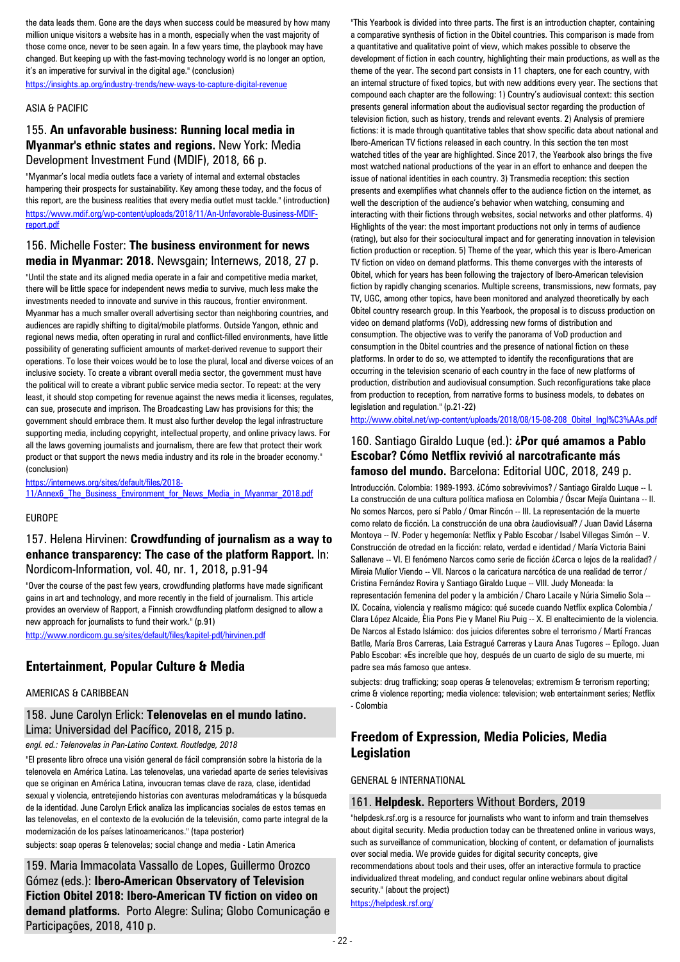the data leads them. Gone are the days when success could be measured by how many million unique visitors a website has in a month, especially when the vast majority of those come once, never to be seen again. In a few years time, the playbook may have changed. But keeping up with the fast-moving technology world is no longer an option, it's an imperative for survival in the digital age." (conclusion)

<https://insights.ap.org/industry-trends/new-ways-to-capture-digital-revenue>

#### ASIA & PACIFIC

#### 155. **An unfavorable business: Running local media in Myanmar's ethnic states and regions.** New York: Media Development Investment Fund (MDIF), 2018, 66 p.

"Myanmar's local media outlets face a variety of internal and external obstacles hampering their prospects for sustainability. Key among these today, and the focus of this report, are the business realities that every media outlet must tackle." (introduction) [https://www.mdif.org/wp-content/uploads/2018/11/An-Unfavorable-Business-MDIF](https://www.mdif.org/wp-content/uploads/2018/11/An-Unfavorable-Business-MDIF-report.pdf)[report.pdf](https://www.mdif.org/wp-content/uploads/2018/11/An-Unfavorable-Business-MDIF-report.pdf)

## 156. Michelle Foster: **The business environment for news media in Myanmar: 2018.** Newsgain; Internews, 2018, 27 p.

"Until the state and its aligned media operate in a fair and competitive media market, there will be little space for independent news media to survive, much less make the investments needed to innovate and survive in this raucous, frontier environment. Myanmar has a much smaller overall advertising sector than neighboring countries, and audiences are rapidly shifting to digital/mobile platforms. Outside Yangon, ethnic and regional news media, often operating in rural and conflict-filled environments, have little possibility of generating sufficient amounts of market-derived revenue to support their operations. To lose their voices would be to lose the plural, local and diverse voices of an inclusive society. To create a vibrant overall media sector, the government must have the political will to create a vibrant public service media sector. To repeat: at the very least, it should stop competing for revenue against the news media it licenses, regulates, can sue, prosecute and imprison. The Broadcasting Law has provisions for this; the government should embrace them. It must also further develop the legal infrastructure supporting media, including copyright, intellectual property, and online privacy laws. For all the laws governing journalists and journalism, there are few that protect their work product or that support the news media industry and its role in the broader economy." (conclusion)

[https://internews.org/sites/default/files/2018-](https://internews.org/sites/default/files/2018-11/Annex6_The_Business_Environment_for_News_Media_in_Myanmar_2018.pdf) [11/Annex6\\_The\\_Business\\_Environment\\_for\\_News\\_Media\\_in\\_Myanmar\\_2018.pdf](https://internews.org/sites/default/files/2018-11/Annex6_The_Business_Environment_for_News_Media_in_Myanmar_2018.pdf)

#### EUROPE

157. Helena Hirvinen: **Crowdfunding of journalism as a way to enhance transparency: The case of the platform Rapport.** In: Nordicom-Information, vol. 40, nr. 1, 2018, p.91-94

"Over the course of the past few years, crowdfunding platforms have made significant gains in art and technology, and more recently in the field of journalism. This article provides an overview of Rapport, a Finnish crowdfunding platform designed to allow a new approach for journalists to fund their work." (p.91) <http://www.nordicom.gu.se/sites/default/files/kapitel-pdf/hirvinen.pdf>

## **Entertainment, Popular Culture & Media**

#### AMERICAS & CARIBBEAN

#### 158. June Carolyn Erlick: **Telenovelas en el mundo latino.**  Lima: Universidad del Pacífico, 2018, 215 p.

*engl. ed.: Telenovelas in Pan-Latino Context. Routledge, 2018*

"El presente libro ofrece una visión general de fácil comprensión sobre la historia de la telenovela en América Latina. Las telenovelas, una variedad aparte de series televisivas que se originan en América Latina, invoucran temas clave de raza, clase, identidad sexual y violencia, entretejiendo historias con aventuras melodramáticas y la búsqueda de la identidad. June Carolyn Erlick analiza las implicancias sociales de estos temas en las telenovelas, en el contexto de la evolución de la televisión, como parte integral de la modernización de los países latinoamericanos." (tapa posterior)

subjects: soap operas & telenovelas; social change and media - Latin America

159. Maria Immacolata Vassallo de Lopes, Guillermo Orozco Gómez (eds.): **Ibero-American Observatory of Television Fiction Obitel 2018: Ibero-American TV fiction on video on demand platforms.** Porto Alegre: Sulina; Globo Comunicação e Participações, 2018, 410 p.

"This Yearbook is divided into three parts. The first is an introduction chapter, containing a comparative synthesis of fiction in the Obitel countries. This comparison is made from a quantitative and qualitative point of view, which makes possible to observe the development of fiction in each country, highlighting their main productions, as well as the theme of the year. The second part consists in 11 chapters, one for each country, with an internal structure of fixed topics, but with new additions every year. The sections that compound each chapter are the following: 1) Country's audiovisual context: this section presents general information about the audiovisual sector regarding the production of television fiction, such as history, trends and relevant events. 2) Analysis of premiere fictions: it is made through quantitative tables that show specific data about national and Ibero-American TV fictions released in each country. In this section the ten most watched titles of the year are highlighted. Since 2017, the Yearbook also brings the five most watched national productions of the year in an effort to enhance and deepen the issue of national identities in each country. 3) Transmedia reception: this section presents and exemplifies what channels offer to the audience fiction on the internet, as well the description of the audience's behavior when watching, consuming and interacting with their fictions through websites, social networks and other platforms. 4) Highlights of the year: the most important productions not only in terms of audience (rating), but also for their sociocultural impact and for generating innovation in television fiction production or reception. 5) Theme of the year, which this year is Ibero-American TV fiction on video on demand platforms. This theme converges with the interests of Obitel, which for years has been following the trajectory of Ibero-American television fiction by rapidly changing scenarios. Multiple screens, transmissions, new formats, pay TV, UGC, among other topics, have been monitored and analyzed theoretically by each Obitel country research group. In this Yearbook, the proposal is to discuss production on video on demand platforms (VoD), addressing new forms of distribution and consumption. The objective was to verify the panorama of VoD production and consumption in the Obitel countries and the presence of national fiction on these platforms. In order to do so, we attempted to identify the reconfigurations that are occurring in the television scenario of each country in the face of new platforms of production, distribution and audiovisual consumption. Such reconfigurations take place from production to reception, from narrative forms to business models, to debates on legislation and regulation." (p.21-22)

[http://www.obitel.net/wp-content/uploads/2018/08/15-08-208\\_Obitel\\_Ingl%C3%AAs.pdf](http://www.obitel.net/wp-content/uploads/2018/08/15-08-208_Obitel_Ingl%C3%AAs.pdf)

#### 160. Santiago Giraldo Luque (ed.): **¿Por qué amamos a Pablo Escobar? Cómo Netflix revivió al narcotraficante más famoso del mundo.** Barcelona: Editorial UOC, 2018, 249 p.

Introducción. Colombia: 1989-1993. ¿Cómo sobrevivimos? / Santiago Giraldo Luque -- I. La construcción de una cultura política mafiosa en Colombia / Óscar Mejía Quintana -- II. No somos Narcos, pero sí Pablo / Omar Rincón -- III. La representación de la muerte como relato de ficción. La construcción de una obra ¿audiovisual? / Juan David Láserna Montoya -- IV. Poder y hegemonía: Netflix y Pablo Escobar / Isabel Villegas Simón -- V. Construcción de otredad en la ficción: relato, verdad e identidad / María Victoria Baini Sallenave -- VI. El fenómeno Narcos como serie de ficción ¿Cerca o lejos de la realidad? / Mireia Mulíor Viendo -- VII. Narcos o la caricatura narcótica de una realidad de terror / Cristina Fernández Rovira y Santiago Giraldo Luque -- VIII. Judy Moneada: la representación femenina del poder y la ambición / Charo Lacaile y Núria Simelio Sola -- IX. Cocaína, violencia y realismo mágico: qué sucede cuando Netflix explica Colombia / Clara López Alcaide, Èlia Pons Pie y Manel Riu Puig -- X. El enaltecimiento de la violencia. De Narcos al Estado Islámico: dos juicios diferentes sobre el terrorismo / Martí Francas Batlle, María Bros Carreras, Laia Estragué Carreras y Laura Anas Tugores -- Epílogo. Juan Pablo Escobar: «Es increíble que hoy, después de un cuarto de siglo de su muerte, mi padre sea más famoso que antes».

subjects: drug trafficking; soap operas & telenovelas; extremism & terrorism reporting; crime & violence reporting; media violence: television; web entertainment series; Netflix - Colombia

## **Freedom of Expression, Media Policies, Media Legislation**

#### GENERAL & INTERNATIONAL

#### 161. **Helpdesk.** Reporters Without Borders, 2019

"helpdesk.rsf.org is a resource for journalists who want to inform and train themselves about digital security. Media production today can be threatened online in various ways, such as surveillance of communication, blocking of content, or defamation of journalists over social media. We provide guides for digital security concepts, give recommendations about tools and their uses, offer an interactive formula to practice individualized threat modeling, and conduct regular online webinars about digital security." (about the project)

<https://helpdesk.rsf.org/>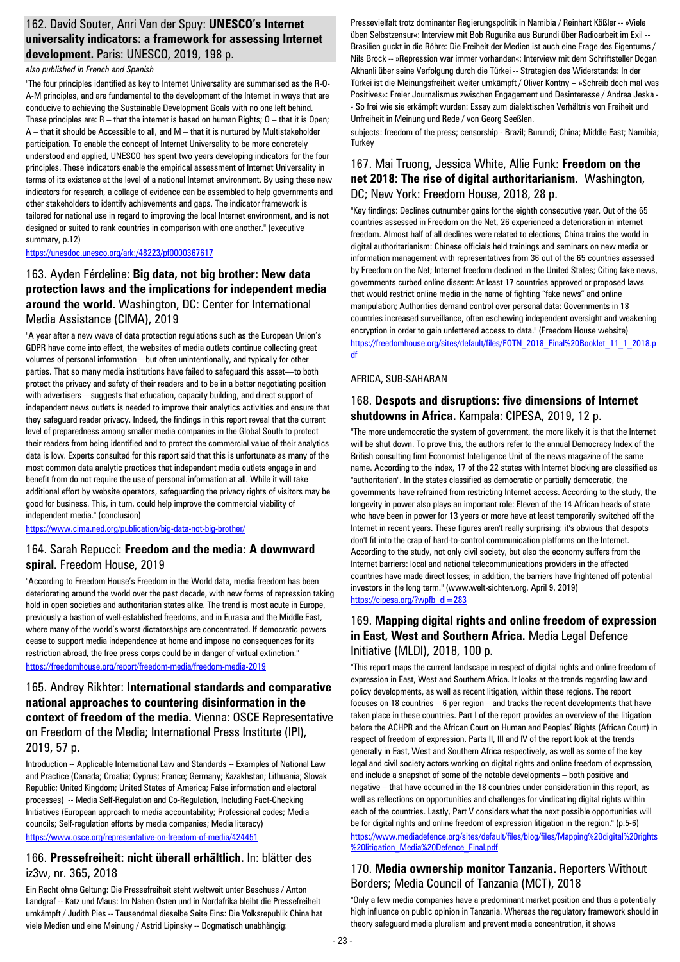#### 162. David Souter, Anri Van der Spuy: **UNESCO's Internet universality indicators: a framework for assessing Internet development.** Paris: UNESCO, 2019, 198 p.

#### *also published in French and Spanish*

"The four principles identified as key to Internet Universality are summarised as the R-O-A-M principles, and are fundamental to the development of the Internet in ways that are conducive to achieving the Sustainable Development Goals with no one left behind. These principles are:  $R$  – that the internet is based on human Rights;  $0$  – that it is Open; A – that it should be Accessible to all, and M – that it is nurtured by Multistakeholder participation. To enable the concept of Internet Universality to be more concretely understood and applied, UNESCO has spent two years developing indicators for the four principles. These indicators enable the empirical assessment of Internet Universality in terms of its existence at the level of a national Internet environment. By using these new indicators for research, a collage of evidence can be assembled to help governments and other stakeholders to identify achievements and gaps. The indicator framework is tailored for national use in regard to improving the local Internet environment, and is not designed or suited to rank countries in comparison with one another." (executive summary, p.12)

<https://unesdoc.unesco.org/ark:/48223/pf0000367617>

## 163. Ayden Férdeline: **Big data, not big brother: New data protection laws and the implications for independent media around the world.** Washington, DC: Center for International Media Assistance (CIMA), 2019

"A year after a new wave of data protection regulations such as the European Union's GDPR have come into effect, the websites of media outlets continue collecting great volumes of personal information—but often unintentionally, and typically for other parties. That so many media institutions have failed to safeguard this asset—to both protect the privacy and safety of their readers and to be in a better negotiating position with advertisers—suggests that education, capacity building, and direct support of independent news outlets is needed to improve their analytics activities and ensure that they safeguard reader privacy. Indeed, the findings in this report reveal that the current level of preparedness among smaller media companies in the Global South to protect their readers from being identified and to protect the commercial value of their analytics data is low. Experts consulted for this report said that this is unfortunate as many of the most common data analytic practices that independent media outlets engage in and benefit from do not require the use of personal information at all. While it will take additional effort by website operators, safeguarding the privacy rights of visitors may be good for business. This, in turn, could help improve the commercial viability of independent media." (conclusion)

<https://www.cima.ned.org/publication/big-data-not-big-brother/>

#### 164. Sarah Repucci: **Freedom and the media: A downward spiral.** Freedom House, 2019

"According to Freedom House's Freedom in the World data, media freedom has been deteriorating around the world over the past decade, with new forms of repression taking hold in open societies and authoritarian states alike. The trend is most acute in Europe, previously a bastion of well-established freedoms, and in Eurasia and the Middle East, where many of the world's worst dictatorships are concentrated. If democratic powers cease to support media independence at home and impose no consequences for its restriction abroad, the free press corps could be in danger of virtual extinction." <https://freedomhouse.org/report/freedom-media/freedom-media-2019>

#### 165. Andrey Rikhter: **International standards and comparative national approaches to countering disinformation in the context of freedom of the media.** Vienna: OSCE Representative on Freedom of the Media; International Press Institute (IPI), 2019, 57 p.

Introduction -- Applicable International Law and Standards -- Examples of National Law and Practice (Canada; Croatia; Cyprus; France; Germany; Kazakhstan; Lithuania; Slovak Republic; United Kingdom; United States of America; False information and electoral processes) -- Media Self-Regulation and Co-Regulation, Including Fact-Checking Initiatives (European approach to media accountability; Professional codes; Media councils; Self-regulation efforts by media companies; Media literacy) <https://www.osce.org/representative-on-freedom-of-media/424451>

#### 166. **Pressefreiheit: nicht überall erhältlich.** In: blätter des iz3w, nr. 365, 2018

Ein Recht ohne Geltung: Die Pressefreiheit steht weltweit unter Beschuss / Anton Landgraf -- Katz und Maus: Im Nahen Osten und in Nordafrika bleibt die Pressefreiheit umkämpft / Judith Pies -- Tausendmal dieselbe Seite Eins: Die Volksrepublik China hat viele Medien und eine Meinung / Astrid Lipinsky -- Dogmatisch unabhängig:

Pressevielfalt trotz dominanter Regierungspolitik in Namibia / Reinhart Kößler -- »Viele üben Selbstzensur«: Interview mit Bob Rugurika aus Burundi über Radioarbeit im Exil -- Brasilien guckt in die Röhre: Die Freiheit der Medien ist auch eine Frage des Eigentums / Nils Brock -- »Repression war immer vorhanden«: Interview mit dem Schriftsteller Dogan Akhanli über seine Verfolgung durch die Türkei -- Strategien des Widerstands: In der Türkei ist die Meinungsfreiheit weiter umkämpft / Oliver Kontny -- »Schreib doch mal was Positives«: Freier Journalismus zwischen Engagement und Desinteresse / Andrea Jeska - - So frei wie sie erkämpft wurden: Essay zum dialektischen Verhältnis von Freiheit und Unfreiheit in Meinung und Rede / von Georg Seeßlen.

subjects: freedom of the press; censorship - Brazil; Burundi; China; Middle East; Namibia; **Turkey** 

#### 167. Mai Truong, Jessica White, Allie Funk: **Freedom on the net 2018: The rise of digital authoritarianism.** Washington, DC; New York: Freedom House, 2018, 28 p.

"Key findings: Declines outnumber gains for the eighth consecutive year. Out of the 65 countries assessed in Freedom on the Net, 26 experienced a deterioration in internet freedom. Almost half of all declines were related to elections; China trains the world in digital authoritarianism: Chinese officials held trainings and seminars on new media or information management with representatives from 36 out of the 65 countries assessed by Freedom on the Net; Internet freedom declined in the United States; Citing fake news, governments curbed online dissent: At least 17 countries approved or proposed laws that would restrict online media in the name of fighting "fake news" and online manipulation; Authorities demand control over personal data: Governments in 18 countries increased surveillance, often eschewing independent oversight and weakening encryption in order to gain unfettered access to data." (Freedom House website) [https://freedomhouse.org/sites/default/files/FOTN\\_2018\\_Final%20Booklet\\_11\\_1\\_2018.p](https://freedomhouse.org/sites/default/files/FOTN_2018_Final%20Booklet_11_1_2018.pdf) [df](https://freedomhouse.org/sites/default/files/FOTN_2018_Final%20Booklet_11_1_2018.pdf)

#### AFRICA, SUB-SAHARAN

#### 168. **Despots and disruptions: five dimensions of Internet shutdowns in Africa.** Kampala: CIPESA, 2019, 12 p.

"The more undemocratic the system of government, the more likely it is that the Internet will be shut down. To prove this, the authors refer to the annual Democracy Index of the British consulting firm Economist Intelligence Unit of the news magazine of the same name. According to the index, 17 of the 22 states with Internet blocking are classified as "authoritarian". In the states classified as democratic or partially democratic, the governments have refrained from restricting Internet access. According to the study, the longevity in power also plays an important role: Eleven of the 14 African heads of state who have been in power for 13 years or more have at least temporarily switched off the Internet in recent years. These figures aren't really surprising: it's obvious that despots don't fit into the crap of hard-to-control communication platforms on the Internet. According to the study, not only civil society, but also the economy suffers from the Internet barriers: local and national telecommunications providers in the affected countries have made direct losses; in addition, the barriers have frightened off potential investors in the long term." (www.welt-sichten.org, April 9, 2019) [https://cipesa.org/?wpfb\\_dl=283](https://cipesa.org/?wpfb_dl=283)

#### 169. **Mapping digital rights and online freedom of expression in East, West and Southern Africa.** Media Legal Defence Initiative (MLDI), 2018, 100 p.

"This report maps the current landscape in respect of digital rights and online freedom of expression in East, West and Southern Africa. It looks at the trends regarding law and policy developments, as well as recent litigation, within these regions. The report focuses on 18 countries – 6 per region – and tracks the recent developments that have taken place in these countries. Part I of the report provides an overview of the litigation before the ACHPR and the African Court on Human and Peoples' Rights (African Court) in respect of freedom of expression. Parts II, III and IV of the report look at the trends generally in East, West and Southern Africa respectively, as well as some of the key legal and civil society actors working on digital rights and online freedom of expression, and include a snapshot of some of the notable developments – both positive and negative – that have occurred in the 18 countries under consideration in this report, as well as reflections on opportunities and challenges for vindicating digital rights within each of the countries. Lastly, Part V considers what the next possible opportunities will be for digital rights and online freedom of expression litigation in the region." (p.5-6) [https://www.mediadefence.org/sites/default/files/blog/files/Mapping%20digital%20rights](https://www.mediadefence.org/sites/default/files/blog/files/Mapping%20digital%20rights%20litigation_Media%20Defence_Final.pdf) [%20litigation\\_Media%20Defence\\_Final.pdf](https://www.mediadefence.org/sites/default/files/blog/files/Mapping%20digital%20rights%20litigation_Media%20Defence_Final.pdf)

#### 170. **Media ownership monitor Tanzania.** Reporters Without Borders; Media Council of Tanzania (MCT), 2018

"Only a few media companies have a predominant market position and thus a potentially high influence on public opinion in Tanzania. Whereas the regulatory framework should in theory safeguard media pluralism and prevent media concentration, it shows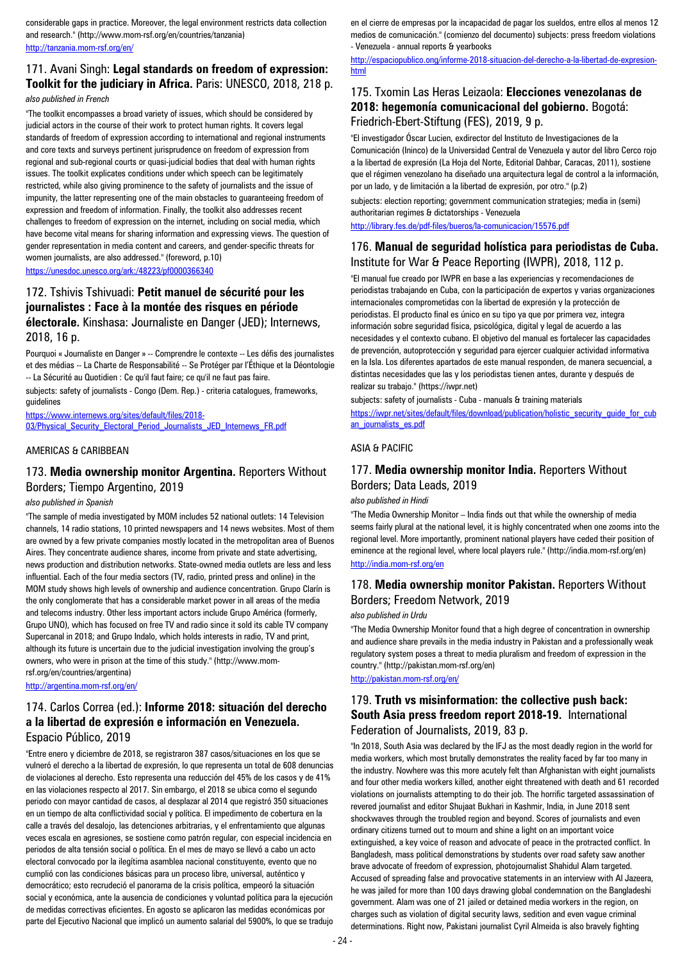considerable gaps in practice. Moreover, the legal environment restricts data collection and research." (http://www.mom-rsf.org/en/countries/tanzania) <http://tanzania.mom-rsf.org/en/>

## 171. Avani Singh: **Legal standards on freedom of expression: Toolkit for the judiciary in Africa.** Paris: UNESCO, 2018, 218 p.

*also published in French*

"The toolkit encompasses a broad variety of issues, which should be considered by judicial actors in the course of their work to protect human rights. It covers legal standards of freedom of expression according to international and regional instruments and core texts and surveys pertinent jurisprudence on freedom of expression from regional and sub-regional courts or quasi-judicial bodies that deal with human rights issues. The toolkit explicates conditions under which speech can be legitimately restricted, while also giving prominence to the safety of journalists and the issue of impunity, the latter representing one of the main obstacles to guaranteeing freedom of expression and freedom of information. Finally, the toolkit also addresses recent challenges to freedom of expression on the internet, including on social media, which have become vital means for sharing information and expressing views. The question of gender representation in media content and careers, and gender-specific threats for women journalists, are also addressed." (foreword, p.10) <https://unesdoc.unesco.org/ark:/48223/pf0000366340>

## 172. Tshivis Tshivuadi: **Petit manuel de sécurité pour les journalistes : Face à la montée des risques en période électorale.** Kinshasa: Journaliste en Danger (JED); Internews, 2018, 16 p.

Pourquoi « Journaliste en Danger » -- Comprendre le contexte -- Les défis des journalistes et des médias -- La Charte de Responsabilité -- Se Protéger par l'Éthique et la Déontologie -- La Sécurité au Quotidien : Ce qu'il faut faire; ce qu'il ne faut pas faire.

subjects: safety of journalists - Congo (Dem. Rep.) - criteria catalogues, frameworks, guidelines

[https://www.internews.org/sites/default/files/2018-](https://www.internews.org/sites/default/files/2018-03/Physical_Security_Electoral_Period_Journalists_JED_Internews_FR.pdf)

03/Physical Security Electoral Period Journalists JED Internews FR.pdf

#### AMERICAS & CARIBBEAN

## 173. **Media ownership monitor Argentina.** Reporters Without Borders; Tiempo Argentino, 2019

*also published in Spanish*

"The sample of media investigated by MOM includes 52 national outlets: 14 Television channels, 14 radio stations, 10 printed newspapers and 14 news websites. Most of them are owned by a few private companies mostly located in the metropolitan area of Buenos Aires. They concentrate audience shares, income from private and state advertising, news production and distribution networks. State-owned media outlets are less and less influential. Each of the four media sectors (TV, radio, printed press and online) in the MOM study shows high levels of ownership and audience concentration. Grupo Clarín is the only conglomerate that has a considerable market power in all areas of the media and telecoms industry. Other less important actors include Grupo América (formerly, Grupo UNO), which has focused on free TV and radio since it sold its cable TV company Supercanal in 2018; and Grupo Indalo, which holds interests in radio, TV and print, although its future is uncertain due to the judicial investigation involving the group's owners, who were in prison at the time of this study." (http://www.momrsf.org/en/countries/argentina)

<http://argentina.mom-rsf.org/en/>

#### 174. Carlos Correa (ed.): **Informe 2018: situación del derecho a la libertad de expresión e información en Venezuela.** Espacio Público, 2019

"Entre enero y diciembre de 2018, se registraron 387 casos/situaciones en los que se vulneró el derecho a la libertad de expresión, lo que representa un total de 608 denuncias de violaciones al derecho. Esto representa una reducción del 45% de los casos y de 41% en las violaciones respecto al 2017. Sin embargo, el 2018 se ubica como el segundo periodo con mayor cantidad de casos, al desplazar al 2014 que registró 350 situaciones en un tiempo de alta conflictividad social y política. El impedimento de cobertura en la calle a través del desalojo, las detenciones arbitrarias, y el enfrentamiento que algunas veces escala en agresiones, se sostiene como patrón regular, con especial incidencia en periodos de alta tensión social o política. En el mes de mayo se llevó a cabo un acto electoral convocado por la ilegítima asamblea nacional constituyente, evento que no cumplió con las condiciones básicas para un proceso libre, universal, auténtico y democrático; esto recrudeció el panorama de la crisis política, empeoró la situación social y económica, ante la ausencia de condiciones y voluntad política para la ejecución de medidas correctivas eficientes. En agosto se aplicaron las medidas económicas por parte del Ejecutivo Nacional que implicó un aumento salarial del 5900%, lo que se tradujo

en el cierre de empresas por la incapacidad de pagar los sueldos, entre ellos al menos 12 medios de comunicación." (comienzo del documento) subjects: press freedom violations - Venezuela - annual reports & yearbooks

[http://espaciopublico.ong/informe-2018-situacion-del-derecho-a-la-libertad-de-expresion](http://espaciopublico.ong/informe-2018-situacion-del-derecho-a-la-libertad-de-expresion-html)[html](http://espaciopublico.ong/informe-2018-situacion-del-derecho-a-la-libertad-de-expresion-html)

## 175. Txomin Las Heras Leizaola: **Elecciones venezolanas de 2018: hegemonía comunicacional del gobierno.** Bogotá: Friedrich-Ebert-Stiftung (FES), 2019, 9 p.

"El investigador Óscar Lucien, exdirector del Instituto de Investigaciones de la Comunicación (Ininco) de la Universidad Central de Venezuela y autor del libro Cerco rojo a la libertad de expresión (La Hoja del Norte, Editorial Dahbar, Caracas, 2011), sostiene que el régimen venezolano ha diseñado una arquitectura legal de control a la información, por un lado, y de limitación a la libertad de expresión, por otro." (p.2)

subjects: election reporting; government communication strategies; media in (semi) authoritarian regimes & dictatorships - Venezuela

<http://library.fes.de/pdf-files/bueros/la-comunicacion/15576.pdf>

## 176. **Manual de seguridad holística para periodistas de Cuba.**  Institute for War & Peace Reporting (IWPR), 2018, 112 p.

"El manual fue creado por IWPR en base a las experiencias y recomendaciones de periodistas trabajando en Cuba, con la participación de expertos y varias organizaciones internacionales comprometidas con la libertad de expresión y la protección de periodistas. El producto final es único en su tipo ya que por primera vez, integra información sobre seguridad física, psicológica, digital y legal de acuerdo a las necesidades y el contexto cubano. El objetivo del manual es fortalecer las capacidades de prevención, autoprotección y seguridad para ejercer cualquier actividad informativa en la Isla. Los diferentes apartados de este manual responden, de manera secuencial, a distintas necesidades que las y los periodistas tienen antes, durante y después de realizar su trabajo." (https://iwpr.net)

subjects: safety of journalists - Cuba - manuals & training materials

https://iwpr.net/sites/default/files/download/publication/holistic\_security\_quide\_for\_cub [an\\_journalists\\_es.pdf](https://iwpr.net/sites/default/files/download/publication/holistic_security_guide_for_cuban_journalists_es.pdf)

#### ASIA & PACIFIC

#### 177. **Media ownership monitor India.** Reporters Without Borders; Data Leads, 2019

*also published in Hindi*

"The Media Ownership Monitor – India finds out that while the ownership of media seems fairly plural at the national level, it is highly concentrated when one zooms into the regional level. More importantly, prominent national players have ceded their position of eminence at the regional level, where local players rule." (http://india.mom-rsf.org/en) <http://india.mom-rsf.org/en>

#### 178. **Media ownership monitor Pakistan.** Reporters Without Borders; Freedom Network, 2019

*also published in Urdu*

"The Media Ownership Monitor found that a high degree of concentration in ownership and audience share prevails in the media industry in Pakistan and a professionally weak regulatory system poses a threat to media pluralism and freedom of expression in the country." (http://pakistan.mom-rsf.org/en) <http://pakistan.mom-rsf.org/en/>

#### 179. **Truth vs misinformation: the collective push back: South Asia press freedom report 2018-19.** International Federation of Journalists, 2019, 83 p.

"In 2018, South Asia was declared by the IFJ as the most deadly region in the world for media workers, which most brutally demonstrates the reality faced by far too many in the industry. Nowhere was this more acutely felt than Afghanistan with eight journalists and four other media workers killed, another eight threatened with death and 61 recorded violations on journalists attempting to do their job. The horrific targeted assassination of revered journalist and editor Shujaat Bukhari in Kashmir, India, in June 2018 sent shockwaves through the troubled region and beyond. Scores of journalists and even ordinary citizens turned out to mourn and shine a light on an important voice extinguished, a key voice of reason and advocate of peace in the protracted conflict. In Bangladesh, mass political demonstrations by students over road safety saw another brave advocate of freedom of expression, photojournalist Shahidul Alam targeted. Accused of spreading false and provocative statements in an interview with Al Jazeera, he was jailed for more than 100 days drawing global condemnation on the Bangladeshi government. Alam was one of 21 jailed or detained media workers in the region, on charges such as violation of digital security laws, sedition and even vague criminal determinations. Right now, Pakistani journalist Cyril Almeida is also bravely fighting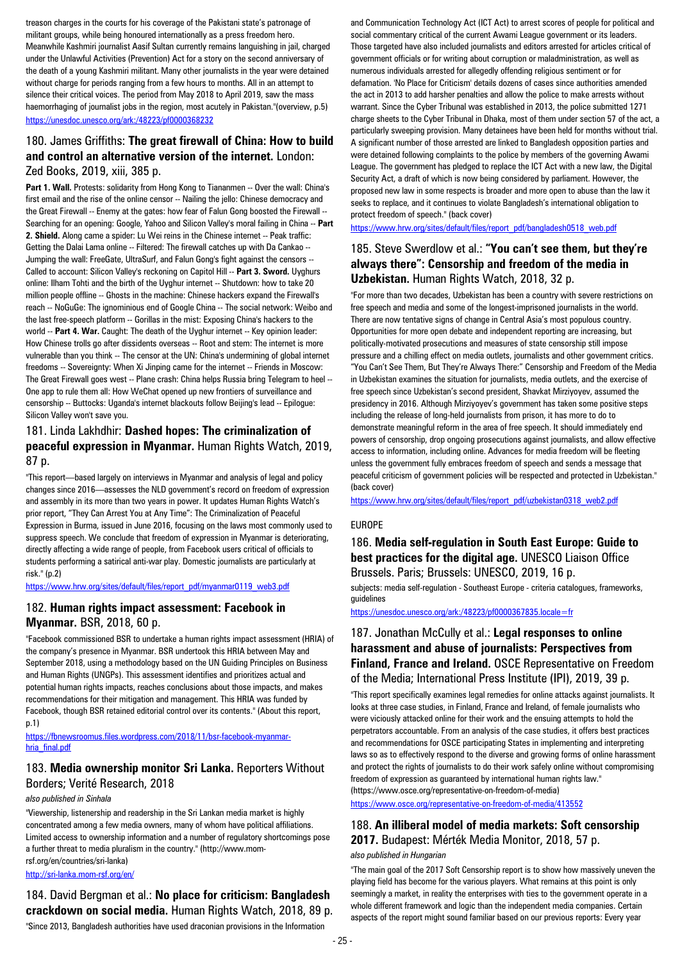treason charges in the courts for his coverage of the Pakistani state's patronage of militant groups, while being honoured internationally as a press freedom hero. Meanwhile Kashmiri journalist Aasif Sultan currently remains languishing in jail, charged under the Unlawful Activities (Prevention) Act for a story on the second anniversary of the death of a young Kashmiri militant. Many other journalists in the year were detained without charge for periods ranging from a few hours to months. All in an attempt to silence their critical voices. The period from May 2018 to April 2019, saw the mass haemorrhaging of journalist jobs in the region, most acutely in Pakistan."(overview, p.5) <https://unesdoc.unesco.org/ark:/48223/pf0000368232>

### 180. James Griffiths: **The great firewall of China: How to build and control an alternative version of the internet.** London: Zed Books, 2019, xiii, 385 p.

Part 1. Wall. Protests: solidarity from Hong Kong to Tiananmen -- Over the wall: China's first email and the rise of the online censor -- Nailing the jello: Chinese democracy and the Great Firewall -- Enemy at the gates: how fear of Falun Gong boosted the Firewall -- Searching for an opening: Google, Yahoo and Silicon Valley's moral failing in China -- **Part 2. Shield.** Along came a spider: Lu Wei reins in the Chinese internet -- Peak traffic: Getting the Dalai Lama online -- Filtered: The firewall catches up with Da Cankao -- Jumping the wall: FreeGate, UltraSurf, and Falun Gong's fight against the censors -- Called to account: Silicon Valley's reckoning on Capitol Hill -- **Part 3. Sword.** Uyghurs online: Ilham Tohti and the birth of the Uyghur internet -- Shutdown: how to take 20 million people offline -- Ghosts in the machine: Chinese hackers expand the Firewall's reach -- NoGuGe: The ignominious end of Google China -- The social network: Weibo and the last free-speech platform -- Gorillas in the mist: Exposing China's hackers to the world -- **Part 4. War.** Caught: The death of the Uyghur internet -- Key opinion leader: How Chinese trolls go after dissidents overseas -- Root and stem: The internet is more vulnerable than you think -- The censor at the UN: China's undermining of global internet freedoms -- Sovereignty: When Xi Jinping came for the internet -- Friends in Moscow: The Great Firewall goes west -- Plane crash: China helps Russia bring Telegram to heel -- One app to rule them all: How WeChat opened up new frontiers of surveillance and censorship -- Buttocks: Uganda's internet blackouts follow Beijing's lead -- Epilogue: Silicon Valley won't save you.

## 181. Linda Lakhdhir: **Dashed hopes: The criminalization of peaceful expression in Myanmar.** Human Rights Watch, 2019, 87 p.

"This report—based largely on interviews in Myanmar and analysis of legal and policy changes since 2016—assesses the NLD government's record on freedom of expression and assembly in its more than two years in power. It updates Human Rights Watch's prior report, "They Can Arrest You at Any Time": The Criminalization of Peaceful Expression in Burma, issued in June 2016, focusing on the laws most commonly used to suppress speech. We conclude that freedom of expression in Myanmar is deteriorating, directly affecting a wide range of people, from Facebook users critical of officials to students performing a satirical anti-war play. Domestic journalists are particularly at risk." (p.2)

#### [https://www.hrw.org/sites/default/files/report\\_pdf/myanmar0119\\_web3.pdf](https://www.hrw.org/sites/default/files/report_pdf/myanmar0119_web3.pdf)

#### 182. **Human rights impact assessment: Facebook in Myanmar.** BSR, 2018, 60 p.

"Facebook commissioned BSR to undertake a human rights impact assessment (HRIA) of the company's presence in Myanmar. BSR undertook this HRIA between May and September 2018, using a methodology based on the UN Guiding Principles on Business and Human Rights (UNGPs). This assessment identifies and prioritizes actual and potential human rights impacts, reaches conclusions about those impacts, and makes recommendations for their mitigation and management. This HRIA was funded by Facebook, though BSR retained editorial control over its contents." (About this report, p.1)

[https://fbnewsroomus.files.wordpress.com/2018/11/bsr-facebook-myanmar](https://fbnewsroomus.files.wordpress.com/2018/11/bsr-facebook-myanmar-hria_final.pdf)[hria\\_final.pdf](https://fbnewsroomus.files.wordpress.com/2018/11/bsr-facebook-myanmar-hria_final.pdf)

#### 183. **Media ownership monitor Sri Lanka.** Reporters Without Borders; Verité Research, 2018

#### *also published in Sinhala*

"Viewership, listenership and readership in the Sri Lankan media market is highly concentrated among a few media owners, many of whom have political affiliations. Limited access to ownership information and a number of regulatory shortcomings pose a further threat to media pluralism in the country." (http://www.momrsf.org/en/countries/sri-lanka)

<http://sri-lanka.mom-rsf.org/en/>

184. David Bergman et al.: **No place for criticism: Bangladesh crackdown on social media.** Human Rights Watch, 2018, 89 p.

"Since 2013, Bangladesh authorities have used draconian provisions in the Information

and Communication Technology Act (ICT Act) to arrest scores of people for political and social commentary critical of the current Awami League government or its leaders. Those targeted have also included journalists and editors arrested for articles critical of government officials or for writing about corruption or maladministration, as well as numerous individuals arrested for allegedly offending religious sentiment or for defamation. 'No Place for Criticism' details dozens of cases since authorities amended the act in 2013 to add harsher penalties and allow the police to make arrests without warrant. Since the Cyber Tribunal was established in 2013, the police submitted 1271 charge sheets to the Cyber Tribunal in Dhaka, most of them under section 57 of the act, a particularly sweeping provision. Many detainees have been held for months without trial. A significant number of those arrested are linked to Bangladesh opposition parties and were detained following complaints to the police by members of the governing Awami League. The government has pledged to replace the ICT Act with a new law, the Digital Security Act, a draft of which is now being considered by parliament. However, the proposed new law in some respects is broader and more open to abuse than the law it seeks to replace, and it continues to violate Bangladesh's international obligation to protect freedom of speech." (back cover)

[https://www.hrw.org/sites/default/files/report\\_pdf/bangladesh0518\\_web.pdf](https://www.hrw.org/sites/default/files/report_pdf/bangladesh0518_web.pdf)

## 185. Steve Swerdlow et al.: **"You can't see them, but they're always there": Censorship and freedom of the media in Uzbekistan.** Human Rights Watch, 2018, 32 p.

"For more than two decades, Uzbekistan has been a country with severe restrictions on free speech and media and some of the longest-imprisoned journalists in the world. There are now tentative signs of change in Central Asia's most populous country. Opportunities for more open debate and independent reporting are increasing, but politically-motivated prosecutions and measures of state censorship still impose pressure and a chilling effect on media outlets, journalists and other government critics. "You Can't See Them, But They're Always There:" Censorship and Freedom of the Media in Uzbekistan examines the situation for journalists, media outlets, and the exercise of free speech since Uzbekistan's second president, Shavkat Mirziyoyev, assumed the presidency in 2016. Although Mirziyoyev's government has taken some positive steps including the release of long-held journalists from prison, it has more to do to demonstrate meaningful reform in the area of free speech. It should immediately end powers of censorship, drop ongoing prosecutions against journalists, and allow effective access to information, including online. Advances for media freedom will be fleeting unless the government fully embraces freedom of speech and sends a message that peaceful criticism of government policies will be respected and protected in Uzbekistan." (back cover)

[https://www.hrw.org/sites/default/files/report\\_pdf/uzbekistan0318\\_web2.pdf](https://www.hrw.org/sites/default/files/report_pdf/uzbekistan0318_web2.pdf)

#### EUROPE

#### 186. **Media self-regulation in South East Europe: Guide to best practices for the digital age.** UNESCO Liaison Office Brussels. Paris; Brussels: UNESCO, 2019, 16 p. subjects: media self-regulation - Southeast Europe - criteria catalogues, frameworks, guidelines

<https://unesdoc.unesco.org/ark:/48223/pf0000367835.locale=fr>

#### 187. Jonathan McCully et al.: **Legal responses to online harassment and abuse of journalists: Perspectives from Finland, France and Ireland.** OSCE Representative on Freedom of the Media; International Press Institute (IPI), 2019, 39 p.

"This report specifically examines legal remedies for online attacks against journalists. It looks at three case studies, in Finland, France and Ireland, of female journalists who were viciously attacked online for their work and the ensuing attempts to hold the perpetrators accountable. From an analysis of the case studies, it offers best practices and recommendations for OSCE participating States in implementing and interpreting laws so as to effectively respond to the diverse and growing forms of online harassment and protect the rights of journalists to do their work safely online without compromising freedom of expression as guaranteed by international human rights law." (https://www.osce.org/representative-on-freedom-of-media)

<https://www.osce.org/representative-on-freedom-of-media/413552>

#### 188. **An illiberal model of media markets: Soft censorship 2017.** Budapest: Mérték Media Monitor, 2018, 57 p. *also published in Hungarian*

"The main goal of the 2017 Soft Censorship report is to show how massively uneven the playing field has become for the various players. What remains at this point is only seemingly a market, in reality the enterprises with ties to the government operate in a whole different framework and logic than the independent media companies. Certain aspects of the report might sound familiar based on our previous reports: Every year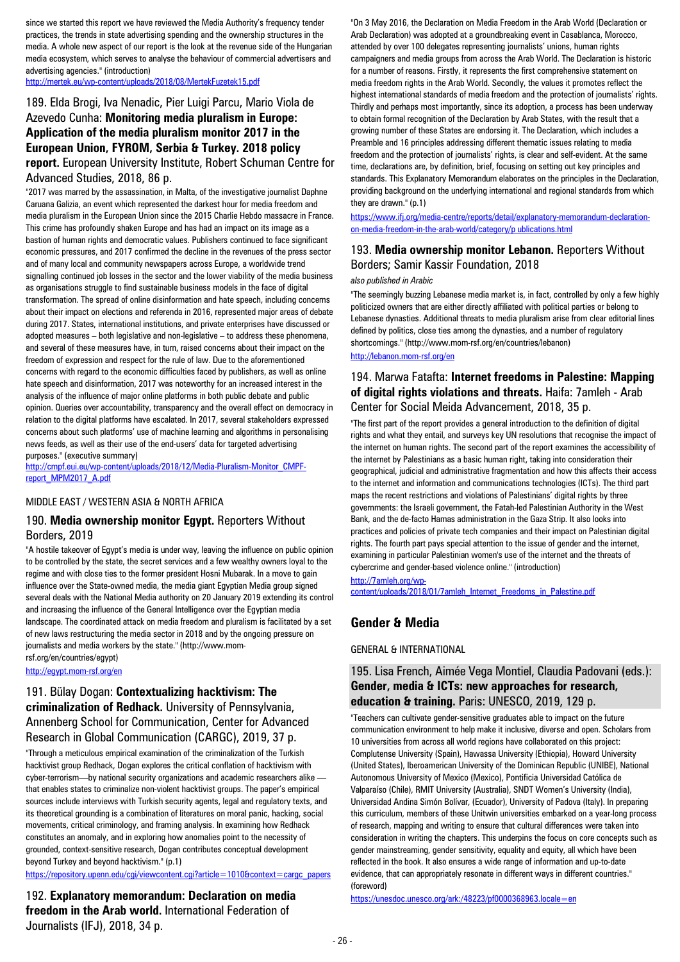since we started this report we have reviewed the Media Authority's frequency tender practices, the trends in state advertising spending and the ownership structures in the media. A whole new aspect of our report is the look at the revenue side of the Hungarian media ecosystem, which serves to analyse the behaviour of commercial advertisers and advertising agencies." (introduction)

<http://mertek.eu/wp-content/uploads/2018/08/MertekFuzetek15.pdf>

#### 189. Elda Brogi, Iva Nenadic, Pier Luigi Parcu, Mario Viola de Azevedo Cunha: **Monitoring media pluralism in Europe: Application of the media pluralism monitor 2017 in the European Union, FYROM, Serbia & Turkey. 2018 policy report.** European University Institute, Robert Schuman Centre for Advanced Studies, 2018, 86 p.

"2017 was marred by the assassination, in Malta, of the investigative journalist Daphne Caruana Galizia, an event which represented the darkest hour for media freedom and media pluralism in the European Union since the 2015 Charlie Hebdo massacre in France. This crime has profoundly shaken Europe and has had an impact on its image as a bastion of human rights and democratic values. Publishers continued to face significant economic pressures, and 2017 confirmed the decline in the revenues of the press sector and of many local and community newspapers across Europe, a worldwide trend signalling continued job losses in the sector and the lower viability of the media business as organisations struggle to find sustainable business models in the face of digital transformation. The spread of online disinformation and hate speech, including concerns about their impact on elections and referenda in 2016, represented major areas of debate during 2017. States, international institutions, and private enterprises have discussed or adopted measures – both legislative and non-legislative – to address these phenomena, and several of these measures have, in turn, raised concerns about their impact on the freedom of expression and respect for the rule of law. Due to the aforementioned concerns with regard to the economic difficulties faced by publishers, as well as online hate speech and disinformation, 2017 was noteworthy for an increased interest in the analysis of the influence of major online platforms in both public debate and public opinion. Queries over accountability, transparency and the overall effect on democracy in relation to the digital platforms have escalated. In 2017, several stakeholders expressed concerns about such platforms' use of machine learning and algorithms in personalising news feeds, as well as their use of the end-users' data for targeted advertising purposes." (executive summary)

[http://cmpf.eui.eu/wp-content/uploads/2018/12/Media-Pluralism-Monitor\\_CMPF](http://cmpf.eui.eu/wp-content/uploads/2018/12/Media-Pluralism-Monitor_CMPF-report_MPM2017_A.pdf)[report\\_MPM2017\\_A.pdf](http://cmpf.eui.eu/wp-content/uploads/2018/12/Media-Pluralism-Monitor_CMPF-report_MPM2017_A.pdf)

#### MIDDLE EAST / WESTERN ASIA & NORTH AFRICA

#### 190. **Media ownership monitor Egypt.** Reporters Without Borders, 2019

"A hostile takeover of Egypt's media is under way, leaving the influence on public opinion to be controlled by the state, the secret services and a few wealthy owners loyal to the regime and with close ties to the former president Hosni Mubarak. In a move to gain influence over the State-owned media, the media giant Egyptian Media group signed several deals with the National Media authority on 20 January 2019 extending its control and increasing the influence of the General Intelligence over the Egyptian media landscape. The coordinated attack on media freedom and pluralism is facilitated by a set of new laws restructuring the media sector in 2018 and by the ongoing pressure on journalists and media workers by the state." (http://www.momrsf.org/en/countries/egypt)

<http://egypt.mom-rsf.org/en>

## 191. Bülay Dogan: **Contextualizing hacktivism: The criminalization of Redhack.** University of Pennsylvania, Annenberg School for Communication, Center for Advanced Research in Global Communication (CARGC), 2019, 37 p.

"Through a meticulous empirical examination of the criminalization of the Turkish hacktivist group Redhack, Dogan explores the critical conflation of hacktivism with cyber-terrorism—by national security organizations and academic researchers alike that enables states to criminalize non-violent hacktivist groups. The paper's empirical sources include interviews with Turkish security agents, legal and regulatory texts, and its theoretical grounding is a combination of literatures on moral panic, hacking, social movements, critical criminology, and framing analysis. In examining how Redhack constitutes an anomaly, and in exploring how anomalies point to the necessity of grounded, context-sensitive research, Dogan contributes conceptual development beyond Turkey and beyond hacktivism." (p.1)

[https://repository.upenn.edu/cgi/viewcontent.cgi?article=1010&context=cargc\\_papers](https://repository.upenn.edu/cgi/viewcontent.cgi?article=1010&context=cargc_papers)

192. **Explanatory memorandum: Declaration on media freedom in the Arab world.** International Federation of Journalists (IFJ), 2018, 34 p.

"On 3 May 2016, the Declaration on Media Freedom in the Arab World (Declaration or Arab Declaration) was adopted at a groundbreaking event in Casablanca, Morocco, attended by over 100 delegates representing journalists' unions, human rights campaigners and media groups from across the Arab World. The Declaration is historic for a number of reasons. Firstly, it represents the first comprehensive statement on media freedom rights in the Arab World. Secondly, the values it promotes reflect the highest international standards of media freedom and the protection of journalists' rights. Thirdly and perhaps most importantly, since its adoption, a process has been underway to obtain formal recognition of the Declaration by Arab States, with the result that a growing number of these States are endorsing it. The Declaration, which includes a Preamble and 16 principles addressing different thematic issues relating to media freedom and the protection of journalists' rights, is clear and self-evident. At the same time, declarations are, by definition, brief, focusing on setting out key principles and standards. This Explanatory Memorandum elaborates on the principles in the Declaration, providing background on the underlying international and regional standards from which they are drawn." (p.1)

[https://www.ifj.org/media-centre/reports/detail/explanatory-memorandum-declaration](https://www.ifj.org/media-centre/reports/detail/explanatory-memorandum-declaration-on-media-freedom-in-the-arab-world/category/p%20ublications.html)[on-media-freedom-in-the-arab-world/category/p ublications.html](https://www.ifj.org/media-centre/reports/detail/explanatory-memorandum-declaration-on-media-freedom-in-the-arab-world/category/p%20ublications.html)

#### 193. **Media ownership monitor Lebanon.** Reporters Without Borders; Samir Kassir Foundation, 2018

*also published in Arabic*

"The seemingly buzzing Lebanese media market is, in fact, controlled by only a few highly politicized owners that are either directly affiliated with political parties or belong to Lebanese dynasties. Additional threats to media pluralism arise from clear editorial lines defined by politics, close ties among the dynasties, and a number of regulatory shortcomings." (http://www.mom-rsf.org/en/countries/lebanon) <http://lebanon.mom-rsf.org/en>

#### 194. Marwa Fatafta: **Internet freedoms in Palestine: Mapping of digital rights violations and threats.** Haifa: 7amleh - Arab Center for Social Meida Advancement, 2018, 35 p.

"The first part of the report provides a general introduction to the definition of digital rights and what they entail, and surveys key UN resolutions that recognise the impact of the internet on human rights. The second part of the report examines the accessibility of the internet by Palestinians as a basic human right, taking into consideration their geographical, judicial and administrative fragmentation and how this affects their access to the internet and information and communications technologies (ICTs). The third part maps the recent restrictions and violations of Palestinians' digital rights by three governments: the Israeli government, the Fatah-led Palestinian Authority in the West Bank, and the de-facto Hamas administration in the Gaza Strip. It also looks into practices and policies of private tech companies and their impact on Palestinian digital rights. The fourth part pays special attention to the issue of gender and the internet, examining in particular Palestinian women's use of the internet and the threats of cybercrime and gender-based violence online." (introduction)

[http://7amleh.org/wp-](http://7amleh.org/wp-content/uploads/2018/01/7amleh_Internet_Freedoms_in_Palestine.pdf)

[content/uploads/2018/01/7amleh\\_Internet\\_Freedoms\\_in\\_Palestine.pdf](http://7amleh.org/wp-content/uploads/2018/01/7amleh_Internet_Freedoms_in_Palestine.pdf)

## **Gender & Media**

GENERAL & INTERNATIONAL

#### 195. Lisa French, Aimée Vega Montiel, Claudia Padovani (eds.): **Gender, media & ICTs: new approaches for research, education & training.** Paris: UNESCO, 2019, 129 p.

"Teachers can cultivate gender-sensitive graduates able to impact on the future communication environment to help make it inclusive, diverse and open. Scholars from 10 universities from across all world regions have collaborated on this project: Complutense University (Spain), Hawassa University (Ethiopia), Howard University (United States), Iberoamerican University of the Dominican Republic (UNIBE), National Autonomous University of Mexico (Mexico), Pontificia Universidad Católica de Valparaíso (Chile), RMIT University (Australia), SNDT Women's University (India), Universidad Andina Simón Bolívar, (Ecuador), University of Padova (Italy). In preparing this curriculum, members of these Unitwin universities embarked on a year-long process of research, mapping and writing to ensure that cultural differences were taken into consideration in writing the chapters. This underpins the focus on core concepts such as gender mainstreaming, gender sensitivity, equality and equity, all which have been reflected in the book. It also ensures a wide range of information and up-to-date evidence, that can appropriately resonate in different ways in different countries." (foreword)

<https://unesdoc.unesco.org/ark:/48223/pf0000368963.locale=en>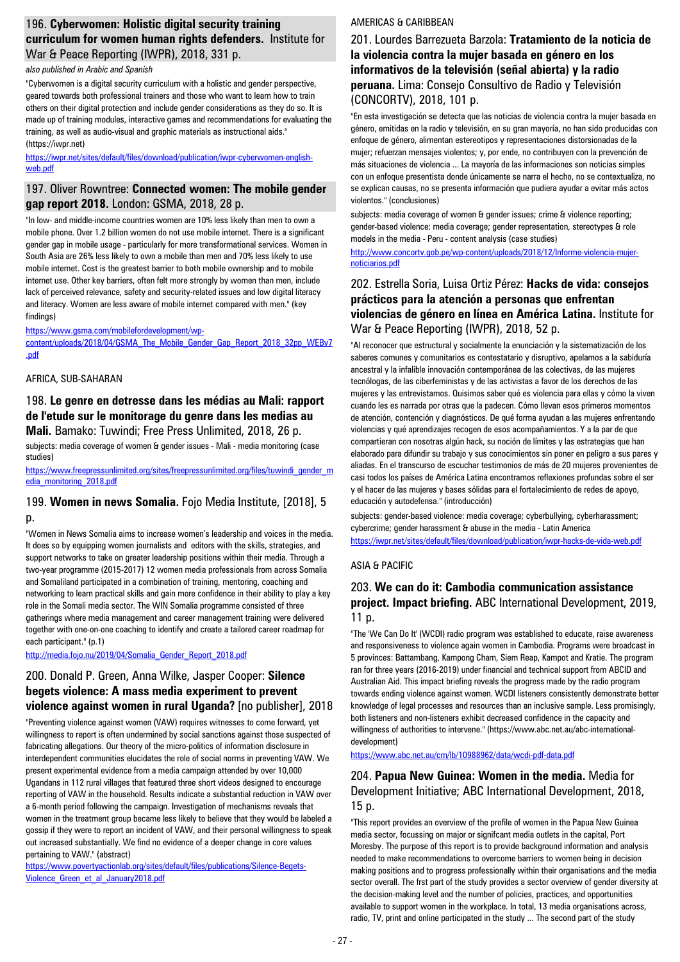#### 196. **Cyberwomen: Holistic digital security training curriculum for women human rights defenders.** Institute for War & Peace Reporting (IWPR), 2018, 331 p.

*also published in Arabic and Spanish*

"Cyberwomen is a digital security curriculum with a holistic and gender perspective, geared towards both professional trainers and those who want to learn how to train others on their digital protection and include gender considerations as they do so. It is made up of training modules, interactive games and recommendations for evaluating the training, as well as audio-visual and graphic materials as instructional aids." (https://iwpr.net)

[https://iwpr.net/sites/default/files/download/publication/iwpr-cyberwomen-english](https://iwpr.net/sites/default/files/download/publication/iwpr-cyberwomen-english-web.pdf)[web.pdf](https://iwpr.net/sites/default/files/download/publication/iwpr-cyberwomen-english-web.pdf)

## 197. Oliver Rowntree: **Connected women: The mobile gender gap report 2018.** London: GSMA, 2018, 28 p.

"In low- and middle-income countries women are 10% less likely than men to own a mobile phone. Over 1.2 billion women do not use mobile internet. There is a significant gender gap in mobile usage - particularly for more transformational services. Women in South Asia are 26% less likely to own a mobile than men and 70% less likely to use mobile internet. Cost is the greatest barrier to both mobile ownership and to mobile internet use. Other key barriers, often felt more strongly by women than men, include lack of perceived relevance, safety and security-related issues and low digital literacy and literacy. Women are less aware of mobile internet compared with men." (key findings)

[https://www.gsma.com/mobilefordevelopment/wp-](https://www.gsma.com/mobilefordevelopment/wp-content/uploads/2018/04/GSMA_The_Mobile_Gender_Gap_Report_2018_32pp_WEBv7%20.pdf)

content/uploads/2018/04/GSMA\_The\_Mobile\_Gender\_Gap\_Report\_2018\_32pp\_WEBv7 [.pdf](https://www.gsma.com/mobilefordevelopment/wp-content/uploads/2018/04/GSMA_The_Mobile_Gender_Gap_Report_2018_32pp_WEBv7%20.pdf)

#### AFRICA, SUB-SAHARAN

#### 198. **Le genre en detresse dans les médias au Mali: rapport de l'etude sur le monitorage du genre dans les medias au Mali.** Bamako: Tuwindi; Free Press Unlimited, 2018, 26 p.

subjects: media coverage of women & gender issues - Mali - media monitoring (case studies)

[https://www.freepressunlimited.org/sites/freepressunlimited.org/files/tuwindi\\_gender\\_m](https://www.freepressunlimited.org/sites/freepressunlimited.org/files/tuwindi_gender_media_monitoring_2018.pdf) [edia\\_monitoring\\_2018.pdf](https://www.freepressunlimited.org/sites/freepressunlimited.org/files/tuwindi_gender_media_monitoring_2018.pdf)

## 199. **Women in news Somalia.** Fojo Media Institute, [2018], 5 p.

"Women in News Somalia aims to increase women's leadership and voices in the media. It does so by equipping women journalists and editors with the skills, strategies, and support networks to take on greater leadership positions within their media. Through a two-year programme (2015-2017) 12 women media professionals from across Somalia and Somaliland participated in a combination of training, mentoring, coaching and networking to learn practical skills and gain more confidence in their ability to play a key role in the Somali media sector. The WIN Somalia programme consisted of three gatherings where media management and career management training were delivered together with one-on-one coaching to identify and create a tailored career roadmap for each participant." (p.1)

[http://media.fojo.nu/2019/04/Somalia\\_Gender\\_Report\\_2018.pdf](http://media.fojo.nu/2019/04/Somalia_Gender_Report_2018.pdf)

## 200. Donald P. Green, Anna Wilke, Jasper Cooper: **Silence begets violence: A mass media experiment to prevent violence against women in rural Uganda?** [no publisher], 2018

"Preventing violence against women (VAW) requires witnesses to come forward, yet willingness to report is often undermined by social sanctions against those suspected of fabricating allegations. Our theory of the micro-politics of information disclosure in interdependent communities elucidates the role of social norms in preventing VAW. We present experimental evidence from a media campaign attended by over 10,000 Ugandans in 112 rural villages that featured three short videos designed to encourage reporting of VAW in the household. Results indicate a substantial reduction in VAW over a 6-month period following the campaign. Investigation of mechanisms reveals that women in the treatment group became less likely to believe that they would be labeled a gossip if they were to report an incident of VAW, and their personal willingness to speak out increased substantially. We find no evidence of a deeper change in core values pertaining to VAW." (abstract)

[https://www.povertyactionlab.org/sites/default/files/publications/Silence-Begets-](https://www.povertyactionlab.org/sites/default/files/publications/Silence-Begets-Violence_Green_et_al_January2018.pdf)[Violence\\_Green\\_et\\_al\\_January2018.pdf](https://www.povertyactionlab.org/sites/default/files/publications/Silence-Begets-Violence_Green_et_al_January2018.pdf)

#### AMERICAS & CARIBBEAN

201. Lourdes Barrezueta Barzola: **Tratamiento de la noticia de la violencia contra la mujer basada en género en los informativos de la televisión (señal abierta) y la radio peruana.** Lima: Consejo Consultivo de Radio y Televisión (CONCORTV), 2018, 101 p.

"En esta investigación se detecta que las noticias de violencia contra la mujer basada en género, emitidas en la radio y televisión, en su gran mayoría, no han sido producidas con enfoque de género, alimentan estereotipos y representaciones distorsionadas de la mujer; refuerzan mensajes violentos; y, por ende, no contribuyen con la prevención de más situaciones de violencia ... La mayoría de las informaciones son noticias simples con un enfoque presentista donde únicamente se narra el hecho, no se contextualiza, no se explican causas, no se presenta información que pudiera ayudar a evitar más actos violentos." (conclusiones)

subjects: media coverage of women & gender issues; crime & violence reporting; gender-based violence: media coverage; gender representation, stereotypes & role models in the media - Peru - content analysis (case studies)

[http://www.concortv.gob.pe/wp-content/uploads/2018/12/Informe-violencia-mujer](http://www.concortv.gob.pe/wp-content/uploads/2018/12/Informe-violencia-mujer-noticiarios.pdf)[noticiarios.pdf](http://www.concortv.gob.pe/wp-content/uploads/2018/12/Informe-violencia-mujer-noticiarios.pdf)

## 202. Estrella Soria, Luisa Ortiz Pérez: **Hacks de vida: consejos prácticos para la atención a personas que enfrentan violencias de género en línea en América Latina.** Institute for War & Peace Reporting (IWPR), 2018, 52 p.

"Al reconocer que estructural y socialmente la enunciación y la sistematización de los saberes comunes y comunitarios es contestatario y disruptivo, apelamos a la sabiduría ancestral y la infalible innovación contemporánea de las colectivas, de las mujeres tecnólogas, de las ciberfeministas y de las activistas a favor de los derechos de las mujeres y las entrevistamos. Quisimos saber qué es violencia para ellas y cómo la viven cuando les es narrada por otras que la padecen. Cómo llevan esos primeros momentos de atención, contención y diagnósticos. De qué forma ayudan a las mujeres enfrentando violencias y qué aprendizajes recogen de esos acompañamientos. Y a la par de que compartieran con nosotras algún hack, su noción de límites y las estrategias que han elaborado para difundir su trabajo y sus conocimientos sin poner en peligro a sus pares y aliadas. En el transcurso de escuchar testimonios de más de 20 mujeres provenientes de casi todos los países de América Latina encontramos reflexiones profundas sobre el ser y el hacer de las mujeres y bases sólidas para el fortalecimiento de redes de apoyo, educación y autodefensa." (introducción)

subjects: gender-based violence: media coverage; cyberbullying, cyberharassment; cybercrime; gender harassment & abuse in the media - Latin America <https://iwpr.net/sites/default/files/download/publication/iwpr-hacks-de-vida-web.pdf>

#### ASIA & PACIFIC

#### 203. **We can do it: Cambodia communication assistance project. Impact briefing.** ABC International Development, 2019, 11 p.

"The 'We Can Do It' (WCDI) radio program was established to educate, raise awareness and responsiveness to violence again women in Cambodia. Programs were broadcast in 5 provinces: Battambang, Kampong Cham, Siem Reap, Kampot and Kratie. The program ran for three years (2016-2019) under financial and technical support from ABCID and Australian Aid. This impact briefing reveals the progress made by the radio program towards ending violence against women. WCDI listeners consistently demonstrate better knowledge of legal processes and resources than an inclusive sample. Less promisingly, both listeners and non-listeners exhibit decreased confidence in the capacity and willingness of authorities to intervene." (https://www.abc.net.au/abc-internationaldevelopment)

<https://www.abc.net.au/cm/lb/10988962/data/wcdi-pdf-data.pdf>

## 204. **Papua New Guinea: Women in the media.** Media for Development Initiative; ABC International Development, 2018, 15 p.

"This report provides an overview of the profile of women in the Papua New Guinea media sector, focussing on major or signifcant media outlets in the capital, Port Moresby. The purpose of this report is to provide background information and analysis needed to make recommendations to overcome barriers to women being in decision making positions and to progress professionally within their organisations and the media sector overall. The frst part of the study provides a sector overview of gender diversity at the decision-making level and the number of policies, practices, and opportunities available to support women in the workplace. In total, 13 media organisations across, radio, TV, print and online participated in the study ... The second part of the study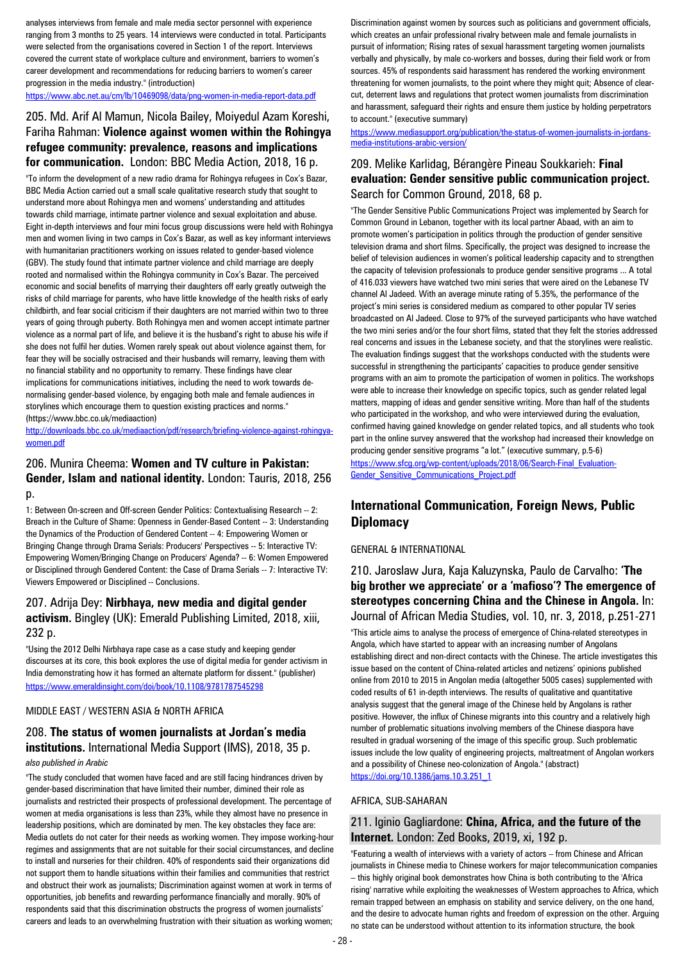analyses interviews from female and male media sector personnel with experience ranging from 3 months to 25 years. 14 interviews were conducted in total. Participants were selected from the organisations covered in Section 1 of the report. Interviews covered the current state of workplace culture and environment, barriers to women's career development and recommendations for reducing barriers to women's career progression in the media industry." (introduction)

<https://www.abc.net.au/cm/lb/10469098/data/png-women-in-media-report-data.pdf>

## 205. Md. Arif Al Mamun, Nicola Bailey, Moiyedul Azam Koreshi, Fariha Rahman: **Violence against women within the Rohingya refugee community: prevalence, reasons and implications for communication.** London: BBC Media Action, 2018, 16 p.

"To inform the development of a new radio drama for Rohingya refugees in Cox's Bazar, BBC Media Action carried out a small scale qualitative research study that sought to understand more about Rohingya men and womens' understanding and attitudes towards child marriage, intimate partner violence and sexual exploitation and abuse. Eight in-depth interviews and four mini focus group discussions were held with Rohingya men and women living in two camps in Cox's Bazar, as well as key informant interviews with humanitarian practitioners working on issues related to gender-based violence (GBV). The study found that intimate partner violence and child marriage are deeply rooted and normalised within the Rohingya community in Cox's Bazar. The perceived economic and social benefits of marrying their daughters off early greatly outweigh the risks of child marriage for parents, who have little knowledge of the health risks of early childbirth, and fear social criticism if their daughters are not married within two to three years of going through puberty. Both Rohingya men and women accept intimate partner violence as a normal part of life, and believe it is the husband's right to abuse his wife if she does not fulfil her duties. Women rarely speak out about violence against them, for fear they will be socially ostracised and their husbands will remarry, leaving them with no financial stability and no opportunity to remarry. These findings have clear implications for communications initiatives, including the need to work towards denormalising gender-based violence, by engaging both male and female audiences in storylines which encourage them to question existing practices and norms." (https://www.bbc.co.uk/mediaaction)

[http://downloads.bbc.co.uk/mediaaction/pdf/research/briefing-violence-against-rohingya](http://downloads.bbc.co.uk/mediaaction/pdf/research/briefing-violence-against-rohingya-women.pdf)[women.pdf](http://downloads.bbc.co.uk/mediaaction/pdf/research/briefing-violence-against-rohingya-women.pdf)

#### 206. Munira Cheema: **Women and TV culture in Pakistan: Gender, Islam and national identity.** London: Tauris, 2018, 256 p.

1: Between On-screen and Off-screen Gender Politics: Contextualising Research -- 2: Breach in the Culture of Shame: Openness in Gender-Based Content -- 3: Understanding the Dynamics of the Production of Gendered Content -- 4: Empowering Women or Bringing Change through Drama Serials: Producers' Perspectives -- 5: Interactive TV: Empowering Women/Bringing Change on Producers' Agenda? -- 6: Women Empowered or Disciplined through Gendered Content: the Case of Drama Serials -- 7: Interactive TV: Viewers Empowered or Disciplined -- Conclusions.

#### 207. Adrija Dey: **Nirbhaya, new media and digital gender activism.** Bingley (UK): Emerald Publishing Limited, 2018, xiii, 232 p.

"Using the 2012 Delhi Nirbhaya rape case as a case study and keeping gender discourses at its core, this book explores the use of digital media for gender activism in India demonstrating how it has formed an alternate platform for dissent." (publisher) <https://www.emeraldinsight.com/doi/book/10.1108/9781787545298>

#### MIDDLE EAST / WESTERN ASIA & NORTH AFRICA

#### 208. **The status of women journalists at Jordan's media institutions.** International Media Support (IMS), 2018, 35 p. *also published in Arabic*

"The study concluded that women have faced and are still facing hindrances driven by gender-based discrimination that have limited their number, dimined their role as journalists and restricted their prospects of professional development. The percentage of women at media organisations is less than 23%, while they almost have no presence in leadership positions, which are dominated by men. The key obstacles they face are: Media outlets do not cater for their needs as working women. They impose working-hour regimes and assignments that are not suitable for their social circumstances, and decline to install and nurseries for their children. 40% of respondents said their organizations did not support them to handle situations within their families and communities that restrict and obstruct their work as journalists; Discrimination against women at work in terms of opportunities, job benefits and rewarding performance financially and morally. 90% of respondents said that this discrimination obstructs the progress of women journalists' careers and leads to an overwhelming frustration with their situation as working women;

Discrimination against women by sources such as politicians and government officials, which creates an unfair professional rivalry between male and female journalists in pursuit of information; Rising rates of sexual harassment targeting women journalists verbally and physically, by male co-workers and bosses, during their field work or from sources. 45% of respondents said harassment has rendered the working environment threatening for women journalists, to the point where they might quit; Absence of clearcut, deterrent laws and regulations that protect women journalists from discrimination and harassment, safeguard their rights and ensure them justice by holding perpetrators to account." (executive summary)

[https://www.mediasupport.org/publication/the-status-of-women-journalists-in-jordans](https://www.mediasupport.org/publication/the-status-of-women-journalists-in-jordans-media-institutions-arabic-version/)[media-institutions-arabic-version/](https://www.mediasupport.org/publication/the-status-of-women-journalists-in-jordans-media-institutions-arabic-version/)

#### 209. Melike Karlidag, Bérangère Pineau Soukkarieh: **Final evaluation: Gender sensitive public communication project.**  Search for Common Ground, 2018, 68 p.

"The Gender Sensitive Public Communications Project was implemented by Search for Common Ground in Lebanon, together with its local partner Abaad, with an aim to promote women's participation in politics through the production of gender sensitive television drama and short films. Specifically, the project was designed to increase the belief of television audiences in women's political leadership capacity and to strengthen the capacity of television professionals to produce gender sensitive programs ... A total of 416.033 viewers have watched two mini series that were aired on the Lebanese TV channel Al Jadeed. With an average minute rating of 5.35%, the performance of the project's mini series is considered medium as compared to other popular TV series broadcasted on Al Jadeed. Close to 97% of the surveyed participants who have watched the two mini series and/or the four short films, stated that they felt the stories addressed real concerns and issues in the Lebanese society, and that the storylines were realistic. The evaluation findings suggest that the workshops conducted with the students were successful in strengthening the participants' capacities to produce gender sensitive programs with an aim to promote the participation of women in politics. The workshops were able to increase their knowledge on specific topics, such as gender related legal matters, mapping of ideas and gender sensitive writing. More than half of the students who participated in the workshop, and who were interviewed during the evaluation, confirmed having gained knowledge on gender related topics, and all students who took part in the online survey answered that the workshop had increased their knowledge on producing gender sensitive programs "a lot." (executive summary, p.5-6) [https://www.sfcg.org/wp-content/uploads/2018/06/Search-Final\\_Evaluation-](https://www.sfcg.org/wp-content/uploads/2018/06/Search-Final_Evaluation-Gender_Sensitive_Communications_Project.pdf)Gender Sensitive Communications Project.pdf

## **International Communication, Foreign News, Public Diplomacy**

#### GENERAL & INTERNATIONAL

210. Jaroslaw Jura, Kaja Kaluzynska, Paulo de Carvalho: **'The big brother we appreciate' or a 'mafioso'? The emergence of stereotypes concerning China and the Chinese in Angola.** In: Journal of African Media Studies, vol. 10, nr. 3, 2018, p.251-271

"This article aims to analyse the process of emergence of China-related stereotypes in Angola, which have started to appear with an increasing number of Angolans establishing direct and non-direct contacts with the Chinese. The article investigates this issue based on the content of China-related articles and netizens' opinions published online from 2010 to 2015 in Angolan media (altogether 5005 cases) supplemented with coded results of 61 in-depth interviews. The results of qualitative and quantitative analysis suggest that the general image of the Chinese held by Angolans is rather positive. However, the influx of Chinese migrants into this country and a relatively high number of problematic situations involving members of the Chinese diaspora have resulted in gradual worsening of the image of this specific group. Such problematic issues include the low quality of engineering projects, maltreatment of Angolan workers and a possibility of Chinese neo-colonization of Angola." (abstract) [https://doi.org/10.1386/jams.10.3.251\\_1](https://doi.org/10.1386/jams.10.3.251_1)

#### AFRICA, SUB-SAHARAN

#### 211. Iginio Gagliardone: **China, Africa, and the future of the Internet.** London: Zed Books, 2019, xi, 192 p.

"Featuring a wealth of interviews with a variety of actors – from Chinese and African journalists in Chinese media to Chinese workers for major telecommunication companies – this highly original book demonstrates how China is both contributing to the 'Africa rising' narrative while exploiting the weaknesses of Western approaches to Africa, which remain trapped between an emphasis on stability and service delivery, on the one hand, and the desire to advocate human rights and freedom of expression on the other. Arguing no state can be understood without attention to its information structure, the book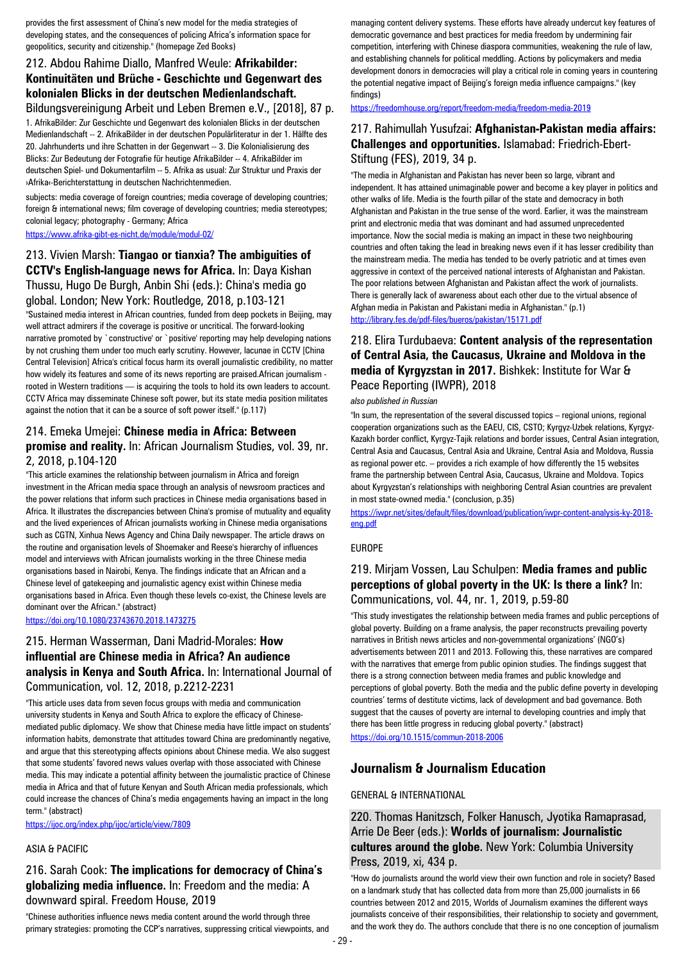provides the first assessment of China's new model for the media strategies of developing states, and the consequences of policing Africa's information space for geopolitics, security and citizenship." (homepage Zed Books)

## 212. Abdou Rahime Diallo, Manfred Weule: **Afrikabilder: Kontinuitäten und Brüche - Geschichte und Gegenwart des kolonialen Blicks in der deutschen Medienlandschaft.**

Bildungsvereinigung Arbeit und Leben Bremen e.V., [2018], 87 p. 1. AfrikaBilder: Zur Geschichte und Gegenwart des kolonialen Blicks in der deutschen Medienlandschaft -- 2. AfrikaBilder in der deutschen Populärliteratur in der 1. Hälfte des 20. Jahrhunderts und ihre Schatten in der Gegenwart -- 3. Die Kolonialisierung des Blicks: Zur Bedeutung der Fotografie für heutige AfrikaBilder -- 4. AfrikaBilder im deutschen Spiel- und Dokumentarfilm -- 5. Afrika as usual: Zur Struktur und Praxis der ›Afrika‹-Berichterstattung in deutschen Nachrichtenmedien.

subjects: media coverage of foreign countries; media coverage of developing countries; foreign & international news; film coverage of developing countries; media stereotypes; colonial legacy; photography - Germany; Africa

<https://www.afrika-gibt-es-nicht.de/module/modul-02/>

### 213. Vivien Marsh: **Tiangao or tianxia? The ambiguities of CCTV's English-language news for Africa.** In: Daya Kishan Thussu, Hugo De Burgh, Anbin Shi (eds.): China's media go global. London; New York: Routledge, 2018, p.103-121

"Sustained media interest in African countries, funded from deep pockets in Beijing, may well attract admirers if the coverage is positive or uncritical. The forward-looking narrative promoted by `constructive' or `positive' reporting may help developing nations by not crushing them under too much early scrutiny. However, lacunae in CCTV [China Central Television] Africa's critical focus harm its overall journalistic credibility, no matter how widely its features and some of its news reporting are praised.African journalism rooted in Western traditions — is acquiring the tools to hold its own leaders to account. CCTV Africa may disseminate Chinese soft power, but its state media position militates against the notion that it can be a source of soft power itself." (p.117)

#### 214. Emeka Umejei: **Chinese media in Africa: Between promise and reality.** In: African Journalism Studies, vol. 39, nr. 2, 2018, p.104-120

"This article examines the relationship between journalism in Africa and foreign investment in the African media space through an analysis of newsroom practices and the power relations that inform such practices in Chinese media organisations based in Africa. It illustrates the discrepancies between China's promise of mutuality and equality and the lived experiences of African journalists working in Chinese media organisations such as CGTN, Xinhua News Agency and China Daily newspaper. The article draws on the routine and organisation levels of Shoemaker and Reese's hierarchy of influences model and interviews with African journalists working in the three Chinese media organisations based in Nairobi, Kenya. The findings indicate that an African and a Chinese level of gatekeeping and journalistic agency exist within Chinese media organisations based in Africa. Even though these levels co-exist, the Chinese levels are dominant over the African." (abstract)

<https://doi.org/10.1080/23743670.2018.1473275>

## 215. Herman Wasserman, Dani Madrid-Morales: **How influential are Chinese media in Africa? An audience analysis in Kenya and South Africa.** In: International Journal of Communication, vol. 12, 2018, p.2212-2231

"This article uses data from seven focus groups with media and communication university students in Kenya and South Africa to explore the efficacy of Chinesemediated public diplomacy. We show that Chinese media have little impact on students' information habits, demonstrate that attitudes toward China are predominantly negative, and argue that this stereotyping affects opinions about Chinese media. We also suggest that some students' favored news values overlap with those associated with Chinese media. This may indicate a potential affinity between the journalistic practice of Chinese media in Africa and that of future Kenyan and South African media professionals, which could increase the chances of China's media engagements having an impact in the long term." (abstract)

<https://ijoc.org/index.php/ijoc/article/view/7809>

#### ASIA & PACIFIC

## 216. Sarah Cook: **The implications for democracy of China's globalizing media influence.** In: Freedom and the media: A downward spiral. Freedom House, 2019

"Chinese authorities influence news media content around the world through three primary strategies: promoting the CCP's narratives, suppressing critical viewpoints, and managing content delivery systems. These efforts have already undercut key features of democratic governance and best practices for media freedom by undermining fair competition, interfering with Chinese diaspora communities, weakening the rule of law, and establishing channels for political meddling. Actions by policymakers and media development donors in democracies will play a critical role in coming years in countering the potential negative impact of Beijing's foreign media influence campaigns." (key findings)

#### <https://freedomhouse.org/report/freedom-media/freedom-media-2019>

#### 217. Rahimullah Yusufzai: **Afghanistan-Pakistan media affairs: Challenges and opportunities.** Islamabad: Friedrich-Ebert-Stiftung (FES), 2019, 34 p.

"The media in Afghanistan and Pakistan has never been so large, vibrant and independent. It has attained unimaginable power and become a key player in politics and other walks of life. Media is the fourth pillar of the state and democracy in both Afghanistan and Pakistan in the true sense of the word. Earlier, it was the mainstream print and electronic media that was dominant and had assumed unprecedented importance. Now the social media is making an impact in these two neighbouring countries and often taking the lead in breaking news even if it has lesser credibility than the mainstream media. The media has tended to be overly patriotic and at times even aggressive in context of the perceived national interests of Afghanistan and Pakistan. The poor relations between Afghanistan and Pakistan affect the work of journalists. There is generally lack of awareness about each other due to the virtual absence of Afghan media in Pakistan and Pakistani media in Afghanistan." (p.1) <http://library.fes.de/pdf-files/bueros/pakistan/15171.pdf>

## 218. Elira Turdubaeva: **Content analysis of the representation of Central Asia, the Caucasus, Ukraine and Moldova in the media of Kyrgyzstan in 2017.** Bishkek: Institute for War & Peace Reporting (IWPR), 2018

#### *also published in Russian*

"In sum, the representation of the several discussed topics – regional unions, regional cooperation organizations such as the EAEU, CIS, CSTO; Kyrgyz-Uzbek relations, Kyrgyz-Kazakh border conflict, Kyrgyz-Tajik relations and border issues, Central Asian integration, Central Asia and Caucasus, Central Asia and Ukraine, Central Asia and Moldova, Russia as regional power etc. – provides a rich example of how differently the 15 websites frame the partnership between Central Asia, Caucasus, Ukraine and Moldova. Topics about Kyrgyzstan's relationships with neighboring Central Asian countries are prevalent in most state-owned media." (conclusion, p.35)

[https://iwpr.net/sites/default/files/download/publication/iwpr-content-analysis-ky-2018](https://iwpr.net/sites/default/files/download/publication/iwpr-content-analysis-ky-2018-eng.pdf) [eng.pdf](https://iwpr.net/sites/default/files/download/publication/iwpr-content-analysis-ky-2018-eng.pdf)

#### EUROPE

#### 219. Mirjam Vossen, Lau Schulpen: **Media frames and public perceptions of global poverty in the UK: Is there a link?** In: Communications, vol. 44, nr. 1, 2019, p.59-80

"This study investigates the relationship between media frames and public perceptions of global poverty. Building on a frame analysis, the paper reconstructs prevailing poverty narratives in British news articles and non-governmental organizations' (NGO's) advertisements between 2011 and 2013. Following this, these narratives are compared with the narratives that emerge from public opinion studies. The findings suggest that there is a strong connection between media frames and public knowledge and perceptions of global poverty. Both the media and the public define poverty in developing countries' terms of destitute victims, lack of development and bad governance. Both suggest that the causes of poverty are internal to developing countries and imply that there has been little progress in reducing global poverty." (abstract) <https://doi.org/10.1515/commun-2018-2006>

#### **Journalism & Journalism Education**

#### GENERAL & INTERNATIONAL

220. Thomas Hanitzsch, Folker Hanusch, Jyotika Ramaprasad, Arrie De Beer (eds.): **Worlds of journalism: Journalistic cultures around the globe.** New York: Columbia University Press, 2019, xi, 434 p.

"How do journalists around the world view their own function and role in society? Based on a landmark study that has collected data from more than 25,000 journalists in 66 countries between 2012 and 2015, Worlds of Journalism examines the different ways journalists conceive of their responsibilities, their relationship to society and government, and the work they do. The authors conclude that there is no one conception of journalism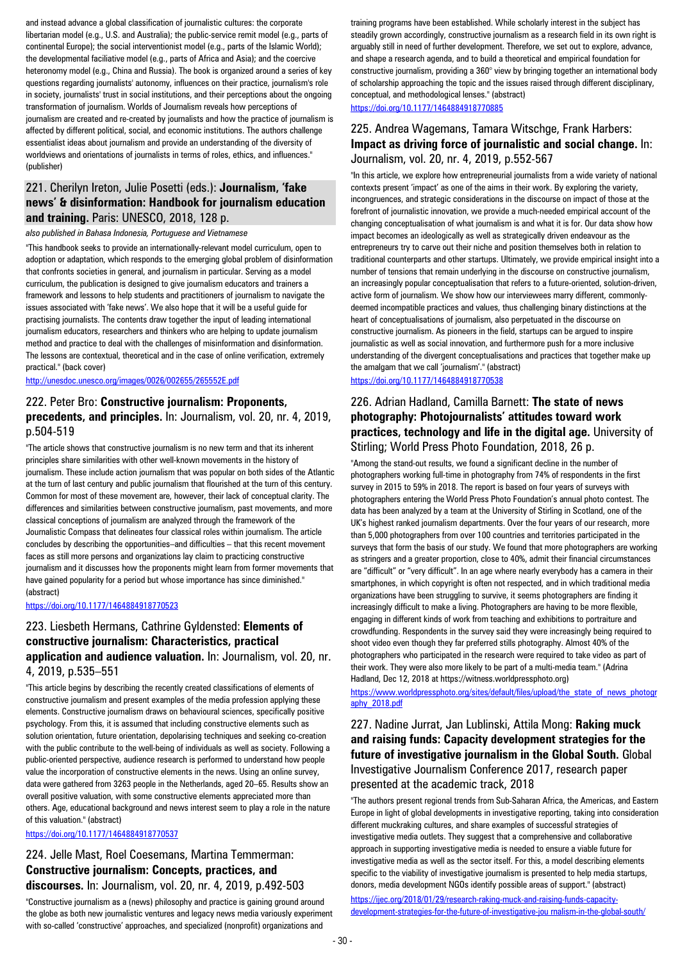and instead advance a global classification of journalistic cultures: the corporate libertarian model (e.g., U.S. and Australia); the public-service remit model (e.g., parts of continental Europe); the social interventionist model (e.g., parts of the Islamic World); the developmental faciliative model (e.g., parts of Africa and Asia); and the coercive heteronomy model (e.g., China and Russia). The book is organized around a series of key questions regarding journalists' autonomy, influences on their practice, journalism's role in society, journalists' trust in social institutions, and their perceptions about the ongoing transformation of journalism. Worlds of Journalism reveals how perceptions of journalism are created and re-created by journalists and how the practice of journalism is affected by different political, social, and economic institutions. The authors challenge essentialist ideas about journalism and provide an understanding of the diversity of worldviews and orientations of journalists in terms of roles, ethics, and influences." (publisher)

### 221. Cherilyn Ireton, Julie Posetti (eds.): **Journalism, 'fake news' & disinformation: Handbook for journalism education and training.** Paris: UNESCO, 2018, 128 p.

*also published in Bahasa Indonesia, Portuguese and Vietnamese*

"This handbook seeks to provide an internationally-relevant model curriculum, open to adoption or adaptation, which responds to the emerging global problem of disinformation that confronts societies in general, and journalism in particular. Serving as a model curriculum, the publication is designed to give journalism educators and trainers a framework and lessons to help students and practitioners of journalism to navigate the issues associated with 'fake news'. We also hope that it will be a useful guide for practising journalists. The contents draw together the input of leading international journalism educators, researchers and thinkers who are helping to update journalism method and practice to deal with the challenges of misinformation and disinformation. The lessons are contextual, theoretical and in the case of online verification, extremely practical." (back cover)

<http://unesdoc.unesco.org/images/0026/002655/265552E.pdf>

## 222. Peter Bro: **Constructive journalism: Proponents, precedents, and principles.** In: Journalism, vol. 20, nr. 4, 2019, p.504-519

"The article shows that constructive journalism is no new term and that its inherent principles share similarities with other well-known movements in the history of journalism. These include action journalism that was popular on both sides of the Atlantic at the turn of last century and public journalism that flourished at the turn of this century. Common for most of these movement are, however, their lack of conceptual clarity. The differences and similarities between constructive journalism, past movements, and more classical conceptions of journalism are analyzed through the framework of the Journalistic Compass that delineates four classical roles within journalism. The article concludes by describing the opportunities–and difficulties – that this recent movement faces as still more persons and organizations lay claim to practicing constructive journalism and it discusses how the proponents might learn from former movements that have gained popularity for a period but whose importance has since diminished." (abstract)

<https://doi.org/10.1177/1464884918770523>

## 223. Liesbeth Hermans, Cathrine Gyldensted: **Elements of constructive journalism: Characteristics, practical application and audience valuation.** In: Journalism, vol. 20, nr. 4, 2019, p.535–551

"This article begins by describing the recently created classifications of elements of constructive journalism and present examples of the media profession applying these elements. Constructive journalism draws on behavioural sciences, specifically positive psychology. From this, it is assumed that including constructive elements such as solution orientation, future orientation, depolarising techniques and seeking co-creation with the public contribute to the well-being of individuals as well as society. Following a public-oriented perspective, audience research is performed to understand how people value the incorporation of constructive elements in the news. Using an online survey, data were gathered from 3263 people in the Netherlands, aged 20–65. Results show an overall positive valuation, with some constructive elements appreciated more than others. Age, educational background and news interest seem to play a role in the nature of this valuation." (abstract)

<https://doi.org/10.1177/1464884918770537>

#### 224. Jelle Mast, Roel Coesemans, Martina Temmerman: **Constructive journalism: Concepts, practices, and discourses.** In: Journalism, vol. 20, nr. 4, 2019, p.492-503

"Constructive journalism as a (news) philosophy and practice is gaining ground around the globe as both new journalistic ventures and legacy news media variously experiment with so-called 'constructive' approaches, and specialized (nonprofit) organizations and

training programs have been established. While scholarly interest in the subject has steadily grown accordingly, constructive journalism as a research field in its own right is arguably still in need of further development. Therefore, we set out to explore, advance, and shape a research agenda, and to build a theoretical and empirical foundation for constructive journalism, providing a 360° view by bringing together an international body of scholarship approaching the topic and the issues raised through different disciplinary, conceptual, and methodological lenses." (abstract)

<https://doi.org/10.1177/1464884918770885>

#### 225. Andrea Wagemans, Tamara Witschge, Frank Harbers: **Impact as driving force of journalistic and social change.** In: Journalism, vol. 20, nr. 4, 2019, p.552-567

"In this article, we explore how entrepreneurial journalists from a wide variety of national contexts present 'impact' as one of the aims in their work. By exploring the variety, incongruences, and strategic considerations in the discourse on impact of those at the forefront of journalistic innovation, we provide a much-needed empirical account of the changing conceptualisation of what journalism is and what it is for. Our data show how impact becomes an ideologically as well as strategically driven endeavour as the entrepreneurs try to carve out their niche and position themselves both in relation to traditional counterparts and other startups. Ultimately, we provide empirical insight into a number of tensions that remain underlying in the discourse on constructive journalism, an increasingly popular conceptualisation that refers to a future-oriented, solution-driven, active form of journalism. We show how our interviewees marry different, commonlydeemed incompatible practices and values, thus challenging binary distinctions at the heart of conceptualisations of journalism, also perpetuated in the discourse on constructive journalism. As pioneers in the field, startups can be argued to inspire journalistic as well as social innovation, and furthermore push for a more inclusive understanding of the divergent conceptualisations and practices that together make up the amalgam that we call 'journalism'." (abstract) <https://doi.org/10.1177/1464884918770538>

#### 226. Adrian Hadland, Camilla Barnett: **The state of news photography: Photojournalists' attitudes toward work practices, technology and life in the digital age.** University of Stirling; World Press Photo Foundation, 2018, 26 p.

"Among the stand-out results, we found a significant decline in the number of photographers working full-time in photography from 74% of respondents in the first survey in 2015 to 59% in 2018. The report is based on four years of surveys with photographers entering the World Press Photo Foundation's annual photo contest. The data has been analyzed by a team at the University of Stirling in Scotland, one of the UK's highest ranked journalism departments. Over the four years of our research, more than 5,000 photographers from over 100 countries and territories participated in the surveys that form the basis of our study. We found that more photographers are working as stringers and a greater proportion, close to 40%, admit their financial circumstances are "difficult" or "very difficult". In an age where nearly everybody has a camera in their smartphones, in which copyright is often not respected, and in which traditional media organizations have been struggling to survive, it seems photographers are finding it increasingly difficult to make a living. Photographers are having to be more flexible, engaging in different kinds of work from teaching and exhibitions to portraiture and crowdfunding. Respondents in the survey said they were increasingly being required to shoot video even though they far preferred stills photography. Almost 40% of the photographers who participated in the research were required to take video as part of their work. They were also more likely to be part of a multi-media team." (Adrina Hadland, Dec 12, 2018 at https://witness.worldpressphoto.org)

[https://www.worldpressphoto.org/sites/default/files/upload/the\\_state\\_of\\_news\\_photogr](https://www.worldpressphoto.org/sites/default/files/upload/the_state_of_news_photography_2018.pdf) [aphy\\_2018.pdf](https://www.worldpressphoto.org/sites/default/files/upload/the_state_of_news_photography_2018.pdf)

#### 227. Nadine Jurrat, Jan Lublinski, Attila Mong: **Raking muck and raising funds: Capacity development strategies for the future of investigative journalism in the Global South.** Global Investigative Journalism Conference 2017, research paper presented at the academic track, 2018

"The authors present regional trends from Sub-Saharan Africa, the Americas, and Eastern Europe in light of global developments in investigative reporting, taking into consideration different muckraking cultures, and share examples of successful strategies of investigative media outlets. They suggest that a comprehensive and collaborative approach in supporting investigative media is needed to ensure a viable future for investigative media as well as the sector itself. For this, a model describing elements specific to the viability of investigative journalism is presented to help media startups, donors, media development NGOs identify possible areas of support." (abstract)

[https://ijec.org/2018/01/29/research-raking-muck-and-raising-funds-capacity](https://ijec.org/2018/01/29/research-raking-muck-and-raising-funds-capacity-development-strategies-for-the-future-of-investigative-jou%20rnalism-in-the-global-south/)[development-strategies-for-the-future-of-investigative-jou rnalism-in-the-global-south/](https://ijec.org/2018/01/29/research-raking-muck-and-raising-funds-capacity-development-strategies-for-the-future-of-investigative-jou%20rnalism-in-the-global-south/)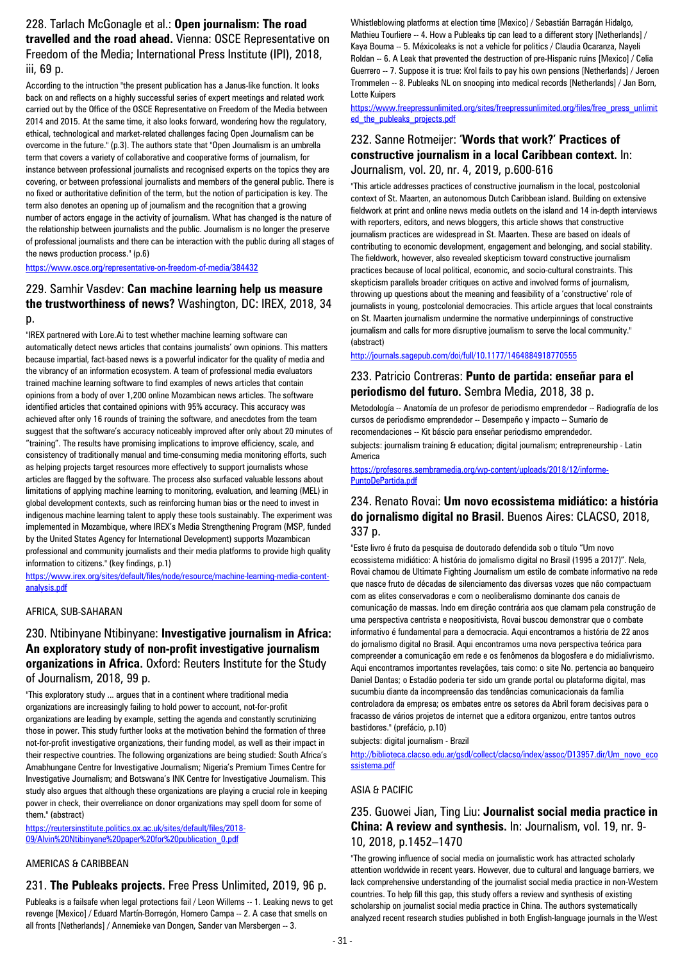## 228. Tarlach McGonagle et al.: **Open journalism: The road travelled and the road ahead.** Vienna: OSCE Representative on Freedom of the Media; International Press Institute (IPI), 2018, iii, 69 p.

According to the intruction "the present publication has a Janus-like function. It looks back on and reflects on a highly successful series of expert meetings and related work carried out by the Office of the OSCE Representative on Freedom of the Media between 2014 and 2015. At the same time, it also looks forward, wondering how the regulatory, ethical, technological and market-related challenges facing Open Journalism can be overcome in the future." (p.3). The authors state that "Open Journalism is an umbrella term that covers a variety of collaborative and cooperative forms of journalism, for instance between professional journalists and recognised experts on the topics they are covering, or between professional journalists and members of the general public. There is no fixed or authoritative definition of the term, but the notion of participation is key. The term also denotes an opening up of journalism and the recognition that a growing number of actors engage in the activity of journalism. What has changed is the nature of the relationship between journalists and the public. Journalism is no longer the preserve of professional journalists and there can be interaction with the public during all stages of the news production process." (p.6)

#### <https://www.osce.org/representative-on-freedom-of-media/384432>

#### 229. Samhir Vasdev: **Can machine learning help us measure the trustworthiness of news?** Washington, DC: IREX, 2018, 34 p.

"IREX partnered with Lore.Ai to test whether machine learning software can automatically detect news articles that contains journalists' own opinions. This matters because impartial, fact-based news is a powerful indicator for the quality of media and the vibrancy of an information ecosystem. A team of professional media evaluators trained machine learning software to find examples of news articles that contain opinions from a body of over 1,200 online Mozambican news articles. The software identified articles that contained opinions with 95% accuracy. This accuracy was achieved after only 16 rounds of training the software, and anecdotes from the team suggest that the software's accuracy noticeably improved after only about 20 minutes of "training". The results have promising implications to improve efficiency, scale, and consistency of traditionally manual and time-consuming media monitoring efforts, such as helping projects target resources more effectively to support journalists whose articles are flagged by the software. The process also surfaced valuable lessons about limitations of applying machine learning to monitoring, evaluation, and learning (MEL) in global development contexts, such as reinforcing human bias or the need to invest in indigenous machine learning talent to apply these tools sustainably. The experiment was implemented in Mozambique, where IREX's Media Strengthening Program (MSP, funded by the United States Agency for International Development) supports Mozambican professional and community journalists and their media platforms to provide high quality information to citizens." (key findings, p.1)

[https://www.irex.org/sites/default/files/node/resource/machine-learning-media-content](https://www.irex.org/sites/default/files/node/resource/machine-learning-media-content-analysis.pdf)[analysis.pdf](https://www.irex.org/sites/default/files/node/resource/machine-learning-media-content-analysis.pdf)

#### AFRICA, SUB-SAHARAN

#### 230. Ntibinyane Ntibinyane: **Investigative journalism in Africa: An exploratory study of non-profit investigative journalism organizations in Africa.** Oxford: Reuters Institute for the Study of Journalism, 2018, 99 p.

"This exploratory study ... argues that in a continent where traditional media organizations are increasingly failing to hold power to account, not-for-profit organizations are leading by example, setting the agenda and constantly scrutinizing those in power. This study further looks at the motivation behind the formation of three not-for-profit investigative organizations, their funding model, as well as their impact in their respective countries. The following organizations are being studied: South Africa's Amabhungane Centre for Investigative Journalism; Nigeria's Premium Times Centre for Investigative Journalism; and Botswana's INK Centre for Investigative Journalism. This study also argues that although these organizations are playing a crucial role in keeping power in check, their overreliance on donor organizations may spell doom for some of them." (abstract)

[https://reutersinstitute.politics.ox.ac.uk/sites/default/files/2018-](https://reutersinstitute.politics.ox.ac.uk/sites/default/files/2018-09/Alvin%20Ntibinyane%20paper%20for%20publication_0.pdf) [09/Alvin%20Ntibinyane%20paper%20for%20publication\\_0.pdf](https://reutersinstitute.politics.ox.ac.uk/sites/default/files/2018-09/Alvin%20Ntibinyane%20paper%20for%20publication_0.pdf)

#### AMERICAS & CARIBBEAN

#### 231. **The Publeaks projects.** Free Press Unlimited, 2019, 96 p.

Publeaks is a failsafe when legal protections fail / Leon Willems -- 1. Leaking news to get revenge [Mexico] / Eduard Martín-Borregón, Homero Campa -- 2. A case that smells on all fronts [Netherlands] / Annemieke van Dongen, Sander van Mersbergen -- 3.

Whistleblowing platforms at election time [Mexico] / Sebastián Barragán Hidalgo, Mathieu Tourliere -- 4. How a Publeaks tip can lead to a different story [Netherlands] / Kaya Bouma -- 5. Méxicoleaks is not a vehicle for politics / Claudia Ocaranza, Nayeli Roldan -- 6. A Leak that prevented the destruction of pre-Hispanic ruins [Mexico] / Celia Guerrero -- 7. Suppose it is true: Krol fails to pay his own pensions [Netherlands] / Jeroen Trommelen -- 8. Publeaks NL on snooping into medical records [Netherlands] / Jan Born, Lotte Kuipers

[https://www.freepressunlimited.org/sites/freepressunlimited.org/files/free\\_press\\_unlimit](https://www.freepressunlimited.org/sites/freepressunlimited.org/files/free_press_unlimited_the_publeaks_projects.pdf) [ed\\_the\\_publeaks\\_projects.pdf](https://www.freepressunlimited.org/sites/freepressunlimited.org/files/free_press_unlimited_the_publeaks_projects.pdf)

#### 232. Sanne Rotmeijer: **'Words that work?' Practices of constructive journalism in a local Caribbean context.** In: Journalism, vol. 20, nr. 4, 2019, p.600-616

"This article addresses practices of constructive journalism in the local, postcolonial context of St. Maarten, an autonomous Dutch Caribbean island. Building on extensive fieldwork at print and online news media outlets on the island and 14 in-depth interviews with reporters, editors, and news bloggers, this article shows that constructive journalism practices are widespread in St. Maarten. These are based on ideals of contributing to economic development, engagement and belonging, and social stability. The fieldwork, however, also revealed skepticism toward constructive journalism practices because of local political, economic, and socio-cultural constraints. This skepticism parallels broader critiques on active and involved forms of journalism, throwing up questions about the meaning and feasibility of a 'constructive' role of journalists in young, postcolonial democracies. This article argues that local constraints on St. Maarten journalism undermine the normative underpinnings of constructive journalism and calls for more disruptive journalism to serve the local community." (abstract)

#### <http://journals.sagepub.com/doi/full/10.1177/1464884918770555>

#### 233. Patricio Contreras: **Punto de partida: enseñar para el periodismo del futuro.** Sembra Media, 2018, 38 p.

Metodología -- Anatomía de un profesor de periodismo emprendedor -- Radiografía de los cursos de periodismo emprendedor -- Desempeño y impacto -- Sumario de recomendaciones -- Kit báscio para enseñar periodismo emprendedor.

subjects: journalism training & education; digital journalism; entrepreneurship - Latin America

[https://profesores.sembramedia.org/wp-content/uploads/2018/12/informe-](https://profesores.sembramedia.org/wp-content/uploads/2018/12/informe-PuntoDePartida.pdf)[PuntoDePartida.pdf](https://profesores.sembramedia.org/wp-content/uploads/2018/12/informe-PuntoDePartida.pdf)

#### 234. Renato Rovai: **Um novo ecossistema midiático: a história do jornalismo digital no Brasil.** Buenos Aires: CLACSO, 2018, 337 p.

"Este livro é fruto da pesquisa de doutorado defendida sob o título "Um novo ecossistema midiático: A história do jornalismo digital no Brasil (1995 a 2017)". Nela, Rovai chamou de Ultimate Fighting Journalism um estilo de combate informativo na rede que nasce fruto de décadas de silenciamento das diversas vozes que não compactuam com as elites conservadoras e com o neoliberalismo dominante dos canais de comunicação de massas. Indo em direção contrária aos que clamam pela construção de uma perspectiva centrista e neopositivista, Rovai buscou demonstrar que o combate informativo é fundamental para a democracia. Aqui encontramos a história de 22 anos do jornalismo digital no Brasil. Aqui encontramos uma nova perspectiva teórica para compreender a comunicação em rede e os fenômenos da blogosfera e do midialivrismo. Aqui encontramos importantes revelações, tais como: o site No. pertencia ao banqueiro Daniel Dantas; o Estadão poderia ter sido um grande portal ou plataforma digital, mas sucumbiu diante da incompreensão das tendências comunicacionais da família controladora da empresa; os embates entre os setores da Abril foram decisivas para o fracasso de vários projetos de internet que a editora organizou, entre tantos outros bastidores." (prefácio, p.10)

subjects: digital journalism - Brazil

[http://biblioteca.clacso.edu.ar/gsdl/collect/clacso/index/assoc/D13957.dir/Um\\_novo\\_eco](http://biblioteca.clacso.edu.ar/gsdl/collect/clacso/index/assoc/D13957.dir/Um_novo_ecossistema.pdf) [ssistema.pdf](http://biblioteca.clacso.edu.ar/gsdl/collect/clacso/index/assoc/D13957.dir/Um_novo_ecossistema.pdf)

#### ASIA & PACIFIC

#### 235. Guowei Jian, Ting Liu: **Journalist social media practice in China: A review and synthesis.** In: Journalism, vol. 19, nr. 9- 10, 2018, p.1452–1470

"The growing influence of social media on journalistic work has attracted scholarly attention worldwide in recent years. However, due to cultural and language barriers, we lack comprehensive understanding of the journalist social media practice in non-Western countries. To help fill this gap, this study offers a review and synthesis of existing scholarship on journalist social media practice in China. The authors systematically analyzed recent research studies published in both English-language journals in the West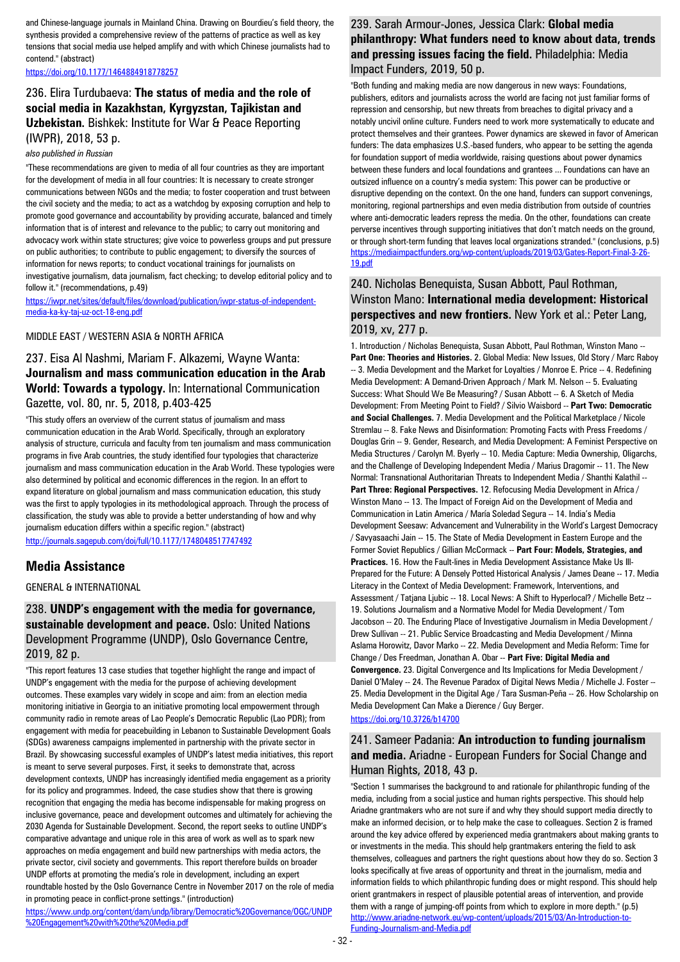and Chinese-language journals in Mainland China. Drawing on Bourdieu's field theory, the synthesis provided a comprehensive review of the patterns of practice as well as key tensions that social media use helped amplify and with which Chinese journalists had to contend." (abstract)

<https://doi.org/10.1177/1464884918778257>

#### 236. Elira Turdubaeva: **The status of media and the role of social media in Kazakhstan, Kyrgyzstan, Tajikistan and Uzbekistan.** Bishkek: Institute for War & Peace Reporting (IWPR), 2018, 53 p.

#### *also published in Russian*

"These recommendations are given to media of all four countries as they are important for the development of media in all four countries: It is necessary to create stronger communications between NGOs and the media; to foster cooperation and trust between the civil society and the media; to act as a watchdog by exposing corruption and help to promote good governance and accountability by providing accurate, balanced and timely information that is of interest and relevance to the public; to carry out monitoring and advocacy work within state structures; give voice to powerless groups and put pressure on public authorities; to contribute to public engagement; to diversify the sources of information for news reports; to conduct vocational trainings for journalists on investigative journalism, data journalism, fact checking; to develop editorial policy and to follow it." (recommendations, p.49)

[https://iwpr.net/sites/default/files/download/publication/iwpr-status-of-independent](https://iwpr.net/sites/default/files/download/publication/iwpr-status-of-independent-media-ka-ky-taj-uz-oct-18-eng.pdf)[media-ka-ky-taj-uz-oct-18-eng.pdf](https://iwpr.net/sites/default/files/download/publication/iwpr-status-of-independent-media-ka-ky-taj-uz-oct-18-eng.pdf)

#### MIDDLE EAST / WESTERN ASIA & NORTH AFRICA

## 237. Eisa Al Nashmi, Mariam F. Alkazemi, Wayne Wanta: **Journalism and mass communication education in the Arab World: Towards a typology.** In: International Communication Gazette, vol. 80, nr. 5, 2018, p.403-425

"This study offers an overview of the current status of journalism and mass communication education in the Arab World. Specifically, through an exploratory analysis of structure, curricula and faculty from ten journalism and mass communication programs in five Arab countries, the study identified four typologies that characterize journalism and mass communication education in the Arab World. These typologies were also determined by political and economic differences in the region. In an effort to expand literature on global journalism and mass communication education, this study was the first to apply typologies in its methodological approach. Through the process of classification, the study was able to provide a better understanding of how and why journalism education differs within a specific region." (abstract) <http://journals.sagepub.com/doi/full/10.1177/1748048517747492>

#### **Media Assistance**

#### GENERAL & INTERNATIONAL

## 238. **UNDP's engagement with the media for governance, sustainable development and peace.** Oslo: United Nations Development Programme (UNDP), Oslo Governance Centre, 2019, 82 p.

"This report features 13 case studies that together highlight the range and impact of UNDP's engagement with the media for the purpose of achieving development outcomes. These examples vary widely in scope and aim: from an election media monitoring initiative in Georgia to an initiative promoting local empowerment through community radio in remote areas of Lao People's Democratic Republic (Lao PDR); from engagement with media for peacebuilding in Lebanon to Sustainable Development Goals (SDGs) awareness campaigns implemented in partnership with the private sector in Brazil. By showcasing successful examples of UNDP's latest media initiatives, this report is meant to serve several purposes. First, it seeks to demonstrate that, across development contexts, UNDP has increasingly identified media engagement as a priority for its policy and programmes. Indeed, the case studies show that there is growing recognition that engaging the media has become indispensable for making progress on inclusive governance, peace and development outcomes and ultimately for achieving the 2030 Agenda for Sustainable Development. Second, the report seeks to outline UNDP's comparative advantage and unique role in this area of work as well as to spark new approaches on media engagement and build new partnerships with media actors, the private sector, civil society and governments. This report therefore builds on broader UNDP efforts at promoting the media's role in development, including an expert roundtable hosted by the Oslo Governance Centre in November 2017 on the role of media in promoting peace in conflict-prone settings." (introduction)

[https://www.undp.org/content/dam/undp/library/Democratic%20Governance/OGC/UNDP](https://www.undp.org/content/dam/undp/library/Democratic%20Governance/OGC/UNDP%20Engagement%20with%20the%20Media.pdf) [%20Engagement%20with%20the%20Media.pdf](https://www.undp.org/content/dam/undp/library/Democratic%20Governance/OGC/UNDP%20Engagement%20with%20the%20Media.pdf)

#### 239. Sarah Armour-Jones, Jessica Clark: **Global media philanthropy: What funders need to know about data, trends and pressing issues facing the field.** Philadelphia: Media Impact Funders, 2019, 50 p.

"Both funding and making media are now dangerous in new ways: Foundations, publishers, editors and journalists across the world are facing not just familiar forms of repression and censorship, but new threats from breaches to digital privacy and a notably uncivil online culture. Funders need to work more systematically to educate and protect themselves and their grantees. Power dynamics are skewed in favor of American funders: The data emphasizes U.S.-based funders, who appear to be setting the agenda for foundation support of media worldwide, raising questions about power dynamics between these funders and local foundations and grantees ... Foundations can have an outsized influence on a country's media system: This power can be productive or disruptive depending on the context. On the one hand, funders can support convenings, monitoring, regional partnerships and even media distribution from outside of countries where anti-democratic leaders repress the media. On the other, foundations can create perverse incentives through supporting initiatives that don't match needs on the ground, or through short-term funding that leaves local organizations stranded." (conclusions, p.5) [https://mediaimpactfunders.org/wp-content/uploads/2019/03/Gates-Report-Final-3-26-](https://mediaimpactfunders.org/wp-content/uploads/2019/03/Gates-Report-Final-3-26-19.pdf) [19.pdf](https://mediaimpactfunders.org/wp-content/uploads/2019/03/Gates-Report-Final-3-26-19.pdf)

#### 240. Nicholas Benequista, Susan Abbott, Paul Rothman, Winston Mano: **International media development: Historical perspectives and new frontiers.** New York et al.: Peter Lang, 2019, xv, 277 p.

1. Introduction / Nicholas Benequista, Susan Abbott, Paul Rothman, Winston Mano -- **Part One: Theories and Histories.** 2. Global Media: New Issues, Old Story / Marc Raboy -- 3. Media Development and the Market for Loyalties / Monroe E. Price -- 4. Redefining Media Development: A Demand-Driven Approach / Mark M. Nelson -- 5. Evaluating Success: What Should We Be Measuring? / Susan Abbott -- 6. A Sketch of Media Development: From Meeting Point to Field? / Silvio Waisbord -- **Part Two: Democratic and Social Challenges.** 7. Media Development and the Political Marketplace / Nicole Stremlau -- 8. Fake News and Disinformation: Promoting Facts with Press Freedoms / Douglas Grin -- 9. Gender, Research, and Media Development: A Feminist Perspective on Media Structures / Carolyn M. Byerly -- 10. Media Capture: Media Ownership, Oligarchs, and the Challenge of Developing Independent Media / Marius Dragomir -- 11. The New Normal: Transnational Authoritarian Threats to Independent Media / Shanthi Kalathil -- **Part Three: Regional Perspectives.** 12. Refocusing Media Development in Africa / Winston Mano -- 13. The Impact of Foreign Aid on the Development of Media and Communication in Latin America / María Soledad Segura -- 14. India's Media Development Seesaw: Advancement and Vulnerability in the World's Largest Democracy / Savyasaachi Jain -- 15. The State of Media Development in Eastern Europe and the Former Soviet Republics / Gillian McCormack -- **Part Four: Models, Strategies, and Practices.** 16. How the Fault-lines in Media Development Assistance Make Us Ill-Prepared for the Future: A Densely Potted Historical Analysis / James Deane -- 17. Media Literacy in the Context of Media Development: Framework, Interventions, and Assessment / Tatjana Ljubic -- 18. Local News: A Shift to Hyperlocal? / Michelle Betz --19. Solutions Journalism and a Normative Model for Media Development / Tom Jacobson -- 20. The Enduring Place of Investigative Journalism in Media Development / Drew Sullivan -- 21. Public Service Broadcasting and Media Development / Minna Aslama Horowitz, Davor Marko -- 22. Media Development and Media Reform: Time for Change / Des Freedman, Jonathan A. Obar -- **Part Five: Digital Media and Convergence.** 23. Digital Convergence and Its Implications for Media Development / Daniel O'Maley -- 24. The Revenue Paradox of Digital News Media / Michelle J. Foster -- 25. Media Development in the Digital Age / Tara Susman-Peña -- 26. How Scholarship on Media Development Can Make a Dierence / Guy Berger.

#### <https://doi.org/10.3726/b14700>

#### 241. Sameer Padania: **An introduction to funding journalism and media.** Ariadne - European Funders for Social Change and Human Rights, 2018, 43 p.

"Section 1 summarises the background to and rationale for philanthropic funding of the media, including from a social justice and human rights perspective. This should help Ariadne grantmakers who are not sure if and why they should support media directly to make an informed decision, or to help make the case to colleagues. Section 2 is framed around the key advice offered by experienced media grantmakers about making grants to or investments in the media. This should help grantmakers entering the field to ask themselves, colleagues and partners the right questions about how they do so. Section 3 looks specifically at five areas of opportunity and threat in the journalism, media and information fields to which philanthropic funding does or might respond. This should help orient grantmakers in respect of plausible potential areas of intervention, and provide them with a range of jumping-off points from which to explore in more depth." (p.5) [http://www.ariadne-network.eu/wp-content/uploads/2015/03/An-Introduction-to-](http://www.ariadne-network.eu/wp-content/uploads/2015/03/An-Introduction-to-Funding-Journalism-and-Media.pdf)[Funding-Journalism-and-Media.pdf](http://www.ariadne-network.eu/wp-content/uploads/2015/03/An-Introduction-to-Funding-Journalism-and-Media.pdf)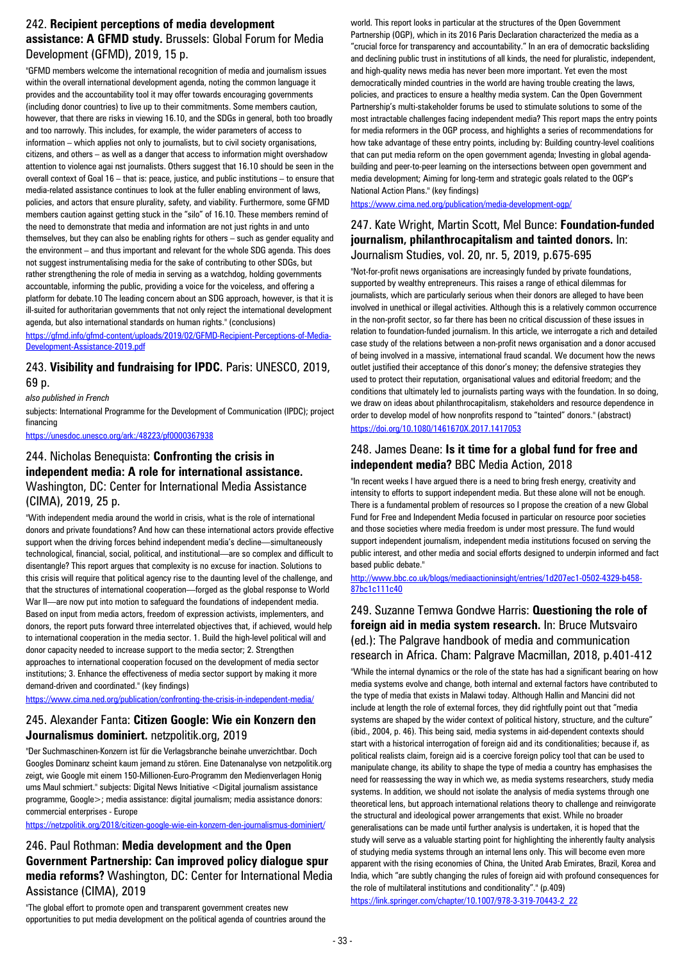#### 242. **Recipient perceptions of media development assistance: A GFMD study.** Brussels: Global Forum for Media Development (GFMD), 2019, 15 p.

"GFMD members welcome the international recognition of media and journalism issues within the overall international development agenda, noting the common language it provides and the accountability tool it may offer towards encouraging governments (including donor countries) to live up to their commitments. Some members caution, however, that there are risks in viewing 16.10, and the SDGs in general, both too broadly and too narrowly. This includes, for example, the wider parameters of access to information – which applies not only to journalists, but to civil society organisations, citizens, and others – as well as a danger that access to information might overshadow attention to violence agai nst journalists. Others suggest that 16.10 should be seen in the overall context of Goal 16 – that is: peace, justice, and public institutions – to ensure that media-related assistance continues to look at the fuller enabling environment of laws, policies, and actors that ensure plurality, safety, and viability. Furthermore, some GFMD members caution against getting stuck in the "silo" of 16.10. These members remind of the need to demonstrate that media and information are not just rights in and unto themselves, but they can also be enabling rights for others – such as gender equality and the environment – and thus important and relevant for the whole SDG agenda. This does not suggest instrumentalising media for the sake of contributing to other SDGs, but rather strengthening the role of media in serving as a watchdog, holding governments accountable, informing the public, providing a voice for the voiceless, and offering a platform for debate.10 The leading concern about an SDG approach, however, is that it is ill-suited for authoritarian governments that not only reject the international development agenda, but also international standards on human rights." (conclusions)

[https://gfmd.info/gfmd-content/uploads/2019/02/GFMD-Recipient-Perceptions-of-Media-](https://gfmd.info/gfmd-content/uploads/2019/02/GFMD-Recipient-Perceptions-of-Media-Development-Assistance-2019.pdf)[Development-Assistance-2019.pdf](https://gfmd.info/gfmd-content/uploads/2019/02/GFMD-Recipient-Perceptions-of-Media-Development-Assistance-2019.pdf)

243. **Visibility and fundraising for IPDC.** Paris: UNESCO, 2019, 69 p.

*also published in French*

subjects: International Programme for the Development of Communication (IPDC); project financing

<https://unesdoc.unesco.org/ark:/48223/pf0000367938>

## 244. Nicholas Benequista: **Confronting the crisis in independent media: A role for international assistance.**  Washington, DC: Center for International Media Assistance (CIMA), 2019, 25 p.

"With independent media around the world in crisis, what is the role of international donors and private foundations? And how can these international actors provide effective support when the driving forces behind independent media's decline—simultaneously technological, financial, social, political, and institutional—are so complex and difficult to disentangle? This report argues that complexity is no excuse for inaction. Solutions to this crisis will require that political agency rise to the daunting level of the challenge, and that the structures of international cooperation—forged as the global response to World War II—are now put into motion to safeguard the foundations of independent media. Based on input from media actors, freedom of expression activists, implementers, and donors, the report puts forward three interrelated objectives that, if achieved, would help to international cooperation in the media sector. 1. Build the high-level political will and donor capacity needed to increase support to the media sector; 2. Strengthen approaches to international cooperation focused on the development of media sector institutions; 3. Enhance the effectiveness of media sector support by making it more demand-driven and coordinated." (key findings)

<https://www.cima.ned.org/publication/confronting-the-crisis-in-independent-media/>

#### 245. Alexander Fanta: **Citizen Google: Wie ein Konzern den Journalismus dominiert.** netzpolitik.org, 2019

"Der Suchmaschinen-Konzern ist für die Verlagsbranche beinahe unverzichtbar. Doch Googles Dominanz scheint kaum jemand zu stören. Eine Datenanalyse von netzpolitik.org zeigt, wie Google mit einem 150-Millionen-Euro-Programm den Medienverlagen Honig ums Maul schmiert." subjects: Digital News Initiative <Digital journalism assistance programme, Google>; media assistance: digital journalism; media assistance donors: commercial enterprises - Europe

<https://netzpolitik.org/2018/citizen-google-wie-ein-konzern-den-journalismus-dominiert/>

## 246. Paul Rothman: **Media development and the Open Government Partnership: Can improved policy dialogue spur media reforms?** Washington, DC: Center for International Media Assistance (CIMA), 2019

"The global effort to promote open and transparent government creates new opportunities to put media development on the political agenda of countries around the world. This report looks in particular at the structures of the Open Government Partnership (OGP), which in its 2016 Paris Declaration characterized the media as a "crucial force for transparency and accountability." In an era of democratic backsliding and declining public trust in institutions of all kinds, the need for pluralistic, independent, and high-quality news media has never been more important. Yet even the most democratically minded countries in the world are having trouble creating the laws, policies, and practices to ensure a healthy media system. Can the Open Government Partnership's multi-stakeholder forums be used to stimulate solutions to some of the most intractable challenges facing independent media? This report maps the entry points for media reformers in the OGP process, and highlights a series of recommendations for how take advantage of these entry points, including by: Building country-level coalitions that can put media reform on the open government agenda; Investing in global agendabuilding and peer-to-peer learning on the intersections between open government and media development; Aiming for long-term and strategic goals related to the OGP's National Action Plans." (key findings)

<https://www.cima.ned.org/publication/media-development-ogp/>

## 247. Kate Wright, Martin Scott, Mel Bunce: **Foundation-funded journalism, philanthrocapitalism and tainted donors.** In: Journalism Studies, vol. 20, nr. 5, 2019, p.675-695

"Not-for-profit news organisations are increasingly funded by private foundations, supported by wealthy entrepreneurs. This raises a range of ethical dilemmas for journalists, which are particularly serious when their donors are alleged to have been involved in unethical or illegal activities. Although this is a relatively common occurrence in the non-profit sector, so far there has been no critical discussion of these issues in relation to foundation-funded journalism. In this article, we interrogate a rich and detailed case study of the relations between a non-profit news organisation and a donor accused of being involved in a massive, international fraud scandal. We document how the news outlet justified their acceptance of this donor's money; the defensive strategies they used to protect their reputation, organisational values and editorial freedom; and the conditions that ultimately led to journalists parting ways with the foundation. In so doing, we draw on ideas about philanthrocapitalism, stakeholders and resource dependence in order to develop model of how nonprofits respond to "tainted" donors." (abstract) <https://doi.org/10.1080/1461670X.2017.1417053>

## 248. James Deane: **Is it time for a global fund for free and independent media?** BBC Media Action, 2018

"In recent weeks I have argued there is a need to bring fresh energy, creativity and intensity to efforts to support independent media. But these alone will not be enough. There is a fundamental problem of resources so I propose the creation of a new Global Fund for Free and Independent Media focused in particular on resource poor societies and those societies where media freedom is under most pressure. The fund would support independent journalism, independent media institutions focused on serving the public interest, and other media and social efforts designed to underpin informed and fact based public debate."

[http://www.bbc.co.uk/blogs/mediaactioninsight/entries/1d207ec1-0502-4329-b458-](http://www.bbc.co.uk/blogs/mediaactioninsight/entries/1d207ec1-0502-4329-b458-87bc1c111c40) [87bc1c111c40](http://www.bbc.co.uk/blogs/mediaactioninsight/entries/1d207ec1-0502-4329-b458-87bc1c111c40)

## 249. Suzanne Temwa Gondwe Harris: **Questioning the role of foreign aid in media system research.** In: Bruce Mutsvairo (ed.): The Palgrave handbook of media and communication research in Africa. Cham: Palgrave Macmillan, 2018, p.401-412

"While the internal dynamics or the role of the state has had a significant bearing on how media systems evolve and change, both internal and external factors have contributed to the type of media that exists in Malawi today. Although Hallin and Mancini did not include at length the role of external forces, they did rightfully point out that "media systems are shaped by the wider context of political history, structure, and the culture" (ibid., 2004, p. 46). This being said, media systems in aid-dependent contexts should start with a historical interrogation of foreign aid and its conditionalities; because if, as political realists claim, foreign aid is a coercive foreign policy tool that can be used to manipulate change, its ability to shape the type of media a country has emphasises the need for reassessing the way in which we, as media systems researchers, study media systems. In addition, we should not isolate the analysis of media systems through one theoretical lens, but approach international relations theory to challenge and reinvigorate the structural and ideological power arrangements that exist. While no broader generalisations can be made until further analysis is undertaken, it is hoped that the study will serve as a valuable starting point for highlighting the inherently faulty analysis of studying media systems through an internal lens only. This will become even more apparent with the rising economies of China, the United Arab Emirates, Brazil, Korea and India, which "are subtly changing the rules of foreign aid with profound consequences for the role of multilateral institutions and conditionality"." (p.409)

[https://link.springer.com/chapter/10.1007/978-3-319-70443-2\\_22](https://link.springer.com/chapter/10.1007/978-3-319-70443-2_22)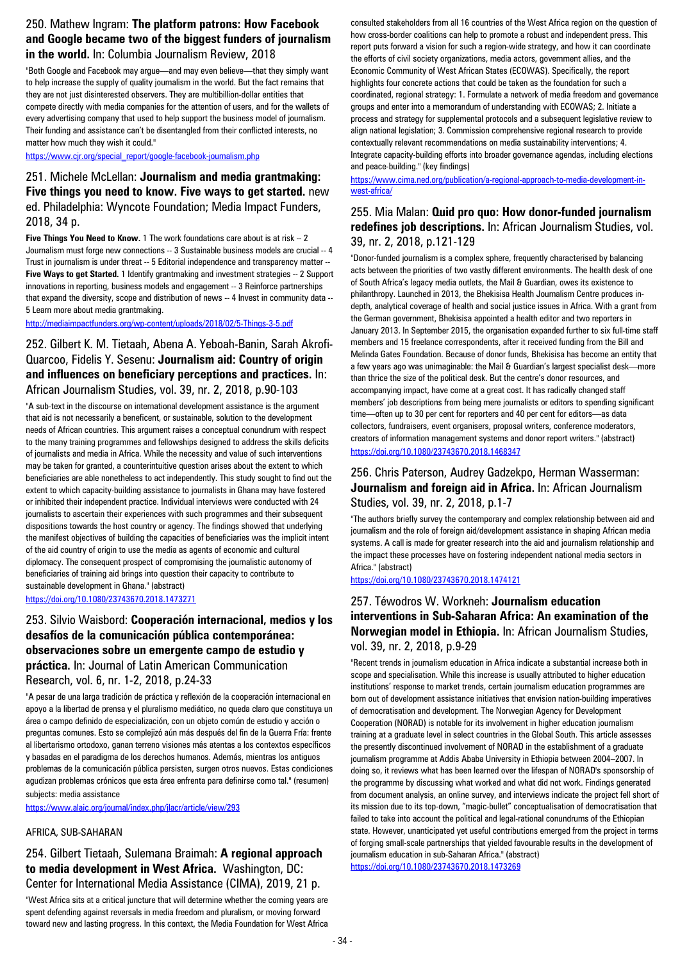#### 250. Mathew Ingram: **The platform patrons: How Facebook and Google became two of the biggest funders of journalism in the world.** In: Columbia Journalism Review, 2018

"Both Google and Facebook may argue—and may even believe—that they simply want to help increase the supply of quality journalism in the world. But the fact remains that they are not just disinterested observers. They are multibillion-dollar entities that compete directly with media companies for the attention of users, and for the wallets of every advertising company that used to help support the business model of journalism. Their funding and assistance can't be disentangled from their conflicted interests, no matter how much they wish it could."

[https://www.cjr.org/special\\_report/google-facebook-journalism.php](https://www.cjr.org/special_report/google-facebook-journalism.php)

## 251. Michele McLellan: **Journalism and media grantmaking: Five things you need to know. Five ways to get started.** new ed. Philadelphia: Wyncote Foundation; Media Impact Funders, 2018, 34 p.

**Five Things You Need to Know.** 1 The work foundations care about is at risk -- 2 Journalism must forge new connections -- 3 Sustainable business models are crucial -- 4 Trust in journalism is under threat -- 5 Editorial independence and transparency matter -- Five Ways to get Started. 1 Identify grantmaking and investment strategies -- 2 Support innovations in reporting, business models and engagement -- 3 Reinforce partnerships that expand the diversity, scope and distribution of news -- 4 Invest in community data -- 5 Learn more about media grantmaking.

<http://mediaimpactfunders.org/wp-content/uploads/2018/02/5-Things-3-5.pdf>

## 252. Gilbert K. M. Tietaah, Abena A. Yeboah-Banin, Sarah Akrofi-Quarcoo, Fidelis Y. Sesenu: **Journalism aid: Country of origin and influences on beneficiary perceptions and practices.** In: African Journalism Studies, vol. 39, nr. 2, 2018, p.90-103

"A sub-text in the discourse on international development assistance is the argument that aid is not necessarily a beneficent, or sustainable, solution to the development needs of African countries. This argument raises a conceptual conundrum with respect to the many training programmes and fellowships designed to address the skills deficits of journalists and media in Africa. While the necessity and value of such interventions may be taken for granted, a counterintuitive question arises about the extent to which beneficiaries are able nonetheless to act independently. This study sought to find out the extent to which capacity-building assistance to journalists in Ghana may have fostered or inhibited their independent practice. Individual interviews were conducted with 24 journalists to ascertain their experiences with such programmes and their subsequent dispositions towards the host country or agency. The findings showed that underlying the manifest objectives of building the capacities of beneficiaries was the implicit intent of the aid country of origin to use the media as agents of economic and cultural diplomacy. The consequent prospect of compromising the journalistic autonomy of beneficiaries of training aid brings into question their capacity to contribute to sustainable development in Ghana." (abstract)

<https://doi.org/10.1080/23743670.2018.1473271>

## 253. Silvio Waisbord: **Cooperación internacional, medios y los desafíos de la comunicación pública contemporánea: observaciones sobre un emergente campo de estudio y práctica.** In: Journal of Latin American Communication Research, vol. 6, nr. 1-2, 2018, p.24-33

"A pesar de una larga tradición de práctica y reflexión de la cooperación internacional en apoyo a la libertad de prensa y el pluralismo mediático, no queda claro que constituya un área o campo definido de especialización, con un objeto común de estudio y acción o preguntas comunes. Esto se complejizó aún más después del fin de la Guerra Fría: frente al libertarismo ortodoxo, ganan terreno visiones más atentas a los contextos específicos y basadas en el paradigma de los derechos humanos. Además, mientras los antiguos problemas de la comunicación pública persisten, surgen otros nuevos. Estas condiciones agudizan problemas crónicos que esta área enfrenta para definirse como tal." (resumen) subjects: media assistance

<https://www.alaic.org/journal/index.php/jlacr/article/view/293>

## AFRICA, SUB-SAHARAN

#### 254. Gilbert Tietaah, Sulemana Braimah: **A regional approach to media development in West Africa.** Washington, DC: Center for International Media Assistance (CIMA), 2019, 21 p.

"West Africa sits at a critical juncture that will determine whether the coming years are spent defending against reversals in media freedom and pluralism, or moving forward toward new and lasting progress. In this context, the Media Foundation for West Africa consulted stakeholders from all 16 countries of the West Africa region on the question of how cross-border coalitions can help to promote a robust and independent press. This report puts forward a vision for such a region-wide strategy, and how it can coordinate the efforts of civil society organizations, media actors, government allies, and the Economic Community of West African States (ECOWAS). Specifically, the report highlights four concrete actions that could be taken as the foundation for such a coordinated, regional strategy: 1. Formulate a network of media freedom and governance groups and enter into a memorandum of understanding with ECOWAS; 2. Initiate a process and strategy for supplemental protocols and a subsequent legislative review to align national legislation; 3. Commission comprehensive regional research to provide contextually relevant recommendations on media sustainability interventions; 4. Integrate capacity-building efforts into broader governance agendas, including elections and peace-building." (key findings)

[https://www.cima.ned.org/publication/a-regional-approach-to-media-development-in](https://www.cima.ned.org/publication/a-regional-approach-to-media-development-in-west-africa/)[west-africa/](https://www.cima.ned.org/publication/a-regional-approach-to-media-development-in-west-africa/)

## 255. Mia Malan: **Quid pro quo: How donor-funded journalism redefines job descriptions.** In: African Journalism Studies, vol. 39, nr. 2, 2018, p.121-129

"Donor-funded journalism is a complex sphere, frequently characterised by balancing acts between the priorities of two vastly different environments. The health desk of one of South Africa's legacy media outlets, the Mail & Guardian, owes its existence to philanthropy. Launched in 2013, the Bhekisisa Health Journalism Centre produces indepth, analytical coverage of health and social justice issues in Africa. With a grant from the German government, Bhekisisa appointed a health editor and two reporters in January 2013. In September 2015, the organisation expanded further to six full-time staff members and 15 freelance correspondents, after it received funding from the Bill and Melinda Gates Foundation. Because of donor funds, Bhekisisa has become an entity that a few years ago was unimaginable: the Mail & Guardian's largest specialist desk—more than thrice the size of the political desk. But the centre's donor resources, and accompanying impact, have come at a great cost. It has radically changed staff members' job descriptions from being mere journalists or editors to spending significant time—often up to 30 per cent for reporters and 40 per cent for editors—as data collectors, fundraisers, event organisers, proposal writers, conference moderators, creators of information management systems and donor report writers." (abstract) <https://doi.org/10.1080/23743670.2018.1468347>

## 256. Chris Paterson, Audrey Gadzekpo, Herman Wasserman: **Journalism and foreign aid in Africa.** In: African Journalism Studies, vol. 39, nr. 2, 2018, p.1-7

"The authors briefly survey the contemporary and complex relationship between aid and journalism and the role of foreign aid/development assistance in shaping African media systems. A call is made for greater research into the aid and journalism relationship and the impact these processes have on fostering independent national media sectors in Africa." (abstract)

<https://doi.org/10.1080/23743670.2018.1474121>

## 257. Téwodros W. Workneh: **Journalism education interventions in Sub-Saharan Africa: An examination of the Norwegian model in Ethiopia.** In: African Journalism Studies, vol. 39, nr. 2, 2018, p.9-29

"Recent trends in journalism education in Africa indicate a substantial increase both in scope and specialisation. While this increase is usually attributed to higher education institutions' response to market trends, certain journalism education programmes are born out of development assistance initiatives that envision nation-building imperatives of democratisation and development. The Norwegian Agency for Development Cooperation (NORAD) is notable for its involvement in higher education journalism training at a graduate level in select countries in the Global South. This article assesses the presently discontinued involvement of NORAD in the establishment of a graduate journalism programme at Addis Ababa University in Ethiopia between 2004–2007. In doing so, it reviews what has been learned over the lifespan of NORAD's sponsorship of the programme by discussing what worked and what did not work. Findings generated from document analysis, an online survey, and interviews indicate the project fell short of its mission due to its top-down, "magic-bullet" conceptualisation of democratisation that failed to take into account the political and legal-rational conundrums of the Ethiopian state. However, unanticipated yet useful contributions emerged from the project in terms of forging small-scale partnerships that yielded favourable results in the development of journalism education in sub-Saharan Africa." (abstract)

<https://doi.org/10.1080/23743670.2018.1473269>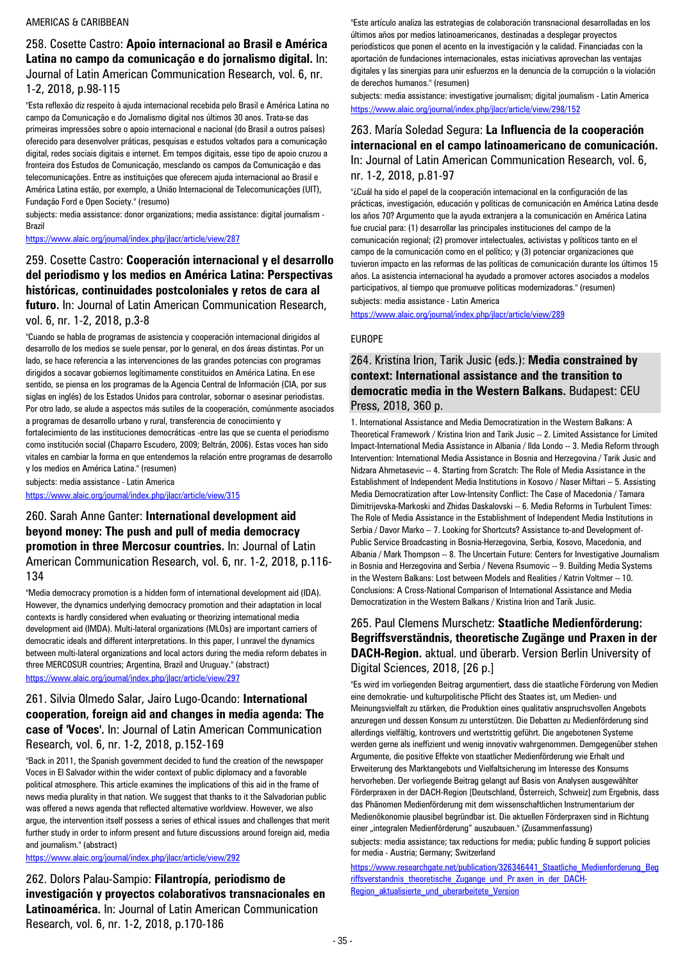#### AMERICAS & CARIBBEAN

258. Cosette Castro: **Apoio internacional ao Brasil e América Latina no campo da comunicação e do jornalismo digital.** In: Journal of Latin American Communication Research, vol. 6, nr.

#### 1-2, 2018, p.98-115

"Esta reflexão diz respeito à ajuda internacional recebida pelo Brasil e América Latina no campo da Comunicação e do Jornalismo digital nos últimos 30 anos. Trata-se das primeiras impressões sobre o apoio internacional e nacional (do Brasil a outros países) oferecido para desenvolver práticas, pesquisas e estudos voltados para a comunicação digital, redes sociais digitais e internet. Em tempos digitais, esse tipo de apoio cruzou a fronteira dos Estudos de Comunicação, mesclando os campos da Comunicação e das telecomunicações. Entre as instituições que oferecem ajuda internacional ao Brasil e América Latina estão, por exemplo, a União Internacional de Telecomunicações (UIT), Fundação Ford e Open Society." (resumo)

subjects: media assistance: donor organizations; media assistance: digital journalism - Brazil

<https://www.alaic.org/journal/index.php/jlacr/article/view/287>

#### 259. Cosette Castro: **Cooperación internacional y el desarrollo del periodismo y los medios en América Latina: Perspectivas históricas, continuidades postcoloniales y retos de cara al futuro.** In: Journal of Latin American Communication Research, vol. 6, nr. 1-2, 2018, p.3-8

"Cuando se habla de programas de asistencia y cooperación internacional dirigidos al desarrollo de los medios se suele pensar, por lo general, en dos áreas distintas. Por un lado, se hace referencia a las intervenciones de las grandes potencias con programas dirigidos a socavar gobiernos legítimamente constituidos en América Latina. En ese sentido, se piensa en los programas de la Agencia Central de Información (CIA, por sus siglas en inglés) de los Estados Unidos para controlar, sobornar o asesinar periodistas. Por otro lado, se alude a aspectos más sutiles de la cooperación, comúnmente asociados a programas de desarrollo urbano y rural, transferencia de conocimiento y fortalecimiento de las instituciones democráticas -entre las que se cuenta el periodismo como institución social (Chaparro Escudero, 2009; Beltrán, 2006). Estas voces han sido vitales en cambiar la forma en que entendemos la relación entre programas de desarrollo y los medios en América Latina." (resumen)

subjects: media assistance - Latin America

<https://www.alaic.org/journal/index.php/jlacr/article/view/315>

#### 260. Sarah Anne Ganter: **International development aid beyond money: The push and pull of media democracy promotion in three Mercosur countries.** In: Journal of Latin American Communication Research, vol. 6, nr. 1-2, 2018, p.116- 134

"Media democracy promotion is a hidden form of international development aid (IDA). However, the dynamics underlying democracy promotion and their adaptation in local contexts is hardly considered when evaluating or theorizing international media development aid (IMDA). Multi-lateral organizations (MLOs) are important carriers of democratic ideals and different interpretations. In this paper, I unravel the dynamics between multi-lateral organizations and local actors during the media reform debates in three MERCOSUR countries; Argentina, Brazil and Uruguay." (abstract) <https://www.alaic.org/journal/index.php/jlacr/article/view/297>

#### 261. Silvia Olmedo Salar, Jairo Lugo-Ocando: **International cooperation, foreign aid and changes in media agenda: The case of 'Voces'.** In: Journal of Latin American Communication Research, vol. 6, nr. 1-2, 2018, p.152-169

"Back in 2011, the Spanish government decided to fund the creation of the newspaper Voces in El Salvador within the wider context of public diplomacy and a favorable political atmosphere. This article examines the implications of this aid in the frame of news media plurality in that nation. We suggest that thanks to it the Salvadorian public was offered a news agenda that reflected alternative worldview. However, we also argue, the intervention itself possess a series of ethical issues and challenges that merit further study in order to inform present and future discussions around foreign aid, media and journalism." (abstract)

<https://www.alaic.org/journal/index.php/jlacr/article/view/292>

262. Dolors Palau-Sampio: **Filantropía, periodismo de investigación y proyectos colaborativos transnacionales en Latinoamérica.** In: Journal of Latin American Communication Research, vol. 6, nr. 1-2, 2018, p.170-186

"Este artículo analiza las estrategias de colaboración transnacional desarrolladas en los últimos años por medios latinoamericanos, destinadas a desplegar proyectos periodísticos que ponen el acento en la investigación y la calidad. Financiadas con la aportación de fundaciones internacionales, estas iniciativas aprovechan las ventajas digitales y las sinergias para unir esfuerzos en la denuncia de la corrupción o la violación de derechos humanos." (resumen)

subjects: media assistance: investigative journalism; digital journalism - Latin America <https://www.alaic.org/journal/index.php/jlacr/article/view/298/152>

#### 263. María Soledad Segura: **La Influencia de la cooperación internacional en el campo latinoamericano de comunicación.**  In: Journal of Latin American Communication Research, vol. 6, nr. 1-2, 2018, p.81-97

"¿Cuál ha sido el papel de la cooperación internacional en la configuración de las prácticas, investigación, educación y políticas de comunicación en América Latina desde los años 70? Argumento que la ayuda extranjera a la comunicación en América Latina fue crucial para: (1) desarrollar las principales instituciones del campo de la comunicación regional; (2) promover intelectuales, activistas y políticos tanto en el campo de la comunicación como en el político; y (3) potenciar organizaciones que tuvieron impacto en las reformas de las políticas de comunicación durante los últimos 15 años. La asistencia internacional ha ayudado a promover actores asociados a modelos participativos, al tiempo que promueve políticas modernizadoras." (resumen) subjects: media assistance - Latin America

<https://www.alaic.org/journal/index.php/jlacr/article/view/289>

#### EUROPE

#### 264. Kristina Irion, Tarik Jusic (eds.): **Media constrained by context: International assistance and the transition to democratic media in the Western Balkans.** Budapest: CEU Press, 2018, 360 p.

1. International Assistance and Media Democratization in the Western Balkans: A Theoretical Framework / Kristina Irion and Tarik Jusic -- 2. Limited Assistance for Limited Impact-International Media Assistance in Albania / Ilda Londo -- 3. Media Reform through Intervention: International Media Assistance in Bosnia and Herzegovina / Tarik Jusic and Nidzara Ahmetasevic -- 4. Starting from Scratch: The Role of Media Assistance in the Establishment of Independent Media Institutions in Kosovo / Naser Miftari -- 5. Assisting Media Democratization after Low-Intensity Conflict: The Case of Macedonia / Tamara Dimitrijevska-Markoski and Zhidas Daskalovski -- 6. Media Reforms in Turbulent Times: The Role of Media Assistance in the Establishment of Independent Media Institutions in Serbia / Davor Marko -- 7. Looking for Shortcuts? Assistance to-and Development of-Public Service Broadcasting in Bosnia-Herzegovina, Serbia, Kosovo, Macedonia, and Albania / Mark Thompson -- 8. The Uncertain Future: Centers for Investigative Journalism in Bosnia and Herzegovina and Serbia / Nevena Rsumovic -- 9. Building Media Systems in the Western Balkans: Lost between Models and Realities / Katrin Voltmer -- 10. Conclusions: A Cross-National Comparison of International Assistance and Media Democratization in the Western Balkans / Kristina Irion and Tarik Jusic.

## 265. Paul Clemens Murschetz: **Staatliche Medienförderung: Begriffsverständnis, theoretische Zugänge und Praxen in der DACH-Region.** aktual. und überarb. Version Berlin University of Digital Sciences, 2018, [26 p.]

"Es wird im vorliegenden Beitrag argumentiert, dass die staatliche Förderung von Medien eine demokratie- und kulturpolitische Pflicht des Staates ist, um Medien- und Meinungsvielfalt zu stärken, die Produktion eines qualitativ anspruchsvollen Angebots anzuregen und dessen Konsum zu unterstützen. Die Debatten zu Medienförderung sind allerdings vielfältig, kontrovers und wertstrittig geführt. Die angebotenen Systeme werden gerne als ineffizient und wenig innovativ wahrgenommen. Demgegenüber stehen Argumente, die positive Effekte von staatlicher Medienförderung wie Erhalt und Erweiterung des Marktangebots und Vielfaltsicherung im Interesse des Konsums hervorheben. Der vorliegende Beitrag gelangt auf Basis von Analysen ausgewählter Förderpraxen in der DACH-Region [Deutschland, Österreich, Schweiz] zum Ergebnis, dass das Phänomen Medienförderung mit dem wissenschaftlichen Instrumentarium der Medienökonomie plausibel begründbar ist. Die aktuellen Förderpraxen sind in Richtung einer "integralen Medienförderung" auszubauen." (Zusammenfassung) subjects: media assistance; tax reductions for media; public funding & support policies for media - Austria; Germany; Switzerland

[https://www.researchgate.net/publication/326346441\\_Staatliche\\_Medienforderung\\_Beg](https://www.researchgate.net/publication/326346441_Staatliche_Medienforderung_Begriffsverstandnis_theoretische_Zugange_und_Pr%20axen_in_der_DACH-Region_aktualisierte_und_uberarbeitete_Version) [riffsverstandnis\\_theoretische\\_Zugange\\_und\\_Pr axen\\_in\\_der\\_DACH-](https://www.researchgate.net/publication/326346441_Staatliche_Medienforderung_Begriffsverstandnis_theoretische_Zugange_und_Pr%20axen_in_der_DACH-Region_aktualisierte_und_uberarbeitete_Version)[Region\\_aktualisierte\\_und\\_uberarbeitete\\_Version](https://www.researchgate.net/publication/326346441_Staatliche_Medienforderung_Begriffsverstandnis_theoretische_Zugange_und_Pr%20axen_in_der_DACH-Region_aktualisierte_und_uberarbeitete_Version)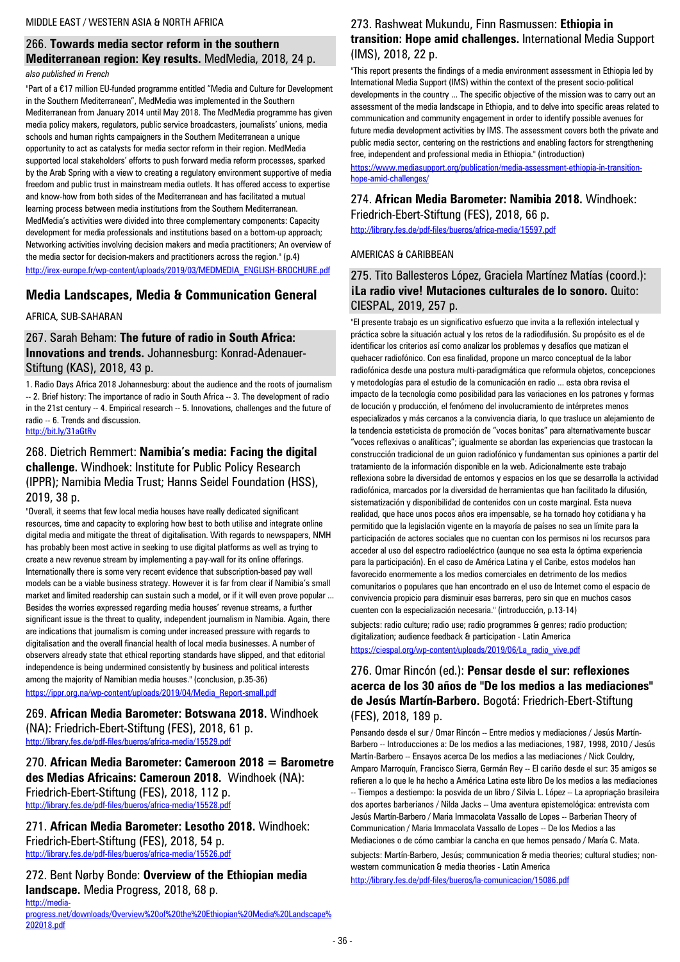## 266. **Towards media sector reform in the southern Mediterranean region: Key results.** MedMedia, 2018, 24 p.

*also published in French*

"Part of a €17 million EU-funded programme entitled "Media and Culture for Development in the Southern Mediterranean", MedMedia was implemented in the Southern Mediterranean from January 2014 until May 2018. The MedMedia programme has given media policy makers, regulators, public service broadcasters, journalists' unions, media schools and human rights campaigners in the Southern Mediterranean a unique opportunity to act as catalysts for media sector reform in their region. MedMedia supported local stakeholders' efforts to push forward media reform processes, sparked by the Arab Spring with a view to creating a regulatory environment supportive of media freedom and public trust in mainstream media outlets. It has offered access to expertise and know-how from both sides of the Mediterranean and has facilitated a mutual learning process between media institutions from the Southern Mediterranean. MedMedia's activities were divided into three complementary components: Capacity development for media professionals and institutions based on a bottom-up approach; Networking activities involving decision makers and media practitioners; An overview of the media sector for decision-makers and practitioners across the region." (p.4) [http://irex-europe.fr/wp-content/uploads/2019/03/MEDMEDIA\\_ENGLISH-BROCHURE.pdf](http://irex-europe.fr/wp-content/uploads/2019/03/MEDMEDIA_ENGLISH-BROCHURE.pdf)

## **Media Landscapes, Media & Communication General**

#### AFRICA, SUB-SAHARAN

## 267. Sarah Beham: **The future of radio in South Africa: Innovations and trends.** Johannesburg: Konrad-Adenauer-Stiftung (KAS), 2018, 43 p.

1. Radio Days Africa 2018 Johannesburg: about the audience and the roots of journalism -- 2. Brief history: The importance of radio in South Africa -- 3. The development of radio in the 21st century -- 4. Empirical research -- 5. Innovations, challenges and the future of radio -- 6. Trends and discussion. <http://bit.ly/31aGtRv>

## 268. Dietrich Remmert: **Namibia's media: Facing the digital challenge.** Windhoek: Institute for Public Policy Research (IPPR); Namibia Media Trust; Hanns Seidel Foundation (HSS), 2019, 38 p.

"Overall, it seems that few local media houses have really dedicated significant resources, time and capacity to exploring how best to both utilise and integrate online digital media and mitigate the threat of digitalisation. With regards to newspapers, NMH has probably been most active in seeking to use digital platforms as well as trying to create a new revenue stream by implementing a pay-wall for its online offerings. Internationally there is some very recent evidence that subscription-based pay wall models can be a viable business strategy. However it is far from clear if Namibia's small market and limited readership can sustain such a model, or if it will even prove popular ... Besides the worries expressed regarding media houses' revenue streams, a further significant issue is the threat to quality, independent journalism in Namibia. Again, there are indications that journalism is coming under increased pressure with regards to digitalisation and the overall financial health of local media businesses. A number of observers already state that ethical reporting standards have slipped, and that editorial independence is being undermined consistently by business and political interests among the majority of Namibian media houses." (conclusion, p.35-36) [https://ippr.org.na/wp-content/uploads/2019/04/Media\\_Report-small.pdf](https://ippr.org.na/wp-content/uploads/2019/04/Media_Report-small.pdf)

## 269. **African Media Barometer: Botswana 2018.** Windhoek (NA): Friedrich-Ebert-Stiftung (FES), 2018, 61 p.

<http://library.fes.de/pdf-files/bueros/africa-media/15529.pdf>

270. **African Media Barometer: Cameroon 2018 = Barometre des Medias Africains: Cameroun 2018.** Windhoek (NA): Friedrich-Ebert-Stiftung (FES), 2018, 112 p. <http://library.fes.de/pdf-files/bueros/africa-media/15528.pdf>

271. **African Media Barometer: Lesotho 2018.** Windhoek: Friedrich-Ebert-Stiftung (FES), 2018, 54 p. <http://library.fes.de/pdf-files/bueros/africa-media/15526.pdf>

272. Bent Nørby Bonde: **Overview of the Ethiopian media landscape.** Media Progress, 2018, 68 p.

#### 273. Rashweat Mukundu, Finn Rasmussen: **Ethiopia in transition: Hope amid challenges.** International Media Support (IMS), 2018, 22 p.

"This report presents the findings of a media environment assessment in Ethiopia led by International Media Support (IMS) within the context of the present socio-political developments in the country ... The specific objective of the mission was to carry out an assessment of the media landscape in Ethiopia, and to delve into specific areas related to communication and community engagement in order to identify possible avenues for future media development activities by IMS. The assessment covers both the private and public media sector, centering on the restrictions and enabling factors for strengthening free, independent and professional media in Ethiopia." (introduction)

[https://www.mediasupport.org/publication/media-assessment-ethiopia-in-transition](https://www.mediasupport.org/publication/media-assessment-ethiopia-in-transition-hope-amid-challenges/)[hope-amid-challenges/](https://www.mediasupport.org/publication/media-assessment-ethiopia-in-transition-hope-amid-challenges/)

## 274. **African Media Barometer: Namibia 2018.** Windhoek:

Friedrich-Ebert-Stiftung (FES), 2018, 66 p. <http://library.fes.de/pdf-files/bueros/africa-media/15597.pdf>

#### AMERICAS & CARIBBEAN

## 275. Tito Ballesteros López, Graciela Martínez Matías (coord.): **¡La radio vive! Mutaciones culturales de lo sonoro.** Quito: CIESPAL, 2019, 257 p.

"El presente trabajo es un significativo esfuerzo que invita a la reflexión intelectual y práctica sobre la situación actual y los retos de la radiodifusión. Su propósito es el de identificar los criterios así como analizar los problemas y desafíos que matizan el quehacer radiofónico. Con esa finalidad, propone un marco conceptual de la labor radiofónica desde una postura multi-paradigmática que reformula objetos, concepciones y metodologías para el estudio de la comunicación en radio ... esta obra revisa el impacto de la tecnología como posibilidad para las variaciones en los patrones y formas de locución y producción, el fenómeno del involucramiento de intérpretes menos especializados y más cercanos a la convivencia diaria, lo que trasluce un alejamiento de la tendencia esteticista de promoción de "voces bonitas" para alternativamente buscar "voces reflexivas o analíticas"; igualmente se abordan las experiencias que trastocan la construcción tradicional de un guion radiofónico y fundamentan sus opiniones a partir del tratamiento de la información disponible en la web. Adicionalmente este trabajo reflexiona sobre la diversidad de entornos y espacios en los que se desarrolla la actividad radiofónica, marcados por la diversidad de herramientas que han facilitado la difusión, sistematización y disponibilidad de contenidos con un coste marginal. Esta nueva realidad, que hace unos pocos años era impensable, se ha tornado hoy cotidiana y ha permitido que la legislación vigente en la mayoría de países no sea un límite para la participación de actores sociales que no cuentan con los permisos ni los recursos para acceder al uso del espectro radioeléctrico (aunque no sea esta la óptima experiencia para la participación). En el caso de América Latina y el Caribe, estos modelos han favorecido enormemente a los medios comerciales en detrimento de los medios comunitarios o populares que han encontrado en el uso de Internet como el espacio de convivencia propicio para disminuir esas barreras, pero sin que en muchos casos cuenten con la especialización necesaria." (introducción, p.13-14) subjects: radio culture; radio use; radio programmes & genres; radio production; digitalization; audience feedback & participation - Latin America

[https://ciespal.org/wp-content/uploads/2019/06/La\\_radio\\_vive.pdf](https://ciespal.org/wp-content/uploads/2019/06/La_radio_vive.pdf)

## 276. Omar Rincón (ed.): **Pensar desde el sur: reflexiones acerca de los 30 años de "De los medios a las mediaciones" de Jesús Martín-Barbero.** Bogotá: Friedrich-Ebert-Stiftung (FES), 2018, 189 p.

Pensando desde el sur / Omar Rincón -- Entre medios y mediaciones / Jesús Martín-Barbero -- Introducciones a: De los medios a las mediaciones, 1987, 1998, 2010 / Jesús Martín-Barbero -- Ensayos acerca De los medios a las mediaciones / Nick Couldry, Amparo Marroquín, Francisco Sierra, Germán Rey -- El cariño desde el sur: 35 amigos se refieren a lo que le ha hecho a América Latina este libro De los medios a las mediaciones -- Tiempos a destiempo: la posvida de un libro / Silvia L. López -- La apropriação brasileira dos aportes barberianos / Nilda Jacks -- Uma aventura epistemológica: entrevista com Jesús Martín-Barbero / Maria Immacolata Vassallo de Lopes -- Barberian Theory of Communication / Maria Immacolata Vassallo de Lopes -- De los Medios a las Mediaciones o de cómo cambiar la cancha en que hemos pensado / María C. Mata. subjects: Martín-Barbero, Jesús; communication & media theories; cultural studies; nonwestern communication & media theories - Latin America <http://library.fes.de/pdf-files/bueros/la-comunicacion/15086.pdf>

[http://media](http://media-progress.net/downloads/Overview%20of%20the%20Ethiopian%20Media%20Landscape%202018.pdf)[progress.net/downloads/Overview%20of%20the%20Ethiopian%20Media%20Landscape%](http://media-progress.net/downloads/Overview%20of%20the%20Ethiopian%20Media%20Landscape%202018.pdf) [202018.pdf](http://media-progress.net/downloads/Overview%20of%20the%20Ethiopian%20Media%20Landscape%202018.pdf)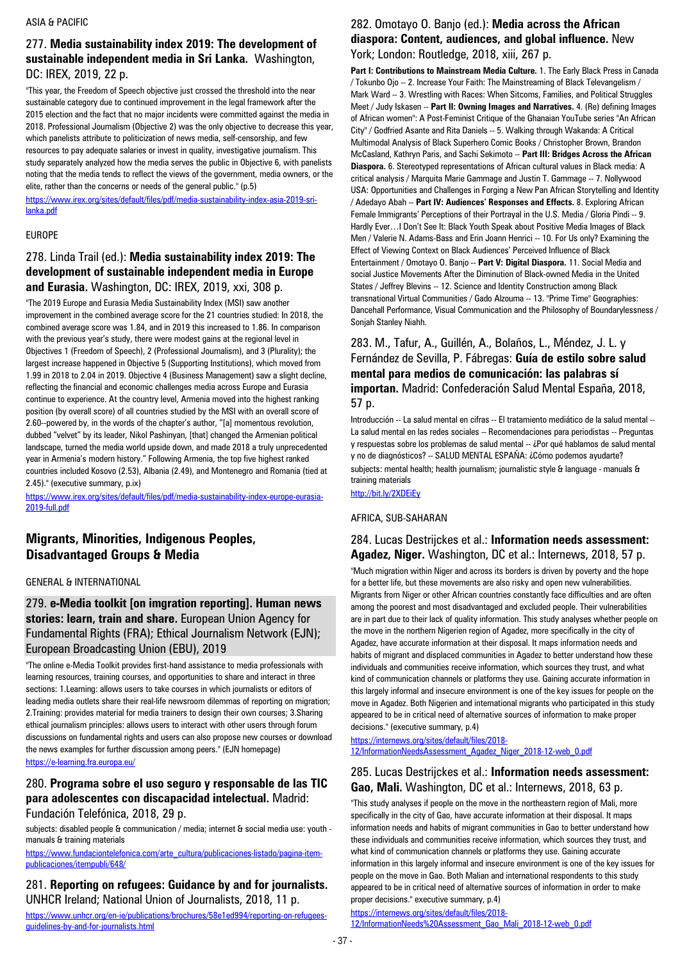## 277. **Media sustainability index 2019: The development of sustainable independent media in Sri Lanka.** Washington, DC: IREX, 2019, 22 p.

"This year, the Freedom of Speech objective just crossed the threshold into the near sustainable category due to continued improvement in the legal framework after the 2015 election and the fact that no major incidents were committed against the media in 2018. Professional Journalism (Objective 2) was the only objective to decrease this year, which panelists attribute to politicization of news media, self-censorship, and few resources to pay adequate salaries or invest in quality, investigative journalism. This study separately analyzed how the media serves the public in Objective 6, with panelists noting that the media tends to reflect the views of the government, media owners, or the elite, rather than the concerns or needs of the general public." (p.5)

[https://www.irex.org/sites/default/files/pdf/media-sustainability-index-asia-2019-sri](https://www.irex.org/sites/default/files/pdf/media-sustainability-index-asia-2019-sri-lanka.pdf)[lanka.pdf](https://www.irex.org/sites/default/files/pdf/media-sustainability-index-asia-2019-sri-lanka.pdf)

#### EUROPE

#### 278. Linda Trail (ed.): **Media sustainability index 2019: The development of sustainable independent media in Europe and Eurasia.** Washington, DC: IREX, 2019, xxi, 308 p.

"The 2019 Europe and Eurasia Media Sustainability Index (MSI) saw another improvement in the combined average score for the 21 countries studied: In 2018, the combined average score was 1.84, and in 2019 this increased to 1.86. In comparison with the previous year's study, there were modest gains at the regional level in Objectives 1 (Freedom of Speech), 2 (Professional Journalism), and 3 (Plurality); the largest increase happened in Objective 5 (Supporting Institutions), which moved from 1.99 in 2018 to 2.04 in 2019. Objective 4 (Business Management) saw a slight decline, reflecting the financial and economic challenges media across Europe and Eurasia continue to experience. At the country level, Armenia moved into the highest ranking position (by overall score) of all countries studied by the MSI with an overall score of 2.60--powered by, in the words of the chapter's author, "[a] momentous revolution, dubbed "velvet" by its leader, Nikol Pashinyan, [that] changed the Armenian political landscape, turned the media world upside down, and made 2018 a truly unprecedented year in Armenia's modern history." Following Armenia, the top five highest ranked countries included Kosovo (2.53), Albania (2.49), and Montenegro and Romania (tied at 2.45)." (executive summary, p.ix)

[https://www.irex.org/sites/default/files/pdf/media-sustainability-index-europe-eurasia-](https://www.irex.org/sites/default/files/pdf/media-sustainability-index-europe-eurasia-2019-full.pdf)[2019-full.pdf](https://www.irex.org/sites/default/files/pdf/media-sustainability-index-europe-eurasia-2019-full.pdf)

## **Migrants, Minorities, Indigenous Peoples, Disadvantaged Groups & Media**

#### GENERAL & INTERNATIONAL

279. **e-Media toolkit [on imgration reporting]. Human news stories: learn, train and share.** European Union Agency for Fundamental Rights (FRA); Ethical Journalism Network (EJN); European Broadcasting Union (EBU), 2019

"The online e-Media Toolkit provides first-hand assistance to media professionals with learning resources, training courses, and opportunities to share and interact in three sections: 1.Learning: allows users to take courses in which journalists or editors of leading media outlets share their real-life newsroom dilemmas of reporting on migration; 2.Training: provides material for media trainers to design their own courses; 3.Sharing ethical journalism principles: allows users to interact with other users through forum discussions on fundamental rights and users can also propose new courses or download the news examples for further discussion among peers." (EJN homepage) <https://e-learning.fra.europa.eu/>

#### 280. **Programa sobre el uso seguro y responsable de las TIC para adolescentes con discapacidad intelectual.** Madrid: Fundación Telefónica, 2018, 29 p.

subjects: disabled people & communication / media; internet & social media use: youth manuals & training materials

[https://www.fundaciontelefonica.com/arte\\_cultura/publicaciones-listado/pagina-item](https://www.fundaciontelefonica.com/arte_cultura/publicaciones-listado/pagina-item-publicaciones/itempubli/648/)[publicaciones/itempubli/648/](https://www.fundaciontelefonica.com/arte_cultura/publicaciones-listado/pagina-item-publicaciones/itempubli/648/)

281. **Reporting on refugees: Guidance by and for journalists.**  UNHCR Ireland; National Union of Journalists, 2018, 11 p.

[https://www.unhcr.org/en-ie/publications/brochures/58e1ed994/reporting-on-refugees](https://www.unhcr.org/en-ie/publications/brochures/58e1ed994/reporting-on-refugees-guidelines-by-and-for-journalists.html)[guidelines-by-and-for-journalists.html](https://www.unhcr.org/en-ie/publications/brochures/58e1ed994/reporting-on-refugees-guidelines-by-and-for-journalists.html)

#### 282. Omotayo O. Banjo (ed.): **Media across the African diaspora: Content, audiences, and global influence.** New York; London: Routledge, 2018, xiii, 267 p.

**Part I: Contributions to Mainstream Media Culture.** 1. The Early Black Press in Canada / Tokunbo Ojo -- 2. Increase Your Faith: The Mainstreaming of Black Televangelism / Mark Ward -- 3. Wrestling with Races: When Sitcoms, Families, and Political Struggles Meet / Judy Iskasen -- **Part II: Owning Images and Narratives.** 4. (Re) defining Images of African women": A Post-Feminist Critique of the Ghanaian YouTube series "An African City" / Godfried Asante and Rita Daniels -- 5. Walking through Wakanda: A Critical Multimodal Analysis of Black Superhero Comic Books / Christopher Brown, Brandon McCasland, Kathryn Paris, and Sachi Sekimoto -- **Part III: Bridges Across the African Diaspora.** 6. Stereotyped representations of African cultural values in Black media: A critical analysis / Marquita Marie Gammage and Justin T. Gammage -- 7. Nollywood USA: Opportunities and Challenges in Forging a New Pan African Storytelling and Identity / Adedayo Abah -- **Part IV: Audiences' Responses and Effects.** 8. Exploring African Female Immigrants' Perceptions of their Portrayal in the U.S. Media / Gloria Pindi -- 9. Hardly Ever…I Don't See It: Black Youth Speak about Positive Media Images of Black Men / Valerie N. Adams-Bass and Erin Joann Henrici -- 10. For Us only? Examining the Effect of Viewing Context on Black Audiences' Perceived Influence of Black Entertainment / Omotayo O. Banjo -- **Part V: Digital Diaspora.** 11. Social Media and social Justice Movements After the Diminution of Black-owned Media in the United States / Jeffrey Blevins -- 12. Science and Identity Construction among Black transnational Virtual Communities / Gado Alzouma -- 13. "Prime Time" Geographies: Dancehall Performance, Visual Communication and the Philosophy of Boundarylessness / Sonjah Stanley Niahh.

### 283. M., Tafur, A., Guillén, A., Bolaños, L., Méndez, J. L. y Fernández de Sevilla, P. Fábregas: **Guía de estilo sobre salud mental para medios de comunicación: las palabras sí importan.** Madrid: Confederación Salud Mental España, 2018, 57 p.

Introducción -- La salud mental en cifras -- El tratamiento mediático de la salud mental -- La salud mental en las redes sociales -- Recomendaciones para periodistas -- Preguntas y respuestas sobre los problemas de salud mental -- ¿Por qué hablamos de salud mental y no de diagnósticos? -- SALUD MENTAL ESPAÑA: ¿Cómo podemos ayudarte? subjects: mental health; health journalism; journalistic style & language - manuals & training materials

<http://bit.ly/2XDEiEy>

#### AFRICA, SUB-SAHARAN

#### 284. Lucas Destrijckes et al.: **Information needs assessment: Agadez, Niger.** Washington, DC et al.: Internews, 2018, 57 p.

"Much migration within Niger and across its borders is driven by poverty and the hope for a better life, but these movements are also risky and open new vulnerabilities. Migrants from Niger or other African countries constantly face difficulties and are often among the poorest and most disadvantaged and excluded people. Their vulnerabilities are in part due to their lack of quality information. This study analyses whether people on the move in the northern Nigerien region of Agadez, more specifically in the city of Agadez, have accurate information at their disposal. It maps information needs and habits of migrant and displaced communities in Agadez to better understand how these individuals and communities receive information, which sources they trust, and what kind of communication channels or platforms they use. Gaining accurate information in this largely informal and insecure environment is one of the key issues for people on the move in Agadez. Both Nigerien and international migrants who participated in this study appeared to be in critical need of alternative sources of information to make proper decisions." (executive summary, p.4)

[https://internews.org/sites/default/files/2018-](https://internews.org/sites/default/files/2018-12/InformationNeedsAssessment_Agadez_Niger_2018-12-web_0.pdf) [12/InformationNeedsAssessment\\_Agadez\\_Niger\\_2018-12-web\\_0.pdf](https://internews.org/sites/default/files/2018-12/InformationNeedsAssessment_Agadez_Niger_2018-12-web_0.pdf)

#### 285. Lucas Destrijckes et al.: **Information needs assessment: Gao, Mali.** Washington, DC et al.: Internews, 2018, 63 p.

"This study analyses if people on the move in the northeastern region of Mali, more specifically in the city of Gao, have accurate information at their disposal. It maps information needs and habits of migrant communities in Gao to better understand how these individuals and communities receive information, which sources they trust, and what kind of communication channels or platforms they use. Gaining accurate information in this largely informal and insecure environment is one of the key issues for people on the move in Gao. Both Malian and international respondents to this study appeared to be in critical need of alternative sources of information in order to make proper decisions." executive summary, p.4)

[https://internews.org/sites/default/files/2018-](https://internews.org/sites/default/files/2018-12/InformationNeeds%20Assessment_Gao_Mali_2018-12-web_0.pdf)

[12/InformationNeeds%20Assessment\\_Gao\\_Mali\\_2018-12-web\\_0.pdf](https://internews.org/sites/default/files/2018-12/InformationNeeds%20Assessment_Gao_Mali_2018-12-web_0.pdf)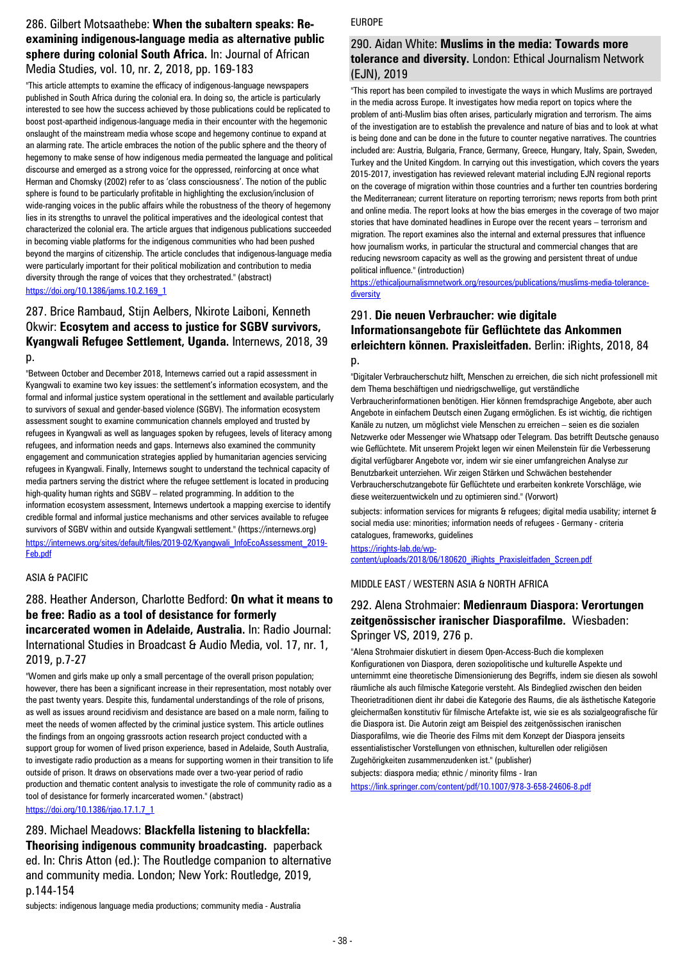#### 286. Gilbert Motsaathebe: **When the subaltern speaks: Reexamining indigenous-language media as alternative public sphere during colonial South Africa.** In: Journal of African Media Studies, vol. 10, nr. 2, 2018, pp. 169-183

"This article attempts to examine the efficacy of indigenous-language newspapers published in South Africa during the colonial era. In doing so, the article is particularly interested to see how the success achieved by those publications could be replicated to boost post-apartheid indigenous-language media in their encounter with the hegemonic onslaught of the mainstream media whose scope and hegemony continue to expand at an alarming rate. The article embraces the notion of the public sphere and the theory of hegemony to make sense of how indigenous media permeated the language and political discourse and emerged as a strong voice for the oppressed, reinforcing at once what Herman and Chomsky (2002) refer to as 'class consciousness'. The notion of the public sphere is found to be particularly profitable in highlighting the exclusion/inclusion of wide-ranging voices in the public affairs while the robustness of the theory of hegemony lies in its strengths to unravel the political imperatives and the ideological contest that characterized the colonial era. The article argues that indigenous publications succeeded in becoming viable platforms for the indigenous communities who had been pushed beyond the margins of citizenship. The article concludes that indigenous-language media were particularly important for their political mobilization and contribution to media diversity through the range of voices that they orchestrated." (abstract) [https://doi.org/10.1386/jams.10.2.169\\_1](https://doi.org/10.1386/jams.10.2.169_1)

## 287. Brice Rambaud, Stijn Aelbers, Nkirote Laiboni, Kenneth Okwir: **Ecosytem and access to justice for SGBV survivors, Kyangwali Refugee Settlement, Uganda.** Internews, 2018, 39 p.

"Between October and December 2018, Internews carried out a rapid assessment in Kyangwali to examine two key issues: the settlement's information ecosystem, and the formal and informal justice system operational in the settlement and available particularly to survivors of sexual and gender-based violence (SGBV). The information ecosystem assessment sought to examine communication channels employed and trusted by refugees in Kyangwali as well as languages spoken by refugees, levels of literacy among refugees, and information needs and gaps. Internews also examined the community engagement and communication strategies applied by humanitarian agencies servicing refugees in Kyangwali. Finally, Internews sought to understand the technical capacity of media partners serving the district where the refugee settlement is located in producing high-quality human rights and SGBV – related programming. In addition to the information ecosystem assessment, Internews undertook a mapping exercise to identify credible formal and informal justice mechanisms and other services available to refugee survivors of SGBV within and outside Kyangwali settlement." (https://internews.org) [https://internews.org/sites/default/files/2019-02/Kyangwali\\_InfoEcoAssessment\\_2019-](https://internews.org/sites/default/files/2019-02/Kyangwali_InfoEcoAssessment_2019-Feb.pdf) [Feb.pdf](https://internews.org/sites/default/files/2019-02/Kyangwali_InfoEcoAssessment_2019-Feb.pdf)

#### ASIA & PACIFIC

## 288. Heather Anderson, Charlotte Bedford: **On what it means to be free: Radio as a tool of desistance for formerly incarcerated women in Adelaide, Australia.** In: Radio Journal: International Studies in Broadcast & Audio Media, vol. 17, nr. 1, 2019, p.7-27

"Women and girls make up only a small percentage of the overall prison population; however, there has been a significant increase in their representation, most notably over the past twenty years. Despite this, fundamental understandings of the role of prisons, as well as issues around recidivism and desistance are based on a male norm, failing to meet the needs of women affected by the criminal justice system. This article outlines the findings from an ongoing grassroots action research project conducted with a support group for women of lived prison experience, based in Adelaide, South Australia, to investigate radio production as a means for supporting women in their transition to life outside of prison. It draws on observations made over a two-year period of radio production and thematic content analysis to investigate the role of community radio as a tool of desistance for formerly incarcerated women." (abstract)

[https://doi.org/10.1386/rjao.17.1.7\\_1](https://doi.org/10.1386/rjao.17.1.7_1)

289. Michael Meadows: **Blackfella listening to blackfella: Theorising indigenous community broadcasting.** paperback ed. In: Chris Atton (ed.): The Routledge companion to alternative and community media. London; New York: Routledge, 2019, p.144-154

#### EUROPE

#### 290. Aidan White: **Muslims in the media: Towards more tolerance and diversity.** London: Ethical Journalism Network (EJN), 2019

"This report has been compiled to investigate the ways in which Muslims are portrayed in the media across Europe. It investigates how media report on topics where the problem of anti-Muslim bias often arises, particularly migration and terrorism. The aims of the investigation are to establish the prevalence and nature of bias and to look at what is being done and can be done in the future to counter negative narratives. The countries included are: Austria, Bulgaria, France, Germany, Greece, Hungary, Italy, Spain, Sweden, Turkey and the United Kingdom. In carrying out this investigation, which covers the years 2015-2017, investigation has reviewed relevant material including EJN regional reports on the coverage of migration within those countries and a further ten countries bordering the Mediterranean; current literature on reporting terrorism; news reports from both print and online media. The report looks at how the bias emerges in the coverage of two major stories that have dominated headlines in Europe over the recent years – terrorism and migration. The report examines also the internal and external pressures that influence how journalism works, in particular the structural and commercial changes that are reducing newsroom capacity as well as the growing and persistent threat of undue political influence." (introduction)

[https://ethicaljournalismnetwork.org/resources/publications/muslims-media-tolerance](https://ethicaljournalismnetwork.org/resources/publications/muslims-media-tolerance-diversity)**[diversity](https://ethicaljournalismnetwork.org/resources/publications/muslims-media-tolerance-diversity)** 

#### 291. **Die neuen Verbraucher: wie digitale Informationsangebote für Geflüchtete das Ankommen erleichtern können. Praxisleitfaden.** Berlin: iRights, 2018, 84  $\mathbf{D}$ .

"Digitaler Verbraucherschutz hilft, Menschen zu erreichen, die sich nicht professionell mit dem Thema beschäftigen und niedrigschwellige, gut verständliche Verbraucherinformationen benötigen. Hier können fremdsprachige Angebote, aber auch Angebote in einfachem Deutsch einen Zugang ermöglichen. Es ist wichtig, die richtigen Kanäle zu nutzen, um möglichst viele Menschen zu erreichen – seien es die sozialen Netzwerke oder Messenger wie Whatsapp oder Telegram. Das betrifft Deutsche genauso wie Geflüchtete. Mit unserem Projekt legen wir einen Meilenstein für die Verbesserung digital verfügbarer Angebote vor, indem wir sie einer umfangreichen Analyse zur Benutzbarkeit unterziehen. Wir zeigen Stärken und Schwächen bestehender Verbraucherschutzangebote für Geflüchtete und erarbeiten konkrete Vorschläge, wie diese weiterzuentwickeln und zu optimieren sind." (Vorwort)

subjects: information services for migrants & refugees; digital media usability; internet & social media use: minorities; information needs of refugees - Germany - criteria catalogues, frameworks, guidelines

[https://irights-lab.de/wp](https://irights-lab.de/wp-content/uploads/2018/06/180620_iRights_Praxisleitfaden_Screen.pdf)[content/uploads/2018/06/180620\\_iRights\\_Praxisleitfaden\\_Screen.pdf](https://irights-lab.de/wp-content/uploads/2018/06/180620_iRights_Praxisleitfaden_Screen.pdf)

#### MIDDLE EAST / WESTERN ASIA & NORTH AFRICA

## 292. Alena Strohmaier: **Medienraum Diaspora: Verortungen zeitgenössischer iranischer Diasporafilme.** Wiesbaden: Springer VS, 2019, 276 p.

"Alena Strohmaier diskutiert in diesem Open-Access-Buch die komplexen Konfigurationen von Diaspora, deren soziopolitische und kulturelle Aspekte und unternimmt eine theoretische Dimensionierung des Begriffs, indem sie diesen als sowohl räumliche als auch filmische Kategorie versteht. Als Bindeglied zwischen den beiden Theorietraditionen dient ihr dabei die Kategorie des Raums, die als ästhetische Kategorie gleichermaßen konstitutiv für filmische Artefakte ist, wie sie es als sozialgeografische für die Diaspora ist. Die Autorin zeigt am Beispiel des zeitgenössischen iranischen Diasporafilms, wie die Theorie des Films mit dem Konzept der Diaspora jenseits essentialistischer Vorstellungen von ethnischen, kulturellen oder religiösen Zugehörigkeiten zusammenzudenken ist." (publisher) subjects: diaspora media; ethnic / minority films - Iran

<https://link.springer.com/content/pdf/10.1007/978-3-658-24606-8.pdf>

subjects: indigenous language media productions; community media - Australia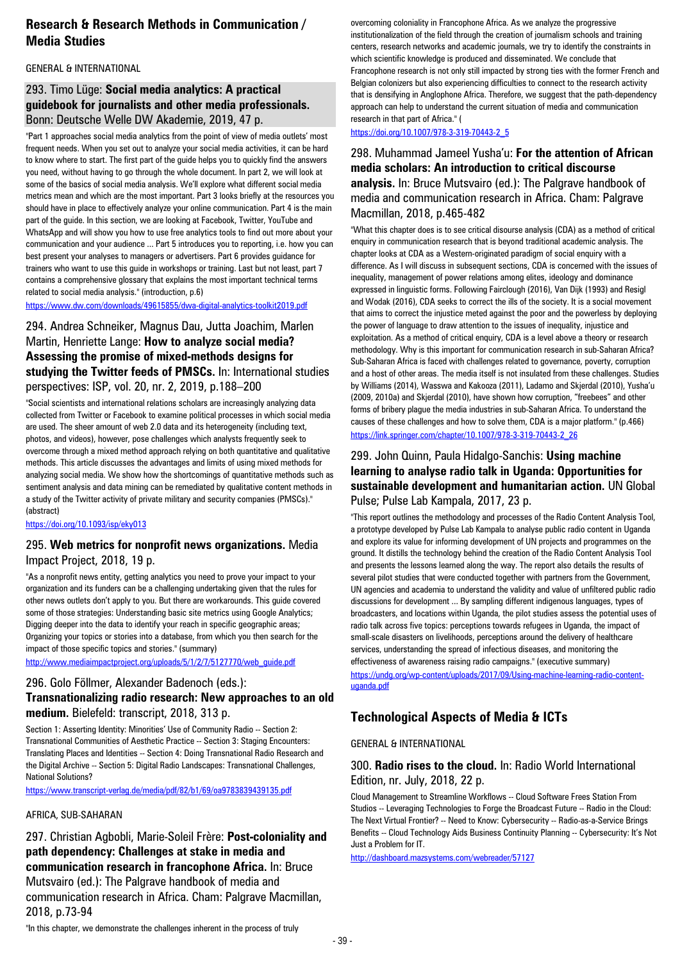## **Research & Research Methods in Communication / Media Studies**

#### GENERAL & INTERNATIONAL

## 293. Timo Lüge: **Social media analytics: A practical guidebook for journalists and other media professionals.**  Bonn: Deutsche Welle DW Akademie, 2019, 47 p.

"Part 1 approaches social media analytics from the point of view of media outlets' most frequent needs. When you set out to analyze your social media activities, it can be hard to know where to start. The first part of the guide helps you to quickly find the answers you need, without having to go through the whole document. In part 2, we will look at some of the basics of social media analysis. We'll explore what different social media metrics mean and which are the most important. Part 3 looks briefly at the resources you should have in place to effectively analyze your online communication. Part 4 is the main part of the guide. In this section, we are looking at Facebook, Twitter, YouTube and WhatsApp and will show you how to use free analytics tools to find out more about your communication and your audience ... Part 5 introduces you to reporting, i.e. how you can best present your analyses to managers or advertisers. Part 6 provides guidance for trainers who want to use this guide in workshops or training. Last but not least, part 7 contains a comprehensive glossary that explains the most important technical terms related to social media analysis." (introduction, p.6)

<https://www.dw.com/downloads/49615855/dwa-digital-analytics-toolkit2019.pdf>

## 294. Andrea Schneiker, Magnus Dau, Jutta Joachim, Marlen Martin, Henriette Lange: **How to analyze social media? Assessing the promise of mixed-methods designs for studying the Twitter feeds of PMSCs.** In: International studies perspectives: ISP, vol. 20, nr. 2, 2019, p.188–200

"Social scientists and international relations scholars are increasingly analyzing data collected from Twitter or Facebook to examine political processes in which social media are used. The sheer amount of web 2.0 data and its heterogeneity (including text, photos, and videos), however, pose challenges which analysts frequently seek to overcome through a mixed method approach relying on both quantitative and qualitative methods. This article discusses the advantages and limits of using mixed methods for analyzing social media. We show how the shortcomings of quantitative methods such as sentiment analysis and data mining can be remediated by qualitative content methods in a study of the Twitter activity of private military and security companies (PMSCs)." (abstract)

<https://doi.org/10.1093/isp/eky013>

#### 295. **Web metrics for nonprofit news organizations.** Media Impact Project, 2018, 19 p.

"As a nonprofit news entity, getting analytics you need to prove your impact to your organization and its funders can be a challenging undertaking given that the rules for other news outlets don't apply to you. But there are workarounds. This guide covered some of those strategies: Understanding basic site metrics using Google Analytics; Digging deeper into the data to identify your reach in specific geographic areas; Organizing your topics or stories into a database, from which you then search for the impact of those specific topics and stories." (summary)

[http://www.mediaimpactproject.org/uploads/5/1/2/7/5127770/web\\_guide.pdf](file://10.2.1.4/AltesSYS/FAUSTDOK)

## 296. Golo Föllmer, Alexander Badenoch (eds.): **Transnationalizing radio research: New approaches to an old medium.** Bielefeld: transcript, 2018, 313 p.

Section 1: Asserting Identity: Minorities' Use of Community Radio -- Section 2: Transnational Communities of Aesthetic Practice -- Section 3: Staging Encounters: Translating Places and Identities -- Section 4: Doing Transnational Radio Research and the Digital Archive -- Section 5: Digital Radio Landscapes: Transnational Challenges, National Solutions?

<https://www.transcript-verlag.de/media/pdf/82/b1/69/oa9783839439135.pdf>

#### AFRICA, SUB-SAHARAN

297. Christian Agbobli, Marie-Soleil Frère: **Post-coloniality and path dependency: Challenges at stake in media and communication research in francophone Africa.** In: Bruce Mutsvairo (ed.): The Palgrave handbook of media and communication research in Africa. Cham: Palgrave Macmillan, 2018, p.73-94

overcoming coloniality in Francophone Africa. As we analyze the progressive institutionalization of the field through the creation of journalism schools and training centers, research networks and academic journals, we try to identify the constraints in which scientific knowledge is produced and disseminated. We conclude that Francophone research is not only still impacted by strong ties with the former French and Belgian colonizers but also experiencing difficulties to connect to the research activity that is densifying in Anglophone Africa. Therefore, we suggest that the path-dependency approach can help to understand the current situation of media and communication research in that part of Africa." (

[https://doi.org/10.1007/978-3-319-70443-2\\_5](https://doi.org/10.1007/978-3-319-70443-2_5)

### 298. Muhammad Jameel Yusha'u: **For the attention of African media scholars: An introduction to critical discourse analysis.** In: Bruce Mutsvairo (ed.): The Palgrave handbook of media and communication research in Africa. Cham: Palgrave Macmillan, 2018, p.465-482

"What this chapter does is to see critical disourse analysis (CDA) as a method of critical enquiry in communication research that is beyond traditional academic analysis. The chapter looks at CDA as a Western-originated paradigm of social enquiry with a difference. As I will discuss in subsequent sections, CDA is concerned with the issues of inequality, management of power relations among elites, ideology and dominance expressed in linguistic forms. Following Fairclough (2016), Van Dijk (1993) and Resigl and Wodak (2016), CDA seeks to correct the ills of the society. It is a social movement that aims to correct the injustice meted against the poor and the powerless by deploying the power of language to draw attention to the issues of inequality, injustice and exploitation. As a method of critical enquiry, CDA is a level above a theory or research methodology. Why is this important for communication research in sub-Saharan Africa? Sub-Saharan Africa is faced with challenges related to governance, poverty, corruption and a host of other areas. The media itself is not insulated from these challenges. Studies by Williams (2014), Wasswa and Kakooza (2011), Ladamo and Skjerdal (2010), Yusha'u (2009, 2010a) and Skjerdal (2010), have shown how corruption, "freebees" and other forms of bribery plague the media industries in sub-Saharan Africa. To understand the causes of these challenges and how to solve them, CDA is a major platform." (p.466) [https://link.springer.com/chapter/10.1007/978-3-319-70443-2\\_26](https://link.springer.com/chapter/10.1007/978-3-319-70443-2_26)

## 299. John Quinn, Paula Hidalgo-Sanchis: **Using machine learning to analyse radio talk in Uganda: Opportunities for sustainable development and humanitarian action.** UN Global Pulse; Pulse Lab Kampala, 2017, 23 p.

"This report outlines the methodology and processes of the Radio Content Analysis Tool, a prototype developed by Pulse Lab Kampala to analyse public radio content in Uganda and explore its value for informing development of UN projects and programmes on the ground. It distills the technology behind the creation of the Radio Content Analysis Tool and presents the lessons learned along the way. The report also details the results of several pilot studies that were conducted together with partners from the Government, UN agencies and academia to understand the validity and value of unfiltered public radio discussions for development ... By sampling different indigenous languages, types of broadcasters, and locations within Uganda, the pilot studies assess the potential uses of radio talk across five topics: perceptions towards refugees in Uganda, the impact of small-scale disasters on livelihoods, perceptions around the delivery of healthcare services, understanding the spread of infectious diseases, and monitoring the effectiveness of awareness raising radio campaigns." (executive summary) [https://undg.org/wp-content/uploads/2017/09/Using-machine-learning-radio-content](https://undg.org/wp-content/uploads/2017/09/Using-machine-learning-radio-content-uganda.pdf)[uganda.pdf](https://undg.org/wp-content/uploads/2017/09/Using-machine-learning-radio-content-uganda.pdf)

## **Technological Aspects of Media & ICTs**

#### GENERAL & INTERNATIONAL

## 300. **Radio rises to the cloud.** In: Radio World International Edition, nr. July, 2018, 22 p.

Cloud Management to Streamline Workflows -- Cloud Software Frees Station From Studios -- Leveraging Technologies to Forge the Broadcast Future -- Radio in the Cloud: The Next Virtual Frontier? -- Need to Know: Cybersecurity -- Radio-as-a-Service Brings Benefits -- Cloud Technology Aids Business Continuity Planning -- Cybersecurity: It's Not Just a Problem for IT.

<http://dashboard.mazsystems.com/webreader/57127>

"In this chapter, we demonstrate the challenges inherent in the process of truly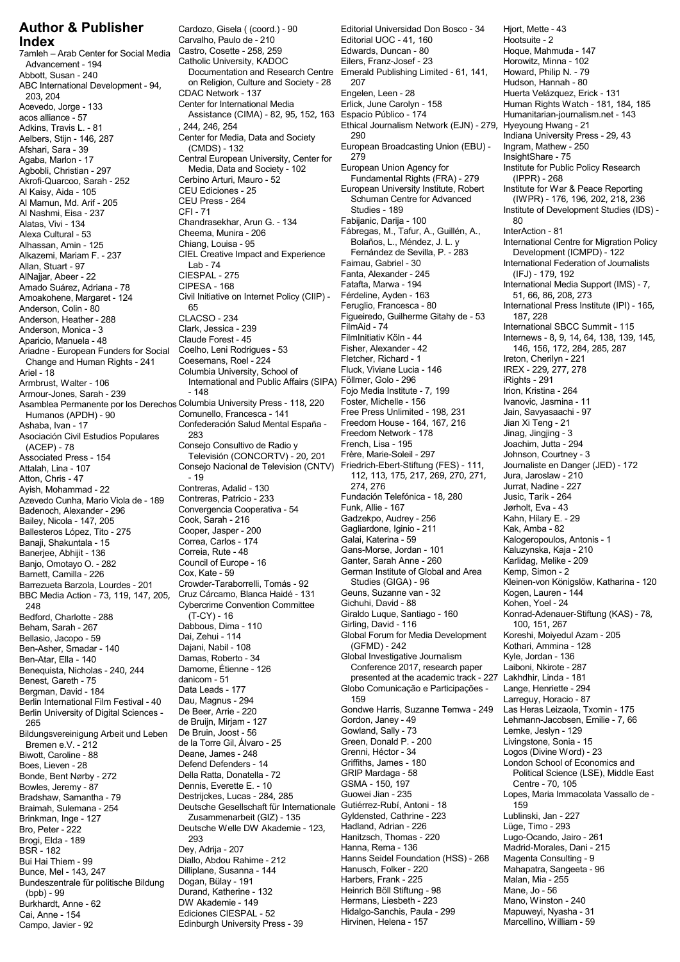Castro, Cosette - 258, 259 Edwards, Duncan - 80 Hoque, Mahmuda - 147 7amleh – Arab Center for Social Media Advancement - 194 Catholic University, KADOC Eilers, Franz-Josef - 23 Horowitz, Minna - 102<br>Abbott. Susan - 240 Cocumentation and Research Centre Emerald Publishing Limited - 61, 141, Howard, Philip N. ABC International Development - 94, on Religion, Culture and Society - 28 207<br>CDAC Network - 137 Engelen, Leen - 28 CDAC Network - 137 Engelen, Leen - 28 Huerta Velázquez, Erick - 131 203, 204 CDAC Network - 137 Engelen, Leen - 28 Huerta Velázquez, Erick - 131 203, 204 Center for International Media Register of International Media Regis Assistance (CIMA) - 82, 95, 152, 163 Espacio Público - 174 Humanitarian-journalis<br>Adkins, Travis L. - 81 acos alliance - 57 activity - 244, 246, 254 activity diffusion Activery (EJN) - 279, Hyeyoung Hwang - 21 Adkins, Travis L. - 81 , 244, 246, 254 Ethical Journalism Network (EJN) - 279, Hyeyoung Hwang - 21 Aelbers, Stijn - 146 Center for Media, Data and Society <sup>290</sup> Indiana University Press - 29, <sup>43</sup> , <sup>287</sup> Afshari, Sara - 39<br>- Afshari, Sara - 39 (CMDS) - 132 European Broadcasting Union (EBU) - Ingram, Mathew<br>Agaba, Marlon - 17 Central European University, Center for 279 Fusight Share - 75 vished, out to the University, Central European University, Center for the 279 InsightShare - 75 InsightShare - <br>Agbobli, Christian - 297 Media, Data and Society - 102 European Union Agency for Institute for Public Policy Akrofi-Quarcoo, Sarah - 252 Cerbino Arturi, Mauro - 52 Fundamental Rights (FRA) - 279 (IPPR) - 268<br>Al Kaisy, Aida - 105 CEU Ediciones - 25 European University Institute, Robert Institute for War & Peace Reporting Al Kaisy, Aida - 105 CEU Ediciones - 25 European University Institute, Robert Institute for Maria Certificationes - 25 European University Institute, Robert Institute for Maria Certificationes - 264 Schuman Centre for Adva CEU Press - 264 Schuman Centre for Advanced (IWPR) - 176, 196, 202, 218, 236<br>Al Nashmi, Eisa - 237 CFI - 71 CFI - 71 Studies - 189 Studies - 189 Studies - 189 Studies (ID: Alatas, Vivi - 134 Chandrasekhar, Arun G. - 134 Fabijanic, Darija - 100 Kinis, Nivi - 134 Bahar, 206 Karatas, Vivi - 134 Karatas, Vivi - 134 Karatas, Vivi - 134 Karatas, Parija - 100 Sheema, Munira - 206 Karatas, M., Tafur Alexa Cultural - 53 Cheema, Munira - 206 Fábregas, M., Tafur, A., Guillén, A.,<br>Alhassan, Amin - 125 Chiang, Louisa - 95 Fábregas, L., Méndez, J. L. y Alhassan, Amin - 125 Chiang, Louisa - 95 Bolaños, L., Méndez, J. L. y International Centre for Migration Policy<br>Alkazemi, Mariam F. - 237 CIEL Creative Impact and Experience Fernández de Sevilla, P. - 283 Development (ICMP Allan, Stuart - 97 Lab - 74 Exercise Contract - 2012<br>Allan, Stuart - 97 Lab - 74 Faimau, Gabriel - 30 International Federation of Journalists<br>AlNaiiar Abeer - 22 CIESPAL - 275 Fanta, Alexander - 245 (IFJ) - 179, 192 AlNajjar, Abeer - 22 CIESPAL - 275 Fanta, Alexander - 24<br>Amado Suárez, Adriana - 78 CIPESA - 168 CIPESA - 168 Fatafta, Marwa - 194 International Media Support (IMS) - 7, Amado Suárez, Adriana - 78 Amoakohene, Margaret - 124 Civil Initiative on Internet Policy (CIIP) - Férdeline, Ayden - 163<br>Anderson Colin - 80, 208, 208, 208, 86 Anderson, Colin - 80 65 Feruglio, Francesca - 80 International Press Institute (IPI) - 165, Anderson, Heather - 288 CLACSO - 234 Figueiredo, Guilherme Gitahy de - 53<br>Anderson, Monica - 3 Clark, Jessica - 239 FilmAid - 74 Anderson, Incancia - 200<br>Anderson, Monica - 30 Clark, Jessica - 239 FilmAid - 74 International SBCC Summit - 115<br>Aparicio. Manuela - 48 Claude Forest - 45 FilmInitiativ Köln - 44 Internews - 8, 9, 14, 64, 138, 139, Ariadne - European Funders for Social Coelho, Leni Rodrigues - 53 Fisher, Alexander - 42 146, 156, 172, 284, 284<br>Change and Human Rights - 241 Coesemans, Roel - 224 Fletcher, Richard - 1 Ireton, Cherilyn - 221 Change and Human Rights - 241 Coesemans, Roel - 224 Fletcher, Richard - 1 <br>Columbia University, School of IREX - 229, 277, 278 Armbrust, Walter - 106 International and Public Affairs (SIPA) Föllmer, Golo - 296 iRights - 291 iRights - 291<br>Armour-Jones Sarah - 239 1 - 148 168 alternational and Public Affairs (SIPA) Fojo Media Institute - 7, 199 1rio Armour-Jones, Sarah - 239 - 148 - 148 - 148 - 1590 - 1590 Fojo Media Institute - 7, 199 - Irion, Kristina - 26<br>11 - Ivanovic، Jasmina - 11 - 156 - 156 - 156 - 1590 - 1590 - 1590 - 1590 - 1590 - 1590 - 1590 - 1590 - 1590 -Asamblea Permanente por los Derechos Columbia University Press - 118, 220 Foster, Michelle - 156 Ivanovic, Jasmina - 11 Ashaba, Ivan - 17 Confederación Salud Mental España - Freedom House - 164, 167, 216 Jian Xi Teng - 21<br>Asociación Civil Estudios Populares 283 Freedom Network - 178 Jinag, Jingjing - 3 Asociación Civil Estudios Populares 283 Freedom Network - 178 Jinag, Jingjing - 3 Verant de Televisión (CONCORTV) - 20, 201 Frère, Marie-Soleil - 297 Johnson, Courtney - 3<br>Attalah, Lina - 107 Consejo Nacional de Television (CNTV) Friedrich-Ebert-Stiftung (FES) - 111, Journaliste en Danger (JED) - 172 Attalah, Lina - 107 Consejo Nacional de Television (CNTV) Friedrich-Ebert-Stiftung (FES) - 111, Journaliste en Danger (Attalah, Lina - 107 - 19<br>Atton, Chris - 47 - 19 - 19 Ayish, Mohammad - 22 Contreras, Adalid - 130 274, 276 Jurrat, Nadine - 227 Azevedo Cunha, Mario Viola de - 189 Contreras, Patricio - 233 Fundación Telefónica - 18, 280 Jusic, Tarik - 26<br>197 - Jørholt, Eva - 43 Convergencia Cooperativa - 54 Funk, Allie - 167 Bailey, Nicola - 147, 205 Cook, Sarah - 216 Gadzekpo, Audrey - 256 Kahn, Hilary E. -<br>Ballesteros López, Tito - 275 Cooper, Jasper - 200 Gagliardone, Iginio - 211 Kak, Amba - 82 Ballesteros López, Tito - 275 Cooper, Jasper - 200 Gagliardone, Iginio - 211 Kak, Amba - 82 Banerjee, Abhijit - 136 Correia, Rute - 48 Gans-Morse, Jordan - 101 Kaluzynska, Kaja - 210 Banjo, Omotayo O. - 282 Council of Europe - 16 Ganter, Sarah Anne - 260 Karlidag, Melike - 209 Crowder-Taraborrelli, Tomás - 92 Studies (GIGA) - 96 Kleinen-von Königslöw, Katharina - 120 Barrezueta Barzola, Lourdes - 201 BBC Media Action - 73, 119, 147, 205, Cruz Cárcamo, Blanca Haidé - 131 Geuns, Suzanne van - 32 Kogen, Lauren -<br>24 Cybercrime Convention Committee Gichuhi, David - 88 Kohen, Yoel - 24 Cybercrime Convention Committee Gichuhi, David - 88 Kohen, Yoel - 24 248 Dabbous, Dima - 110 Girling, David - 116 116 100, 151, 267<br>Beham, Sarah - 267 Dabbous, Dima - 110 Global Forum for Media Development Bellasio, Jacopo - John - John - Dai, Zehui - 114 - 115 Global Forum for Media Development - Koreshi, Moiyedul Azam<br>Bellasio, Jacopo - 59 Dai, Zehui - 114 - 108 (GFMD) - 242 - Kothari, Ammina - 128<br>Ben-Asher. Smadar - 140 Ben-Asher, Smadar - 140 Dajani, Nabil - 108 (GFMD) - 242 Kothari, Ammina - 128 Ben-Atar, Ella - 140<br>Ben-Atar, Ella - 140 Damas, Roberto - 34 Global Investigative Journalism Kyle, Jordan - 136<br>Benequista, Nicholas - 240, 244 Damome, Étienne - 126 Conference 2017, research paper Laiboni, Nkirote - 287 Benequista, Nicholas - 240, 244 Damome, Éti<br>Benest. Gareth - 75 Benest. Nairom - 51 Benest, Gareth - 75 danicom - 51 presented at the academic track - 227 Lakhdhir, Linda - 181<br>Benest, Gareth - 75 danicom - 51 presented at the academic track - 227 Lakhdhir, Linda - 181<br>Bergman, David - 184 Data Leads - 17 Berlin International Film Festival - 40 Dau, Magnus - 294 159 Larreguy, Horacio - 87 Berlin University of Digital Sciences - De Beer, Arrie - 220 \_ \_ \_ \_ \_ \_ Gondwe Harris, Su<br>265 de Bruijn, Mirjam - 127 \_ \_ \_ \_ \_ Gordon, Janey - 49 de Bruijn, Mirjam - 127 Gordon, Janey - 49 Lehmann-Jacobsen, Emilie - 7, 66 265 Lehmann-Jacobsen, Emilie - 7, 66<br>المسابق العربية المسابق العربية المسابق العربية المسابق العربية المسابق العربية المسابق المسابق العربية المسا Bildungsvereinigung Arbeit und Leben De Bruin, Joost - 56 Gowland, Sally - 73 Lemke, Jeslyn - 129 Bremen e.V. - 212 de la Torre Gil, Álvaro - 25 Green, Donald P. -<br>Biwott Caroline - 88 Deane, James - 248 Grenni, Héctor - 34 Boes, Lieven - 28 Criterial Defend Defenders - 14 Criterial Communications and Defenders - 14 Criterial School of Economics and Defenders - 14 Criterial School of Economics and Defenders - 14 Criterial School of Economics Bood, Bordini Lottin, Bonde, Bonde, Bonde, Bonde, Bonde, Bonde, Bonde, Bonde, Bonde, Bonde, Bonde, Bonde, Bonde, Bonde, Bonde, Bonde, Bonde, Bonde, Bonde, Bonde, Bonde, Bonde, Bonde, Bonde, Bonde, Bonde, Bonde, Bonde, Bond Bowles, Jeremy - 87 Dennis, Everette E. - 10 GSMA - 150, 197 Centre - 70, 105<br>Bradshaw, Samantha - 79 Destrijckes, Lucas - 284, 285 Guowei Jian - 235 Lopes, Maria Immacolata Vassal Bradshaw, Samantha - 79 Destrijckes, Lucas - 284, 285 Cuowei Jian - 235 Lopes, Maria Immacolata Vassallo de -Braimah, Sulemana - 254 Deutsche Gesellschaft für Internationale Gutiérrez-Rubí, Antoni - 18 159 Brinkman, Inge - 127 Zusammenarbeit (GIZ) - 135 Gyldensted, Cathrine - 223 Lublinski, Jan - 227 Bro, Peter - 222 Deutsche Welle DW Akademie - 123, Hadland, Adrian - 226 Lüge, Timo - 293 293 Hanitzsch, Thomas - 220<br>Brogi, Elda - 189 **Dexilia - 201 Brogi, Adrija - 207** Hanna, Rema - 136<br>BSR - 182 Bui Hai Thiem - 99 Diallo, Abdou Rahime - 212 Hanns Seidel Foundation (HSS) - 268 Magenta Consulting - 9 Dogan, Bülay - 191 Harbers, Frank - 225 Malan, Mia - 255 Bundeszentrale für politische Bildung Burkhardt, Anne - 62 DW Akademie - 149 Hermans, Liesbeth - 223 Mano, Winston - 240

**Index** Carvalho, Paulo de - 210 Editorial UOC - 41, 160 Hootsuite - 2<br>
Tamleh – Arab Center for Social Media Castro, Cosette - 258, 259 Edwards, Duncan - 80 Hoque, Mahmuda - 147 Documentation and Research Centre Emerald Publishing Limited - 61, 141, Howard, Philip N. - 79<br>18 - Hudson, Culture and Society - 28 207 Agency for and Society - 102 European Union Agency for Fublic Institute for Public Public Cerbino Arturi, Mauro - 52<br>Cerbino Arturi, Mauro - 52 Fundamental Rights (FRA) - 279 (IPPR) - 268 Alexative Impact and Experience Fernández de Sev<br>Lab - 74 Faimau, Gabriel - 30 Columbia University, School of Fluck, Viviane Lucia - 146 IREX - 229,<br>International and Public Affairs (SIPA) Föllmer, Golo - 296 IRights - 291 Consejo Consultivo de Radio y French, Lisa - 195<br>Televisión (CONCORTV) - 20, 201 Frère, Marie-Soleil - 297 (Acervisión (CONCORTV) - 20, 201 Badenoch, Alexander - 296 Convergencia Cooperativa - 54 Funk, Allie - 167 Jørholt, Eva - 43 ocrea, carlos - 122 - 174 Galai, Katerina - 59 - 1890 - 1890 Kalogeropoulos, Antonis - 1<br>Correia, Rute - 48 - 1590 - 1590 - 1590 - 1590 - 1590 - 1590 - 1590 - 1590 - 1590 - 1590 - 1590 - 1590 - 1590<br>Correia, Rute - 48 Bergman, David - 184 Data Leads - 177 Globo Comunicação e Participações - Lange, Henriette - 294 Deane, James - 248 Grenni, Héctor - 34 Logos (Divine Word) - 23 Biwott, Caroline - 88 BSR - 182 Dey, Adrija - 207 Hanna, Rema - 136 Madrid-Morales, Dani - 215 Bunce, Mel - 143 Dilliplane, Susanna - 144 Hanusch, Folker - 220 Mahapatra, Sangeeta - 96 , 247 Durand, Katherine - 132 Heinrich Böll Stiftung - 98 Mane, Jo - 56 (bpb) - 99 Edinburgh University Press - 39<br>
Edinburgh University Press - 39

**Author & Publisher** Cardozo, Gisela ( (coord.) - 90 Editorial Universidad Don Bosco - 34 Hjort, Mette - 43<br>1**ndex** Carvalho, Paulo de - 210 Editorial UOC - 41, 160 Hootsuite - 2 Actick, June Carolyn - 158 Fulman Rights Watch - 181, 184, 185<br>Espacio Público - 174 Humanitarian-journalism.net - 143 Free Press Unlimited - 198, 231 Jain, Savyasaach<br>Freedom House - 164, 167, 216 Jian Xi Teng - 21 112, 113, 175, 217, 269, 270, 271, Jura, Jaroslaw - 210<br>274, 276 Jurrat, Nadine - 227 Cai, Anne - 154 Ediciones CIESPAL - 52 Hidalgo-Sanchis, Paula - 299 Mapuweyi, Nyasha - 31

Al Nashmi, Etudies - 189 Christian Christian Christian - 199 Christian Institute of Development Studies (IDS)<br>Tabijanic, Darija - 100 Christian - 80 Claude Forest - 45 **Filminitiativ Köln - 44** Internews - 8, 9, 14, 64, 138, 139, 145, 199, 145, 199, 145, Coelho, Leni Rodrigues - 53 Fisher, Alexander - 42 146, 156, 172, 284, 285, 287 المست بعد المستحدة - 237 German Institute of Global and Area Kemp, Simon - 2<br>120 Growder-Taraborrelli. Tomás - 92 Gtudies (GIGA) - 96 Kleinen-von Königslöw, Katharina - 120 Giraldo Luque, Santiago - 160 Konrad-Adenauer-Stiftung (KAS) - 78,<br>Girling, David - 116 160 (T-C) - 287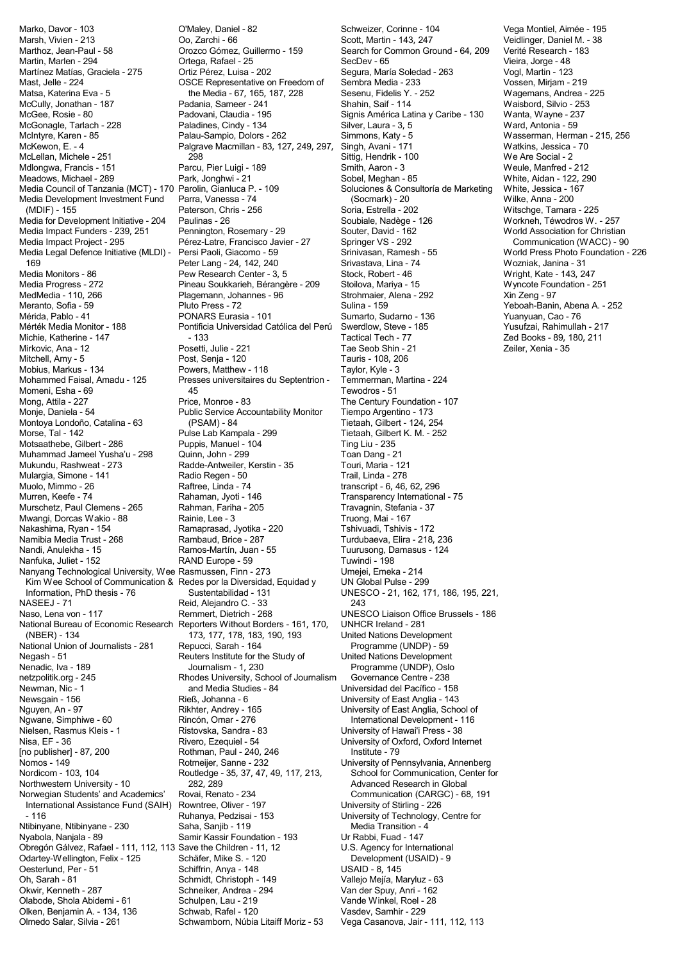Marsh, Vivien - 213 Co, Zarchi - 66 Scott, Martin - 143, 247 Veidlinger, Daniel M. - 38<br>Marthoz, Jean-Paul - 58 Crozco Gómez, Guillermo - 159 Search for Common Ground - 64, 209 Verité Research - 183 Marthoz, Jean-Paul - 58 Orozco Gómez, Guillermo - 159 Search for Common Ground - 64, 209 Verité Research - Ne<br>24 Nartin. Marlen - 294 Ortega. Rafael - 25 SecDev - 65 SecDev - 65 Martínez Matías, Graciela - 275 Ortiz Pérez, Luisa - 202 Mast, Jelle - 224 OSCE Representative on Freedom of Sembra Media - 233 Vossen, Mirjam - 219 McCully, Jonathan - 187 McGee, Rosie - 80 Padovani, Claudia - 195 Signis América Latina y Caribe - 130 Wanta, Wayne - 237 McGonagle, Tarlach - 228 Paladines, Cindy - 134 Silver, Laura - 3, 5<br>1, McIntyre, Karen - 85 Palau-Sampio, Dolors - 262 Simmons, Katy - 5 McKewon, E. - 4 **Palgrave Macmillan - 83, 127, 249, 297**, Singh, Avani - 171 **McKewon, E. - 4** Watkins, Jessica - 70<br>298 McLellan, Michele - 251 298 Sittig, Hendrik - 100 We Are Social - 2 McLellan, Michele - 251 298 Sittig, Hendrik - 100 We Are Social - 2 Mdlongwa, Francis - 151 Meadows, Michael - 289 Park, Jonghwi - 21 Sobel, Meghan - 85 White, Aidan - 122, 290<br>Media Council of Tanzania (MCT) - 170 Parolin, Gianluca P. - 109 Soluciones & Consultoría de Marketing White, Jessica - 167 Media Council of Tanzania (MCT) - 170 Parolin, Gianluca P. - 109 Soluciones & Consultoría de Marketing White, Jessica - 1<br>Media Development Investment Fund Parra, Vanessa - 74 (Socmark) - 20 Media Development Investment Fund Parra, Vanessa - 74<br>MDIF) - 155 Paterson. Chris - 256 (MDIF) - 155 Paterson, Chris - 256 Soria, Estrella - 202 Witschge, Tamara - 225 Paterson, Chris - 256 Soria, Estrella - 202<br>157 - Morkneh, Téwodros W. - 257 Soubiale, Nadège - 126 Morkneh, Téwodros W. - 257 Media for Development Initiative - 204 Paulinas - 26 Soubiale, Nadège - 126 Workneh, Téwodros W. - 257 Media Impact Funders - 239, 251 Pennington, Rosemary - 29 Souter, David - 162 World Association for Christian<br>1990 Media Impact Project - 295 Pérez-Latre, Francisco Javier - 27 Springer VS - 292 Communication (WACC) - 90 Media Impact Project - 295 Media Legal Defence Initiative (MLDI) - Persi Paoli, Giacomo - 59 Srinivasan, Ramesh - 55 World Press Photo Foundation - 226<br>169 Mozniak, Janina - 31 Peter Lang - 24, 142, 240 Srivastava, Lina - 74 Wozniak, Janina - 31 169 Peter Lang - 24, 142, 240 Srivastava, Lina - 74 Wozniak, Janina - 31 Media Monitors - 86 Pew Research Center - 3, 5 Stock, Robert - 46 Wright, Kate - 143, 247<br>Media Progress - 272 Pineau Soukkarieh, Bérangère - 209 Stoilova, Mariya - 15 Wyncote Fou Media Progress - 272 Pineau Soukkarieh, Bérangère - 209 Stoilova, Mariya - 15<br>MedMedia - 110, 266 Plagemann, Johannes - 96 Strohmaier, Alena - 292 MedMedia - 110, 266 Plagemann, Johannes - 96 Strohmaier, Alena - 292 Xin Zeng - 97 Mérida, Pablo - 41 PONARS Eurasia - 101 Sumarto, Sudarno - 136 Yuanyuan, Cao - 76 Mérték Media Monitor - 188 Pontificia Universidad Católica del Perú Swerdlow, Steve - 186 Vusufaith - 185 Yusu<br>133 Tactical Tech - 77 Michie, Katherine - 147 <sup>-</sup> 133 - 133 Tactical Tech - 77 - Zed Books - 89, 180, 211<br>Mirkovic, Ana - 12 - Posetti, Julie - 221 - Tae Seob Shin - 21 - Zeiler, Xenia - 35 Mirkovic, Ana - 12 **Posetti, Julie - 221** Tae Seob Shin - 2<br>Mitchell, Amy - 5 **Post, Senia - 120** Tauris - 108, 206 Mitchell, Amy - 5 **Post, Senja - 120** Tauris - 108, 20<br>Mobius, Markus - 134 **Powers, Matthew - 118** Taylor, Kyle - 3 Mobius, Markus - 134 Powers, Matthew - 118 Taylor, Kyle - 3 Momeni, Esha - 69 **1980 12: 13 Tewodros - 51**<br>Mong. Attila - 227 **The Century Frice Monroe - 83** The Century F Mong, Attila - 227 **Price, Monroe - 83** The Century Foundation - 107 Monje, Daniela - 54 **Public Service Accountability Monitor** Tiempo Argentino - 173 Montoya Londoño, Catalina - 63 (PSAM) - 84 (PSAM) - 7ietaah, Gilbert - 124, 254<br>Morse. Tal - 142 Tietaah, Gilbert K. M. - 252 Motsaathebe, Gilbert - 286 Puppis, Manuel - 104 Ting Liu - 235 Muhammad Jameel Yusha'u - 298 Mukundu, Rashweat - 273 Radde-Antweiler, Kerstin - 35 Touri, Maria - 121 Mulargia, Simone - 141 Radio Regen - 50 Trail, Linda - 278 Muolo, Mimmo - 26 **Raftree, Linda - 74** transcript - 6, 46, 62, 296<br>Murren, Keefe - 74 **Rahaman, Jyoti - 146** Transparency Internationa Murschetz, Paul Clemens - 265 Mwangi, Dorcas Wakio - 88 Rainie, Lee - 3 Truong, Mai - 167 Nakashima, Ryan - 154 Ramaprasad, Jyotika - 220 Tshivuadi, Tshivis - 172 Namibia Media Trust - 268 Rambaud, Brice - 287 Turdubaeva, Elira - 218, 236 Nandi, Anulekha - 15 **Ramos-Martín, Juan - 55** Tuurusong, Damasus - 124<br>Nanfuka. Juliet - 152 **RAND Europe - 59** Tuwindi - 198 Nanyang Technological University, Wee Rasmussen, Finn - 273 Umejei, Emeka - 214<br>Kim Wee School of Communication & Redes por la Diversidad, Equidad y UN Global Pulse - 299 Kim Wee School of Communication & Redes por la Diversidad, Equidad y Information, PhD thesis - 76 Sustentabilidad - 131 Information, PhD thesis - 76 Sustentabilidad - 131 UNESCO - 21, 162, 171, 186, 195, 221,<br>NASEEJ - 71 Reid, Alejandro C. - 33 243 Naso, Lena von - 117 **Remmert, Dietrich - 268** UNESCO Liaison Office Brussels - 186 National Bureau of Economic Research Reporters Without Borders - 161, 170, UNHCR Ireland - 281 National Union of Journalists - 281 Negash - 51 **Reuters Institute for the Study of Community** United Nations Development<br>Nenadic, Iva - 189 **Marting Community** Journalism - 1, 230 **Programme (UNDP)**. Oslo netzpolitik.org - 245 Rhodes University, School of Journalism Newman, Nic - 1 and Media Studies - 84 Universidad del Pacífico - 158 Newsgain - 156 **Rieß, Johanna - 6** Bohanna - 6 University of East Anglia - 143<br>Nguyen, An - 97 **Rikhter, Andrey - 165** University of East Anglia, Scho Nguyen, An - 97 **Rikhter, Andrey - 165** University of East Anglia, School of Ngwane, Simphiwe - 60 Richool of Richool of Ngwane, Simphiwe - 60 Richool of Richool of Ngwane, Simphiwe - 60 Richool of Richool of Ngwane, Simph Ngwane, Simphiwe - 60 Rincón, Omar - 276 International Development - 116<br>Nielsen, Rasmus Kleis - 1 Ristovska, Sandra - 83 University of Hawai'i Press - 38 Nielsen, Rasmus Kleis - 1 <sup>Ristovska</sup>, Sandra - 83 University of Hawai'i Press - 38<br>Nisa. EF - 36 **Ristorm Brandel - Rivero. Ezequiel - 54** University of Oxford. Oxford Inte [no publisher] - 87, 200 Rothman, Paul - 240, 246 Institute - 79 Nomos - 149 **Rotmeijer, Sanne - 232** University of Pennsylvania, Annenberg<br>Nordicom - 103, 104 Routledge - 35, 37, 47, 49, 117, 213. School for Communication. Center for Northwestern University - 10 282, 289 Advanced Research in Global<br>Norwegian Students' and Academics' Rovai, Renato - 234 Communication (CARGC) - 68, 191 Norwegian Students' and Academics' Rovai, Renato - 234 Communication (CARG<br>International Assistance Fund (SAIH) Rowntree, Oliver - 197 Chriversity of Stirling - 226 International Assistance Fund (SAIH) Rowntree, Oliver - 197<br>116 Ruhanya, Pedzisai - 153 - 116 Ruhanya, Pedzisai - 153 University of Technology, Centre for Ntibinyane, Ntibinyane - 230 Saha, Sanjib - 119 Saha, Sanjib - 193 Media Transition - 4<br>Nyabola, Nanjala - 89 Samir Kassir Foundation - 193 Ur Rabbi, Fuad - 147 Nyabola, Nanjala - 89 Samir Kassir Foundation - 193 Obregón Gálvez, Rafael - 111, 112, 113 Save the Children - 11, 12 U.S. Agency for International Odartey-Wellington, Felix - 125 Schäfer, Mike S. - 120 Development (USAID) - 9<br>Oesterlund, Per - 51 Schiffrin, Anya - 148 USAID - 8, 145 Oesterlund, Per - 51 Schiffrin, Anya - 148<br>
Oh, Sarah - 81 Schmidt, Christoph - 149 Okwir, Kenneth - 287 Schneiker, Andrea - 294 Van der Spuy, Anri - 162 Olabode, Shola Abidemi - 61 Schulpen, Lau - 219 Vande Winkel, Roel - 28 Olken, Benjamin A. - 134, 136 Schwab, Rafel - 120 Vasdev, Samhir - 229

Martin, Marlen - 294 Ortega, Rafael - 25 SecDev - 65 Vieira, Jorge - 48 Matsa, Katerina Eva - 5 the Media - 67, 165, 187, 228 Sesenu, Fidelis Y. - 252 Wagemans, Andrea - 225 Presses universitaires du Septentrion -Public Service Accountability Monitor Tiempo Argentino - 173 Pulse Lab Kampala - 299 Tietaah, Gilbert K. M. - 252<br>Puppis, Manuel - 104 Ting Liu - 235 Rahaman, Jyoti - 146 **Murren, Amazaman, 2018** Transparency International - 75<br>Rahman, Fariha - 205 **Murren** Travagnin, Stefania - 37 RAND Europe - 59 Tuwindi - 198<br>Rasmussen, Finn - 273 Tuwindi - Tumelel, Emeka - 214 Reid, Alejandro C. - 33 173, 177, 178, 183, 190, 193 United Nations Development<br>Repucci, Sarah - 164 Programme (UNDP) - 59 Routledge - 35, 37, 47, 49, 117, 213,

Marko, Davor - 103 O'Maley, Daniel - 82 Schweizer, Corinne - 104 Vega Montiel, Aimée - 195 Simmons, Katy - 5 **Masserman, Herman - 215, 256**<br>Singh, Avani - 171 Watkins, Jessica - 70 Programme (UNDP), Oslo<br>Governance Centre - 238 University of Oxford, Oxford Internet Vallejo Mejía, Maryluz - 63 Vega Casanova, Jair - 111, 112, 113

Yeboah-Banin, Abena A. - 252